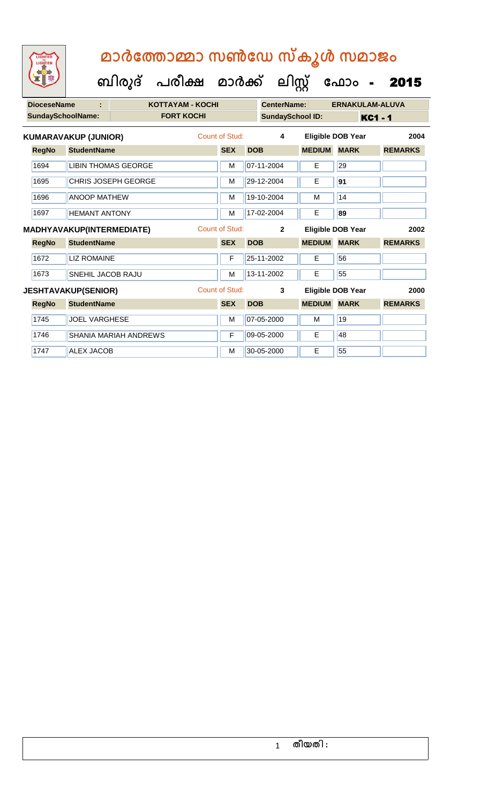**ബിരുദ് പരീക്ഷ മാര്ക്**

1747 ALEX JACOB M 30-05-2000 E 55

**DioceseName : KOTTAYAM - KOCHI CenterName: ERNAKULAM-ALUVA SundaySchoolName: FORT KOCHI SundaySchool ID: KC1 - 1 ക ലിസ്റ്റ ക ഫ ാോം** - 2015 **RegNo StudentName SEX DOB MEDIUM MARK REMARKS KUMARAVAKUP (JUNIOR)** Count of Stud: **4 Eligible DOB Year 2004** 1694 LIBIN THOMAS GEORGE M M 07-11-2004 E 29 1695 CHRIS JOSEPH GEORGE M 29-12-2004 **E** 91 1696 ANOOP MATHEW M 19-10-2004 M 19-10-2004 M 1697 HEMANT ANTONY M 17-02-2004 E **89 RegNo StudentName SEX DOB MEDIUM MARK REMARKS MADHYAVAKUP(INTERMEDIATE)** Count of Stud: **2 Eligible DOB Year 2002** 1672 LIZ ROMAINE **F 25-11-2002** E 56 1673 SNEHIL JACOB RAJU M 13-11-2002 E 55 **RegNo StudentName SEX DOB MEDIUM MARK REMARKS JESHTAVAKUP(SENIOR)** Count of Stud: **3 Eligible DOB Year 2000** 1745 JOEL VARGHESE M M 07-05-2000 M 19 1746 SHANIA MARIAH ANDREWS F 09-05-2000 E 48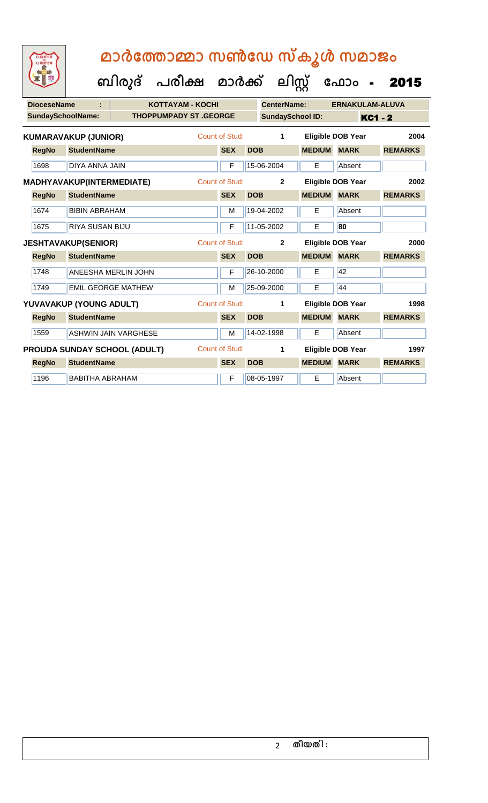**ക ഫ ാോം** - 2015

 **ബിരുദ് പരീക്ഷ മാര്ക്**

**ക ലിസ്റ്റ**

**DioceseName : KOTTAYAM - KOCHI CenterName: ERNAKULAM-ALUVA** SundaySchoolName: THOPPUMPADY ST .GEORGE SundaySchool ID: KC1 - 2 **RegNo StudentName SEX DOB MEDIUM MARK REMARKS KUMARAVAKUP (JUNIOR)** Count of Stud: **1 Eligible DOB Year 2004** 1698 DIYA ANNA JAIN F 15-06-2004 E Absent **RegNo StudentName SEX DOB MEDIUM MARK REMARKS MADHYAVAKUP(INTERMEDIATE)** Count of Stud: **2 Eligible DOB Year 2002** 1674 BIBIN ABRAHAM M 19-04-2002 E Absent 1675 RIYA SUSAN BIJU F 11-05-2002 E **80 RegNo StudentName SEX DOB MEDIUM MARK REMARKS JESHTAVAKUP(SENIOR)** Count of Stud: **2 Eligible DOB Year 2000** 1748 ANEESHA MERLIN JOHN F 26-10-2000 E 42 1749 EMIL GEORGE MATHEW M M 25-09-2000 E 44 **RegNo StudentName SEX DOB MEDIUM MARK REMARKS YUVAVAKUP (YOUNG ADULT)** Count of Stud: **1 Eligible DOB Year 1998** 1559 ASHWIN JAIN VARGHESE M M 14-02-1998 E Absent **RegNo StudentName SEX DOB MEDIUM MARK REMARKS PROUDA SUNDAY SCHOOL (ADULT)** Count of Stud: **1 Eligible DOB Year 1997** 1196 BABITHA ABRAHAM F 08-05-1997 E Absent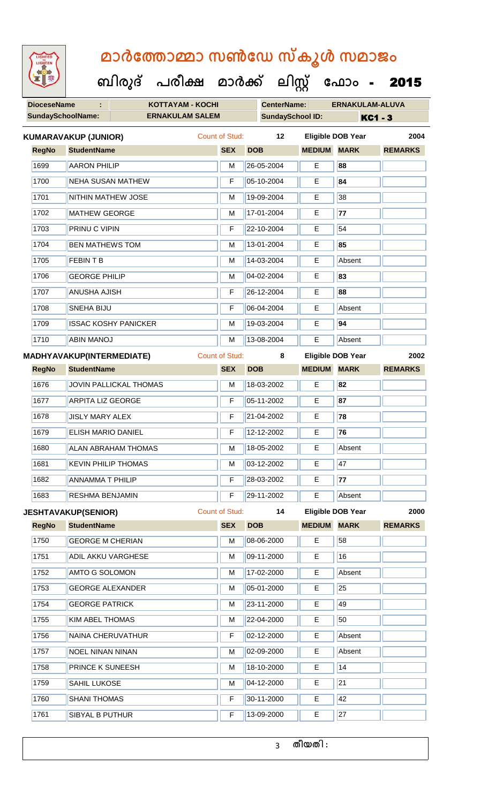**DioceseName : KOTTAYAM - KOCHI CenterName: ERNAKULAM-ALUVA** SundaySchoolName: **ERNAKULAM SALEM SundaySchool ID:** KC1 - 3  **ബിരുദ് പരീക്ഷ മാര്ക് ക ലിസ്റ്റ ക ഫ ാോം** - 2015 **RegNo StudentName SEX DOB MEDIUM MARK REMARKS KUMARAVAKUP (JUNIOR)** Count of Stud: **12 Eligible DOB Year 2004** 1699 AARON PHILIP M 26-05-2004 E **88** 1700 NEHA SUSAN MATHEW F 05-10-2004 E **84** 1701 NITHIN MATHEW JOSE M 19-09-2004 E 38 1702 MATHEW GEORGE M 17-01-2004 **E 77** 1703 PRINU C VIPIN F 22-10-2004 E 54 1704 BEN MATHEWS TOM M 13-01-2004 E **85** 1705 FEBIN T B M 14-03-2004 E Absent 1706 GEORGE PHILIP **M 04-02-2004** E **83** 1707 ANUSHA AJISH F 26-12-2004 E **88** 1708 SNEHA BIJU F 06-04-2004 E Absent 1709 **ISSAC KOSHY PANICKER** M 19-03-2004 **E** 94 1710 ABIN MANOJ M 13-08-2004 E Absent **RegNo StudentName SEX DOB MEDIUM MARK REMARKS MADHYAVAKUP(INTERMEDIATE)** Count of Stud: **8 Eligible DOB Year 2002** 1676 JOVIN PALLICKAL THOMAS M 18-03-2002 E **82** 1677 **ARPITA LIZ GEORGE F 165-11-2002 E 87** 1678 JISLY MARY ALEX F 21-04-2002 E **78** 1679 ELISH MARIO DANIEL F 12-12-2002 E **76** 1680 ALAN ABRAHAM THOMAS M 18-05-2002 E Absent 1681 **KEVIN PHILIP THOMAS** M 03-12-2002 **E** 47 1682 ANNAMMA T PHILIP F 28-03-2002 E **77** 1683 RESHMA BENJAMIN F 29-11-2002 E Absent **RegNo StudentName SEX DOB MEDIUM MARK REMARKS JESHTAVAKUP(SENIOR)** Count of Stud: **14 Eligible DOB Year 2000** 1750 GEORGE M CHERIAN M M 08-06-2000 E 58 1751 ADIL AKKU VARGHESE MARIA 199-11-2000 E 16 1752 AMTO G SOLOMON M 17-02-2000 E Absent 1753 GEORGE ALEXANDER M 05-01-2000 E 25 1754 GEORGE PATRICK M 23-11-2000 E 49 1755 KIM ABEL THOMAS M M 22-04-2000 E 50 1756 NAINA CHERUVATHUR F 02-12-2000 E Absent 1757 NOEL NINAN NINAN M 1757 NOEL NINAN MINAN 1758 PRINCE K SUNEESH M 18-10-2000 E 14 1759 SAHIL LUKOSE M 1759 SAHIL LUKOSE 1760 SHANI THOMAS F 30-11-2000 E 42 1761 SIBYAL B PUTHUR **F** 13-09-2000 **E** 27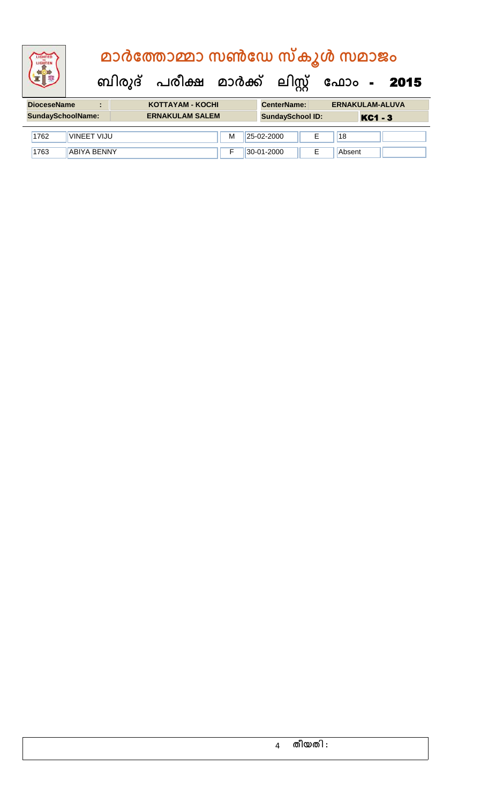# **ബിരുദ് പരീക്ഷ മാര്ക് ക ലിസ്റ്റ ക ഫ ാോം** - 2015  **മാര്കഫതാമ്മാ സണ്ഫേ സ്കൂള് സമാജോം**

| <b>DioceseName</b>         | KOTTAYAM - KOCHI                                  | <b>CenterName:</b> | <b>ERNAKULAM-ALUVA</b> |
|----------------------------|---------------------------------------------------|--------------------|------------------------|
| <b>SundaySchoolName:</b>   | <b>ERNAKULAM SALEM</b><br><b>SundaySchool ID:</b> |                    | <b>KC1 - 3</b>         |
| <b>VINEET VIJU</b><br>1762 | M                                                 | 25-02-2000         | 18                     |
| 1763<br>ABIYA BENNY        |                                                   | 30-01-2000         | Absent                 |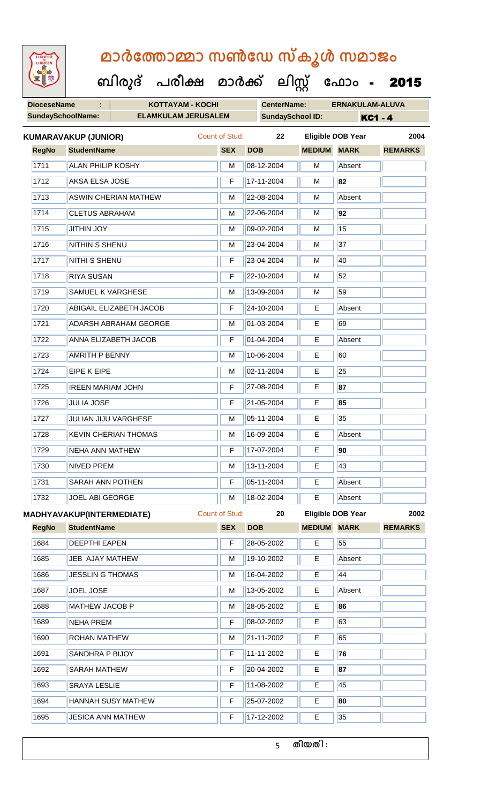**ബിരുദ് പരീക്ഷ മാര്ക് ക ലിസ്റ്റ ക ഫ ാോം** - 2015

| <b>DioceseName</b><br>÷.<br><b>KOTTAYAM - KOCHI</b> |                          |                                  |                                | <b>CenterName:</b> |            | <b>ERNAKULAM-ALUVA</b>  |               |                          |                |
|-----------------------------------------------------|--------------------------|----------------------------------|--------------------------------|--------------------|------------|-------------------------|---------------|--------------------------|----------------|
|                                                     | <b>SundaySchoolName:</b> |                                  | <b>ELAMKULAM JERUSALEM</b>     |                    |            | <b>SundaySchool ID:</b> |               | <b>KC1 - 4</b>           |                |
|                                                     |                          | <b>KUMARAVAKUP (JUNIOR)</b>      |                                | Count of Stud:     |            | 22                      |               | <b>Eligible DOB Year</b> | 2004           |
|                                                     | <b>RegNo</b>             | <b>StudentName</b>               |                                | <b>SEX</b>         | <b>DOB</b> |                         | <b>MEDIUM</b> | <b>MARK</b>              | <b>REMARKS</b> |
|                                                     | 1711                     | <b>ALAN PHILIP KOSHY</b>         |                                | M                  |            | 08-12-2004              | M             | Absent                   |                |
|                                                     | 1712                     | AKSA ELSA JOSE                   |                                | F                  |            | 17-11-2004              | M             | 82                       |                |
|                                                     | 1713                     |                                  | <b>ASWIN CHERIAN MATHEW</b>    | M                  |            | 22-08-2004              | M             | Absent                   |                |
|                                                     | 1714                     | <b>CLETUS ABRAHAM</b>            |                                | M                  |            | 22-06-2004              | M             | 92                       |                |
|                                                     | 1715                     | <b>JITHIN JOY</b>                |                                | M                  |            | 09-02-2004              | M             | 15                       |                |
|                                                     | 1716                     | NITHIN S SHENU                   |                                | М                  |            | 23-04-2004              | м             | 37                       |                |
|                                                     | 1717                     | NITHI S SHENU                    |                                | F                  |            | 23-04-2004              | M             | 40                       |                |
|                                                     | 1718                     | <b>RIYA SUSAN</b>                |                                | F                  |            | 22-10-2004              | M             | 52                       |                |
|                                                     | 1719                     | SAMUEL K VARGHESE                |                                | M                  |            | 13-09-2004              | м             | 59                       |                |
|                                                     | 1720                     |                                  | <b>ABIGAIL ELIZABETH JACOB</b> | F                  |            | 24-10-2004              | E             | Absent                   |                |
|                                                     | 1721                     |                                  | <b>ADARSH ABRAHAM GEORGE</b>   | M                  |            | 01-03-2004              | Е             | 69                       |                |
|                                                     | 1722                     |                                  | <b>ANNA ELIZABETH JACOB</b>    | F                  |            | 01-04-2004              | Е             | Absent                   |                |
|                                                     | 1723                     | <b>AMRITH P BENNY</b>            |                                | M                  |            | 10-06-2004              | E             | 60                       |                |
|                                                     | 1724                     | <b>EIPE K EIPE</b>               |                                | M                  |            | 02-11-2004              | Е             | 25                       |                |
|                                                     | 1725                     | <b>IREEN MARIAM JOHN</b>         |                                | F                  |            | 27-08-2004              | E             | 87                       |                |
|                                                     | 1726                     | <b>JULIA JOSE</b>                |                                | F                  |            | 21-05-2004              | E             | 85                       |                |
|                                                     | 1727                     |                                  | JULIAN JIJU VARGHESE           | M                  |            | 05-11-2004              | Е             | 35                       |                |
|                                                     | 1728                     |                                  | <b>KEVIN CHERIAN THOMAS</b>    | M                  |            | 16-09-2004              | E             | Absent                   |                |
|                                                     | 1729                     | <b>NEHA ANN MATHEW</b>           |                                | F                  |            | 17-07-2004              | E             | 90                       |                |
|                                                     | 1730                     | <b>NIVED PREM</b>                |                                | M                  |            | 13-11-2004              | Е             | 43                       |                |
|                                                     | 1731                     | SARAH ANN POTHEN                 |                                | F                  |            | 05-11-2004              | Е             | Absent                   |                |
|                                                     | 1732                     | JOEL ABI GEORGE                  |                                | M                  |            | 18-02-2004              | E             | Absent                   |                |
|                                                     |                          | <b>MADHYAVAKUP(INTERMEDIATE)</b> |                                | Count of Stud:     |            | 20                      |               | <b>Eligible DOB Year</b> | 2002           |
|                                                     | <b>RegNo</b>             | <b>StudentName</b>               |                                | <b>SEX</b>         | <b>DOB</b> |                         | <b>MEDIUM</b> | <b>MARK</b>              | <b>REMARKS</b> |
|                                                     | 1684                     | <b>DEEPTHI EAPEN</b>             |                                | F                  |            | 28-05-2002              | E             | 55                       |                |
|                                                     | 1685                     | JEB AJAY MATHEW                  |                                | M                  |            | 19-10-2002              | E             | Absent                   |                |
|                                                     | 1686                     | <b>JESSLIN G THOMAS</b>          |                                | M                  |            | 16-04-2002              | Е             | 44                       |                |
|                                                     | 1687                     | <b>JOEL JOSE</b>                 |                                | M                  |            | 13-05-2002              | E             | Absent                   |                |
|                                                     |                          |                                  |                                |                    |            |                         |               |                          |                |

 MATHEW JACOB P M 28-05-2002 E **86** Ш 1689 NEHA PREM F 08-02-2002 E 63 1690 ROHAN MATHEW M M 21-11-2002 E 65 SANDHRA P BIJOY F 11-11-2002 E **76** SARAH MATHEW F 20-04-2002 E **87** 1693 SRAYA LESLIE F 11-08-2002 E 45 HANNAH SUSY MATHEW F 25-07-2002 E **80** 1695 JESICA ANN MATHEW **F** 17-12-2002 E 35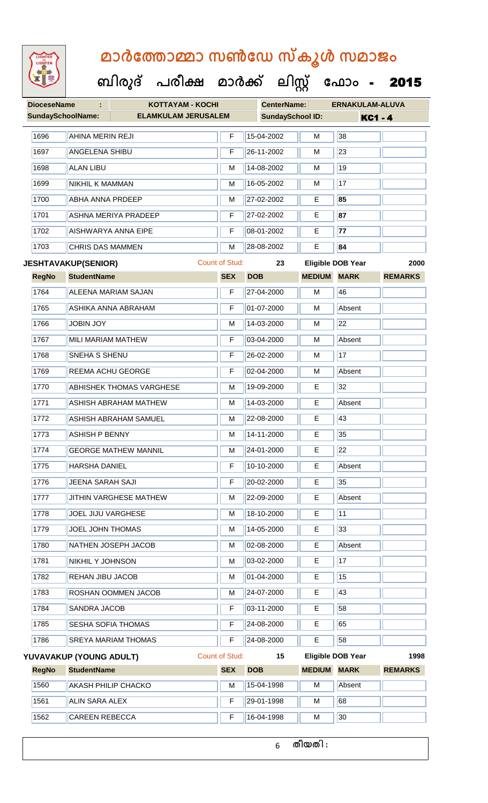

#### **ബിരുദ് പരീക്ഷ മാര്ക് ക ലിസ്റ്റ ക ഫ ാോം** - 2015

| <b>DioceseName</b>       |                            | <b>KOTTAYAM - KOCHI</b>         |                       | <b>CenterName:</b>      |                    | <b>ERNAKULAM-ALUVA</b>   |                |
|--------------------------|----------------------------|---------------------------------|-----------------------|-------------------------|--------------------|--------------------------|----------------|
| <b>SundaySchoolName:</b> |                            | <b>ELAMKULAM JERUSALEM</b>      |                       | <b>SundaySchool ID:</b> |                    | <b>KC1 - 4</b>           |                |
| 1696                     | <b>AHINA MERIN REJI</b>    |                                 | F                     | 15-04-2002              | M                  | 38                       |                |
| 1697                     | <b>ANGELENA SHIBU</b>      |                                 | F                     | 26-11-2002              | M                  | 23                       |                |
| 1698                     | <b>ALAN LIBU</b>           |                                 | M                     | 14-08-2002              | м                  | 19                       |                |
| 1699                     | NIKHIL K MAMMAN            |                                 | M                     | 16-05-2002              | М                  | 17                       |                |
| 1700                     | <b>ABHA ANNA PRDEEP</b>    |                                 | M                     | 27-02-2002              | Е                  | 85                       |                |
| 1701                     |                            | <b>ASHNA MERIYA PRADEEP</b>     | F                     | 27-02-2002              | E                  | 87                       |                |
| 1702                     |                            | <b>AISHWARYA ANNA EIPE</b>      | F                     | 08-01-2002              | Е                  | 77                       |                |
| 1703                     | <b>CHRIS DAS MAMMEN</b>    |                                 | M                     | 28-08-2002              | Е                  | 84                       |                |
|                          | <b>JESHTAVAKUP(SENIOR)</b> |                                 | <b>Count of Stud:</b> | 23                      |                    | <b>Eligible DOB Year</b> | 2000           |
| <b>RegNo</b>             | <b>StudentName</b>         |                                 | <b>SEX</b>            | <b>DOB</b>              | <b>MEDIUM MARK</b> |                          | <b>REMARKS</b> |
| 1764                     |                            | <b>ALEENA MARIAM SAJAN</b>      | F                     | 27-04-2000              | М                  | 46                       |                |
| 1765                     |                            | ASHIKA ANNA ABRAHAM             | F                     | 01-07-2000              | M                  | Absent                   |                |
| 1766                     | <b>JOBIN JOY</b>           |                                 | M                     | 14-03-2000              | м                  | 22                       |                |
| 1767                     | MILI MARIAM MATHEW         |                                 | F                     | 03-04-2000              | М                  | Absent                   |                |
| 1768                     | SNEHA S SHENU              |                                 | F                     | 26-02-2000              | М                  | 17                       |                |
| 1769                     | <b>REEMA ACHU GEORGE</b>   |                                 | F                     | 02-04-2000              | M                  | Absent                   |                |
| 1770                     |                            | <b>ABHISHEK THOMAS VARGHESE</b> | м                     | 19-09-2000              | E.                 | 32                       |                |
| 1771                     |                            | <b>ASHISH ABRAHAM MATHEW</b>    | M                     | 14-03-2000              | E                  | Absent                   |                |
| 1772                     |                            | <b>ASHISH ABRAHAM SAMUEL</b>    | M                     | 22-08-2000              | E                  | 43                       |                |
| 1773                     | <b>ASHISH P BENNY</b>      |                                 | M                     | 14-11-2000              | E                  | 35                       |                |
| 1774                     |                            | <b>GEORGE MATHEW MANNIL</b>     | M                     | 24-01-2000              | Е                  | 22                       |                |
| 1775                     | <b>HARSHA DANIEL</b>       |                                 | F                     | 10-10-2000              | E                  | Absent                   |                |
| 1776                     | JEENA SARAH SAJI           |                                 | F                     | 20-02-2000              | E                  | 35                       |                |
| 1777                     |                            | <b>JITHIN VARGHESE MATHEW</b>   | М                     | 22-09-2000              | Е                  | Absent                   |                |
| 1778                     | <b>JOEL JIJU VARGHESE</b>  |                                 | M                     | 18-10-2000              | E                  | 11                       |                |
| 1779                     | JOEL JOHN THOMAS           |                                 | M                     | 14-05-2000              | Ε                  | 33                       |                |
| 1780                     |                            | NATHEN JOSEPH JACOB             | М                     | 02-08-2000              | Е                  | Absent                   |                |
| 1781                     | NIKHIL Y JOHNSON           |                                 | M                     | 03-02-2000              | E                  | 17                       |                |
| 1782                     | REHAN JIBU JACOB           |                                 | M                     | 01-04-2000              | Е                  | 15                       |                |
| 1783                     |                            | ROSHAN OOMMEN JACOB             | м                     | 24-07-2000              | E                  | 43                       |                |
| 1784                     | SANDRA JACOB               |                                 | F                     | 03-11-2000              | Е                  | 58                       |                |
| 1785                     | SESHA SOFIA THOMAS         |                                 | F                     | 24-08-2000              | Е                  | 65                       |                |
| 1786                     |                            | SREYA MARIAM THOMAS             | F                     | 24-08-2000              | E                  | 58                       |                |
|                          | YUVAVAKUP (YOUNG ADULT)    |                                 | <b>Count of Stud:</b> | 15                      |                    | <b>Eligible DOB Year</b> | 1998           |
| <b>RegNo</b>             | <b>StudentName</b>         |                                 | <b>SEX</b>            | <b>DOB</b>              | <b>MEDIUM</b>      | <b>MARK</b>              | <b>REMARKS</b> |
| 1560                     | <b>AKASH PHILIP CHACKO</b> |                                 | M                     | 15-04-1998              | M                  | Absent                   |                |
| 1561                     | <b>ALIN SARA ALEX</b>      |                                 | F                     | 29-01-1998              | м                  | 68                       |                |
| 1562                     | <b>CAREEN REBECCA</b>      |                                 | F                     | 16-04-1998              | М                  | 30                       |                |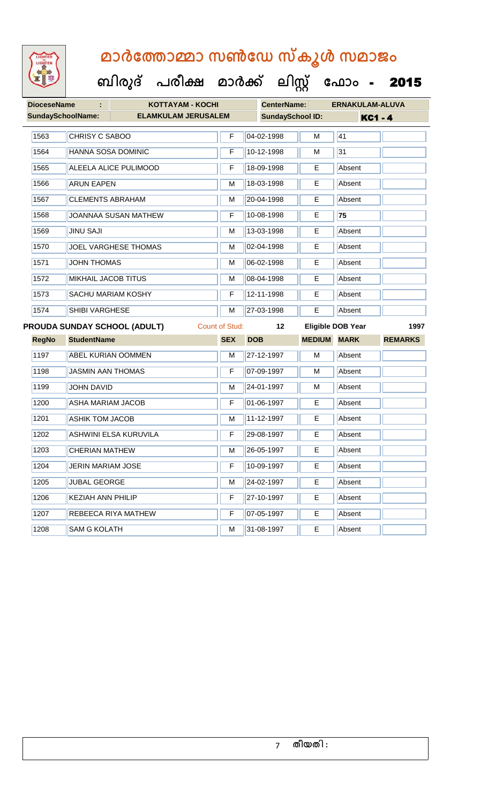| <b>DioceseName</b>       |                            | <b>KOTTAYAM - KOCHI</b><br>÷. |                       |                         | <b>CenterName:</b> |                          | <b>ERNAKULAM-ALUVA</b> |  |
|--------------------------|----------------------------|-------------------------------|-----------------------|-------------------------|--------------------|--------------------------|------------------------|--|
| <b>SundaySchoolName:</b> |                            | <b>ELAMKULAM JERUSALEM</b>    |                       | <b>SundaySchool ID:</b> |                    | <b>KC1 - 4</b>           |                        |  |
| 1563                     | CHRISY C SABOO             |                               | F                     | 04-02-1998              | M                  | 41                       |                        |  |
| 1564                     | HANNA SOSA DOMINIC         |                               | F                     | 10-12-1998              | M                  | 31                       |                        |  |
| 1565                     |                            | ALEELA ALICE PULIMOOD         | F                     | 18-09-1998              | E.                 | Absent                   |                        |  |
| 1566                     | <b>ARUN EAPEN</b>          |                               | M                     | 18-03-1998              | E                  | Absent                   |                        |  |
| 1567                     | <b>CLEMENTS ABRAHAM</b>    |                               | M                     | 20-04-1998              | Е                  | Absent                   |                        |  |
| 1568                     |                            | <b>JOANNAA SUSAN MATHEW</b>   | F                     | 10-08-1998              | Е                  | 75                       |                        |  |
| 1569                     | <b>JINU SAJI</b>           |                               | M                     | 13-03-1998              | E                  | Absent                   |                        |  |
| 1570                     |                            | JOEL VARGHESE THOMAS          | M                     | 02-04-1998              | Е                  | Absent                   |                        |  |
| 1571                     | <b>JOHN THOMAS</b>         |                               | M                     | 06-02-1998              | Е                  | Absent                   |                        |  |
| 1572                     | <b>MIKHAIL JACOB TITUS</b> |                               | М                     | 08-04-1998              | Е                  | Absent                   |                        |  |
| 1573                     |                            | <b>SACHU MARIAM KOSHY</b>     | F                     | 12-11-1998              | E                  | Absent                   |                        |  |
| 1574                     | SHIBI VARGHESE             |                               | M                     | 27-03-1998              | E                  | Absent                   |                        |  |
|                          |                            | PROUDA SUNDAY SCHOOL (ADULT)  | <b>Count of Stud:</b> | 12                      |                    | <b>Eligible DOB Year</b> | 1997                   |  |
| <b>RegNo</b>             |                            |                               |                       |                         |                    |                          |                        |  |
|                          | <b>StudentName</b>         |                               | <b>SEX</b>            | <b>DOB</b>              | <b>MEDIUM</b>      | <b>MARK</b>              | <b>REMARKS</b>         |  |
| 1197                     |                            | <b>ABEL KURIAN OOMMEN</b>     | M                     | 27-12-1997              | M                  | Absent                   |                        |  |
| 1198                     | <b>JASMIN AAN THOMAS</b>   |                               | F                     | 07-09-1997              | м                  | Absent                   |                        |  |
| 1199                     | <b>JOHN DAVID</b>          |                               | м                     | 24-01-1997              | м                  | Absent                   |                        |  |
| 1200                     | <b>ASHA MARIAM JACOB</b>   |                               | F                     | 01-06-1997              | E                  | Absent                   |                        |  |
| 1201                     | <b>ASHIK TOM JACOB</b>     |                               | М                     | 11-12-1997              | Е                  | Absent                   |                        |  |
| 1202                     |                            | <b>ASHWINI ELSA KURUVILA</b>  | F                     | 29-08-1997              | Е                  | Absent                   |                        |  |
| 1203                     | <b>CHERIAN MATHEW</b>      |                               | M                     | 26-05-1997              | E                  | Absent                   |                        |  |
| 1204                     | <b>JERIN MARIAM JOSE</b>   |                               | F                     | 10-09-1997              | Е                  | Absent                   |                        |  |
| 1205                     | <b>JUBAL GEORGE</b>        |                               | М                     | 24-02-1997              | Е                  | Absent                   |                        |  |
| 1206                     | <b>KEZIAH ANN PHILIP</b>   |                               | F                     | 27-10-1997              | E.                 | Absent                   |                        |  |
| 1207                     |                            | REBEECA RIYA MATHEW           | F                     | 07-05-1997              | E                  | Absent                   |                        |  |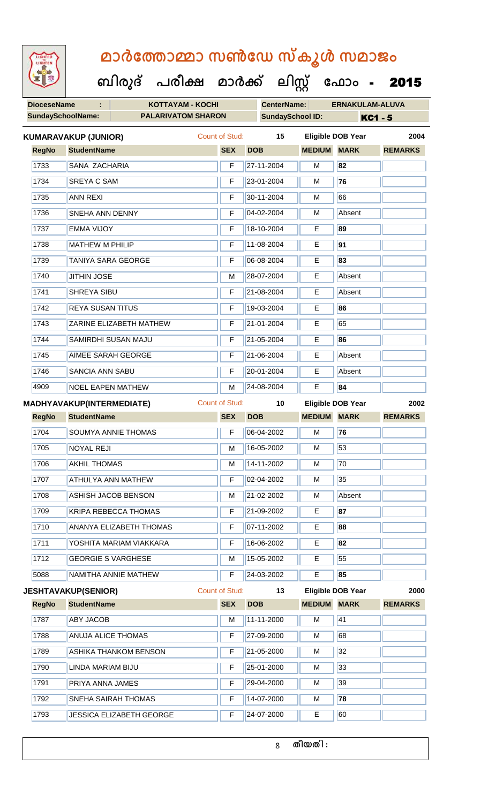**ബിരുദ് പരീക്ഷ മാര്ക്**

**DioceseName : KOTTAYAM - KOCHI CenterName: ERNAKULAM-ALUVA** SundaySchoolName: **PALARIVATOM SHARON SundaySchool ID:** KC1 - 5 **ക ലിസ്റ്റ** ഫോം - **2015 RegNo StudentName SEX DOB MEDIUM MARK REMARKS KUMARAVAKUP (JUNIOR)** Count of Stud: **15 Eligible DOB Year 2004** SANA ZACHARIA F 27-11-2004 M **82** 1734 SREYA C SAM **F** 23-01-2004 M 76 1735 ANN REXI F 30-11-2004 M 66 1736 SNEHA ANN DENNY F 04-02-2004 M Absent

Т

| 1737 | <b>EMMA VIJOY</b>              | F  | 18-10-2004 | E. | 89     |
|------|--------------------------------|----|------------|----|--------|
| 1738 | <b>MATHEW M PHILIP</b>         | F  | 11-08-2004 | E  | 91     |
| 1739 | TANIYA SARA GEORGE             | F  | 06-08-2004 | Е  | 83     |
| 1740 | <b>JITHIN JOSE</b>             | M  | 28-07-2004 | E. | Absent |
| 1741 | <b>SHREYA SIBU</b>             | F  | 21-08-2004 | E. | Absent |
| 1742 | <b>REYA SUSAN TITUS</b>        | F  | 19-03-2004 | E. | 86     |
| 1743 | <b>ZARINE ELIZABETH MATHEW</b> | F  | 21-01-2004 | E. | 65     |
| 1744 | SAMIRDHI SUSAN MAJU            | F. | 21-05-2004 | E. | 86     |
| 1745 | AIMEE SARAH GEORGE             | F  | 21-06-2004 | E. | Absent |
| 1746 | <b>SANCIA ANN SABU</b>         | F  | 20-01-2004 | E. | Absent |

NOEL EAPEN MATHEW M 24-08-2004 E **84**

|      |              | <b>MADHYAVAKUP(INTERMEDIATE)</b>          | Count of Stud: | 10         |               | <b>Eligible DOB Year</b> | 2002            |
|------|--------------|-------------------------------------------|----------------|------------|---------------|--------------------------|-----------------|
|      | <b>RegNo</b> | <b>StudentName</b>                        | <b>SEX</b>     | <b>DOB</b> | <b>MEDIUM</b> | <b>MARK</b>              | <b>REMARKS</b>  |
| 1704 |              | SOUMYA ANNIE THOMAS                       | F              | 06-04-2002 | м             | 76                       |                 |
| 1705 |              | <b>NOYAL REJI</b>                         | м              | 16-05-2002 | M             | 53                       |                 |
| 1706 |              | <b>AKHIL THOMAS</b>                       | м              | 14-11-2002 | M             | 70                       |                 |
| 1707 |              | ATHULYA ANN MATHEW                        | F              | 02-04-2002 | м             | 35                       |                 |
| 1708 |              | ASHISH JACOB BENSON                       | м              | 21-02-2002 | M             | Absent                   |                 |
| 1709 |              | <b>KRIPA REBECCA THOMAS</b>               | F              | 21-09-2002 | E             | 87                       |                 |
| 1710 |              | <b>ANANYA ELIZABETH THOMAS</b>            | F              | 07-11-2002 | Е             | 88                       |                 |
| 1711 |              | YOSHITA MARIAM VIAKKARA                   | F              | 16-06-2002 | Е             | 82                       |                 |
| 1712 |              | <b>GEORGIE S VARGHESE</b>                 | M              | 15-05-2002 | E             | 55                       |                 |
| 5088 |              | NAMITHA ANNIE MATHEW                      | F              | 24-03-2002 | E             | 85                       |                 |
|      |              | <b>JESHTAVAKUP(SENIOR)</b>                | Count of Stud: | 13         |               | <b>Eligible DOB Year</b> | 2000            |
|      |              | <b>PERSONAL PROPERTY AND ALL PROPERTY</b> | $2FV$ $2P$     |            | $\frac{1}{2}$ |                          | <b>DEMADIZA</b> |

| <b>RegNo</b> | <b>StudentName</b>           | <b>SEX</b> | <b>DOB</b> | <b>MEDIUM</b> | <b>MARK</b> | <b>REMARKS</b> |
|--------------|------------------------------|------------|------------|---------------|-------------|----------------|
| 1787         | <b>ABY JACOB</b>             | м          | 11-11-2000 | M             | 41          |                |
| 1788         | <b>ANUJA ALICE THOMAS</b>    | F          | 27-09-2000 | м             | 68          |                |
| 1789         | <b>ASHIKA THANKOM BENSON</b> | F          | 21-05-2000 | M             | 32          |                |
| 1790         | LINDA MARIAM BIJU            | F          | 25-01-2000 | M             | 33          |                |
| 1791         | <b>PRIYA ANNA JAMES</b>      | F          | 29-04-2000 | M             | 39          |                |
| 1792         | <b>SNEHA SAIRAH THOMAS</b>   | F          | 14-07-2000 | M             | 78          |                |
| 1793         | JESSICA ELIZABETH GEORGE     | F          | 24-07-2000 | Е             | 60          |                |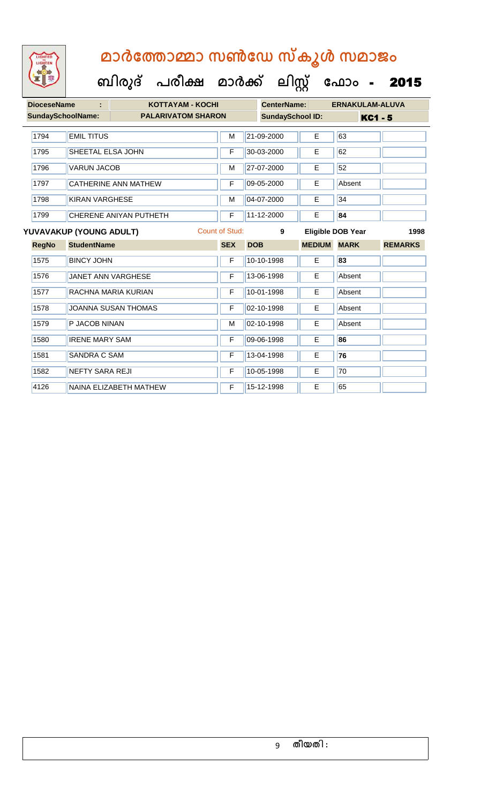

| <b>DioceseName</b> |                                           | <b>KOTTAYAM - KOCHI</b>    |            | <b>CenterName:</b> |                         |               | <b>ERNAKULAM-ALUVA</b>   |                |
|--------------------|-------------------------------------------|----------------------------|------------|--------------------|-------------------------|---------------|--------------------------|----------------|
|                    | SundaySchoolName:                         | <b>PALARIVATOM SHARON</b>  |            |                    | <b>SundaySchool ID:</b> |               | <b>KC1 - 5</b>           |                |
|                    |                                           |                            |            |                    |                         |               |                          |                |
| 1794               | <b>EMIL TITUS</b>                         |                            | м          |                    | 21-09-2000              | E             | 63                       |                |
| 1795               | SHEETAL ELSA JOHN                         |                            | F          |                    | 30-03-2000              | E             | 62                       |                |
| 1796               | <b>VARUN JACOB</b>                        |                            | M          |                    | 27-07-2000              | E             | 52                       |                |
| 1797               |                                           | CATHERINE ANN MATHEW       | F          |                    | 09-05-2000              | E             | Absent                   |                |
| 1798               | <b>KIRAN VARGHESE</b>                     |                            | M          |                    | 04-07-2000              | E             | 34                       |                |
| 1799               |                                           | CHERENE ANIYAN PUTHETH     | F          |                    | 11-12-2000              | E             | 84                       |                |
|                    | Count of Stud:<br>YUVAVAKUP (YOUNG ADULT) |                            |            |                    | 9                       |               | <b>Eligible DOB Year</b> | 1998           |
| <b>RegNo</b>       | <b>StudentName</b>                        |                            | <b>SEX</b> | <b>DOB</b>         |                         | <b>MEDIUM</b> | <b>MARK</b>              | <b>REMARKS</b> |
| 1575               | <b>BINCY JOHN</b>                         |                            | F          |                    | 10-10-1998              | E.            | 83                       |                |
| 1576               |                                           | <b>JANET ANN VARGHESE</b>  | F          |                    | 13-06-1998              | E.            | Absent                   |                |
| 1577               |                                           | RACHNA MARIA KURIAN        | F          |                    | 10-01-1998              | Е             | Absent                   |                |
| 1578               |                                           | <b>JOANNA SUSAN THOMAS</b> | F          |                    | 02-10-1998              | E             | Absent                   |                |
| 1579               | P JACOB NINAN                             |                            | M          |                    | 02-10-1998              | E             | Absent                   |                |
| 1580               | <b>IRENE MARY SAM</b>                     |                            | F          |                    | 09-06-1998              | Е             | 86                       |                |
| 1581               | SANDRA C SAM                              |                            | F          |                    | 13-04-1998              | Е             | 76                       |                |
| 1582               | <b>NEFTY SARA REJI</b>                    |                            | F          |                    | 10-05-1998              | Е             | 70                       |                |
| 4126               |                                           | NAINA ELIZABETH MATHEW     | F          |                    | 15-12-1998              | E             | 65                       |                |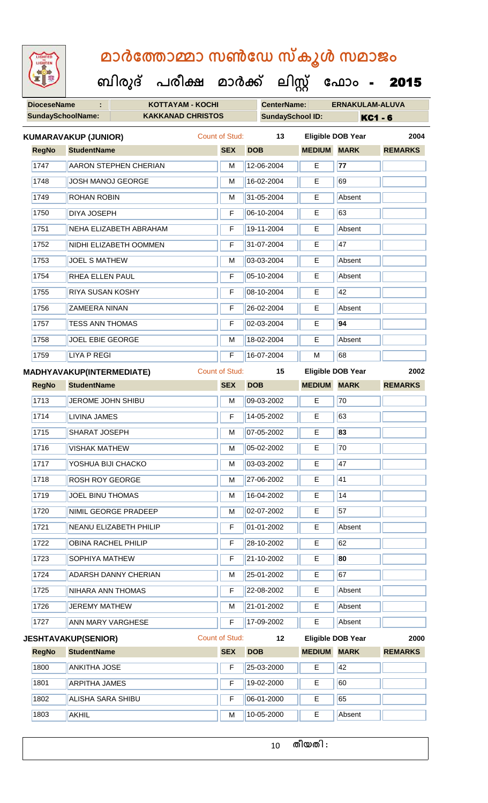| <b>IGHTED</b> |
|---------------|
|               |
|               |
|               |

 **ബിരുദ് പരീക്ഷ മാര്ക്**

**DioceseName : KOTTAYAM - KOCHI CenterName: ERNAKULAM-ALUVA SundaySchoolName: KAKKANAD CHRISTOS SundaySchool ID: KC1 - 6 ക ലിസ്റ്റ ക ഫ ാോം** - 2015 **RegNo StudentName SEX DOB MEDIUM MARK REMARKS KUMARAVAKUP (JUNIOR)** Count of Stud: **13 Eligible DOB Year 2004** 1747 **AARON STEPHEN CHERIAN** M 12-06-2004 **E** 77 1748 JOSH MANOJ GEORGE M M 16-02-2004 E 69 1749 ROHAN ROBIN M 31-05-2004 E Absent 1750 DIYA JOSEPH F 06-10-2004 E 63 1751 NEHA ELIZABETH ABRAHAM F 19-11-2004 E Absent 1752 NIDHI ELIZABETH OOMMEN F 31-07-2004 E 47 1753 JOEL S MATHEW M 03-03-2004 E Absent 1754 RHEA ELLEN PAUL F 05-10-2004 E Absent 1755 RIYA SUSAN KOSHY F 08-10-2004 E 42 1756 ZAMEERA NINAN F 26-02-2004 E Absent 1757 TESS ANN THOMAS F 02-03-2004 E **94** 1758 JOEL EBIE GEORGE M 18-02-2004 E Absent 1759 LIYA P REGI **F 16-07-2004** M 68 **RegNo StudentName SEX DOB MEDIUM MARK REMARKS MADHYAVAKUP(INTERMEDIATE)** Count of Stud: **15 Eligible DOB Year 2002** 1713 JULI COME JOHN SHIBU M 09-03-2002 E 70 1714 LIVINA JAMES **F** 14-05-2002 **E** 63 1715 SHARAT JOSEPH M 07-05-2002 E **83** 1716 | VISHAK MATHEW | M | 05-02-2002 | E | 70

| 1800         | <b>ANKITHA JOSE</b>         | F              | 25-03-2000        | E.                 | <b>42</b>         |                |
|--------------|-----------------------------|----------------|-------------------|--------------------|-------------------|----------------|
| <b>RegNo</b> | <b>StudentName</b>          | <b>SEX</b>     | <b>DOB</b>        | <b>MEDIUM MARK</b> |                   | <b>REMARKS</b> |
|              | <b>JESHTAVAKUP(SENIOR)</b>  | Count of Stud: | $12 \overline{ }$ |                    | Eligible DOB Year | 2000           |
| 1727         | ANN MARY VARGHESE           | F              | 17-09-2002        | E.                 | Absent            |                |
| 1726         | <b>JEREMY MATHEW</b>        | м              | 21-01-2002        | E                  | Absent            |                |
| 1725         | NIHARA ANN THOMAS           | F              | 22-08-2002        | E                  | Absent            |                |
| 1724         | <b>ADARSH DANNY CHERIAN</b> | м              | 25-01-2002        | E                  | 67                |                |
| 1723         | <b>SOPHIYA MATHEW</b>       | F              | 21-10-2002        | E.                 | 80                |                |
| 1722         | OBINA RACHEL PHILIP         | F              | 28-10-2002        | E                  | 62                |                |
| 1721         | NEANU ELIZABETH PHILIP      | F              | 01-01-2002        | Е                  | Absent            |                |
| 1720         | NIMIL GEORGE PRADEEP        | М              | 02-07-2002        | E                  | 57                |                |
| 1719         | JOEL BINU THOMAS            | M              | 16-04-2002        | E                  | 14                |                |
| 1718         | <b>ROSH ROY GEORGE</b>      | M              | 27-06-2002        | E                  | <b>41</b>         |                |
| 1717         | YOSHUA BIJI CHACKO          | М              | 03-03-2002        | E.                 | 47                |                |
| ,,, ,        | VIƏLIAN IVIATI IEVV         | IVI.           | <b>UU-UZ-ZUUZ</b> | <b>.</b>           | 1 U               |                |

| 1800<br>ANKITHA JOSE         |   | 25-03-2000 |   | 42     |  |
|------------------------------|---|------------|---|--------|--|
| 1801<br><b>ARPITHA JAMES</b> |   | 19-02-2000 |   | 60     |  |
| 1802<br>ALISHA SARA SHIBU    |   | 06-01-2000 |   | 65     |  |
| 1803<br>AKHIL                | M | 10-05-2000 | E | Absent |  |

1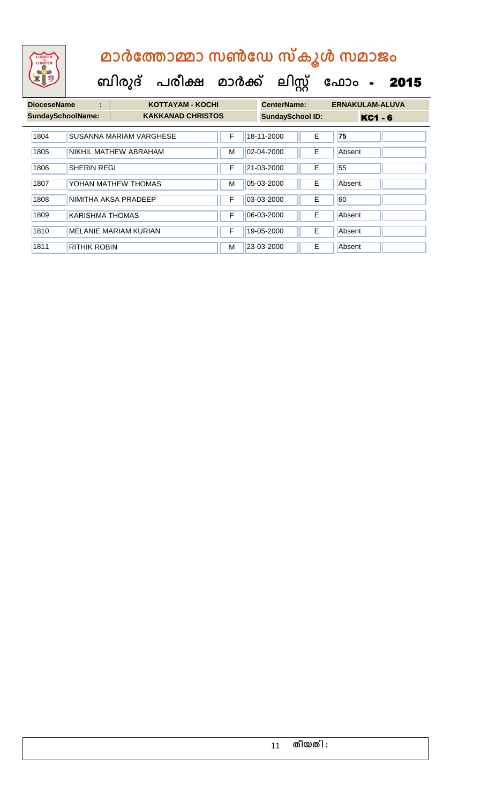| <b>DioceseName</b>       | ÷                   | <b>KOTTAYAM - KOCHI</b>                             |   | <b>ERNAKULAM-ALUVA</b><br><b>CenterName:</b> |    |        |  |
|--------------------------|---------------------|-----------------------------------------------------|---|----------------------------------------------|----|--------|--|
| <b>SundaySchoolName:</b> |                     | <b>KAKKANAD CHRISTOS</b><br><b>SundaySchool ID:</b> |   | <b>KC1 - 6</b>                               |    |        |  |
| 1804                     |                     | SUSANNA MARIAM VARGHESE                             | F | 18-11-2000                                   | E  | 75     |  |
| 1805                     |                     | NIKHIL MATHEW ABRAHAM                               | м | 02-04-2000                                   | E  | Absent |  |
| 1806                     | <b>SHERIN REGI</b>  |                                                     | F | 21-03-2000                                   | E  | 55     |  |
| 1807                     |                     | YOHAN MATHEW THOMAS                                 | M | 05-03-2000                                   | E. | Absent |  |
| 1808                     |                     | NIMITHA AKSA PRADEEP                                | F | 03-03-2000                                   | E. | 60     |  |
| 1809                     | KARISHMA THOMAS     |                                                     | F | 06-03-2000                                   | E. | Absent |  |
| 1810                     |                     | <b>MELANIE MARIAM KURIAN</b>                        | F | 19-05-2000                                   | E  | Absent |  |
| 1811                     | <b>RITHIK ROBIN</b> |                                                     | м | 23-03-2000                                   | E  | Absent |  |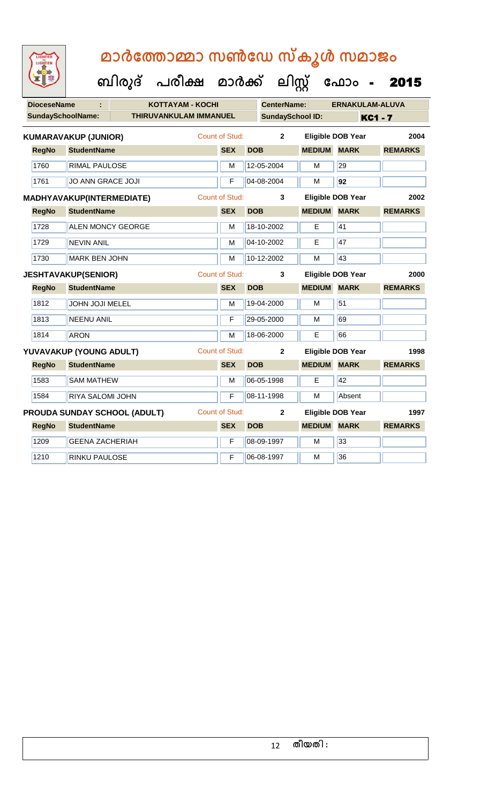| <b>DioceseName</b> |                                  | <b>KOTTAYAM - KOCHI</b>             |                       |            | <b>CenterName:</b>      |                    | <b>ERNAKULAM-ALUVA</b>   |                |
|--------------------|----------------------------------|-------------------------------------|-----------------------|------------|-------------------------|--------------------|--------------------------|----------------|
|                    | <b>SundaySchoolName:</b>         | THIRUVANKULAM IMMANUEL              |                       |            | <b>SundaySchool ID:</b> |                    |                          | <b>KC1 - 7</b> |
|                    | <b>KUMARAVAKUP (JUNIOR)</b>      |                                     | Count of Stud:        |            | $\overline{2}$          |                    | <b>Eligible DOB Year</b> | 2004           |
| <b>RegNo</b>       | <b>StudentName</b>               |                                     | <b>SEX</b>            | <b>DOB</b> |                         | <b>MEDIUM MARK</b> |                          | <b>REMARKS</b> |
| 1760               | <b>RIMAL PAULOSE</b>             |                                     | м                     |            | 12-05-2004              | M                  | 29                       |                |
| 1761               | <b>JO ANN GRACE JOJI</b>         |                                     | F                     |            | 04-08-2004              | M                  | 92                       |                |
|                    | <b>MADHYAVAKUP(INTERMEDIATE)</b> |                                     | Count of Stud:        |            | 3                       |                    | <b>Eligible DOB Year</b> | 2002           |
| <b>RegNo</b>       | <b>StudentName</b>               |                                     | <b>SEX</b>            | <b>DOB</b> |                         | <b>MEDIUM MARK</b> |                          | <b>REMARKS</b> |
| 1728               | <b>ALEN MONCY GEORGE</b>         |                                     | M                     |            | 18-10-2002              | E                  | 41                       |                |
| 1729               | <b>NEVIN ANIL</b>                |                                     | M                     |            | 04-10-2002              | E.                 | 47                       |                |
| 1730               | <b>MARK BEN JOHN</b>             |                                     | M                     |            | 10-12-2002              | M                  | 43                       |                |
|                    | <b>JESHTAVAKUP(SENIOR)</b>       |                                     | <b>Count of Stud:</b> |            | 3                       |                    | <b>Eligible DOB Year</b> | 2000           |
| <b>RegNo</b>       | <b>StudentName</b>               |                                     | <b>SEX</b>            | <b>DOB</b> |                         | <b>MEDIUM MARK</b> |                          | <b>REMARKS</b> |
| 1812               | <b>JOHN JOJI MELEL</b>           |                                     | M                     |            | 19-04-2000              | M                  | 51                       |                |
| 1813               | <b>NEENU ANIL</b>                |                                     | F                     |            | 29-05-2000              | м                  | 69                       |                |
| 1814               | <b>ARON</b>                      |                                     | M                     |            | 18-06-2000              | E                  | 66                       |                |
|                    | YUVAVAKUP (YOUNG ADULT)          |                                     | <b>Count of Stud:</b> |            | $\mathbf{2}$            |                    | <b>Eligible DOB Year</b> | 1998           |
| <b>RegNo</b>       | <b>StudentName</b>               |                                     | <b>SEX</b>            | <b>DOB</b> |                         | <b>MEDIUM MARK</b> |                          | <b>REMARKS</b> |
| 1583               | <b>SAM MATHEW</b>                |                                     | М                     |            | 06-05-1998              | E                  | 42                       |                |
| 1584               | <b>RIYA SALOMI JOHN</b>          |                                     | F                     |            | 08-11-1998              | M                  | Absent                   |                |
|                    |                                  | <b>PROUDA SUNDAY SCHOOL (ADULT)</b> | <b>Count of Stud:</b> |            | $\mathbf{2}$            |                    | <b>Eligible DOB Year</b> | 1997           |
| <b>RegNo</b>       | <b>StudentName</b>               |                                     | <b>SEX</b>            | <b>DOB</b> |                         | <b>MEDIUM MARK</b> |                          | <b>REMARKS</b> |
| 1209               | <b>GEENA ZACHERIAH</b>           |                                     | F                     |            | 08-09-1997              | M                  | 33                       |                |
| 1210               | <b>RINKU PAULOSE</b>             |                                     | F                     |            | 06-08-1997              | M                  | 36                       |                |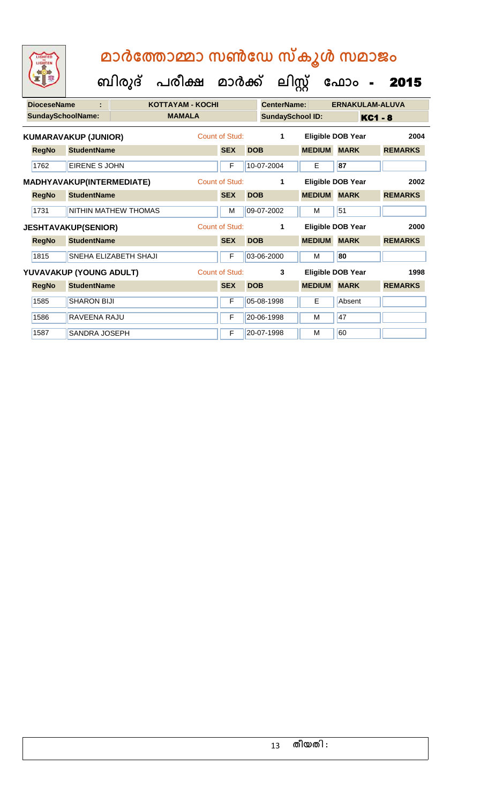| <b>DioceseName</b> |                                  |                       | <b>KOTTAYAM - KOCHI</b> |                |            | <b>CenterName:</b>      | <b>ERNAKULAM-ALUVA</b> |                          |                |
|--------------------|----------------------------------|-----------------------|-------------------------|----------------|------------|-------------------------|------------------------|--------------------------|----------------|
|                    | <b>SundaySchoolName:</b>         |                       | <b>MAMALA</b>           |                |            | <b>SundaySchool ID:</b> |                        | <b>KC1 - 8</b>           |                |
|                    | <b>KUMARAVAKUP (JUNIOR)</b>      |                       |                         | Count of Stud: |            | $\mathbf 1$             |                        | <b>Eligible DOB Year</b> | 2004           |
| <b>RegNo</b>       | <b>StudentName</b>               |                       |                         | <b>SEX</b>     | <b>DOB</b> |                         | <b>MEDIUM</b>          | <b>MARK</b>              | <b>REMARKS</b> |
| 1762               | EIRENE S JOHN                    |                       |                         | F              |            | 10-07-2004              | E                      | 87                       |                |
|                    | <b>MADHYAVAKUP(INTERMEDIATE)</b> |                       |                         | Count of Stud: |            | $\mathbf{1}$            |                        | Eligible DOB Year        | 2002           |
| <b>RegNo</b>       | <b>StudentName</b>               |                       |                         | <b>SEX</b>     | <b>DOB</b> |                         | <b>MEDIUM</b>          | <b>MARK</b>              | <b>REMARKS</b> |
| 1731               |                                  | NITHIN MATHEW THOMAS  |                         | М              |            | 09-07-2002              | м                      | 51                       |                |
|                    | <b>JESHTAVAKUP(SENIOR)</b>       |                       |                         | Count of Stud: |            | $\mathbf 1$             |                        | <b>Eligible DOB Year</b> | 2000           |
| <b>RegNo</b>       | <b>StudentName</b>               |                       |                         |                | <b>DOB</b> |                         | <b>MEDIUM</b>          | <b>MARK</b>              | <b>REMARKS</b> |
|                    |                                  |                       |                         | <b>SEX</b>     |            |                         |                        |                          |                |
| 1815               |                                  | SNEHA ELIZABETH SHAJI |                         | F              |            | 03-06-2000              | м                      | 80                       |                |
|                    | YUVAVAKUP (YOUNG ADULT)          |                       |                         | Count of Stud: |            | 3                       |                        | <b>Eligible DOB Year</b> | 1998           |
| <b>RegNo</b>       | <b>StudentName</b>               |                       |                         | <b>SEX</b>     | <b>DOB</b> |                         | <b>MEDIUM</b>          | <b>MARK</b>              | <b>REMARKS</b> |
| 1585               | <b>SHARON BIJI</b>               |                       |                         | F              |            | 05-08-1998              | Е                      | Absent                   |                |
| 1586               | RAVEENA RAJU                     |                       |                         | F              |            | 20-06-1998              | М                      | 47                       |                |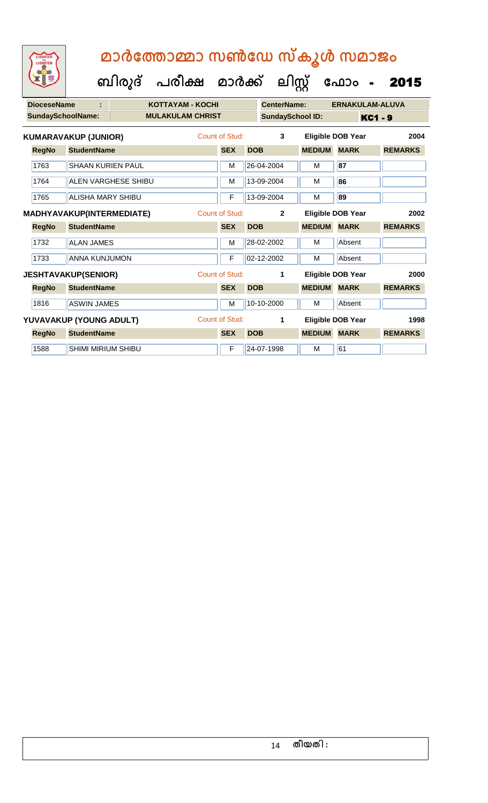**ബിരുദ് പരീക്ഷ മാര്ക്**

**DioceseName : KOTTAYAM - KOCHI CenterName: ERNAKULAM-ALUVA** SundaySchoolName: **MULAKULAM CHRIST SundaySchool ID:** KC1 - 9 **ക ലിസ്റ്റ ക ഫ ാോം** - 2015 **RegNo StudentName SEX DOB MEDIUM MARK REMARKS KUMARAVAKUP (JUNIOR)** Count of Stud: **3 Eligible DOB Year 2004** 1763 SHAAN KURIEN PAUL M 26-04-2004 M **87** 1764 ALEN VARGHESE SHIBU M 13-09-2004 M **86** 1765 ALISHA MARY SHIBU F 13-09-2004 M **89 RegNo StudentName SEX DOB MEDIUM MARK REMARKS MADHYAVAKUP(INTERMEDIATE)** Count of Stud: **2 Eligible DOB Year 2002** 1732 ALAN JAMES M 28-02-2002 M Absent 1733 ANNA KUNJUMON F 02-12-2002 M Absent **RegNo StudentName SEX DOB MEDIUM MARK REMARKS JESHTAVAKUP(SENIOR)** Count of Stud: **1 Eligible DOB Year 2000**

**RegNo StudentName SEX DOB MEDIUM MARK REMARKS YUVAVAKUP (YOUNG ADULT)** Count of Stud: **1 Eligible DOB Year 1998**

1816 ASWIN JAMES M M 10-10-2000 M Absent

1588 SHIMI MIRIUM SHIBU F 24-07-1998 M 61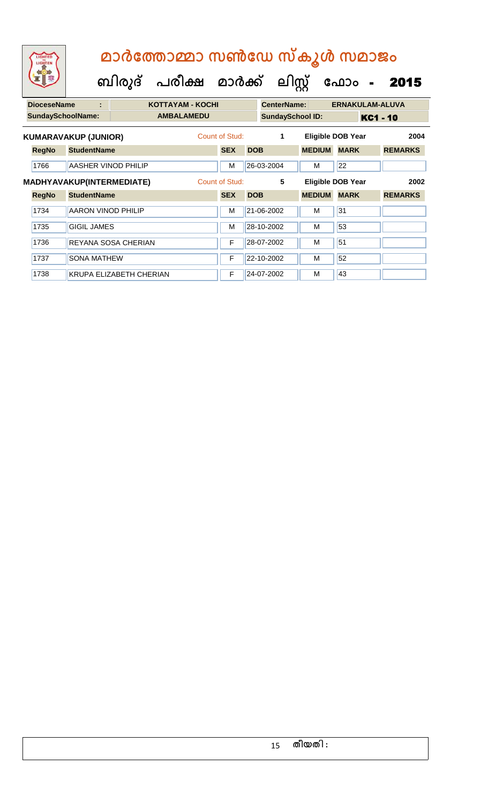| LIGHTED<br>LIGHTEN |                             |                           | മാർത്തോമ്മാ സൺഡേ സ്കൂൾ സമാജം |                |            |                         |               |                          |                        |
|--------------------|-----------------------------|---------------------------|------------------------------|----------------|------------|-------------------------|---------------|--------------------------|------------------------|
|                    |                             | ബിരുദ്                    | പരീക്ഷ മാർക്ക് ലിസ്സ്        |                |            |                         |               | ഫോം -                    | 2015                   |
| <b>DioceseName</b> |                             |                           | <b>KOTTAYAM - KOCHI</b>      |                |            | <b>CenterName:</b>      |               |                          | <b>ERNAKULAM-ALUVA</b> |
|                    | <b>SundaySchoolName:</b>    |                           | <b>AMBALAMEDU</b>            |                |            | <b>SundaySchool ID:</b> |               |                          | KC1 - 10               |
|                    | <b>KUMARAVAKUP (JUNIOR)</b> |                           |                              | Count of Stud: |            | $\mathbf 1$             |               | <b>Eligible DOB Year</b> | 2004                   |
| <b>RegNo</b>       | <b>StudentName</b>          |                           |                              | <b>SEX</b>     | <b>DOB</b> |                         | <b>MEDIUM</b> | <b>MARK</b>              | <b>REMARKS</b>         |
| 1766               |                             | AASHER VINOD PHILIP       |                              | M              |            | 26-03-2004              | M             | 22                       |                        |
|                    |                             | MADHYAVAKUP(INTERMEDIATE) |                              | Count of Stud: |            | 5                       |               | <b>Eligible DOB Year</b> | 2002                   |
| <b>RegNo</b>       | <b>StudentName</b>          |                           |                              | <b>SEX</b>     | <b>DOB</b> |                         | <b>MEDIUM</b> | <b>MARK</b>              | <b>REMARKS</b>         |
| 1734               | AARON VINOD PHILIP          |                           |                              | M              |            | 21-06-2002              | M             | 31                       |                        |
| 1735               | <b>GIGIL JAMES</b>          |                           |                              | м              |            | 28-10-2002              | M             | 53                       |                        |
| 1736               |                             | REYANA SOSA CHERIAN       |                              | F              |            | 28-07-2002              | M             | 51                       |                        |
| 1737               | <b>SONA MATHEW</b>          |                           |                              | F              |            | 22-10-2002              | M             | 52                       |                        |
| 1738               |                             | KRUPA ELIZABETH CHERIAN   |                              | F              |            | 24-07-2002              | M             | 43                       |                        |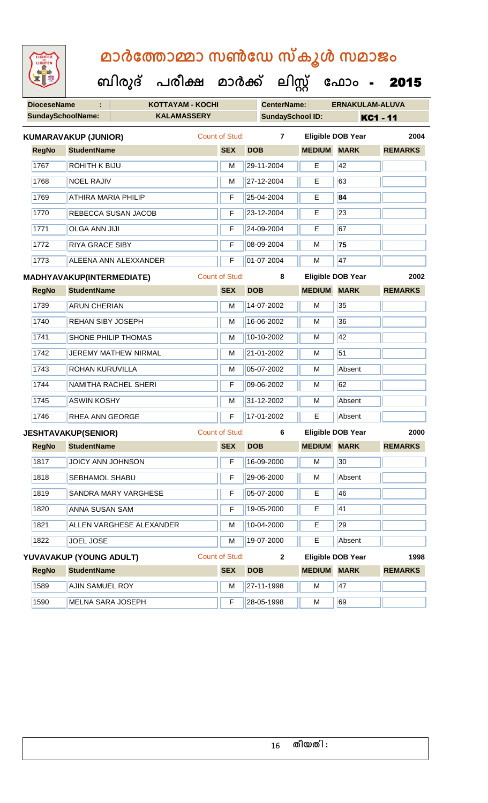| LIGHTED<br>LIGHTEN       | മാർത്തോമ്മാ സൺഡേ സ്കൂൾ സമാജം     |  |                                      |                       |            |                    |                         |                          |                |  |
|--------------------------|----------------------------------|--|--------------------------------------|-----------------------|------------|--------------------|-------------------------|--------------------------|----------------|--|
|                          |                                  |  | ബിരുദ് പരീക്ഷ മാർക്ക് ലിസ്റ്റ് ഫോം - |                       |            |                    |                         |                          | 2015           |  |
| <b>DioceseName</b>       | ŧ.                               |  | <b>KOTTAYAM - KOCHI</b>              |                       |            | <b>CenterName:</b> |                         | <b>ERNAKULAM-ALUVA</b>   |                |  |
| <b>SundaySchoolName:</b> |                                  |  | <b>KALAMASSERY</b>                   |                       |            |                    | <b>SundaySchool ID:</b> | <b>KC1 - 11</b>          |                |  |
|                          | KUMARAVAKUP (JUNIOR)             |  |                                      | <b>Count of Stud:</b> |            | $\overline{7}$     |                         | <b>Eligible DOB Year</b> | 2004           |  |
| <b>RegNo</b>             | <b>StudentName</b>               |  |                                      | <b>SEX</b>            | <b>DOB</b> |                    | <b>MEDIUM</b>           | <b>MARK</b>              | <b>REMARKS</b> |  |
| 1767                     | ROHITH K BIJU                    |  |                                      | M                     | 29-11-2004 |                    | E                       | 42                       |                |  |
| 1768                     | <b>NOEL RAJIV</b>                |  |                                      | М                     | 27-12-2004 |                    | Е                       | 63                       |                |  |
| 1769                     | <b>ATHIRA MARIA PHILIP</b>       |  |                                      | F                     | 25-04-2004 |                    | E                       | 84                       |                |  |
| 1770                     | REBECCA SUSAN JACOB              |  |                                      | F                     | 23-12-2004 |                    | Е                       | 23                       |                |  |
| 1771                     | <b>OLGA ANN JIJI</b>             |  |                                      | F                     | 24-09-2004 |                    | Е                       | 67                       |                |  |
| 1772                     | <b>RIYA GRACE SIBY</b>           |  |                                      | F                     | 08-09-2004 |                    | M                       | 75                       |                |  |
| 1773                     | ALEENA ANN ALEXXANDER            |  |                                      | F                     | 01-07-2004 |                    | M                       | 47                       |                |  |
|                          | <b>MADHYAVAKUP(INTERMEDIATE)</b> |  |                                      | <b>Count of Stud:</b> |            | 8                  |                         | <b>Eligible DOB Year</b> | 2002           |  |
| <b>RegNo</b>             | <b>StudentName</b>               |  |                                      | <b>SEX</b>            | <b>DOB</b> |                    | <b>MEDIUM</b>           | <b>MARK</b>              | <b>REMARKS</b> |  |
| 1739                     | <b>ARUN CHERIAN</b>              |  |                                      | M                     | 14-07-2002 |                    | M                       | 35                       |                |  |
| 1740                     | REHAN SIBY JOSEPH                |  |                                      | М                     | 16-06-2002 |                    | м                       | 36                       |                |  |
| 1741                     | SHONE PHILIP THOMAS              |  |                                      | M                     | 10-10-2002 |                    | м                       | 42                       |                |  |
| 1742                     | <b>JEREMY MATHEW NIRMAL</b>      |  |                                      | М                     | 21-01-2002 |                    | М                       | 51                       |                |  |
| 1743                     | <b>ROHAN KURUVILLA</b>           |  |                                      | М                     | 05-07-2002 |                    | M                       | Absent                   |                |  |
| 1744                     | <b>NAMITHA RACHEL SHERI</b>      |  |                                      | F                     | 09-06-2002 |                    | M                       | 62                       |                |  |
| 1745                     | <b>ASWIN KOSHY</b>               |  |                                      | M                     | 31-12-2002 |                    | M                       | Absent                   |                |  |
| 1746                     | RHEA ANN GEORGE                  |  |                                      | F                     | 17-01-2002 |                    | E                       | Absent                   |                |  |
|                          | <b>JESHTAVAKUP(SENIOR)</b>       |  |                                      | <b>Count of Stud:</b> |            | 6                  |                         | <b>Eligible DOB Year</b> | 2000           |  |
| <b>RegNo</b>             | <b>StudentName</b>               |  |                                      | <b>SEX</b>            | <b>DOB</b> |                    | <b>MEDIUM MARK</b>      |                          | <b>REMARKS</b> |  |
| 1817                     | <b>JOICY ANN JOHNSON</b>         |  |                                      | F                     | 16-09-2000 |                    | M                       | 30                       |                |  |
| 1818                     | SEBHAMOL SHABU                   |  |                                      | F                     | 29-06-2000 |                    | M                       | Absent                   |                |  |
| 1819                     | <b>SANDRA MARY VARGHESE</b>      |  |                                      | F                     | 05-07-2000 |                    | Е                       | 46                       |                |  |
| 1820                     | ANNA SUSAN SAM                   |  |                                      | F                     | 19-05-2000 |                    | E                       | 41                       |                |  |
| 1821                     | ALLEN VARGHESE ALEXANDER         |  |                                      | М                     | 10-04-2000 |                    | Е                       | 29                       |                |  |
| 1822                     | JOEL JOSE                        |  |                                      | М                     | 19-07-2000 |                    | E.                      | Absent                   |                |  |
|                          | YUVAVAKUP (YOUNG ADULT)          |  |                                      | Count of Stud:        |            | $\mathbf{2}$       |                         | <b>Eligible DOB Year</b> | 1998           |  |
| <b>RegNo</b>             | <b>StudentName</b>               |  |                                      | <b>SEX</b>            | <b>DOB</b> |                    | <b>MEDIUM MARK</b>      |                          | <b>REMARKS</b> |  |
| 1589                     | AJIN SAMUEL ROY                  |  |                                      | M                     | 27-11-1998 |                    | M                       | 47                       |                |  |
| 1590                     | MELNA SARA JOSEPH                |  |                                      | F                     | 28-05-1998 |                    | M                       | 69                       |                |  |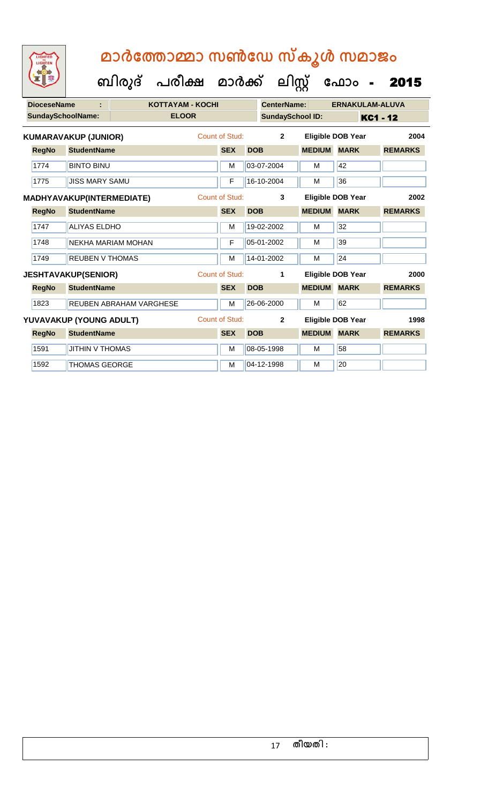**ക ഫ ാോം** - 2015

 **ബിരുദ് പരീക്ഷ മാര്ക്**

1592 THOMAS GEORGE M M 04-12-1998 M 20

**ക ലിസ്റ്റ**

**DioceseName : KOTTAYAM - KOCHI CenterName: ERNAKULAM-ALUVA SundaySchoolName: ELOOR SundaySchool ID: KC1 - 12 RegNo StudentName SEX DOB MEDIUM MARK REMARKS KUMARAVAKUP (JUNIOR)** Count of Stud: **2 Eligible DOB Year 2004** 1774 BINTO BINU M 03-07-2004 M 42 1775 JUSS MARY SAMU **F** 16-10-2004 M 36 **RegNo StudentName SEX DOB MEDIUM MARK REMARKS MADHYAVAKUP(INTERMEDIATE)** Count of Stud: **3 Eligible DOB Year 2002** 1747 ALIYAS ELDHO M 19-02-2002 M 32 1748 NEKHA MARIAM MOHAN F 05-01-2002 M 39 1749 REUBEN V THOMAS M 14-01-2002 M 24 **RegNo StudentName SEX DOB MEDIUM MARK REMARKS JESHTAVAKUP(SENIOR)** Count of Stud: **1 Eligible DOB Year 2000** 1823 REUBEN ABRAHAM VARGHESE M M 26-06-2000 M 62 **RegNo StudentName SEX DOB MEDIUM MARK REMARKS YUVAVAKUP (YOUNG ADULT)** Count of Stud: **2 Eligible DOB Year 1998** 1591 JITHIN V THOMAS MARIA MARIA MARIA MARIA 1591 MARIA 158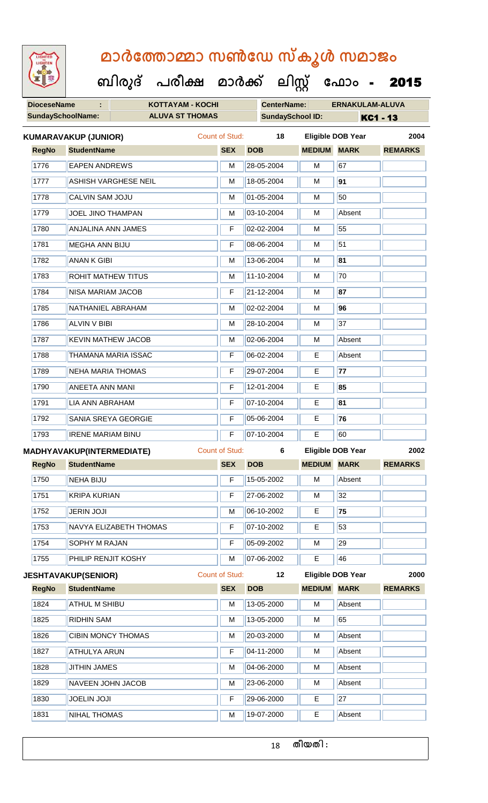**DioceseName : KOTTAYAM - KOCHI CenterName: ERNAKULAM-ALUVA SundaySchoolName: ALUVA ST THOMAS SundaySchool ID: KC1 - 13 ബിരുദ് പരീക്ഷ മാര്ക് ക ലിസ്റ്റ ക ഫ ാോം** - 2015 **RegNo StudentName SEX DOB MEDIUM MARK REMARKS KUMARAVAKUP (JUNIOR)** Count of Stud: **18 Eligible DOB Year 2004** 1776 EAPEN ANDREWS M 28-05-2004 M 67 1777 ASHISH VARGHESE NEIL M 18-05-2004 M **91** 1778 CALVIN SAM JOJU M M 01-05-2004 M 50 1779 JJOEL JINO THAMPAN M M 03-10-2004 M Absent 1780 ANJALINA ANN JAMES F 02-02-2004 M 55 1781 MEGHA ANN BIJU F 08-06-2004 M 51 1782 **ANAN K GIBI** M 13-06-2004 M 81 1783 ROHIT MATHEW TITUS M M 11-10-2004 M 70 1784 NISA MARIAM JACOB F 21-12-2004 M **87** 1785 NATHANIEL ABRAHAM M 02-02-2004 M **96** 1786 ALVIN V BIBI M 28-10-2004 M 37 1787 KEVIN MATHEW JACOB M 102-06-2004 M Absent 1788 THAMANA MARIA ISSAC F 06-02-2004 E Absent 1789 NEHA MARIA THOMAS F 29-07-2004 E **77** 1790 ANEETA ANN MANI F 12-01-2004 E **85** 1791 LIA ANN ABRAHAM F 07-10-2004 E **81** 1792 SANIA SREYA GEORGIE F 05-06-2004 E **76** 1793 **IRENE MARIAM BINU** F 07-10-2004 **E** 60 **RegNo StudentName SEX DOB MEDIUM MARK REMARKS MADHYAVAKUP(INTERMEDIATE)** Count of Stud: **6 Eligible DOB Year 2002** 1750 NEHA BIJU **F 15-05-2002** M Absent 1751 KRIPA KURIAN F 27-06-2002 M 32 1752 JERIN JOJI M 06-10-2002 E **75** 1753 NAVYA ELIZABETH THOMAS F F 07-10-2002 E 53 1754 SOPHY M RAJAN **F** 05-09-2002 M 29 1755 PHILIP RENJIT KOSHY M 07-06-2002 E 46 **RegNo StudentName SEX DOB MEDIUM MARK REMARKS JESHTAVAKUP(SENIOR)** Count of Stud: **12 Eligible DOB Year 2000** 1824 ATHUL M SHIBU M NO 13-05-2000 M Absent 1825 RIDHIN SAM M 13-05-2000 M 65 1826 CIBIN MONCY THOMAS M M 20-03-2000 M Absent 1827 | ATHULYA ARUN | F | 04-11-2000 | M | Absent 1828 JJITHIN JAMES M M 04-06-2000 M Absent 1829 NAVEEN JOHN JACOB M 23-06-2000 M Absent 1830 JOELIN JOJI F 29-06-2000 E 27 1831 NIHAL THOMAS MEDICINE RESERVE TO A 19-07-2000 THE Absent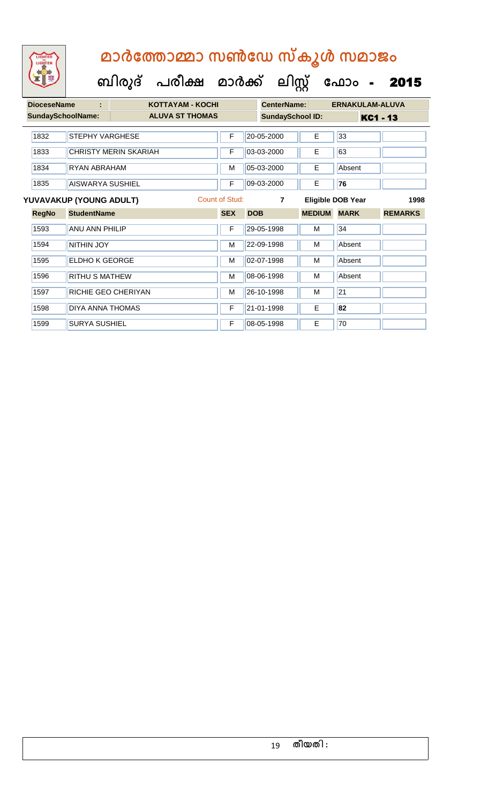

| <b>DioceseName</b>       | ÷                            | <b>KOTTAYAM - KOCHI</b> |                |            | CenterName:             |               | <b>ERNAKULAM-ALUVA</b> |                |
|--------------------------|------------------------------|-------------------------|----------------|------------|-------------------------|---------------|------------------------|----------------|
| <b>SundaySchoolName:</b> |                              | <b>ALUVA ST THOMAS</b>  |                |            | <b>SundaySchool ID:</b> |               | <b>KC1 - 13</b>        |                |
| 1832                     | <b>STEPHY VARGHESE</b>       |                         | F              |            | 20-05-2000              | Е             | 33                     |                |
| 1833                     | <b>CHRISTY MERIN SKARIAH</b> |                         | F              |            | 03-03-2000              | E.            | 63                     |                |
| 1834                     | RYAN ABRAHAM                 |                         | M              |            | 05-03-2000              | Е             | Absent                 |                |
| 1835                     | AISWARYA SUSHIEL             |                         | F              |            | 09-03-2000              | E.            | 76                     |                |
|                          | YUVAVAKUP (YOUNG ADULT)      |                         | Count of Stud: |            | $\overline{7}$          |               | Eligible DOB Year      | 1998           |
| <b>RegNo</b>             | <b>StudentName</b>           |                         | <b>SEX</b>     | <b>DOB</b> |                         | <b>MEDIUM</b> | <b>MARK</b>            | <b>REMARKS</b> |
| 1593                     | <b>ANU ANN PHILIP</b>        |                         | F              |            | 29-05-1998              | М             | 34                     |                |
| 1594                     | <b>NITHIN JOY</b>            |                         | M              |            | 22-09-1998              | М             | Absent                 |                |
| 1595                     | <b>ELDHO K GEORGE</b>        |                         | M              |            | 02-07-1998              | М             | Absent                 |                |
| 1596                     | <b>RITHU S MATHEW</b>        |                         | M              |            | 08-06-1998              | М             | Absent                 |                |
| 1597                     | RICHIE GEO CHERIYAN          |                         | M              |            | 26-10-1998              | М             | 21                     |                |
| 1598                     | <b>DIYA ANNA THOMAS</b>      |                         | F              |            | 21-01-1998              | E             | 82                     |                |
| 1599                     | <b>SURYA SUSHIEL</b>         |                         | F              |            | 08-05-1998              | E             | 70                     |                |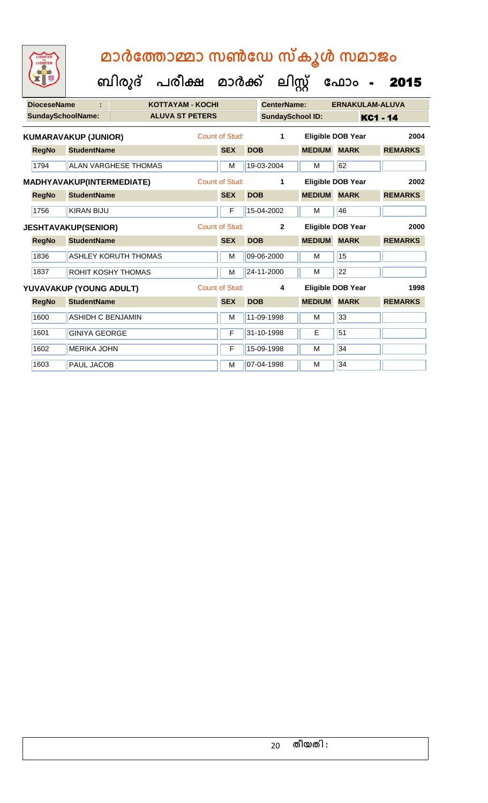**ബിരുദ് പരീക്ഷ മാര്ക്**

**ക ലിസ്റ്റ**

**ക ഫ ാോം** - 2015

**DioceseName : KOTTAYAM - KOCHI CenterName: ERNAKULAM-ALUVA** SundaySchoolName: **ALUVA ST PETERS SundaySchool ID:** KC1 - 14 **RegNo StudentName SEX DOB MEDIUM MARK REMARKS KUMARAVAKUP (JUNIOR)** Count of Stud: **1 Eligible DOB Year 2004** 1794 ALAN VARGHESE THOMAS M 19-03-2004 M 62 **RegNo StudentName SEX DOB MEDIUM MARK REMARKS MADHYAVAKUP(INTERMEDIATE)** Count of Stud: **1 Eligible DOB Year 2002** 1756 KIRAN BIJU **F 15-04-2002 M** 46 **RegNo StudentName SEX DOB MEDIUM MARK REMARKS JESHTAVAKUP(SENIOR)** Count of Stud: **2 Eligible DOB Year 2000** 1836 ASHLEY KORUTH THOMAS M 109-06-2000 M 1837 ROHIT KOSHY THOMAS M 24-11-2000 M 22 **RegNo StudentName SEX DOB MEDIUM MARK REMARKS YUVAVAKUP (YOUNG ADULT)** Count of Stud: **4 Eligible DOB Year 1998** 1600 ASHIDH C BENJAMIN M 11-09-1998 M 1601 GINIYA GEORGE F 31-10-1998 E 51 1602 MERIKA JOHN F 15-09-1998 M 34 1603 PAUL JACOB M M 07-04-1998 M 34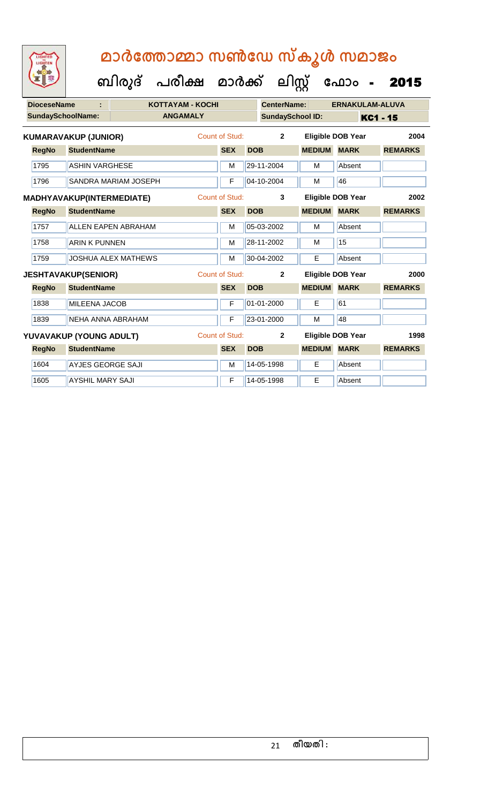| W                  |                                  | ബിരുദ് | പരീക്ഷ                  | മാർക്ക്               |            | ലിസ്റ്റ്                |               | ഫോം                      | 2015            |
|--------------------|----------------------------------|--------|-------------------------|-----------------------|------------|-------------------------|---------------|--------------------------|-----------------|
| <b>DioceseName</b> |                                  |        | <b>KOTTAYAM - KOCHI</b> |                       |            | <b>CenterName:</b>      |               | <b>ERNAKULAM-ALUVA</b>   |                 |
|                    | <b>SundaySchoolName:</b>         |        | <b>ANGAMALY</b>         |                       |            | <b>SundaySchool ID:</b> |               |                          | <b>KC1 - 15</b> |
|                    | <b>KUMARAVAKUP (JUNIOR)</b>      |        |                         | <b>Count of Stud:</b> |            | $\overline{2}$          |               | <b>Eligible DOB Year</b> | 2004            |
| <b>RegNo</b>       | <b>StudentName</b>               |        |                         | <b>SEX</b>            | <b>DOB</b> |                         | <b>MEDIUM</b> | <b>MARK</b>              | <b>REMARKS</b>  |
| 1795               | <b>ASHIN VARGHESE</b>            |        |                         | M                     |            | 29-11-2004              | М             | Absent                   |                 |
| 1796               | <b>SANDRA MARIAM JOSEPH</b>      |        |                         | F                     |            | 04-10-2004              | М             | 46                       |                 |
|                    | <b>MADHYAVAKUP(INTERMEDIATE)</b> |        |                         | <b>Count of Stud:</b> |            | 3                       |               | <b>Eligible DOB Year</b> | 2002            |
| <b>RegNo</b>       | <b>StudentName</b>               |        |                         | <b>SEX</b>            | <b>DOB</b> |                         | <b>MEDIUM</b> | <b>MARK</b>              | <b>REMARKS</b>  |
| 1757               | <b>ALLEN EAPEN ABRAHAM</b>       |        |                         | M                     |            | 05-03-2002              | M             | Absent                   |                 |
| 1758               | <b>ARIN K PUNNEN</b>             |        |                         | M                     |            | 28-11-2002              | M             | 15                       |                 |
| 1759               | <b>JOSHUA ALEX MATHEWS</b>       |        |                         | M                     |            | 30-04-2002              | E             | Absent                   |                 |
|                    | <b>JESHTAVAKUP(SENIOR)</b>       |        |                         | <b>Count of Stud:</b> |            | $\mathbf{2}$            |               | <b>Eligible DOB Year</b> | 2000            |
| <b>RegNo</b>       | <b>StudentName</b>               |        |                         | <b>SEX</b>            | <b>DOB</b> |                         | <b>MEDIUM</b> | <b>MARK</b>              | <b>REMARKS</b>  |
| 1838               | <b>MILEENA JACOB</b>             |        |                         | F                     |            | 01-01-2000              | E             | 61                       |                 |
| 1839               | NEHA ANNA ABRAHAM                |        |                         | F                     |            | 23-01-2000              | M             | 48                       |                 |
|                    | YUVAVAKUP (YOUNG ADULT)          |        |                         | <b>Count of Stud:</b> |            | $\overline{2}$          |               | <b>Eligible DOB Year</b> | 1998            |
| <b>RegNo</b>       | <b>StudentName</b>               |        |                         | <b>SEX</b>            | <b>DOB</b> |                         | <b>MEDIUM</b> | <b>MARK</b>              | <b>REMARKS</b>  |
| 1604               | <b>AYJES GEORGE SAJI</b>         |        |                         | M                     |            | 14-05-1998              | E             | Absent                   |                 |
| 1605               | <b>AYSHIL MARY SAJI</b>          |        |                         | F                     |            | 14-05-1998              | Е             | Absent                   |                 |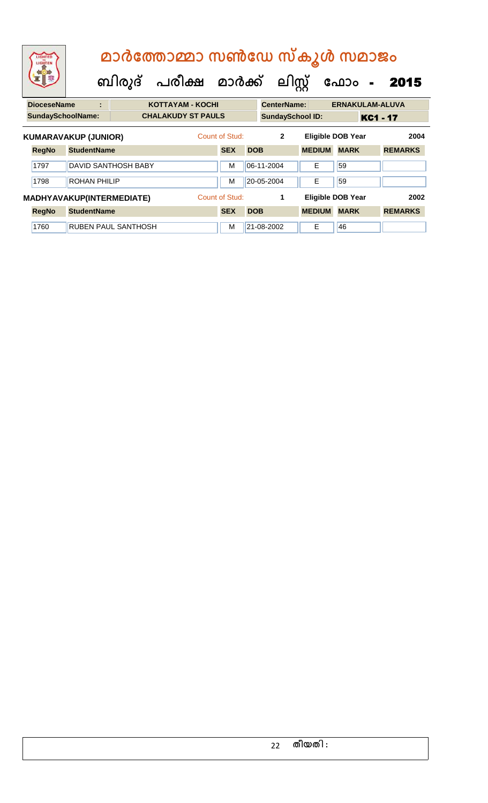| LIGHTEN                  |   | മാർത്തോമ്മാ സൺഡേ സ്കൂൾ സമാജം              |                |                         |                          |                 |       |
|--------------------------|---|-------------------------------------------|----------------|-------------------------|--------------------------|-----------------|-------|
|                          |   | ബിരുദ് പരീക്ഷ മാർക്ക് ലിസ്റ്റ് ഫോം - 2015 |                |                         |                          |                 |       |
| <b>DioceseName</b>       | ÷ | <b>KOTTAYAM - KOCHI</b>                   |                | <b>CenterName:</b>      | <b>ERNAKULAM-ALUVA</b>   |                 |       |
| <b>SundaySchoolName:</b> |   | <b>CHALAKUDY ST PAULS</b>                 |                | <b>SundaySchool ID:</b> |                          | <b>KC1 - 17</b> |       |
| KIIMARAVAKIIP (IIINIOR)  |   |                                           | Count of Stud: |                         | <b>Fligible DOR Year</b> |                 | 2004. |

|              | KUMARAVAKUP (JUNIOR)             | Count of Stud: | $\mathbf{2}$ |               | <b>Eligible DOB Year</b> | 2004           |
|--------------|----------------------------------|----------------|--------------|---------------|--------------------------|----------------|
| <b>RegNo</b> | <b>StudentName</b>               | <b>SEX</b>     | <b>DOB</b>   | <b>MEDIUM</b> | <b>MARK</b>              | <b>REMARKS</b> |
| 1797         | <b>DAVID SANTHOSH BABY</b>       | M              | 06-11-2004   | E             | 59                       |                |
| 1798         | <b>ROHAN PHILIP</b>              | M              | 20-05-2004   | E             | 59                       |                |
|              | <b>MADHYAVAKUP(INTERMEDIATE)</b> | Count of Stud: |              |               | <b>Eligible DOB Year</b> | 2002           |
| <b>RegNo</b> | <b>StudentName</b>               | <b>SEX</b>     | <b>DOB</b>   | <b>MEDIUM</b> | <b>MARK</b>              | <b>REMARKS</b> |
| 1760         | <b>RUBEN PAUL SANTHOSH</b>       | M              | 21-08-2002   | E             | 46                       |                |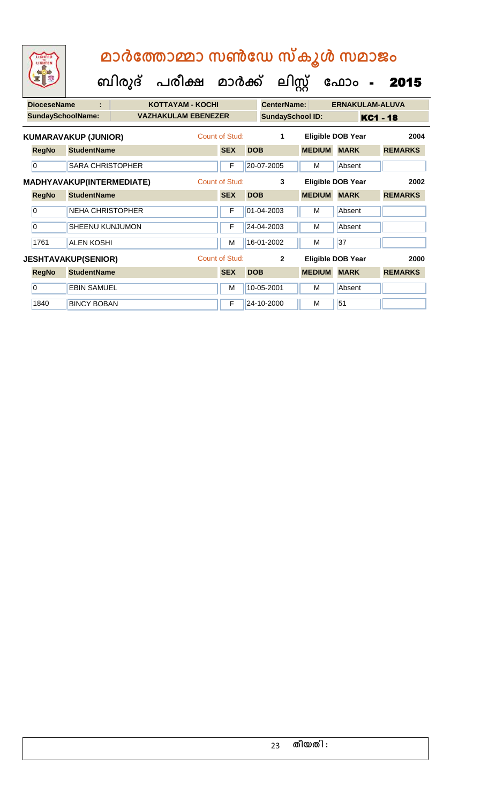| മാർത്തോമ്മാ സൺഡേ സ്കൂൾ സമാജം |  |  |  |
|------------------------------|--|--|--|
|------------------------------|--|--|--|

 **ബിരുദ് പരീക്ഷ മാര്ക്**

**ക ലിസ്റ്റ**

**ക ഫ ാോം** - 2015

**DioceseName : KOTTAYAM - KOCHI CenterName: ERNAKULAM-ALUVA** SundaySchoolName: **VAZHAKULAM EBENEZER** SundaySchool ID: KC1 - 18 **RegNo StudentName SEX DOB MEDIUM MARK REMARKS KUMARAVAKUP (JUNIOR)** Count of Stud: **1 Eligible DOB Year 2004** 0 SARA CHRISTOPHER F 20-07-2005 M Absent **RegNo StudentName SEX DOB MEDIUM MARK REMARKS MADHYAVAKUP(INTERMEDIATE)** Count of Stud: **3 Eligible DOB Year 2002** 0 NEHA CHRISTOPHER F 01-04-2003 M Absent 0 SHEENU KUNJUMON F 24-04-2003 M Absent 1761 ALEN KOSHI M 16-01-2002 M 37 **RegNo StudentName SEX DOB MEDIUM MARK REMARKS JESHTAVAKUP(SENIOR)** Count of Stud: **2 Eligible DOB Year 2000** 0 EBIN SAMUEL M 10-05-2001 M Absent 1840 BINCY BOBAN F 24-10-2000 M 51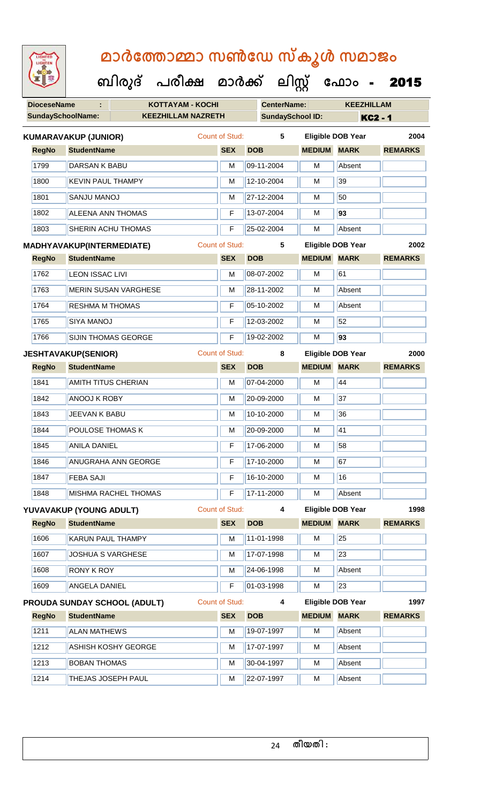**DioceseName : KOTTAYAM - KOCHI CenterName: KEEZHILLAM ബിരുദ് പരീക്ഷ മാര്ക് ക ലിസ്റ്റ ക ഫ ാോം** - 2015

|              | <b>SundaySchoolName:</b>         | <b>KEEZHILLAM NAZRETH</b>    |                       | <b>SundaySchool ID:</b> |                    | <b>KC2 - 1</b>           |                |  |
|--------------|----------------------------------|------------------------------|-----------------------|-------------------------|--------------------|--------------------------|----------------|--|
|              | <b>KUMARAVAKUP (JUNIOR)</b>      |                              | Count of Stud:        | 5                       |                    | <b>Eligible DOB Year</b> | 2004           |  |
| <b>RegNo</b> | <b>StudentName</b>               |                              | <b>SEX</b>            | <b>DOB</b>              | <b>MEDIUM</b>      | <b>MARK</b>              | <b>REMARKS</b> |  |
| 1799         | <b>DARSAN K BABU</b>             |                              | M                     | 09-11-2004              | M                  | Absent                   |                |  |
| 1800         | <b>KEVIN PAUL THAMPY</b>         |                              | M                     | 12-10-2004              | M                  | 39                       |                |  |
| 1801         | SANJU MANOJ                      |                              | M                     | 27-12-2004              | M                  | 50                       |                |  |
| 1802         | <b>ALEENA ANN THOMAS</b>         |                              | F                     | 13-07-2004              | M                  | 93                       |                |  |
| 1803         | SHERIN ACHU THOMAS               |                              | F                     | 25-02-2004              | M                  | Absent                   |                |  |
|              | <b>MADHYAVAKUP(INTERMEDIATE)</b> |                              | <b>Count of Stud:</b> | 5                       |                    | <b>Eligible DOB Year</b> | 2002           |  |
| <b>RegNo</b> | <b>StudentName</b>               |                              | <b>SEX</b>            | <b>DOB</b>              | <b>MEDIUM</b>      | <b>MARK</b>              | <b>REMARKS</b> |  |
| 1762         | <b>LEON ISSAC LIVI</b>           |                              | M                     | 08-07-2002              | M                  | 61                       |                |  |
| 1763         |                                  | <b>MERIN SUSAN VARGHESE</b>  | M                     | 28-11-2002              | M                  | Absent                   |                |  |
| 1764         | <b>RESHMA M THOMAS</b>           |                              | F                     | 05-10-2002              | M                  | Absent                   |                |  |
| 1765         | <b>SIYA MANOJ</b>                |                              | F                     | 12-03-2002              | M                  | 52                       |                |  |
| 1766         | SIJIN THOMAS GEORGE              |                              | F                     | 19-02-2002              | M                  | 93                       |                |  |
|              | <b>JESHTAVAKUP(SENIOR)</b>       |                              | <b>Count of Stud:</b> | 8                       |                    | <b>Eligible DOB Year</b> | 2000           |  |
| <b>RegNo</b> | <b>StudentName</b>               |                              | <b>SEX</b>            | <b>DOB</b>              | <b>MEDIUM</b>      | <b>MARK</b>              | <b>REMARKS</b> |  |
| 1841         | AMITH TITUS CHERIAN              |                              | M                     | 07-04-2000              | M                  | 44                       |                |  |
| 1842         | <b>ANOOJ K ROBY</b>              |                              | М                     | 20-09-2000              | М                  | 37                       |                |  |
| 1843         | JEEVAN K BABU                    |                              | M                     | 10-10-2000              | м                  | 36                       |                |  |
| 1844         | POULOSE THOMAS K                 |                              | M                     | 20-09-2000              | M                  | 41                       |                |  |
| 1845         | <b>ANILA DANIEL</b>              |                              | F                     | 17-06-2000              | м                  | 58                       |                |  |
| 1846         |                                  | <b>ANUGRAHA ANN GEORGE</b>   | F                     | 17-10-2000              | М                  | 67                       |                |  |
| 1847         | <b>FEBA SAJI</b>                 |                              | F                     | 16-10-2000              | м                  | 16                       |                |  |
| 1848         |                                  | <b>MISHMA RACHEL THOMAS</b>  | $\overline{F}$        | 17-11-2000              | M                  | Absent                   |                |  |
|              | YUVAVAKUP (YOUNG ADULT)          |                              | <b>Count of Stud:</b> | 4                       |                    | <b>Eligible DOB Year</b> | 1998           |  |
| <b>RegNo</b> | <b>StudentName</b>               |                              | <b>SEX</b>            | <b>DOB</b>              | <b>MEDIUM</b>      | <b>MARK</b>              | <b>REMARKS</b> |  |
| 1606         | KARUN PAUL THAMPY                |                              | M                     | 11-01-1998              | M                  | 25                       |                |  |
| 1607         | <b>JOSHUA S VARGHESE</b>         |                              | M                     | 17-07-1998              | M                  | 23                       |                |  |
| 1608         | <b>RONY K ROY</b>                |                              | M                     | 24-06-1998              | M                  | Absent                   |                |  |
| 1609         | <b>ANGELA DANIEL</b>             |                              | F                     | 01-03-1998              | M                  | $\overline{23}$          |                |  |
|              |                                  | PROUDA SUNDAY SCHOOL (ADULT) | <b>Count of Stud:</b> | 4                       |                    | <b>Eligible DOB Year</b> | 1997           |  |
| <b>RegNo</b> | <b>StudentName</b>               |                              | <b>SEX</b>            | <b>DOB</b>              | <b>MEDIUM MARK</b> |                          | <b>REMARKS</b> |  |
| 1211         | <b>ALAN MATHEWS</b>              |                              | M                     | 19-07-1997              | M                  | Absent                   |                |  |
| 1212         |                                  | <b>ASHISH KOSHY GEORGE</b>   | M                     | 17-07-1997              | M                  | Absent                   |                |  |
| 1213         | <b>BOBAN THOMAS</b>              |                              | M                     | 30-04-1997              | M                  | Absent                   |                |  |
| 1214         | THEJAS JOSEPH PAUL               |                              | M                     | 22-07-1997              | M                  | Absent                   |                |  |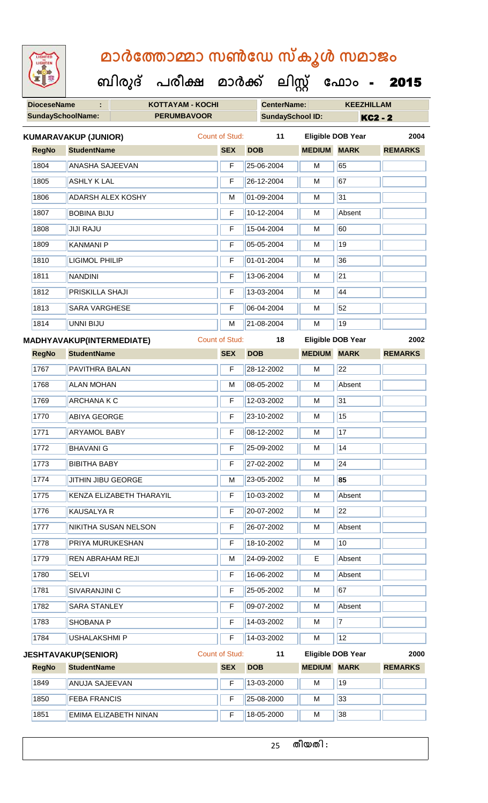**ക ഫ ാോം** - 2015

**DioceseName : KOTTAYAM - KOCHI CenterName: KEEZHILLAM SundaySchoolName: PERUMBAVOOR SundaySchool ID: KC2 - 2 ബിരുദ് പരീക്ഷ മാര്ക് ക ലിസ്റ്റ RegNo StudentName SEX DOB MEDIUM MARK REMARKS KUMARAVAKUP (JUNIOR)** Count of Stud: **11 Eligible DOB Year 2004** 1804 ANASHA SAJEEVAN F 25-06-2004 M 65 1805 ASHLY K LAL 67 CHARLE F 26-12-2004 M 67 1806 ADARSH ALEX KOSHY M 01-09-2004 M 31 1807 BOBINA BIJU F 10-12-2004 M Absent 1808 JJJJJ RAJU **F 15-04-2004 M** 60 1809 KANMANI P F 05-05-2004 M 19 1810 LIGIMOL PHILIP **F** 01-01-2004 M 36 1811 NANDINI F 13-06-2004 M 21 1812 PRISKILLA SHAJI F 13-03-2004 M 44 1813 SARA VARGHESE F 06-04-2004 M 52 1814 UNNI BIJU M 21-08-2004 M 19 **RegNo StudentName SEX DOB MEDIUM MARK REMARKS MADHYAVAKUP(INTERMEDIATE)** Count of Stud: **18 Eligible DOB Year 2002** 1767 PAVITHRA BALAN F 28-12-2002 M 22 1768 ALAN MOHAN M 1768 M 208-05-2002 M Absent 1769 | ARCHANA K C **F 12-03-2002** | M 31 1770 ABIYA GEORGE **F 23-10-2002** M 15 1771 **ARYAMOL BABY F** 08-12-2002 **M** 17 1772 BHAVANI G F 25-09-2002 M 14 1773 BIBITHA BABY **F 27-02-2002 M** 24 1774 JITHIN JIBU GEORGE M 23-05-2002 M **85** 1775 KENZA ELIZABETH THARAYIL F 10-03-2002 M Absent 1776 KAUSALYA R F 20-07-2002 M 22 1777 NIKITHA SUSAN NELSON F 26-07-2002 M Absent 1778 PRIYA MURUKESHAN F 18-10-2002 M 10 1779 REN ABRAHAM REJI M 24-09-2002 E Absent 1780 SELVI F 16-06-2002 M Absent 1781 SIVARANJINI C F 25-05-2002 M 67 1782 SARA STANLEY F 09-07-2002 M Absent 1783 SHOBANA P F 14-03-2002 M 7 1784 USHALAKSHMI P F 14-03-2002 M 12 **RegNo StudentName SEX DOB MEDIUM MARK REMARKS JESHTAVAKUP(SENIOR)** Count of Stud: **11 Eligible DOB Year 2000** 1849 ANUJA SAJEEVAN F 13-03-2000 M 19 1850 FEBA FRANCIS F 25-08-2000 M 33 1851 EMIMA ELIZABETH NINAN | F | 18-05-2000 | M | 38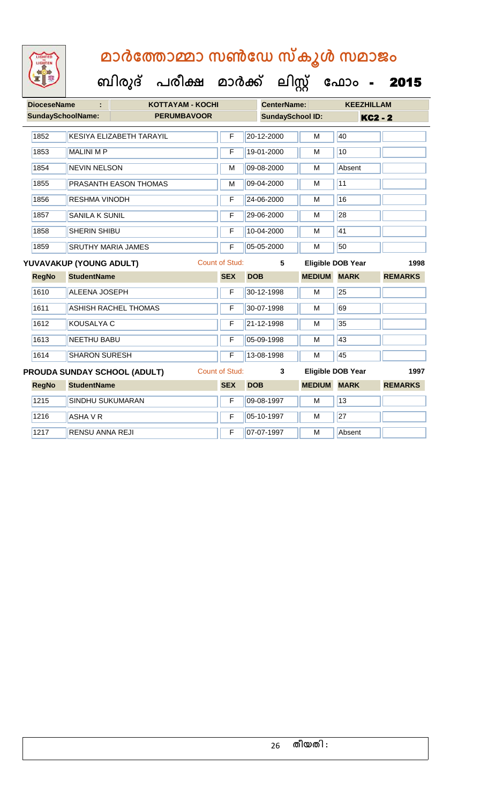| <b>DioceseName</b>       | ÷                       | <b>KOTTAYAM - KOCHI</b>             |                       |            | <b>CenterName:</b>      |               | <b>KEEZHILLAM</b>        |                |
|--------------------------|-------------------------|-------------------------------------|-----------------------|------------|-------------------------|---------------|--------------------------|----------------|
| <b>SundaySchoolName:</b> |                         | <b>PERUMBAVOOR</b>                  |                       |            | <b>SundaySchool ID:</b> |               | <b>KC2 - 2</b>           |                |
| 1852                     |                         | <b>KESIYA ELIZABETH TARAYIL</b>     | F                     |            | 20-12-2000              | М             | 40                       |                |
| 1853                     | <b>MALINI MP</b>        |                                     | F                     |            | 19-01-2000              | M             | 10                       |                |
| 1854                     | <b>NEVIN NELSON</b>     |                                     | M                     |            | 09-08-2000              | М             | Absent                   |                |
| 1855                     |                         | PRASANTH EASON THOMAS               | M                     |            | 09-04-2000              | М             | 11                       |                |
| 1856                     | <b>RESHMA VINODH</b>    |                                     | F                     |            | 24-06-2000              | M             | 16                       |                |
| 1857                     | <b>SANILA K SUNIL</b>   |                                     | F                     |            | 29-06-2000              | M             | $\overline{28}$          |                |
| 1858                     | <b>SHERIN SHIBU</b>     |                                     | F                     |            | 10-04-2000              | M             | 41                       |                |
| 1859                     |                         | <b>SRUTHY MARIA JAMES</b>           | F                     |            | 05-05-2000              | M             | 50                       |                |
|                          | YUVAVAKUP (YOUNG ADULT) |                                     | <b>Count of Stud:</b> |            | 5                       |               | <b>Eligible DOB Year</b> | 1998           |
| <b>RegNo</b>             | <b>StudentName</b>      |                                     | <b>SEX</b>            | <b>DOB</b> |                         | <b>MEDIUM</b> | <b>MARK</b>              | <b>REMARKS</b> |
| 1610                     | <b>ALEENA JOSEPH</b>    |                                     | F                     |            | 30-12-1998              | М             | $\overline{25}$          |                |
| 1611                     |                         | <b>ASHISH RACHEL THOMAS</b>         | F                     |            | 30-07-1998              | M             | 69                       |                |
| 1612                     | <b>KOUSALYA C</b>       |                                     | F                     |            | 21-12-1998              | M             | 35                       |                |
| 1613                     | <b>NEETHU BABU</b>      |                                     | F                     |            | 05-09-1998              | М             | 43                       |                |
| 1614                     | <b>SHARON SURESH</b>    |                                     | F                     |            | 13-08-1998              | М             | 45                       |                |
|                          |                         | <b>PROUDA SUNDAY SCHOOL (ADULT)</b> | <b>Count of Stud:</b> |            | 3                       |               | <b>Eligible DOB Year</b> | 1997           |
| <b>RegNo</b>             | <b>StudentName</b>      |                                     | <b>SEX</b>            | <b>DOB</b> |                         | <b>MEDIUM</b> | <b>MARK</b>              | <b>REMARKS</b> |
| 1215                     | SINDHU SUKUMARAN        |                                     | F                     |            | 09-08-1997              | M             | 13                       |                |
| 1216                     | ASHA V R                |                                     | F                     |            | 05-10-1997              | М             | 27                       |                |
| 1217                     | <b>RENSU ANNA REJI</b>  |                                     | F                     |            | 07-07-1997              | М             | Absent                   |                |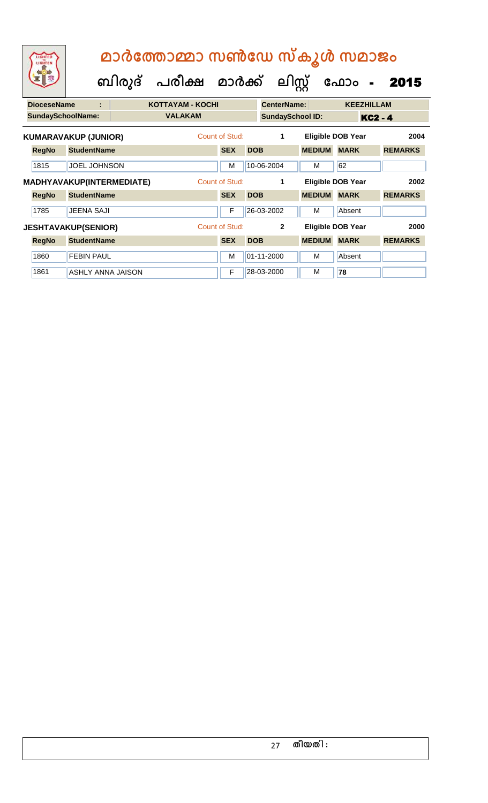| LIGHTED<br>LIGHTEN       |                             | മാർത്തോമ്മാ സൺഡേ സ്കൂൾ സമാജം |                         |                |            |                         |               |                          |                |  |  |  |  |
|--------------------------|-----------------------------|------------------------------|-------------------------|----------------|------------|-------------------------|---------------|--------------------------|----------------|--|--|--|--|
|                          |                             | ബിരുദ്                       | പരീക്ഷ മാർക്ക്          |                |            | ലിസ്റ്റ്                |               | ഫോം<br>$\blacksquare$    | 2015           |  |  |  |  |
| <b>DioceseName</b>       | t                           |                              | <b>KOTTAYAM - KOCHI</b> |                |            | <b>CenterName:</b>      |               | <b>KEEZHILLAM</b>        |                |  |  |  |  |
| <b>SundaySchoolName:</b> |                             |                              | <b>VALAKAM</b>          |                |            | <b>SundaySchool ID:</b> |               | <b>KC2 - 4</b>           |                |  |  |  |  |
|                          | <b>KUMARAVAKUP (JUNIOR)</b> |                              |                         | Count of Stud: |            | 1                       |               | <b>Eligible DOB Year</b> | 2004           |  |  |  |  |
| <b>RegNo</b>             | <b>StudentName</b>          |                              |                         | <b>SEX</b>     | <b>DOB</b> |                         | <b>MEDIUM</b> | <b>MARK</b>              | <b>REMARKS</b> |  |  |  |  |
| 1815                     | <b>JOEL JOHNSON</b>         |                              |                         | м              |            | 10-06-2004              | м             | 62                       |                |  |  |  |  |
|                          | MADHYAVAKUP(INTERMEDIATE)   |                              |                         | Count of Stud: |            | 1                       |               | <b>Eligible DOB Year</b> | 2002           |  |  |  |  |
| <b>RegNo</b>             | <b>StudentName</b>          |                              |                         | <b>SEX</b>     | <b>DOB</b> |                         | <b>MEDIUM</b> | <b>MARK</b>              | <b>REMARKS</b> |  |  |  |  |
| 1785                     | <b>JEENA SAJI</b>           |                              |                         | $\mathsf F$    |            | 26-03-2002              | м             | Absent                   |                |  |  |  |  |
|                          | <b>JESHTAVAKUP(SENIOR)</b>  |                              |                         | Count of Stud: |            | $\overline{2}$          |               | <b>Eligible DOB Year</b> | 2000           |  |  |  |  |
| <b>RegNo</b>             | <b>StudentName</b>          |                              |                         | <b>SEX</b>     | <b>DOB</b> |                         | <b>MEDIUM</b> | <b>MARK</b>              | <b>REMARKS</b> |  |  |  |  |
| 1860                     | <b>FEBIN PAUL</b>           |                              |                         | M              |            | 01-11-2000              | м             | Absent                   |                |  |  |  |  |
| 1861                     | <b>ASHLY ANNA JAISON</b>    |                              |                         | F              |            | 28-03-2000              | м             | 78                       |                |  |  |  |  |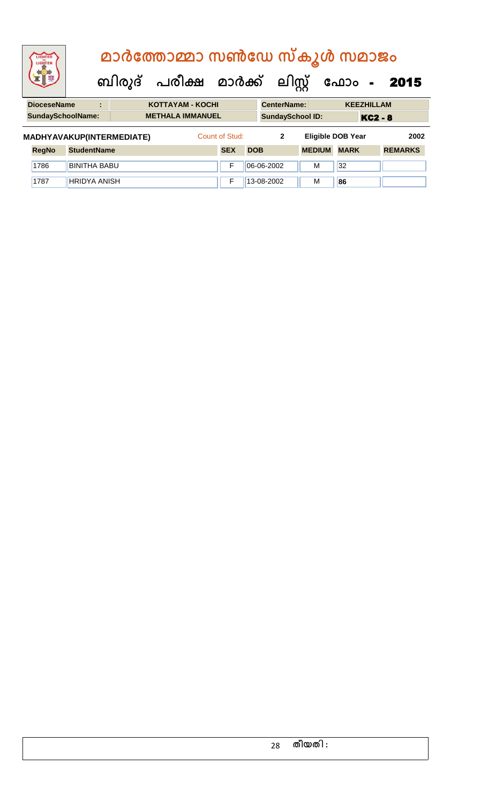| <b>IGHTED</b>                                                         |  |                | മാർത്തോമ്മാ സൺഡേ സ്കൂൾ സമാജം              |                         |  |                    |                         |  |                   |  |
|-----------------------------------------------------------------------|--|----------------|-------------------------------------------|-------------------------|--|--------------------|-------------------------|--|-------------------|--|
|                                                                       |  |                | ബിരുദ് പരീക്ഷ മാർക്ക് ലിസ്റ്റ് ഫോം - 2015 |                         |  |                    |                         |  |                   |  |
| <b>DioceseName</b>                                                    |  | $\blacksquare$ |                                           | <b>KOTTAYAM - KOCHI</b> |  | <b>CenterName:</b> |                         |  | <b>KEEZHILLAM</b> |  |
| <b>SundaySchoolName:</b>                                              |  |                |                                           | <b>METHALA IMMANUEL</b> |  |                    | <b>SundaySchool ID:</b> |  | <b>KC2 - 8</b>    |  |
| MADHYAVAKUP(INTERMEDIATE)<br>Count of Stud:<br>Eligible DOB Year<br>2 |  |                |                                           |                         |  |                    | 2002                    |  |                   |  |

|              |                     |            |                | __________         |    |                |
|--------------|---------------------|------------|----------------|--------------------|----|----------------|
| <b>RegNo</b> | <b>StudentName</b>  | <b>SEX</b> | <b>DOB</b>     | <b>MEDIUM MARK</b> |    | <b>REMARKS</b> |
| 1786         | <b>BINITHA BABU</b> |            | $ 06-06-2002 $ | м                  | 32 |                |
| 1787         | <b>HRIDYA ANISH</b> |            | 13-08-2002     | M                  | 86 |                |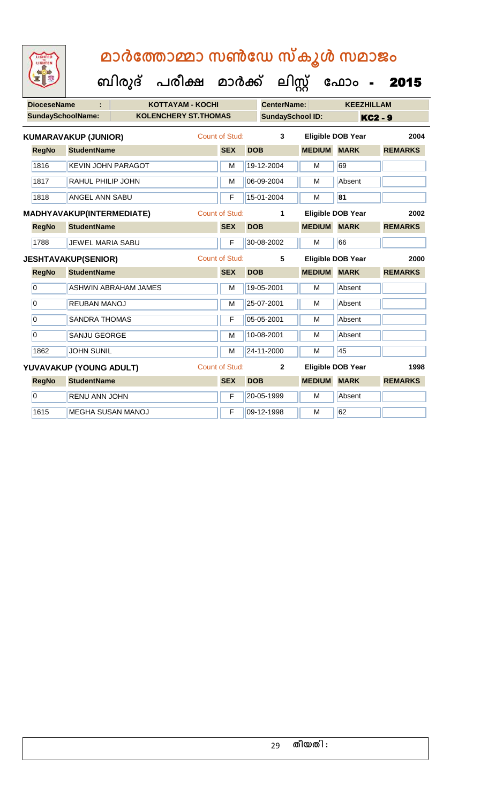| <b>DioceseName</b>        |                             | <b>KOTTAYAM - KOCHI</b>     |  |                       |            | <b>CenterName:</b>       |               | <b>KEEZHILLAM</b>        |                |
|---------------------------|-----------------------------|-----------------------------|--|-----------------------|------------|--------------------------|---------------|--------------------------|----------------|
| <b>SundaySchoolName:</b>  |                             | <b>KOLENCHERY ST.THOMAS</b> |  |                       |            | <b>SundaySchool ID:</b>  |               | <b>KC2 - 9</b>           |                |
|                           | <b>KUMARAVAKUP (JUNIOR)</b> |                             |  | Count of Stud:        |            | 3                        |               | <b>Eligible DOB Year</b> | 2004           |
| <b>RegNo</b>              | <b>StudentName</b>          |                             |  | <b>SEX</b>            | <b>DOB</b> |                          | <b>MEDIUM</b> | <b>MARK</b>              | <b>REMARKS</b> |
| 1816                      | <b>KEVIN JOHN PARAGOT</b>   |                             |  | M                     |            | 19-12-2004               | M             | 69                       |                |
| 1817                      | RAHUL PHILIP JOHN           |                             |  | M                     |            | 06-09-2004               | M             | Absent                   |                |
| 1818                      | <b>ANGEL ANN SABU</b>       |                             |  | F                     |            | 15-01-2004               | М             | 81                       |                |
| MADHYAVAKUP(INTERMEDIATE) |                             |                             |  | <b>Count of Stud:</b> |            | 1                        |               | <b>Eligible DOB Year</b> | 2002           |
| <b>RegNo</b>              | <b>StudentName</b>          |                             |  | <b>SEX</b>            | <b>DOB</b> |                          | <b>MEDIUM</b> | <b>MARK</b>              | <b>REMARKS</b> |
| 1788                      | <b>JEWEL MARIA SABU</b>     |                             |  | F                     |            | 30-08-2002               | M             | 66                       |                |
|                           | <b>JESHTAVAKUP(SENIOR)</b>  |                             |  | Count of Stud:        |            | 5                        |               | <b>Eligible DOB Year</b> | 2000           |
| <b>RegNo</b>              | <b>StudentName</b>          |                             |  | <b>SEX</b>            | <b>DOB</b> |                          | <b>MEDIUM</b> | <b>MARK</b>              | <b>REMARKS</b> |
| $\overline{0}$            |                             | <b>ASHWIN ABRAHAM JAMES</b> |  | M                     |            | 19-05-2001               | M             | Absent                   |                |
| $\overline{0}$            | REUBAN MANOJ                |                             |  | M                     |            | 25-07-2001               | м             | Absent                   |                |
| $\overline{0}$            | <b>SANDRA THOMAS</b>        |                             |  | F                     |            | 05-05-2001               | M             | Absent                   |                |
| $\overline{0}$            | <b>SANJU GEORGE</b>         |                             |  | M                     |            | 10-08-2001               | M             | Absent                   |                |
| 1862                      | <b>JOHN SUNIL</b>           |                             |  | M                     |            | 24-11-2000               | M             | 45                       |                |
| YUVAVAKUP (YOUNG ADULT)   |                             | Count of Stud:              |  | $\mathbf{2}$          |            | <b>Eligible DOB Year</b> | 1998          |                          |                |
| <b>RegNo</b>              | <b>StudentName</b>          |                             |  | <b>SEX</b>            | <b>DOB</b> |                          | <b>MEDIUM</b> | <b>MARK</b>              | <b>REMARKS</b> |
| $\overline{0}$            | <b>RENU ANN JOHN</b>        |                             |  | F                     |            | 20-05-1999               | M             | Absent                   |                |
| 1615                      | <b>MEGHA SUSAN MANOJ</b>    |                             |  | F                     |            | 09-12-1998               | M             | 62                       |                |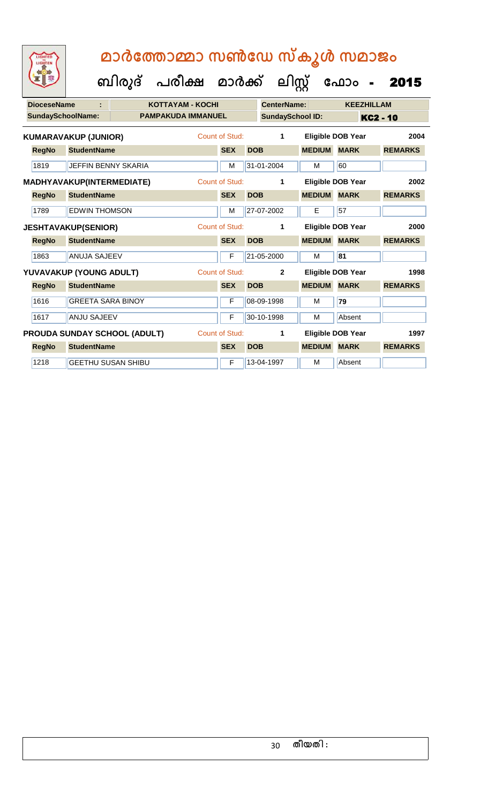|                           | <b>DioceseName</b>                  |                             |                       | <b>KOTTAYAM - KOCHI</b>   |                |            | <b>CenterName:</b>      |                          |                          | <b>KEEZHILLAM</b>    |
|---------------------------|-------------------------------------|-----------------------------|-----------------------|---------------------------|----------------|------------|-------------------------|--------------------------|--------------------------|----------------------|
|                           | <b>SundaySchoolName:</b>            |                             |                       | <b>PAMPAKUDA IMMANUEL</b> |                |            | <b>SundaySchool ID:</b> |                          |                          | KC <sub>2</sub> - 10 |
|                           |                                     | <b>KUMARAVAKUP (JUNIOR)</b> |                       |                           | Count of Stud: |            | 1                       | <b>Eligible DOB Year</b> |                          | 2004                 |
|                           | <b>RegNo</b>                        | <b>StudentName</b>          |                       |                           | <b>SEX</b>     | <b>DOB</b> |                         | <b>MEDIUM</b>            | <b>MARK</b>              | <b>REMARKS</b>       |
|                           | 1819                                | <b>JEFFIN BENNY SKARIA</b>  |                       |                           | M              |            | 31-01-2004              | м                        | 60                       |                      |
| MADHYAVAKUP(INTERMEDIATE) |                                     |                             | <b>Count of Stud:</b> |                           | 1              |            | Eligible DOB Year       | 2002                     |                          |                      |
|                           | <b>RegNo</b>                        | <b>StudentName</b>          |                       |                           | <b>SEX</b>     | <b>DOB</b> |                         | <b>MEDIUM</b>            | <b>MARK</b>              | <b>REMARKS</b>       |
|                           | 1789                                | <b>EDWIN THOMSON</b>        |                       |                           | M              |            | 27-07-2002              | E                        | 57                       |                      |
|                           | <b>JESHTAVAKUP(SENIOR)</b>          |                             |                       |                           | Count of Stud: |            | 1                       |                          | <b>Eligible DOB Year</b> | 2000                 |
|                           | <b>RegNo</b>                        | <b>StudentName</b>          |                       |                           | <b>SEX</b>     | <b>DOB</b> |                         | <b>MEDIUM</b>            | <b>MARK</b>              | <b>REMARKS</b>       |
|                           | 1863                                | <b>ANUJA SAJEEV</b>         |                       |                           | F              |            | 21-05-2000              | м                        | 81                       |                      |
|                           |                                     | YUVAVAKUP (YOUNG ADULT)     |                       |                           | Count of Stud: |            | $\mathbf{2}$            |                          | Eligible DOB Year        | 1998                 |
|                           | <b>RegNo</b>                        | <b>StudentName</b>          |                       |                           | <b>SEX</b>     | <b>DOB</b> |                         | <b>MEDIUM</b>            | <b>MARK</b>              | <b>REMARKS</b>       |
|                           | 1616                                | <b>GREETA SARA BINOY</b>    |                       |                           | F              |            | 08-09-1998              | м                        | 79                       |                      |
|                           | 1617                                | <b>ANJU SAJEEV</b>          |                       |                           | F              |            | 30-10-1998              | м                        | Absent                   |                      |
|                           | <b>PROUDA SUNDAY SCHOOL (ADULT)</b> |                             |                       | <b>Count of Stud:</b>     |                | 1          |                         | Eligible DOB Year        | 1997                     |                      |
|                           | <b>RegNo</b>                        | <b>StudentName</b>          |                       |                           | <b>SEX</b>     | <b>DOB</b> |                         | <b>MEDIUM</b>            | <b>MARK</b>              | <b>REMARKS</b>       |
|                           | 1218                                | <b>GEETHU SUSAN SHIBU</b>   |                       |                           | F              |            | 13-04-1997              | M                        | Absent                   |                      |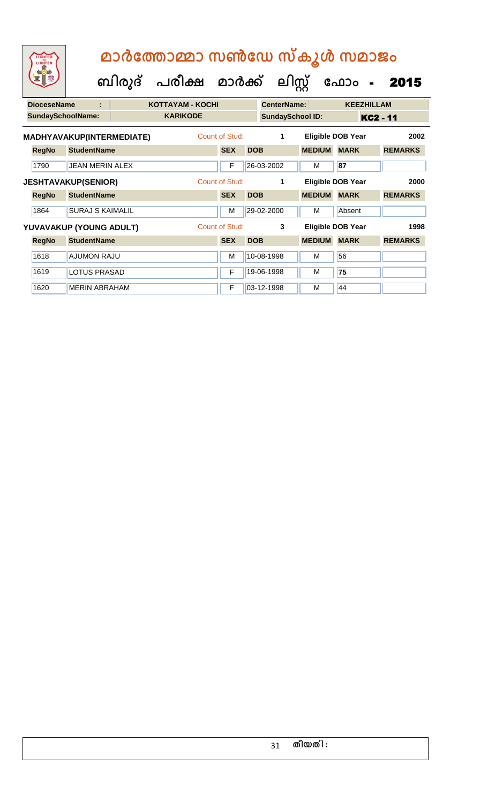| LIGHTED<br>LIGHTEN       |                            | മാർത്തോമ്മാ സൺഡേ സ്കൂൾ സമാജം |                                |            |                         |               |                          |                        |
|--------------------------|----------------------------|------------------------------|--------------------------------|------------|-------------------------|---------------|--------------------------|------------------------|
|                          |                            |                              | ബിരുദ് പരീക്ഷ മാർക്ക് ലിസ്റ്റ് |            |                         | ഫോം           |                          | 2015<br>$\blacksquare$ |
| <b>DioceseName</b>       |                            | <b>KOTTAYAM - KOCHI</b>      |                                |            | <b>CenterName:</b>      |               | <b>KEEZHILLAM</b>        |                        |
| <b>SundaySchoolName:</b> |                            | <b>KARIKODE</b>              |                                |            | <b>SundaySchool ID:</b> |               |                          | KC2 - 11               |
|                          | MADHYAVAKUP(INTERMEDIATE)  |                              | Count of Stud:                 |            | 1                       |               | <b>Eligible DOB Year</b> | 2002                   |
| <b>RegNo</b>             | <b>StudentName</b>         |                              | <b>SEX</b>                     | <b>DOB</b> |                         | <b>MEDIUM</b> | <b>MARK</b>              | <b>REMARKS</b>         |
| 1790                     | <b>JEAN MERIN ALEX</b>     |                              | F                              |            | 26-03-2002              | м             | 87                       |                        |
|                          | <b>JESHTAVAKUP(SENIOR)</b> |                              | Count of Stud:                 |            | 1                       |               | Eligible DOB Year        | 2000                   |
| <b>RegNo</b>             | <b>StudentName</b>         |                              | <b>SEX</b>                     | <b>DOB</b> |                         | <b>MEDIUM</b> | <b>MARK</b>              | <b>REMARKS</b>         |
| 1864                     | <b>SURAJ S KAIMALIL</b>    |                              | M                              |            | 29-02-2000              | м             | Absent                   |                        |
|                          | YUVAVAKUP (YOUNG ADULT)    |                              | <b>Count of Stud:</b>          |            | 3                       |               | <b>Eligible DOB Year</b> | 1998                   |
| <b>RegNo</b>             | <b>StudentName</b>         |                              | <b>SEX</b>                     | <b>DOB</b> |                         | <b>MEDIUM</b> | <b>MARK</b>              | <b>REMARKS</b>         |
| 1618                     | <b>AJUMON RAJU</b>         |                              | м                              |            | 10-08-1998              | м             | 56                       |                        |
| 1619                     | <b>LOTUS PRASAD</b>        |                              | F                              |            | 19-06-1998              | м             | 75                       |                        |

1620 MERIN ABRAHAM **F** 03-12-1998 M 44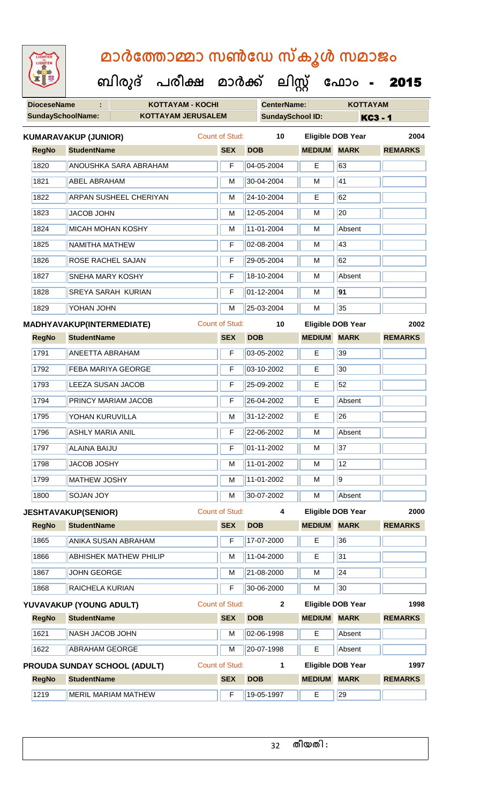**ബിരുദ് പരീക്ഷ മാര്ക് ക ലിസ്റ്റ ക ഫ ാോം** - 2015

**DioceseName : KOTTAYAM - KOCHI CenterName: KOTTAYAM**

| <b>SundaySchoolName:</b> |                                     | <b>KOTTAYAM JERUSALEM</b> |                       | <b>SundaySchool ID:</b> |                    |                          | <b>KC3-1</b>   |
|--------------------------|-------------------------------------|---------------------------|-----------------------|-------------------------|--------------------|--------------------------|----------------|
|                          | <b>KUMARAVAKUP (JUNIOR)</b>         |                           | <b>Count of Stud:</b> | 10                      |                    | <b>Eligible DOB Year</b> | 2004           |
| <b>RegNo</b>             | <b>StudentName</b>                  |                           | <b>SEX</b>            | <b>DOB</b>              | <b>MEDIUM MARK</b> |                          | <b>REMARKS</b> |
| 1820                     | <b>ANOUSHKA SARA ABRAHAM</b>        |                           | F                     | 04-05-2004              | E                  | 63                       |                |
| 1821                     | <b>ABEL ABRAHAM</b>                 |                           | м                     | 30-04-2004              | м                  | 41                       |                |
| 1822                     | ARPAN SUSHEEL CHERIYAN              |                           | M                     | 24-10-2004              | Е                  | 62                       |                |
| 1823                     | JACOB JOHN                          |                           | M                     | 12-05-2004              | M                  | 20                       |                |
| 1824                     | <b>MICAH MOHAN KOSHY</b>            |                           | м                     | 11-01-2004              | м                  | Absent                   |                |
| 1825                     | NAMITHA MATHEW                      |                           | F                     | 02-08-2004              | M                  | 43                       |                |
| 1826                     | ROSE RACHEL SAJAN                   |                           | F                     | 29-05-2004              | M                  | 62                       |                |
| 1827                     | SNEHA MARY KOSHY                    |                           | F                     | 18-10-2004              | M                  | Absent                   |                |
| 1828                     | <b>SREYA SARAH KURIAN</b>           |                           | F                     | 01-12-2004              | м                  | 91                       |                |
| 1829                     | YOHAN JOHN                          |                           | M                     | 25-03-2004              | M                  | 35                       |                |
|                          | MADHYAVAKUP(INTERMEDIATE)           |                           | Count of Stud:        | 10                      |                    | <b>Eligible DOB Year</b> | 2002           |
| <b>RegNo</b>             | <b>StudentName</b>                  |                           | <b>SEX</b>            | <b>DOB</b>              | <b>MEDIUM</b>      | <b>MARK</b>              | <b>REMARKS</b> |
| 1791                     | <b>ANEETTA ABRAHAM</b>              |                           | F                     | 03-05-2002              | Е                  | 39                       |                |
| 1792                     | FEBA MARIYA GEORGE                  |                           | F                     | 03-10-2002              | E                  | 30                       |                |
| 1793                     | <b>LEEZA SUSAN JACOB</b>            |                           | F                     | 25-09-2002              | Е                  | 52                       |                |
| 1794                     | PRINCY MARIAM JACOB                 |                           | F                     | 26-04-2002              | Е                  | Absent                   |                |
| 1795                     | YOHAN KURUVILLA                     |                           | M                     | 31-12-2002              | Е                  | 26                       |                |
| 1796                     | <b>ASHLY MARIA ANIL</b>             |                           | F                     | 22-06-2002              | M                  | Absent                   |                |
| 1797                     | <b>ALAINA BAIJU</b>                 |                           | F                     | 01-11-2002              | M                  | 37                       |                |
| 1798                     | <b>JACOB JOSHY</b>                  |                           | М                     | 11-01-2002              | M                  | 12                       |                |
| 1799                     | <b>MATHEW JOSHY</b>                 |                           | M                     | 11-01-2002              | M                  | $\overline{9}$           |                |
| 1800                     | <b>SOJAN JOY</b>                    |                           | M                     | 30-07-2002              | M                  | Absent                   |                |
|                          | <b>JESHTAVAKUP(SENIOR)</b>          |                           | <b>Count of Stud:</b> | 4                       |                    | <b>Eligible DOB Year</b> | 2000           |
| <b>RegNo</b>             | <b>StudentName</b>                  |                           | <b>SEX</b>            | <b>DOB</b>              | <b>MEDIUM MARK</b> |                          | <b>REMARKS</b> |
| 1865                     | ANIKA SUSAN ABRAHAM                 |                           | F                     | 17-07-2000              | E                  | 36                       |                |
| 1866                     | <b>ABHISHEK MATHEW PHILIP</b>       |                           | M                     | 11-04-2000              | Е                  | 31                       |                |
| 1867                     | <b>JOHN GEORGE</b>                  |                           | M                     | 21-08-2000              | M                  | $\overline{24}$          |                |
| 1868                     | RAICHELA KURIAN                     |                           | F                     | 30-06-2000              | M                  | 30                       |                |
|                          | YUVAVAKUP (YOUNG ADULT)             |                           | <b>Count of Stud:</b> | $\mathbf{2}$            |                    | Eligible DOB Year        | 1998           |
| <b>RegNo</b>             | <b>StudentName</b>                  |                           | <b>SEX</b>            | <b>DOB</b>              | <b>MEDIUM</b>      | <b>MARK</b>              | <b>REMARKS</b> |
| 1621                     | NASH JACOB JOHN                     |                           | M                     | 02-06-1998              | E.                 | Absent                   |                |
| 1622                     | <b>ABRAHAM GEORGE</b>               |                           | М                     | 20-07-1998              | Е                  | Absent                   |                |
|                          | <b>PROUDA SUNDAY SCHOOL (ADULT)</b> |                           | Count of Stud:        | 1                       |                    | <b>Eligible DOB Year</b> | 1997           |
| <b>RegNo</b>             | <b>StudentName</b>                  |                           | <b>SEX</b>            | <b>DOB</b>              | <b>MEDIUM MARK</b> |                          | <b>REMARKS</b> |
| 1219                     | <b>MERIL MARIAM MATHEW</b>          |                           | F                     | 19-05-1997              | E                  | 29                       |                |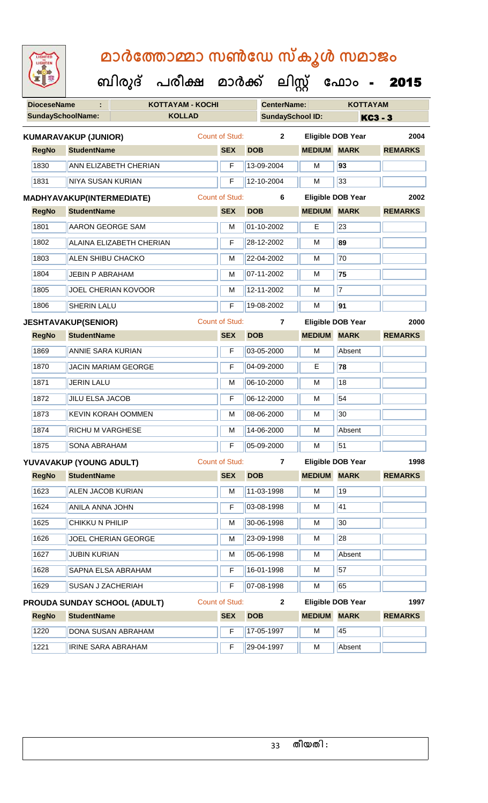| <b>IGHTED</b> |
|---------------|
|               |
|               |
|               |
|               |

|                          |                                  | ബിരുദ് | പരീക്ഷ                  | മാർക്ക്               |                    | ലിസ്റ്റ്                | ഫോം                      | 2015           |
|--------------------------|----------------------------------|--------|-------------------------|-----------------------|--------------------|-------------------------|--------------------------|----------------|
| <b>DioceseName</b>       |                                  |        | <b>KOTTAYAM - KOCHI</b> |                       | <b>CenterName:</b> |                         | <b>KOTTAYAM</b>          |                |
| <b>SundaySchoolName:</b> |                                  |        | <b>KOLLAD</b>           |                       |                    | <b>SundaySchool ID:</b> |                          | <b>KC3 - 3</b> |
|                          | <b>KUMARAVAKUP (JUNIOR)</b>      |        |                         | <b>Count of Stud:</b> | $\mathbf 2$        |                         | <b>Eligible DOB Year</b> | 2004           |
| <b>RegNo</b>             | <b>StudentName</b>               |        |                         | <b>SEX</b>            | <b>DOB</b>         | <b>MEDIUM MARK</b>      |                          | <b>REMARKS</b> |
| 1830                     | ANN ELIZABETH CHERIAN            |        |                         | F                     | 13-09-2004         | М                       | 93                       |                |
| 1831                     | <b>NIYA SUSAN KURIAN</b>         |        |                         | F                     | 12-10-2004         | М                       | 33                       |                |
|                          | <b>MADHYAVAKUP(INTERMEDIATE)</b> |        |                         | <b>Count of Stud:</b> | 6                  |                         | <b>Eligible DOB Year</b> | 2002           |
| <b>RegNo</b>             | <b>StudentName</b>               |        |                         | <b>SEX</b>            | <b>DOB</b>         | <b>MEDIUM</b>           | <b>MARK</b>              | <b>REMARKS</b> |
| 1801                     | <b>AARON GEORGE SAM</b>          |        |                         | M                     | 01-10-2002         | E                       | 23                       |                |
| 1802                     | <b>ALAINA ELIZABETH CHERIAN</b>  |        |                         | F                     | 28-12-2002         | M                       | 89                       |                |
| 1803                     | <b>ALEN SHIBU CHACKO</b>         |        |                         | M                     | 22-04-2002         | M                       | $\overline{70}$          |                |
| 1804                     | <b>JEBIN P ABRAHAM</b>           |        |                         | M                     | 07-11-2002         | М                       | 75                       |                |
| 1805                     | <b>JOEL CHERIAN KOVOOR</b>       |        |                         | M                     | 12-11-2002         | М                       | $\overline{7}$           |                |
| 1806                     | <b>SHERIN LALU</b>               |        |                         | F                     | 19-08-2002         | М                       | $\overline{91}$          |                |
|                          | <b>JESHTAVAKUP(SENIOR)</b>       |        |                         | <b>Count of Stud:</b> | 7                  |                         | <b>Eligible DOB Year</b> | 2000           |
| <b>RegNo</b>             | <b>StudentName</b>               |        |                         | <b>SEX</b>            | <b>DOB</b>         | <b>MEDIUM</b>           | <b>MARK</b>              | <b>REMARKS</b> |
| 1869                     | <b>ANNIE SARA KURIAN</b>         |        |                         | F                     | 03-05-2000         | M                       | Absent                   |                |
| 1870                     | <b>JACIN MARIAM GEORGE</b>       |        |                         | F                     | $04 - 09 - 2000$   | Е                       | $\overline{78}$          |                |
| 1871                     | <b>JERIN LALU</b>                |        |                         | М                     | 06-10-2000         | M                       | 18                       |                |
| 1872                     | JILU ELSA JACOB                  |        |                         | F                     | 06-12-2000         | M                       | 54                       |                |
| 1873                     | <b>KEVIN KORAH OOMMEN</b>        |        |                         | M                     | 08-06-2000         | М                       | 30                       |                |
| 1874                     | <b>RICHU M VARGHESE</b>          |        |                         | M                     | 14-06-2000         | М                       | Absent                   |                |
| 1875                     | <b>SONA ABRAHAM</b>              |        |                         | F                     | 05-09-2000         | м                       | 51                       |                |
|                          | YUVAVAKUP (YOUNG ADULT)          |        |                         | <b>Count of Stud:</b> | $\mathbf{7}$       |                         | <b>Eligible DOB Year</b> | 1998           |
| <b>RegNo</b>             | <b>StudentName</b>               |        |                         | <b>SEX</b>            | <b>DOB</b>         | <b>MEDIUM MARK</b>      |                          | <b>REMARKS</b> |
| 1623                     | ALEN JACOB KURIAN                |        |                         | М                     | 11-03-1998         | М                       | 19                       |                |
| 1624                     | ANILA ANNA JOHN                  |        |                         | F                     | 03-08-1998         | М                       | 41                       |                |
| 1625                     | CHIKKU N PHILIP                  |        |                         | М                     | 30-06-1998         | М                       | 30                       |                |
| 1626                     | JOEL CHERIAN GEORGE              |        |                         | М                     | 23-09-1998         | М                       | 28                       |                |
| 1627                     | <b>JUBIN KURIAN</b>              |        |                         | М                     | 05-06-1998         | М                       | Absent                   |                |
| 1628                     | SAPNA ELSA ABRAHAM               |        |                         | F                     | 16-01-1998         | М                       | 57                       |                |
| 1629                     | <b>SUSAN J ZACHERIAH</b>         |        |                         | F                     | 07-08-1998         | М                       | 65                       |                |

|              | <b>PROUDA SUNDAY SCHOOL (ADULT)</b> | Count of Stud: |            |               | Eligible DOB Year | 1997           |
|--------------|-------------------------------------|----------------|------------|---------------|-------------------|----------------|
| <b>RegNo</b> | <b>StudentName</b>                  | <b>SEX</b>     | <b>DOB</b> | <b>MEDIUM</b> | <b>MARK</b>       | <b>REMARKS</b> |
| 1220         | DONA SUSAN ABRAHAM                  |                | 17-05-1997 | м             | 45                |                |
| 1221         | IRINE SARA ABRAHAM                  |                | 29-04-1997 | м             | Absent            |                |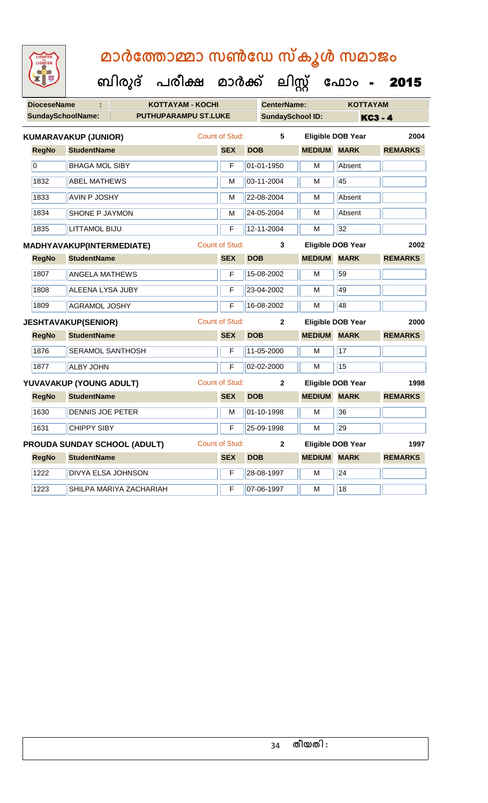| LIGHTED<br>LIGHTEN | മാർത്തോമ്മാ സൺഡേ സ്കൂൾ സമാജം                            |                       |                         |                    |                          |                |
|--------------------|---------------------------------------------------------|-----------------------|-------------------------|--------------------|--------------------------|----------------|
|                    | ബിരുദ് പരീക്ഷ മാർക്ക് ലിസ്റ്റ് ഫോം -                    |                       |                         |                    |                          | 2015           |
| <b>DioceseName</b> | <b>KOTTAYAM - KOCHI</b>                                 |                       | <b>CenterName:</b>      |                    | <b>KOTTAYAM</b>          |                |
|                    | <b>SundaySchoolName:</b><br><b>PUTHUPARAMPU ST.LUKE</b> |                       | <b>SundaySchool ID:</b> |                    |                          | <b>KC3 - 4</b> |
|                    | <b>KUMARAVAKUP (JUNIOR)</b>                             | Count of Stud:        | 5                       |                    | <b>Eligible DOB Year</b> | 2004           |
| <b>RegNo</b>       | <b>StudentName</b>                                      | <b>SEX</b>            | <b>DOB</b>              | <b>MEDIUM</b>      | <b>MARK</b>              | <b>REMARKS</b> |
| $\overline{0}$     | <b>BHAGA MOL SIBY</b>                                   | F                     | 01-01-1950              | м                  | Absent                   |                |
| 1832               | <b>ABEL MATHEWS</b>                                     | м                     | 03-11-2004              | M                  | 45                       |                |
| 1833               | <b>AVIN P JOSHY</b>                                     | M                     | 22-08-2004              | М                  | Absent                   |                |
| 1834               | <b>SHONE P JAYMON</b>                                   | M                     | 24-05-2004              | м                  | Absent                   |                |
| 1835               | <b>LITTAMOL BIJU</b>                                    | F                     | 12-11-2004              | M                  | 32                       |                |
|                    | MADHYAVAKUP(INTERMEDIATE)                               | <b>Count of Stud:</b> | 3                       |                    | Eligible DOB Year        | 2002           |
| <b>RegNo</b>       | <b>StudentName</b>                                      | <b>SEX</b>            | <b>DOB</b>              | <b>MEDIUM</b>      | <b>MARK</b>              | <b>REMARKS</b> |
| 1807               | <b>ANGELA MATHEWS</b>                                   | F                     | 15-08-2002              | M                  | 59                       |                |
| 1808               | <b>ALEENA LYSA JUBY</b>                                 | F                     | 23-04-2002              | м                  | 49                       |                |
| 1809               | <b>AGRAMOL JOSHY</b>                                    | F                     | 16-08-2002              | M                  | 48                       |                |
|                    | <b>JESHTAVAKUP(SENIOR)</b>                              | <b>Count of Stud:</b> | $\mathbf{2}$            |                    | Eligible DOB Year        | 2000           |
| <b>RegNo</b>       | <b>StudentName</b>                                      | <b>SEX</b>            | <b>DOB</b>              | <b>MEDIUM</b>      | <b>MARK</b>              | <b>REMARKS</b> |
| 1876               | <b>SERAMOL SANTHOSH</b>                                 | F                     | 11-05-2000              | M                  | 17                       |                |
| 1877               | <b>ALBY JOHN</b>                                        | F                     | 02-02-2000              | M                  | 15                       |                |
|                    | YUVAVAKUP (YOUNG ADULT)                                 | Count of Stud:        | $\mathbf{2}$            |                    | <b>Eligible DOB Year</b> | 1998           |
|                    | RegNo StudentName                                       | <b>SEX</b>            | <b>DOB</b>              | <b>MEDIUM MARK</b> |                          | <b>REMARKS</b> |
| 1630               | DENNIS JOE PETER                                        | M                     | 01-10-1998              | M                  | 36                       |                |
| 1631               | <b>CHIPPY SIBY</b>                                      | F                     | 25-09-1998              | М                  | 29                       |                |
|                    | <b>PROUDA SUNDAY SCHOOL (ADULT)</b>                     | <b>Count of Stud:</b> | $\mathbf{2}$            |                    | <b>Eligible DOB Year</b> | 1997           |
| <b>RegNo</b>       | <b>StudentName</b>                                      | <b>SEX</b>            | <b>DOB</b>              | <b>MEDIUM</b>      | <b>MARK</b>              | <b>REMARKS</b> |
| 1222               | <b>DIVYA ELSA JOHNSON</b>                               | F                     | 28-08-1997              | М                  | 24                       |                |

1223 SHILPA MARIYA ZACHARIAH F 07-06-1997 M 18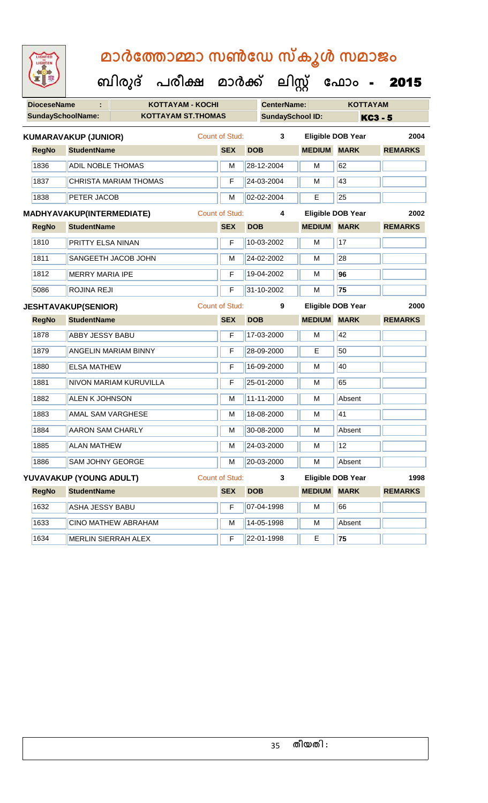| <b>DioceseName</b>       |                                                     | <b>KOTTAYAM - KOCHI</b>      |                       |            | <b>CenterName:</b>      |                    | <b>KOTTAYAM</b>          |                |
|--------------------------|-----------------------------------------------------|------------------------------|-----------------------|------------|-------------------------|--------------------|--------------------------|----------------|
| <b>SundaySchoolName:</b> |                                                     | <b>KOTTAYAM ST.THOMAS</b>    |                       |            | <b>SundaySchool ID:</b> |                    | <b>KC3 - 5</b>           |                |
|                          | <b>KUMARAVAKUP (JUNIOR)</b>                         |                              | <b>Count of Stud:</b> |            | 3                       |                    | <b>Eligible DOB Year</b> | 2004           |
| <b>RegNo</b>             | <b>StudentName</b>                                  |                              | <b>SEX</b>            | <b>DOB</b> |                         | <b>MEDIUM</b>      | <b>MARK</b>              | <b>REMARKS</b> |
| 1836                     | <b>ADIL NOBLE THOMAS</b>                            |                              | M                     |            | 28-12-2004              | M                  | 62                       |                |
| 1837                     |                                                     | <b>CHRISTA MARIAM THOMAS</b> | F                     |            | 24-03-2004              | м                  | 43                       |                |
| 1838                     | PETER JACOB                                         |                              | M                     |            | 02-02-2004              | E                  | 25                       |                |
|                          | MADHYAVAKUP(INTERMEDIATE)                           |                              | <b>Count of Stud:</b> |            | 4                       |                    | <b>Eligible DOB Year</b> | 2002           |
| <b>RegNo</b>             | <b>StudentName</b>                                  |                              | <b>SEX</b>            | <b>DOB</b> |                         | <b>MEDIUM</b>      | <b>MARK</b>              | <b>REMARKS</b> |
| 1810                     | PRITTY ELSA NINAN                                   |                              | F                     |            | 10-03-2002              | M                  | 17                       |                |
| 1811                     |                                                     | SANGEETH JACOB JOHN          | M                     |            | 24-02-2002              | м                  | 28                       |                |
| 1812                     | <b>MERRY MARIA IPE</b>                              |                              | F                     |            | 19-04-2002              | M                  | 96                       |                |
| 5086                     | ROJINA REJI                                         |                              | F                     |            | 31-10-2002              | M                  | 75                       |                |
|                          | <b>Count of Stud:</b><br><b>JESHTAVAKUP(SENIOR)</b> |                              |                       |            | 9                       |                    | <b>Eligible DOB Year</b> | 2000           |
| <b>RegNo</b>             | <b>StudentName</b>                                  |                              | <b>SEX</b>            | <b>DOB</b> |                         | <b>MEDIUM MARK</b> |                          | <b>REMARKS</b> |
| 1878                     | <b>ABBY JESSY BABU</b>                              |                              | F                     |            | 17-03-2000              | M                  | 42                       |                |
| 1879                     |                                                     | <b>ANGELIN MARIAM BINNY</b>  | F                     |            | 28-09-2000              | E                  | 50                       |                |
| 1880                     | <b>ELSA MATHEW</b>                                  |                              | F                     |            | 16-09-2000              | M                  | 40                       |                |
| 1881                     |                                                     | NIVON MARIAM KURUVILLA       | F                     |            | 25-01-2000              | M                  | 65                       |                |
| 1882                     | <b>ALEN K JOHNSON</b>                               |                              | M                     |            | 11-11-2000              | M                  | Absent                   |                |
| 1883                     | <b>AMAL SAM VARGHESE</b>                            |                              | M                     |            | 18-08-2000              | M                  | 41                       |                |
| 1884                     | <b>AARON SAM CHARLY</b>                             |                              | M                     |            | 30-08-2000              | м                  | Absent                   |                |
| 1885                     | <b>ALAN MATHEW</b>                                  |                              | М                     |            | 24-03-2000              | M                  | 12                       |                |
| 1886                     | SAM JOHNY GEORGE                                    |                              | M                     |            | 20-03-2000              | M                  | Absent                   |                |
|                          | YUVAVAKUP (YOUNG ADULT)                             |                              | <b>Count of Stud:</b> |            | 3                       |                    | <b>Eligible DOB Year</b> | 1998           |
| <b>RegNo</b>             | <b>StudentName</b>                                  |                              | <b>SEX</b>            | <b>DOB</b> |                         | <b>MEDIUM MARK</b> |                          | <b>REMARKS</b> |
| 1632                     | <b>ASHA JESSY BABU</b>                              |                              | F                     |            | 07-04-1998              | M                  | 66                       |                |
| 1633                     |                                                     | CINO MATHEW ABRAHAM          | M                     |            | 14-05-1998              | M                  | Absent                   |                |
| 1634                     |                                                     | <b>MERLIN SIERRAH ALEX</b>   | F                     |            | 22-01-1998              | Е                  | 75                       |                |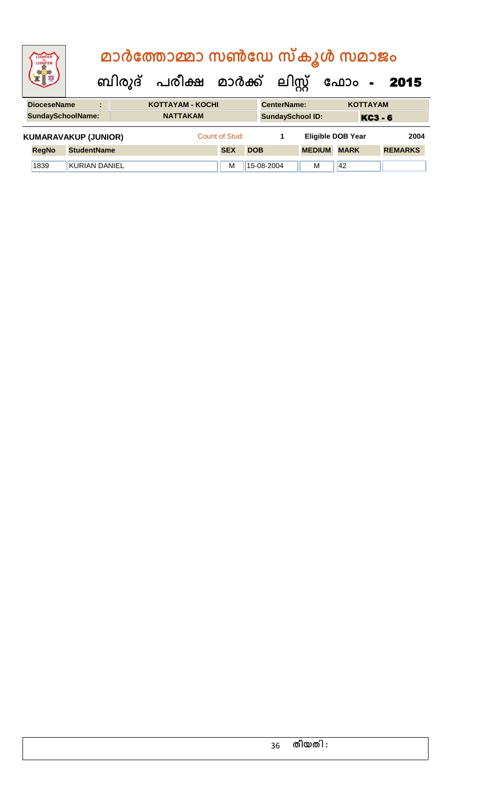| <b>IGHTED</b><br>LIGHTEN    |                      |                                       | മാർത്തോമ്മാ സൺഡേ സ്കൂൾ സമാജം   |                |            |            |                    |                          |             |                 |                |
|-----------------------------|----------------------|---------------------------------------|--------------------------------|----------------|------------|------------|--------------------|--------------------------|-------------|-----------------|----------------|
|                             |                      |                                       | ബിരുദ് പരീക്ഷ മാർക്ക് ലിസ്റ്റ് |                |            |            |                    |                          | ഫോം -       |                 | 2015           |
| <b>DioceseName</b>          |                      | $\bullet$<br>$\overline{\phantom{a}}$ | <b>KOTTAYAM - KOCHI</b>        |                |            |            | <b>CenterName:</b> |                          |             | <b>KOTTAYAM</b> |                |
| <b>SundaySchoolName:</b>    |                      |                                       | <b>NATTAKAM</b>                |                |            |            |                    | <b>SundaySchool ID:</b>  |             | <b>KC3 - 6</b>  |                |
| <b>KUMARAVAKUP (JUNIOR)</b> |                      |                                       |                                | Count of Stud: |            |            | 1                  | <b>Eligible DOB Year</b> |             |                 | 2004           |
| <b>RegNo</b>                | <b>StudentName</b>   |                                       |                                | <b>SEX</b>     | <b>DOB</b> |            |                    | <b>MEDIUM</b>            | <b>MARK</b> |                 | <b>REMARKS</b> |
| 1839                        | <b>KURIAN DANIEL</b> |                                       |                                | M              |            | 15-08-2004 |                    | м                        | 42          |                 |                |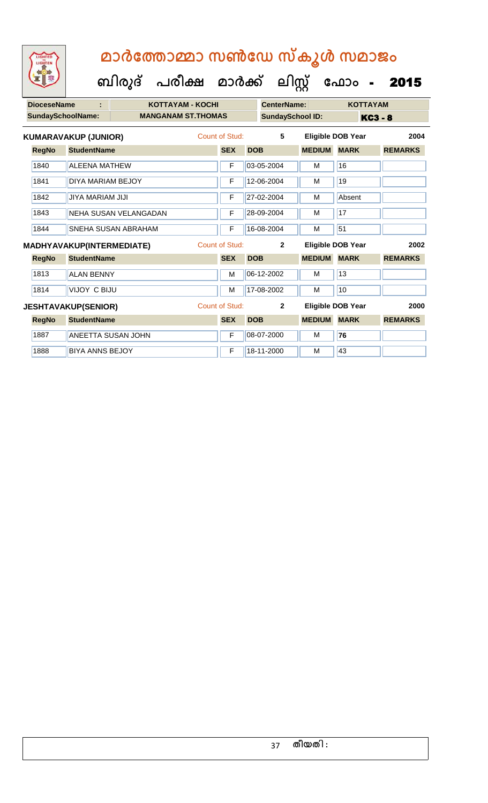**ബിരുദ് പരീക്ഷ മാര്ക് ക ലിസ്റ്റ ക ഫ ാോം** - 2015

| <b>DioceseName</b><br>÷     |                                  | <b>KOTTAYAM - KOCHI</b>    |   |                       |            | <b>CenterName:</b>      |               | <b>KOTTAYAM</b>          |                |
|-----------------------------|----------------------------------|----------------------------|---|-----------------------|------------|-------------------------|---------------|--------------------------|----------------|
|                             | <b>SundaySchoolName:</b>         | <b>MANGANAM ST.THOMAS</b>  |   |                       |            | <b>SundaySchool ID:</b> |               |                          | <b>KC3 - 8</b> |
| <b>KUMARAVAKUP (JUNIOR)</b> |                                  |                            |   | Count of Stud:        |            | 5                       |               | Eligible DOB Year        | 2004           |
| <b>RegNo</b>                | <b>StudentName</b>               |                            |   | <b>SEX</b>            | <b>DOB</b> |                         | <b>MEDIUM</b> | <b>MARK</b>              | <b>REMARKS</b> |
| 1840                        | <b>ALEENA MATHEW</b>             |                            |   | F                     |            | 03-05-2004              | М             | 16                       |                |
| 1841                        | DIYA MARIAM BEJOY                |                            |   | F                     |            | 12-06-2004              | М             | 19                       |                |
| 1842                        | JIYA MARIAM JIJI                 |                            |   | F                     |            | 27-02-2004              | м             | Absent                   |                |
| 1843                        | NEHA SUSAN VELANGADAN            |                            | F |                       | 28-09-2004 | М                       | 17            |                          |                |
| 1844                        |                                  | <b>SNEHA SUSAN ABRAHAM</b> |   | F                     |            | 16-08-2004              | м             | 51                       |                |
|                             | <b>MADHYAVAKUP(INTERMEDIATE)</b> |                            |   | <b>Count of Stud:</b> |            | $\mathbf{2}$            |               | <b>Eligible DOB Year</b> | 2002           |
| <b>RegNo</b>                | <b>StudentName</b>               |                            |   | <b>SEX</b>            | <b>DOB</b> |                         | <b>MEDIUM</b> | <b>MARK</b>              | <b>REMARKS</b> |
| 1813                        | <b>ALAN BENNY</b>                |                            |   | M                     |            | 06-12-2002              | M             | 13                       |                |
| 1814                        | VIJOY C BIJU                     |                            |   | M                     |            | 17-08-2002              | М             | 10                       |                |
| <b>JESHTAVAKUP(SENIOR)</b>  |                                  |                            |   | Count of Stud:        |            | $\mathbf{2}$            |               | Eligible DOB Year        | 2000           |
| <b>RegNo</b>                | <b>StudentName</b>               |                            |   | <b>SEX</b>            | <b>DOB</b> |                         | <b>MEDIUM</b> | <b>MARK</b>              | <b>REMARKS</b> |
| 1887                        |                                  | <b>ANEETTA SUSAN JOHN</b>  |   | F                     |            | 08-07-2000              | М             | 76                       |                |

1888 BIYA ANNS BEJOY F 18-11-2000 M 43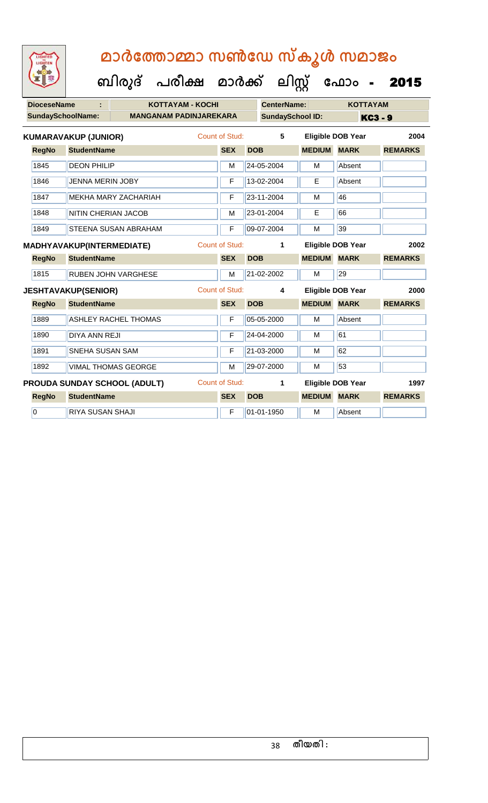| LIGHTED<br>LIGHTEN | മാർത്തോമ്മാ സൺഡേ സ്കൂൾ സമാജം                              |                       |                         |                    |                          |                |  |
|--------------------|-----------------------------------------------------------|-----------------------|-------------------------|--------------------|--------------------------|----------------|--|
|                    | ബിരുദ് പരീക്ഷ മാർക്ക് ലിസ്റ്റ് ഫോം                        |                       |                         |                    |                          | 2015           |  |
| <b>DioceseName</b> | <b>KOTTAYAM - KOCHI</b>                                   |                       | <b>CenterName:</b>      |                    | <b>KOTTAYAM</b>          |                |  |
|                    | <b>SundaySchoolName:</b><br><b>MANGANAM PADINJAREKARA</b> |                       | <b>SundaySchool ID:</b> | <b>KC3-9</b>       |                          |                |  |
|                    | <b>KUMARAVAKUP (JUNIOR)</b>                               | Count of Stud:        | 5                       |                    | <b>Eligible DOB Year</b> | 2004           |  |
| <b>RegNo</b>       | <b>StudentName</b>                                        | <b>SEX</b>            | <b>DOB</b>              | <b>MEDIUM MARK</b> |                          | <b>REMARKS</b> |  |
| 1845               | <b>DEON PHILIP</b>                                        | М                     | 24-05-2004              | М                  | Absent                   |                |  |
| 1846               | <b>JENNA MERIN JOBY</b>                                   | F                     | 13-02-2004              | E                  | Absent                   |                |  |
| 1847               | <b>MEKHA MARY ZACHARIAH</b>                               | F                     | 23-11-2004              | м                  | 46                       |                |  |
| 1848               | <b>NITIN CHERIAN JACOB</b>                                | м                     | 23-01-2004              | E                  | 66                       |                |  |
| 1849               | STEENA SUSAN ABRAHAM                                      | F                     | 09-07-2004              | м                  | 39                       |                |  |
|                    | <b>MADHYAVAKUP(INTERMEDIATE)</b>                          | Count of Stud:        | 1                       |                    | <b>Eligible DOB Year</b> | 2002           |  |
| <b>RegNo</b>       | <b>StudentName</b>                                        | <b>SEX</b>            | <b>DOB</b>              | <b>MEDIUM</b>      | <b>MARK</b>              | <b>REMARKS</b> |  |
| 1815               | <b>RUBEN JOHN VARGHESE</b>                                | м                     | 21-02-2002              | M                  | 29                       |                |  |
|                    | <b>JESHTAVAKUP(SENIOR)</b>                                | <b>Count of Stud:</b> | 4                       |                    | <b>Eligible DOB Year</b> | 2000           |  |
| <b>RegNo</b>       | <b>StudentName</b>                                        | <b>SEX</b>            | <b>DOB</b>              | <b>MEDIUM</b>      | <b>MARK</b>              | <b>REMARKS</b> |  |
| 1889               | <b>ASHLEY RACHEL THOMAS</b>                               | F                     | 05-05-2000              | м                  | Absent                   |                |  |
| 1890               | DIYA ANN REJI                                             | F                     | 24-04-2000              | м                  | 61                       |                |  |
| 1891               | SNEHA SUSAN SAM                                           | F                     | 21-03-2000              | м                  | 62                       |                |  |
| 1892               | <b>VIMAL THOMAS GEORGE</b>                                | М                     | 29-07-2000              | M                  | 53                       |                |  |
|                    | PROUDA SUNDAY SCHOOL (ADULT)                              | <b>Count of Stud:</b> | 1                       |                    | <b>Eligible DOB Year</b> | 1997           |  |
| <b>RegNo</b>       | <b>StudentName</b>                                        | <b>SEX</b>            | <b>DOB</b>              | <b>MEDIUM</b>      | <b>MARK</b>              | <b>REMARKS</b> |  |
|                    |                                                           |                       |                         |                    |                          |                |  |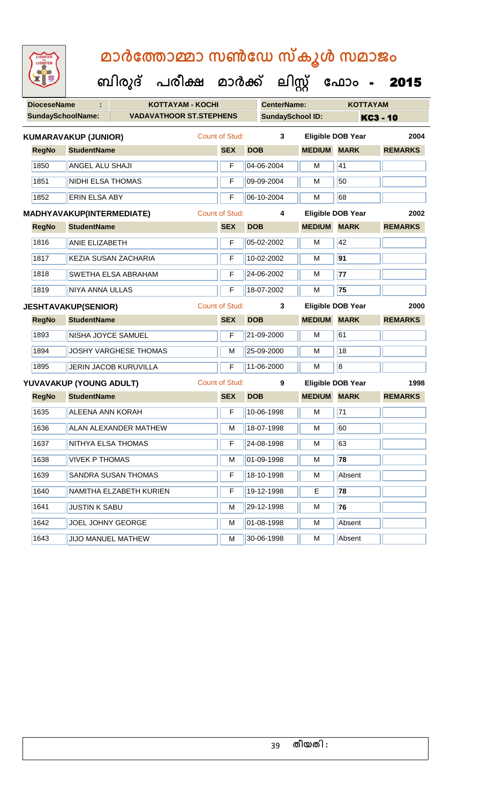| <b>IGHTED</b> |  |
|---------------|--|
|               |  |
|               |  |
|               |  |

| <b>DioceseName</b>         |                             | <b>KOTTAYAM - KOCHI</b>        |  |                       |            | <b>CenterName:</b>      |                         | <b>KOTTAYAM</b>          |                |
|----------------------------|-----------------------------|--------------------------------|--|-----------------------|------------|-------------------------|-------------------------|--------------------------|----------------|
|                            | <b>SundaySchoolName:</b>    | <b>VADAVATHOOR ST.STEPHENS</b> |  |                       |            | <b>SundaySchool ID:</b> |                         |                          | KC3 - 10       |
|                            | <b>KUMARAVAKUP (JUNIOR)</b> |                                |  | <b>Count of Stud:</b> |            | 3                       |                         | <b>Eligible DOB Year</b> | 2004           |
| <b>RegNo</b>               | <b>StudentName</b>          |                                |  | <b>SEX</b>            | <b>DOB</b> |                         | <b>MEDIUM</b>           | <b>MARK</b>              | <b>REMARKS</b> |
| 1850                       | <b>ANGEL ALU SHAJI</b>      |                                |  | F                     |            | 04-06-2004              | М                       | 41                       |                |
| 1851                       | <b>NIDHI ELSA THOMAS</b>    |                                |  | F                     |            | 09-09-2004              | M                       | 50                       |                |
| 1852                       | <b>ERIN ELSA ABY</b>        |                                |  | F                     |            | 06-10-2004              | M                       | 68                       |                |
|                            | MADHYAVAKUP(INTERMEDIATE)   |                                |  | <b>Count of Stud:</b> |            | 4                       |                         | <b>Eligible DOB Year</b> | 2002           |
| <b>RegNo</b>               | <b>StudentName</b>          |                                |  | <b>SEX</b>            | <b>DOB</b> |                         | <b>MEDIUM</b>           | <b>MARK</b>              | <b>REMARKS</b> |
| 1816                       | <b>ANIE ELIZABETH</b>       |                                |  | F                     |            | 05-02-2002              | M                       | 42                       |                |
| 1817                       |                             | KEZIA SUSAN ZACHARIA           |  | F                     |            | 10-02-2002              | м                       | 91                       |                |
| 1818                       |                             | SWETHA ELSA ABRAHAM            |  | F                     |            | 24-06-2002              | M                       | 77                       |                |
| 1819                       | NIYA ANNA ULLAS             |                                |  | F                     |            | 18-07-2002              | M                       | 75                       |                |
| <b>JESHTAVAKUP(SENIOR)</b> |                             |                                |  | <b>Count of Stud:</b> |            | 3                       |                         | <b>Eligible DOB Year</b> | 2000           |
| <b>RegNo</b>               | <b>StudentName</b>          |                                |  | <b>SEX</b>            | <b>DOB</b> |                         | <b>MEDIUM</b>           | <b>MARK</b>              | <b>REMARKS</b> |
| 1893                       | NISHA JOYCE SAMUEL          |                                |  | F                     |            | 21-09-2000              | M                       | 61                       |                |
| 1894                       |                             | <b>JOSHY VARGHESE THOMAS</b>   |  | M                     |            | 25-09-2000              | M                       | 18                       |                |
| 1895                       |                             | <b>JERIN JACOB KURUVILLA</b>   |  | F                     |            | 11-06-2000              | M                       | $\overline{\mathbf{8}}$  |                |
|                            | YUVAVAKUP (YOUNG ADULT)     |                                |  | <b>Count of Stud:</b> |            | 9                       |                         | <b>Eligible DOB Year</b> | 1998           |
| <b>RegNo</b>               | <b>StudentName</b>          |                                |  | <b>SEX</b>            | <b>DOB</b> |                         | <b>MEDIUM</b>           | <b>MARK</b>              | <b>REMARKS</b> |
| 1635                       | <b>ALEENA ANN KORAH</b>     |                                |  | F                     |            | 10-06-1998              | M                       | $\overline{71}$          |                |
| 1636                       |                             | <b>ALAN ALEXANDER MATHEW</b>   |  | M                     |            | 18-07-1998              | М                       | 60                       |                |
| 1637                       | NITHYA ELSA THOMAS          |                                |  | F                     |            | 24-08-1998              | M                       | 63                       |                |
| 1638                       | <b>VIVEK P THOMAS</b>       |                                |  | M                     |            | $ 01-09-1998 $          | $\overline{\mathsf{M}}$ | 78                       |                |
| 1639                       | SANDRA SUSAN THOMAS         |                                |  | F                     |            | 18-10-1998              | М                       | Absent                   |                |
| 1640                       | NAMITHA ELZABETH KURIEN     |                                |  | F                     |            | 19-12-1998              | Е                       | 78                       |                |
| 1641                       | <b>JUSTIN K SABU</b>        |                                |  | M                     |            | 29-12-1998              | M                       | 76                       |                |
| 1642                       |                             | JOEL JOHNY GEORGE              |  |                       |            | 01-08-1998              | М                       | Absent                   |                |
| 1643                       | JIJO MANUEL MATHEW          |                                |  | M                     |            | 30-06-1998              | М                       | Absent                   |                |
|                            |                             |                                |  |                       |            |                         |                         |                          |                |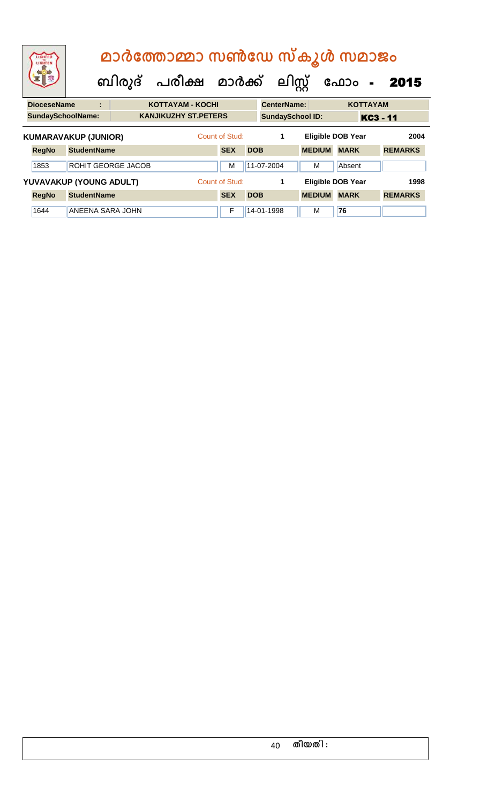| LIGHTED<br>LIGHTEN                                 |                             |                           | മാർത്തോമ്മാ സൺഡേ സ്കൂൾ സമാജം<br>ബിരുദ് പരീക്ഷ മാർക്ക് ലിസ്റ്റ് |                |                         |            |                    |                          | ഫോം                      | $\blacksquare$ | 2015           |  |
|----------------------------------------------------|-----------------------------|---------------------------|----------------------------------------------------------------|----------------|-------------------------|------------|--------------------|--------------------------|--------------------------|----------------|----------------|--|
| <b>DioceseName</b><br><b>KOTTAYAM - KOCHI</b><br>t |                             |                           |                                                                |                |                         |            | <b>CenterName:</b> |                          | <b>KOTTAYAM</b>          |                |                |  |
| <b>SundaySchoolName:</b>                           | <b>KANJIKUZHY ST.PETERS</b> |                           |                                                                |                | <b>SundaySchool ID:</b> |            |                    |                          | <b>KC3 - 11</b>          |                |                |  |
| <b>KUMARAVAKUP (JUNIOR)</b>                        |                             |                           |                                                                |                | Count of Stud:          |            | 1                  |                          | <b>Eligible DOB Year</b> |                | 2004           |  |
| <b>RegNo</b>                                       | <b>StudentName</b>          |                           |                                                                |                | <b>SEX</b>              | <b>DOB</b> |                    | <b>MEDIUM</b>            | <b>MARK</b>              |                | <b>REMARKS</b> |  |
| 1853                                               |                             | <b>ROHIT GEORGE JACOB</b> |                                                                |                | M                       |            | 11-07-2004         | м                        | Absent                   |                |                |  |
| YUVAVAKUP (YOUNG ADULT)                            |                             |                           |                                                                | Count of Stud: |                         | 1          |                    | <b>Eligible DOB Year</b> |                          | 1998           |                |  |
| <b>RegNo</b>                                       | <b>StudentName</b>          |                           |                                                                |                | <b>SEX</b>              | <b>DOB</b> |                    | <b>MEDIUM</b>            | <b>MARK</b>              |                | <b>REMARKS</b> |  |
| 1644                                               |                             | ANEENA SARA JOHN          |                                                                |                | F                       |            | 14-01-1998         | M                        | 76                       |                |                |  |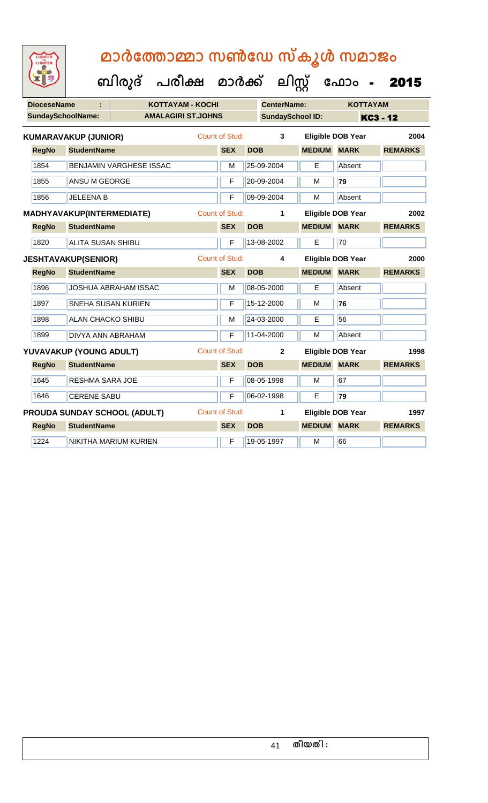**DioceseName : KOTTAYAM - KOCHI CenterName: KOTTAYAM SundaySchoolName: AMALAGIRI ST.JOHNS SundaySchool ID: KC3 - 12 ബിരുദ് പരീക്ഷ മാര്ക് ക ലിസ്റ്റ ക ഫ ാോം** - 2015 **RegNo StudentName SEX DOB MEDIUM MARK REMARKS KUMARAVAKUP (JUNIOR)** Count of Stud: **3 Eligible DOB Year 2004** 1854 BENJAMIN VARGHESE ISSAC M 25-09-2004 E Absent 1855 ANSU M GEORGE F 20-09-2004 M **79** 1856 JELEENA B **F** 09-09-2004 M Absent **RegNo StudentName SEX DOB MEDIUM MARK REMARKS MADHYAVAKUP(INTERMEDIATE)** Count of Stud: **1 Eligible DOB Year 2002** 1820 ALITA SUSAN SHIBU F 13-08-2002 E 70 **RegNo StudentName SEX DOB MEDIUM MARK REMARKS JESHTAVAKUP(SENIOR)** Count of Stud: **4 Eligible DOB Year 2000** 1896 JOSHUA ABRAHAM ISSAC M 108-05-2000 E Absent 1897 SNEHA SUSAN KURIEN F 15-12-2000 M **76** 1898 ALAN CHACKO SHIBU M 24-03-2000 E 56 1899 DIVYA ANN ABRAHAM F 11-04-2000 M Absent **RegNo StudentName SEX DOB MEDIUM MARK REMARKS YUVAVAKUP (YOUNG ADULT)** Count of Stud: **2 Eligible DOB Year 1998** 1645 RESHMA SARA JOE F 08-05-1998 M 67 1646 CERENE SABU F 06-02-1998 E **79 RegNo StudentName SEX DOB MEDIUM MARK REMARKS PROUDA SUNDAY SCHOOL (ADULT)** Count of Stud: **1 Eligible DOB Year 1997** 1224 NIKITHA MARIUM KURIEN F 19-05-1997 M 66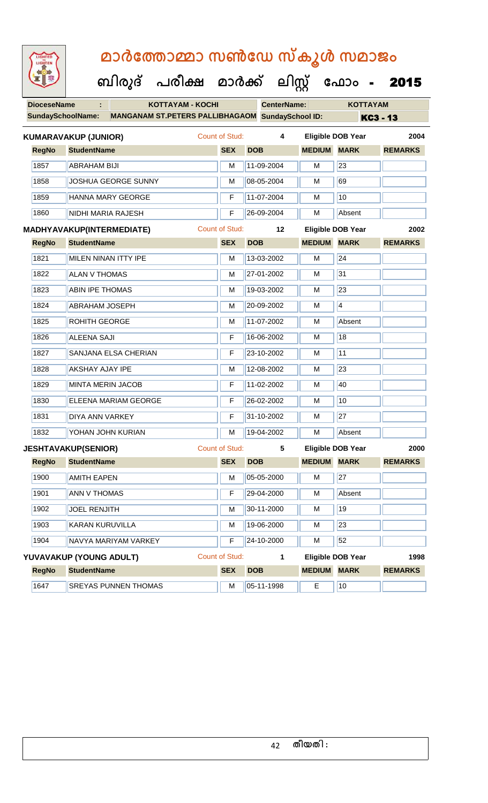| LIGHTED<br>LIGHTEN       | മാർത്തോമ്മാ സൺഡേ സ്കൂൾ സമാജം                            |                       |                    |               |                          |                |  |  |  |  |
|--------------------------|---------------------------------------------------------|-----------------------|--------------------|---------------|--------------------------|----------------|--|--|--|--|
|                          | ബിരുദ് പരീക്ഷ മാർക്ക് ലിസ്റ്റ് ഫോം -                    |                       |                    |               |                          | 2015           |  |  |  |  |
| <b>DioceseName</b>       | <b>KOTTAYAM - KOCHI</b><br>÷.                           |                       | <b>CenterName:</b> |               | <b>KOTTAYAM</b>          |                |  |  |  |  |
| <b>SundaySchoolName:</b> | <b>MANGANAM ST.PETERS PALLIBHAGAOM SundaySchool ID:</b> |                       |                    |               |                          | KC3 - 13       |  |  |  |  |
|                          | <b>KUMARAVAKUP (JUNIOR)</b>                             | Count of Stud:        | 4                  |               | <b>Eligible DOB Year</b> | 2004           |  |  |  |  |
| <b>RegNo</b>             | <b>StudentName</b>                                      | <b>SEX</b>            | <b>DOB</b>         | <b>MEDIUM</b> | <b>MARK</b>              | <b>REMARKS</b> |  |  |  |  |
| 1857                     | <b>ABRAHAM BIJI</b>                                     | м                     | 11-09-2004         | м             | 23                       |                |  |  |  |  |
| 1858                     | JOSHUA GEORGE SUNNY                                     | м                     | 08-05-2004         | м             | 69                       |                |  |  |  |  |
| 1859                     | HANNA MARY GEORGE                                       | F                     | 11-07-2004         | м             | 10                       |                |  |  |  |  |
| 1860                     | NIDHI MARIA RAJESH                                      | F                     | 26-09-2004         | м             | Absent                   |                |  |  |  |  |
|                          | <b>MADHYAVAKUP(INTERMEDIATE)</b>                        | Count of Stud:        | $12 \,$            |               | <b>Eligible DOB Year</b> | 2002           |  |  |  |  |
| <b>RegNo</b>             | <b>StudentName</b>                                      | <b>SEX</b>            | <b>DOB</b>         | <b>MEDIUM</b> | <b>MARK</b>              | <b>REMARKS</b> |  |  |  |  |
| 1821                     | MILEN NINAN ITTY IPE                                    | м                     | 13-03-2002         | м             | 24                       |                |  |  |  |  |
| 1822                     | <b>ALAN V THOMAS</b>                                    | м                     | 27-01-2002         | м             | 31                       |                |  |  |  |  |
| 1823                     | <b>ABIN IPE THOMAS</b>                                  | м                     | 19-03-2002         | м             | 23                       |                |  |  |  |  |
| 1824                     | ABRAHAM JOSEPH                                          | м                     | 20-09-2002         | м             | $\overline{4}$           |                |  |  |  |  |
| 1825                     | <b>ROHITH GEORGE</b>                                    | м                     | 11-07-2002         | м             | Absent                   |                |  |  |  |  |
| 1826                     | <b>ALEENA SAJI</b>                                      | F                     | 16-06-2002         | м             | 18                       |                |  |  |  |  |
| 1827                     | SANJANA ELSA CHERIAN                                    | F                     | 23-10-2002         | м             | 11                       |                |  |  |  |  |
| 1828                     | <b>AKSHAY AJAY IPE</b>                                  | м                     | 12-08-2002         | м             | 23                       |                |  |  |  |  |
| 1829                     | MINTA MERIN JACOB                                       | F                     | 11-02-2002         | м             | 40                       |                |  |  |  |  |
| 1830                     | ELEENA MARIAM GEORGE                                    | F                     | 26-02-2002         | M             | 10                       |                |  |  |  |  |
| 1831                     | <b>DIYA ANN VARKEY</b>                                  | F                     | 31-10-2002         | M             | $\overline{27}$          |                |  |  |  |  |
| 1832                     | YOHAN JOHN KURIAN                                       | M                     | 19-04-2002         | M             | Absent                   |                |  |  |  |  |
|                          | <b>JESHTAVAKUP(SENIOR)</b>                              | <b>Count of Stud:</b> | 5                  |               | <b>Eligible DOB Year</b> | 2000           |  |  |  |  |
| <b>RegNo</b>             | <b>StudentName</b>                                      | <b>SEX</b>            | <b>DOB</b>         | <b>MEDIUM</b> | <b>MARK</b>              | <b>REMARKS</b> |  |  |  |  |
| 1900                     | <b>AMITH EAPEN</b>                                      | M                     | 05-05-2000         | M             | 27                       |                |  |  |  |  |
| 1901                     | <b>ANN V THOMAS</b>                                     | F                     | 29-04-2000         | M             | Absent                   |                |  |  |  |  |
| 1902                     | <b>JOEL RENJITH</b>                                     | M                     | 30-11-2000         | M             | 19                       |                |  |  |  |  |
| 1903                     | KARAN KURUVILLA                                         | M                     | 19-06-2000         | M             | 23                       |                |  |  |  |  |
| 1904                     | NAVYA MARIYAM VARKEY                                    | F                     | 24-10-2000         | м             | 52                       |                |  |  |  |  |
|                          | YUVAVAKUP (YOUNG ADULT)                                 | Count of Stud:        | 1                  |               | <b>Eligible DOB Year</b> | 1998           |  |  |  |  |
| <b>RegNo</b>             | <b>StudentName</b>                                      | <b>SEX</b>            | <b>DOB</b>         | <b>MEDIUM</b> | <b>MARK</b>              | <b>REMARKS</b> |  |  |  |  |
| 1647                     | <b>SREYAS PUNNEN THOMAS</b>                             | M                     | 05-11-1998         | E             | 10                       |                |  |  |  |  |
|                          |                                                         |                       |                    |               |                          |                |  |  |  |  |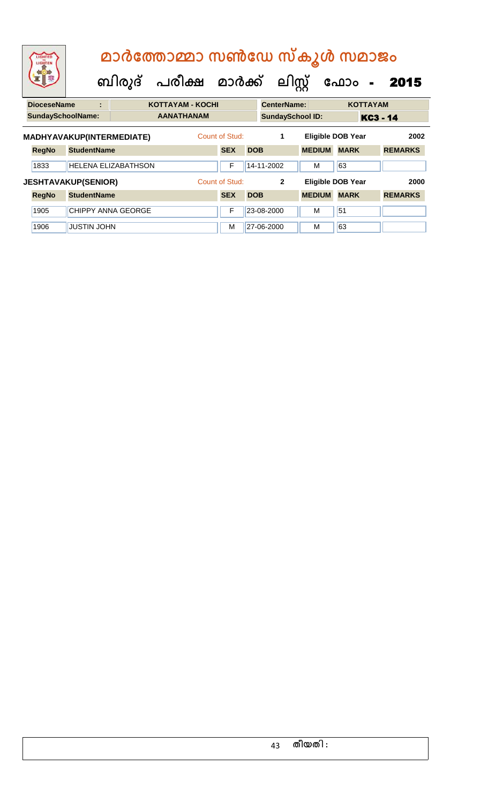| LIGHTED<br>LIGHTEN                                              |                    |  | മാർത്തോമ്മാ സൺഡേ സ്കൂൾ സമാജം<br>ബിരുദ് പരീക്ഷ മാർക്ക് ലിസ്റ്റ് |                |                   |                              |                          |                         |                                           | ഫോം             | $\frac{1}{2}$ | 2015                   |
|-----------------------------------------------------------------|--------------------|--|----------------------------------------------------------------|----------------|-------------------|------------------------------|--------------------------|-------------------------|-------------------------------------------|-----------------|---------------|------------------------|
| <b>DioceseName</b><br><b>KOTTAYAM - KOCHI</b><br>٠              |                    |  |                                                                |                |                   |                              | <b>CenterName:</b>       |                         |                                           | <b>KOTTAYAM</b> |               |                        |
| <b>SundaySchoolName:</b>                                        |                    |  |                                                                |                | <b>AANATHANAM</b> |                              |                          | <b>SundaySchool ID:</b> |                                           |                 | KC3 - 14      |                        |
| MADHYAVAKUP(INTERMEDIATE)<br><b>StudentName</b><br><b>RegNo</b> |                    |  |                                                                |                |                   | Count of Stud:<br><b>SEX</b> | <b>DOB</b>               | 1                       | <b>Eligible DOB Year</b><br><b>MEDIUM</b> | <b>MARK</b>     |               | 2002<br><b>REMARKS</b> |
| 1833                                                            |                    |  | <b>HELENA ELIZABATHSON</b>                                     |                |                   | F                            |                          | 14-11-2002              | M                                         | 63              |               |                        |
| <b>JESHTAVAKUP(SENIOR)</b>                                      |                    |  |                                                                | Count of Stud: |                   | $\overline{2}$               | <b>Eligible DOB Year</b> |                         |                                           | 2000            |               |                        |
| <b>RegNo</b>                                                    | <b>StudentName</b> |  |                                                                |                |                   | <b>SEX</b>                   | <b>DOB</b>               |                         | <b>MEDIUM</b>                             | <b>MARK</b>     |               | <b>REMARKS</b>         |
| 1905                                                            |                    |  | <b>CHIPPY ANNA GEORGE</b>                                      |                |                   | F                            |                          | 23-08-2000              | M                                         | 51              |               |                        |
| 1906                                                            | <b>JUSTIN JOHN</b> |  |                                                                |                |                   | М                            |                          | 27-06-2000              | M                                         | 63              |               |                        |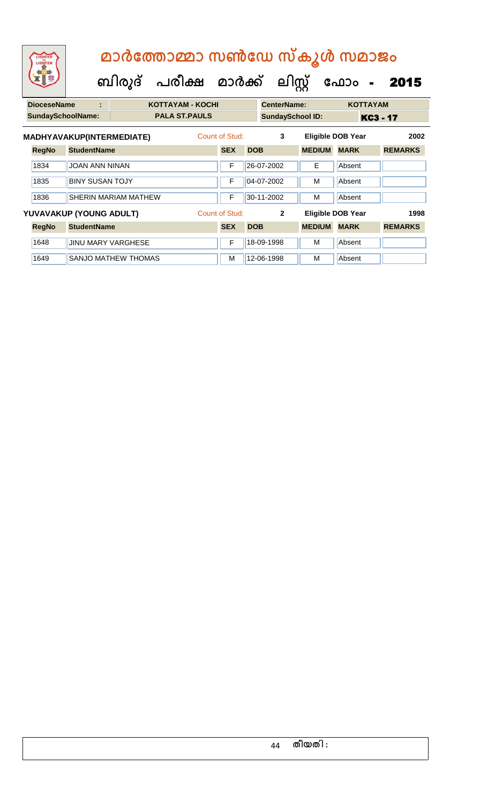|                    | മാർത്തോമ്മാ സൺഡേ സ്കൂൾ സമാജം |   |  |                                           |  |  |                    |            |                 |  |  |
|--------------------|------------------------------|---|--|-------------------------------------------|--|--|--------------------|------------|-----------------|--|--|
|                    |                              |   |  | ബിരുദ് പരീക്ഷ മാർക്ക് ലിസ്റ്റ് ഫോം - 2015 |  |  |                    |            |                 |  |  |
| <b>DioceseName</b> |                              | ÷ |  | <b>KOTTAYAM - KOCHI</b>                   |  |  | <b>CenterName:</b> |            | <b>KOTTAYAM</b> |  |  |
|                    | SundaySchoolName             |   |  | <b>PAI A ST PAIII S</b>                   |  |  | SundaySchool ID.   | <b>KAS</b> |                 |  |  |

|              | <b>SundaySchoolName:</b>         |                             | <b>PALA ST.PAULS</b> |                | <b>SundaySchool ID:</b> |               | KC3 - 17                 |                |
|--------------|----------------------------------|-----------------------------|----------------------|----------------|-------------------------|---------------|--------------------------|----------------|
|              | <b>MADHYAVAKUP(INTERMEDIATE)</b> |                             |                      | Count of Stud: | 3                       |               | <b>Eligible DOB Year</b> | 2002           |
| <b>RegNo</b> | <b>StudentName</b>               |                             |                      | <b>SEX</b>     | <b>DOB</b>              | <b>MEDIUM</b> | <b>MARK</b>              | <b>REMARKS</b> |
| 1834         | JOAN ANN NINAN                   |                             |                      | F              | 26-07-2002              | Е             | Absent                   |                |
| 1835         | <b>BINY SUSAN TOJY</b>           |                             |                      | F              | 04-07-2002              | М             | Absent                   |                |
| 1836         |                                  | <b>SHERIN MARIAM MATHEW</b> |                      | F              | 30-11-2002              | М             | Absent                   |                |
|              | YUVAVAKUP (YOUNG ADULT)          |                             |                      | Count of Stud: | $\mathbf{2}$            |               | <b>Eligible DOB Year</b> | 1998           |
| <b>RegNo</b> | <b>StudentName</b>               |                             |                      | <b>SEX</b>     | <b>DOB</b>              | <b>MEDIUM</b> | <b>MARK</b>              | <b>REMARKS</b> |
| 1648         | <b>JINU MARY VARGHESE</b>        |                             |                      | F              | 18-09-1998              | м             | Absent                   |                |
| 1649         |                                  | <b>SANJO MATHEW THOMAS</b>  |                      | M              | 12-06-1998              | м             | Absent                   |                |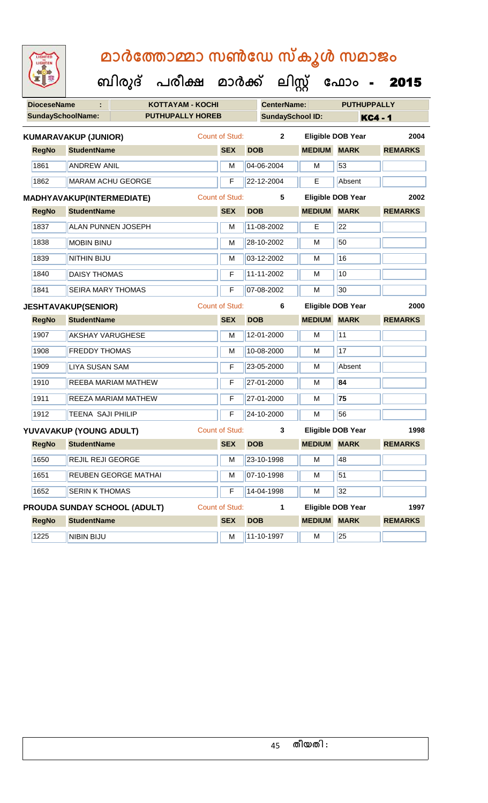| <b>DioceseName</b>            |                             | <b>KOTTAYAM - KOCHI</b>      |                       |            | <b>CenterName:</b>      |                          | <b>PUTHUPPALLY</b>       |                |  |
|-------------------------------|-----------------------------|------------------------------|-----------------------|------------|-------------------------|--------------------------|--------------------------|----------------|--|
|                               | <b>SundaySchoolName:</b>    | <b>PUTHUPALLY HOREB</b>      |                       |            | <b>SundaySchool ID:</b> |                          |                          | <b>KC4 - 1</b> |  |
|                               | <b>KUMARAVAKUP (JUNIOR)</b> |                              | <b>Count of Stud:</b> |            | $\mathbf{2}$            |                          | <b>Eligible DOB Year</b> | 2004           |  |
| <b>RegNo</b>                  | <b>StudentName</b>          |                              | <b>SEX</b>            | <b>DOB</b> |                         | <b>MEDIUM</b>            | <b>MARK</b>              | <b>REMARKS</b> |  |
| 1861                          | <b>ANDREW ANIL</b>          |                              | M                     |            | 04-06-2004              | M                        | 53                       |                |  |
| 1862                          |                             | <b>MARAM ACHU GEORGE</b>     | F                     |            | 22-12-2004              | E                        | Absent                   |                |  |
|                               | MADHYAVAKUP(INTERMEDIATE)   |                              | <b>Count of Stud:</b> |            | $5\phantom{.0}$         |                          | <b>Eligible DOB Year</b> | 2002           |  |
| <b>RegNo</b>                  | <b>StudentName</b>          |                              | <b>SEX</b>            | <b>DOB</b> |                         | <b>MEDIUM</b>            | <b>MARK</b>              | <b>REMARKS</b> |  |
| 1837                          |                             | <b>ALAN PUNNEN JOSEPH</b>    | M                     |            | 11-08-2002              | Е                        | 22                       |                |  |
| 1838                          | <b>MOBIN BINU</b>           | M                            |                       | 28-10-2002 | м                       | 50                       |                          |                |  |
| 1839                          | <b>NITHIN BIJU</b>          |                              | M                     |            | 03-12-2002              | M                        | 16                       |                |  |
| 1840                          | <b>DAISY THOMAS</b>         |                              | F                     |            | 11-11-2002              | M                        | 10                       |                |  |
| 1841                          | <b>SEIRA MARY THOMAS</b>    |                              | F                     |            | 07-08-2002              | M                        | 30                       |                |  |
|                               | <b>JESHTAVAKUP(SENIOR)</b>  | <b>Count of Stud:</b>        |                       | 6          |                         | <b>Eligible DOB Year</b> | 2000                     |                |  |
| <b>RegNo</b>                  | <b>StudentName</b>          |                              | <b>SEX</b>            | <b>DOB</b> |                         | <b>MEDIUM MARK</b>       |                          | <b>REMARKS</b> |  |
| 1907                          | <b>AKSHAY VARUGHESE</b>     |                              | M                     |            | 12-01-2000              | M                        | $\overline{11}$          |                |  |
| 1908                          | <b>FREDDY THOMAS</b>        |                              | M                     |            | 10-08-2000              | M                        | 17                       |                |  |
| 1909                          | <b>LIYA SUSAN SAM</b>       |                              | F                     |            | 23-05-2000              | м                        | Absent                   |                |  |
| 1910                          |                             | REEBA MARIAM MATHEW          | F                     |            | 27-01-2000              | M                        | 84                       |                |  |
| 1911                          |                             | REEZA MARIAM MATHEW          | F                     |            | 27-01-2000              | M                        | 75                       |                |  |
| 1912                          | <b>TEENA SAJI PHILIP</b>    |                              | F                     |            | 24-10-2000              | M                        | 56                       |                |  |
|                               | YUVAVAKUP (YOUNG ADULT)     |                              | <b>Count of Stud:</b> |            | 3                       |                          | <b>Eligible DOB Year</b> | 1998           |  |
| <b>RegNo</b>                  | <b>StudentName</b>          |                              | <b>SEX</b>            | <b>DOB</b> |                         | <b>MEDIUM MARK</b>       |                          | <b>REMARKS</b> |  |
| 1650                          | <b>REJIL REJI GEORGE</b>    |                              |                       |            | M 23-10-1998            | M                        | 48                       |                |  |
| 1651                          | REUBEN GEORGE MATHAI        | M                            |                       | 07-10-1998 | M                       | 51                       |                          |                |  |
| 1652<br><b>SERIN K THOMAS</b> |                             |                              | F                     |            | 14-04-1998              | M                        | 32                       |                |  |
|                               |                             | PROUDA SUNDAY SCHOOL (ADULT) | <b>Count of Stud:</b> |            | $\mathbf 1$             |                          | <b>Eligible DOB Year</b> | 1997           |  |
| <b>RegNo</b>                  | <b>StudentName</b>          |                              | <b>SEX</b>            | <b>DOB</b> |                         | <b>MEDIUM MARK</b>       |                          | <b>REMARKS</b> |  |
| 1225                          | NIBIN BIJU                  |                              | M                     |            | 11-10-1997              | М                        | 25                       |                |  |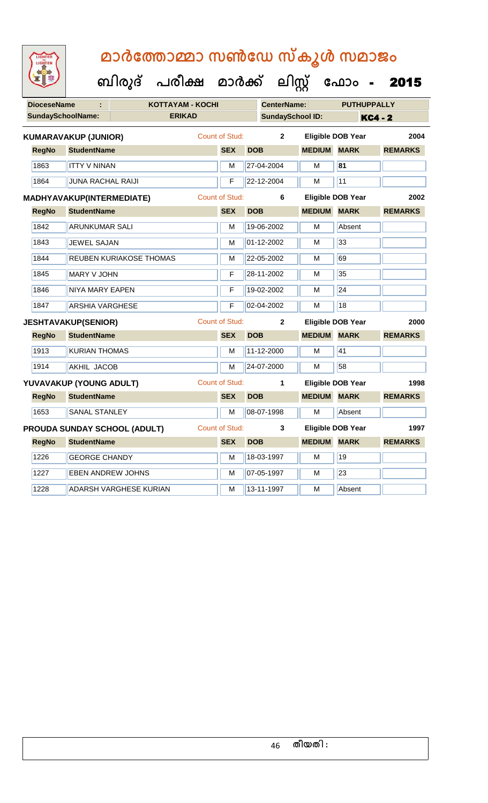| <b>IGHTED</b> |
|---------------|
|               |
|               |
|               |
|               |

| <b>DioceseName</b><br>÷   |                             | <b>KOTTAYAM - KOCHI</b>             |                       |            |                         | <b>CenterName:</b><br><b>PUTHUPPALLY</b> |                          |                |  |
|---------------------------|-----------------------------|-------------------------------------|-----------------------|------------|-------------------------|------------------------------------------|--------------------------|----------------|--|
| <b>SundaySchoolName:</b>  |                             | <b>ERIKAD</b>                       |                       |            | <b>SundaySchool ID:</b> |                                          |                          | <b>KC4 - 2</b> |  |
|                           | <b>KUMARAVAKUP (JUNIOR)</b> |                                     | <b>Count of Stud:</b> |            | $\overline{2}$          |                                          | <b>Eligible DOB Year</b> | 2004           |  |
| <b>RegNo</b>              | <b>StudentName</b>          |                                     | <b>SEX</b>            | <b>DOB</b> |                         | <b>MEDIUM</b>                            | <b>MARK</b>              | <b>REMARKS</b> |  |
| 1863                      | <b>ITTY V NINAN</b>         |                                     | M                     |            | 27-04-2004              | M                                        | 81                       |                |  |
| 1864                      | <b>JUNA RACHAL RAIJI</b>    |                                     | F                     |            | 22-12-2004              | М                                        | 11                       |                |  |
| MADHYAVAKUP(INTERMEDIATE) |                             |                                     | <b>Count of Stud:</b> |            | 6                       |                                          | <b>Eligible DOB Year</b> | 2002           |  |
| <b>RegNo</b>              | <b>StudentName</b>          |                                     | <b>SEX</b>            | <b>DOB</b> |                         | <b>MEDIUM MARK</b>                       |                          | <b>REMARKS</b> |  |
| 1842                      | <b>ARUNKUMAR SALI</b>       |                                     | M                     |            | 19-06-2002              | M                                        | Absent                   |                |  |
| 1843                      | <b>JEWEL SAJAN</b>          |                                     | M                     |            | 01-12-2002              | М                                        | 33                       |                |  |
| 1844                      | REUBEN KURIAKOSE THOMAS     | M                                   |                       | 22-05-2002 | м                       | 69                                       |                          |                |  |
| 1845                      | MARY V JOHN                 |                                     | F                     |            | 28-11-2002              | М                                        | 35                       |                |  |
| 1846                      | NIYA MARY EAPEN             |                                     | F                     |            | 19-02-2002              | М                                        | 24                       |                |  |
| 1847                      | <b>ARSHIA VARGHESE</b>      |                                     | F                     |            | 02-04-2002              | M                                        | 18                       |                |  |
|                           | <b>JESHTAVAKUP(SENIOR)</b>  |                                     | Count of Stud:        |            | $\overline{2}$          |                                          | <b>Eligible DOB Year</b> | 2000           |  |
| <b>RegNo</b>              | <b>StudentName</b>          |                                     | <b>SEX</b>            | <b>DOB</b> |                         | <b>MEDIUM</b>                            | <b>MARK</b>              | <b>REMARKS</b> |  |
| 1913                      | <b>KURIAN THOMAS</b>        |                                     | M                     |            | 11-12-2000              | $\overline{M}$                           | 41                       |                |  |
| 1914                      | <b>AKHIL JACOB</b>          |                                     | M                     |            | 24-07-2000              | M                                        | 58                       |                |  |
|                           | YUVAVAKUP (YOUNG ADULT)     |                                     | <b>Count of Stud:</b> |            | 1                       |                                          | <b>Eligible DOB Year</b> | 1998           |  |
| <b>RegNo</b>              | <b>StudentName</b>          |                                     | <b>SEX</b>            | <b>DOB</b> |                         | <b>MEDIUM MARK</b>                       |                          | <b>REMARKS</b> |  |
| 1653                      | <b>SANAL STANLEY</b>        |                                     | M                     |            | 08-07-1998              | м                                        | Absent                   |                |  |
|                           |                             | <b>PROUDA SUNDAY SCHOOL (ADULT)</b> | <b>Count of Stud:</b> |            | 3                       |                                          | <b>Eligible DOB Year</b> | 1997           |  |
| <b>RegNo</b>              | <b>StudentName</b>          |                                     | <b>SEX</b>            | <b>DOB</b> |                         | <b>MEDIUM</b>                            | <b>MARK</b>              | <b>REMARKS</b> |  |
| 1226                      | <b>GEORGE CHANDY</b>        |                                     | M                     |            | 18-03-1997              | M                                        | 19                       |                |  |
| 1227                      | <b>EBEN ANDREW JOHNS</b>    |                                     | M                     |            | 07-05-1997              | M                                        | 23                       |                |  |
| 1228                      |                             | ADARSH VARGHESE KURIAN              | м                     |            | 13-11-1997              | м                                        | Absent                   |                |  |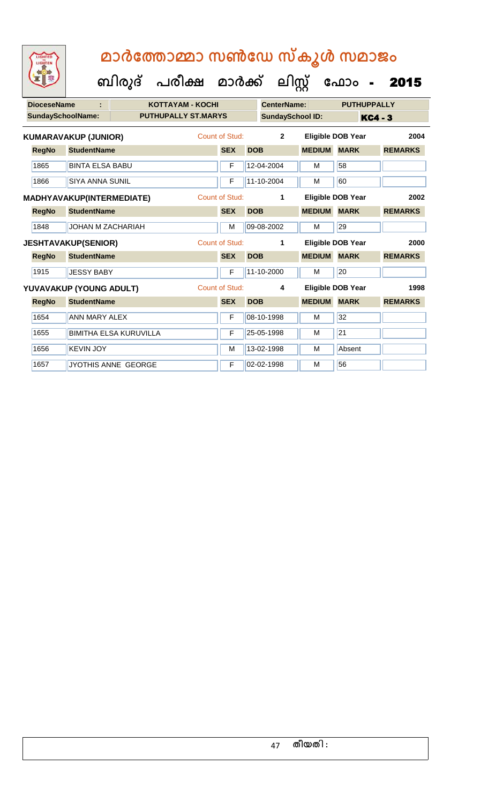**ക ഫ ാോം** - 2015

 **ബിരുദ് പരീക്ഷ മാര്ക്**

**ക ലിസ്റ്റ**

**DioceseName : KOTTAYAM - KOCHI CenterName: PUTHUPPALLY** SundaySchoolName: **PUTHUPALLY ST.MARYS** SundaySchool ID: KC4 - 3 **RegNo StudentName SEX DOB MEDIUM MARK REMARKS KUMARAVAKUP (JUNIOR)** Count of Stud: **2 Eligible DOB Year 2004** 1865 BINTA ELSA BABU F 12-04-2004 M 58 1866 SIYA ANNA SUNIL F 11-10-2004 M 60 **RegNo StudentName SEX DOB MEDIUM MARK REMARKS MADHYAVAKUP(INTERMEDIATE)** Count of Stud: **1 Eligible DOB Year 2002** 1848 JJOHAN M ZACHARIAH M M 09-08-2002 M 29 **RegNo StudentName SEX DOB MEDIUM MARK REMARKS JESHTAVAKUP(SENIOR)** Count of Stud: **1 Eligible DOB Year 2000** 1915 JUESSY BABY **F** 11-10-2000 M 20 **RegNo StudentName SEX DOB MEDIUM MARK REMARKS YUVAVAKUP (YOUNG ADULT)** Count of Stud: **4 Eligible DOB Year 1998** 1654 ANN MARY ALEX F 08-10-1998 M 32 1655 BIMITHA ELSA KURUVILLA F 25-05-1998 M 21 1656 KEVIN JOY M 13-02-1998 M Absent 1657 JYOTHIS ANNE GEORGE F 02-02-1998 M 56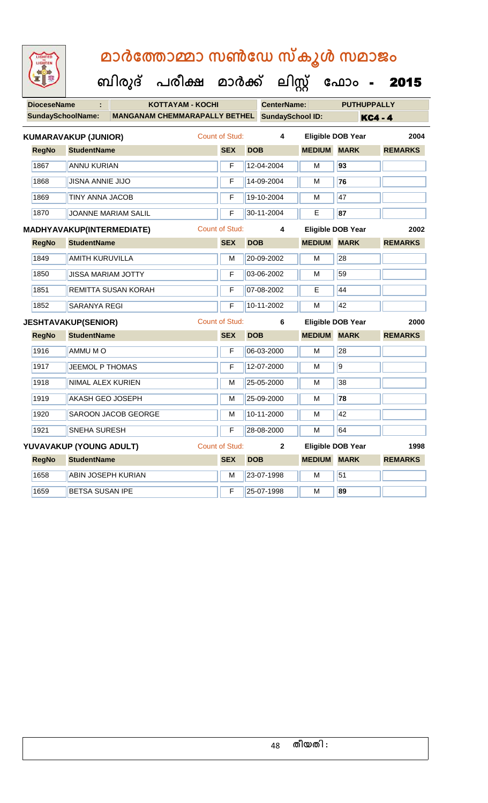| LIGHTED<br>LIGHTEN       | മാർത്തോമ്മാ സൺഡേ സ്കൂൾ സമാജം         |                       |            |                         |               |                          |                |
|--------------------------|--------------------------------------|-----------------------|------------|-------------------------|---------------|--------------------------|----------------|
|                          | ബിരുദ് പരീക്ഷ മാർക്ക് ലിസ്റ്റ്       |                       |            |                         |               | ഫോം -                    | 2015           |
| <b>DioceseName</b>       | <b>KOTTAYAM - KOCHI</b>              |                       |            | <b>CenterName:</b>      |               | <b>PUTHUPPALLY</b>       |                |
| <b>SundaySchoolName:</b> | <b>MANGANAM CHEMMARAPALLY BETHEL</b> |                       |            | <b>SundaySchool ID:</b> |               | <b>KC4 - 4</b>           |                |
|                          | <b>KUMARAVAKUP (JUNIOR)</b>          | Count of Stud:        |            | 4                       |               | <b>Eligible DOB Year</b> | 2004           |
| <b>RegNo</b>             | <b>StudentName</b>                   | <b>SEX</b>            | <b>DOB</b> |                         | <b>MEDIUM</b> | <b>MARK</b>              | <b>REMARKS</b> |
| 1867                     | <b>ANNU KURIAN</b>                   | F                     |            | 12-04-2004              | М             | 93                       |                |
| 1868                     | <b>JISNA ANNIE JIJO</b>              | F                     |            | 14-09-2004              | M             | 76                       |                |
| 1869                     | <b>TINY ANNA JACOB</b>               | F                     |            | 19-10-2004              | М             | 47                       |                |
| 1870                     | <b>JOANNE MARIAM SALIL</b>           | F                     |            | 30-11-2004              | E             | 87                       |                |
|                          | <b>MADHYAVAKUP(INTERMEDIATE)</b>     | <b>Count of Stud:</b> |            | 4                       |               | Eligible DOB Year        | 2002           |
| <b>RegNo</b>             | <b>StudentName</b>                   | <b>SEX</b>            | <b>DOB</b> |                         | <b>MEDIUM</b> | <b>MARK</b>              | <b>REMARKS</b> |
| 1849                     | <b>AMITH KURUVILLA</b>               | м                     |            | 20-09-2002              | M             | 28                       |                |
| 1850                     | <b>JISSA MARIAM JOTTY</b>            | F                     |            | 03-06-2002              | м             | 59                       |                |
| 1851                     | REMITTA SUSAN KORAH                  | F                     |            | 07-08-2002              | E             | 44                       |                |
| 1852                     | <b>SARANYA REGI</b>                  | F                     |            | 10-11-2002              | M             | 42                       |                |
|                          | <b>JESHTAVAKUP(SENIOR)</b>           | <b>Count of Stud:</b> |            | 6                       |               | <b>Eligible DOB Year</b> | 2000           |
| <b>RegNo</b>             | <b>StudentName</b>                   | <b>SEX</b>            | <b>DOB</b> |                         | <b>MEDIUM</b> | <b>MARK</b>              | <b>REMARKS</b> |
| 1916                     | AMMU M O                             | F                     |            | 06-03-2000              | м             | 28                       |                |
| 1917                     | <b>JEEMOL P THOMAS</b>               | F                     |            | 12-07-2000              | M             | 9                        |                |
| 1918                     | NIMAL ALEX KURIEN                    | м                     |            | 25-05-2000              | м             | 38                       |                |
| 1919                     | <b>AKASH GEO JOSEPH</b>              | M                     |            | $25-09-2000$            | M             | 78                       |                |
| 1920                     | SAROON JACOB GEORGE                  | M                     |            | 10-11-2000              | М             | 42                       |                |
| 1921                     | SNEHA SURESH                         | F                     |            | 28-08-2000              | М             | 64                       |                |
|                          | YUVAVAKUP (YOUNG ADULT)              | Count of Stud:        |            | $\mathbf{2}$            |               | <b>Eligible DOB Year</b> | 1998           |
| <b>RegNo</b>             | <b>StudentName</b>                   | <b>SEX</b>            | <b>DOB</b> |                         | <b>MEDIUM</b> | <b>MARK</b>              | <b>REMARKS</b> |
| 1658                     | <b>ABIN JOSEPH KURIAN</b>            | M                     |            | 23-07-1998              | M             | 51                       |                |
| 1659                     | BETSA SUSAN IPE                      | F                     |            | 25-07-1998              | М             | 89                       |                |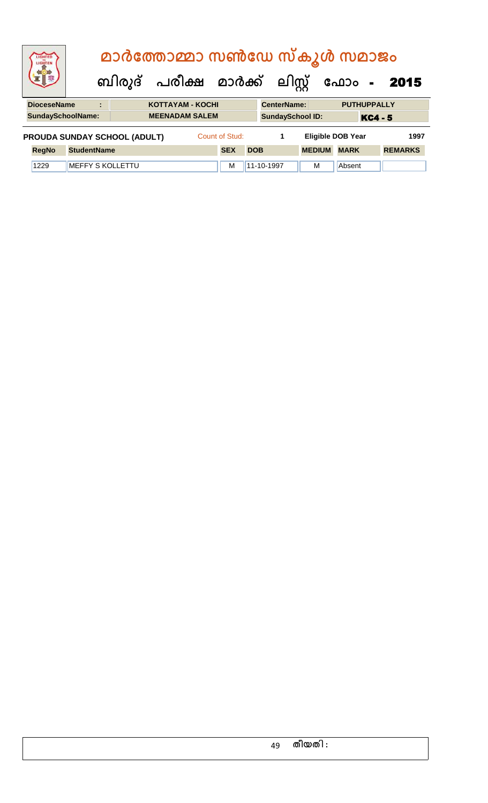| <b>IGHTED</b><br>LIGHTEN |                         |   | മാർത്തോമ്മാ സൺഡേ സ്കൂൾ സമാജം        |                         |                |            |                         |               |                          |                |                |
|--------------------------|-------------------------|---|-------------------------------------|-------------------------|----------------|------------|-------------------------|---------------|--------------------------|----------------|----------------|
|                          |                         |   | ബിരുദ് പരീക്ഷ മാർക്ക് ലിസ്റ്റ്      |                         |                |            |                         |               |                          |                | ഫോം - 2015     |
| <b>DioceseName</b>       |                         | ÷ |                                     | <b>KOTTAYAM - KOCHI</b> |                |            | <b>CenterName:</b>      |               | <b>PUTHUPPALLY</b>       |                |                |
| <b>SundaySchoolName:</b> |                         |   |                                     | <b>MEENADAM SALEM</b>   |                |            | <b>SundaySchool ID:</b> |               |                          | <b>KC4 - 5</b> |                |
|                          |                         |   | <b>PROUDA SUNDAY SCHOOL (ADULT)</b> |                         | Count of Stud: |            | 1                       |               | <b>Eligible DOB Year</b> |                | 1997           |
| <b>RegNo</b>             | <b>StudentName</b>      |   |                                     |                         | <b>SEX</b>     | <b>DOB</b> |                         | <b>MEDIUM</b> | <b>MARK</b>              |                | <b>REMARKS</b> |
| 1229                     | <b>MEFFY S KOLLETTU</b> |   |                                     |                         | М              |            | 11-10-1997              | м             | Absent                   |                |                |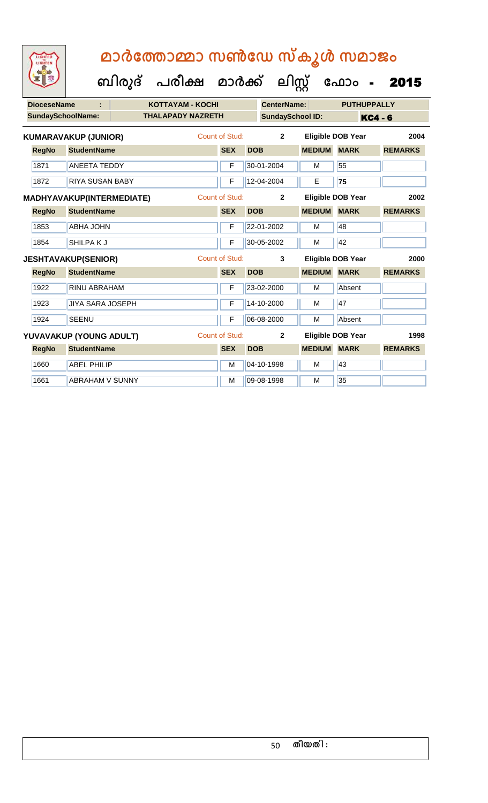| <b>DioceseName</b> |                             | <b>KOTTAYAM - KOCHI</b>  |                       |            | <b>CenterName:</b>      |                          | <b>PUTHUPPALLY</b> |                |                |
|--------------------|-----------------------------|--------------------------|-----------------------|------------|-------------------------|--------------------------|--------------------|----------------|----------------|
|                    | <b>SundaySchoolName:</b>    | <b>THALAPADY NAZRETH</b> |                       |            | <b>SundaySchool ID:</b> |                          |                    | <b>KC4 - 6</b> |                |
|                    | <b>KUMARAVAKUP (JUNIOR)</b> |                          | Count of Stud:        |            | $\overline{2}$          | Eligible DOB Year        |                    |                | 2004           |
| <b>RegNo</b>       | <b>StudentName</b>          |                          | <b>SEX</b>            | <b>DOB</b> |                         | <b>MEDIUM</b>            | <b>MARK</b>        |                | <b>REMARKS</b> |
| 1871               | <b>ANEETA TEDDY</b>         |                          | F                     |            | 30-01-2004              | M                        | 55                 |                |                |
| 1872               | <b>RIYA SUSAN BABY</b>      |                          | F                     |            | 12-04-2004              | E                        | 75                 |                |                |
|                    | MADHYAVAKUP(INTERMEDIATE)   |                          | <b>Count of Stud:</b> |            | $\mathbf{2}$            | <b>Eligible DOB Year</b> |                    |                | 2002           |
| <b>RegNo</b>       | <b>StudentName</b>          |                          | <b>SEX</b>            | <b>DOB</b> |                         | <b>MEDIUM</b>            | <b>MARK</b>        |                | <b>REMARKS</b> |
| 1853               | <b>ABHA JOHN</b>            |                          | F                     |            | 22-01-2002              | м                        | 48                 |                |                |
| 1854               | SHILPAKJ                    |                          | F                     |            | 30-05-2002              | M                        | 42                 |                |                |
|                    | <b>JESHTAVAKUP(SENIOR)</b>  |                          | Count of Stud:        |            | 3                       | <b>Eligible DOB Year</b> |                    |                | 2000           |
| <b>RegNo</b>       | <b>StudentName</b>          |                          | <b>SEX</b>            | <b>DOB</b> |                         | <b>MEDIUM</b>            | <b>MARK</b>        |                | <b>REMARKS</b> |
| 1922               | <b>RINU ABRAHAM</b>         |                          | F                     |            | 23-02-2000              | M                        | Absent             |                |                |
| 1923               | <b>JIYA SARA JOSEPH</b>     |                          | F                     |            | 14-10-2000              | M                        | 47                 |                |                |
| 1924               | <b>SEENU</b>                |                          | F                     |            | 06-08-2000              | M                        | Absent             |                |                |
|                    | YUVAVAKUP (YOUNG ADULT)     |                          | Count of Stud:        |            | $\overline{2}$          | <b>Eligible DOB Year</b> |                    |                | 1998           |
| <b>RegNo</b>       | <b>StudentName</b>          |                          | <b>SEX</b>            | <b>DOB</b> |                         | <b>MEDIUM MARK</b>       |                    |                | <b>REMARKS</b> |
| 1660               | <b>ABEL PHILIP</b>          |                          | M                     |            | 04-10-1998              | M                        | 43                 |                |                |
| 1661               | <b>ABRAHAM V SUNNY</b>      |                          | M                     |            | 09-08-1998              | M                        | 35                 |                |                |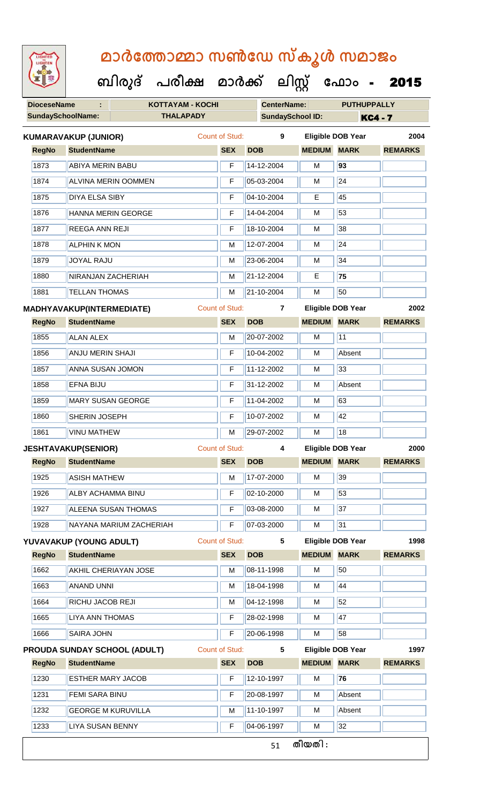| <b>DioceseName</b>       | ÷                                | <b>KOTTAYAM - KOCHI</b>             |                       | <b>CenterName:</b>      |               | <b>PUTHUPPALLY</b>       |                |
|--------------------------|----------------------------------|-------------------------------------|-----------------------|-------------------------|---------------|--------------------------|----------------|
| <b>SundaySchoolName:</b> |                                  | <b>THALAPADY</b>                    |                       | <b>SundaySchool ID:</b> |               | <b>KC4 - 7</b>           |                |
|                          | <b>KUMARAVAKUP (JUNIOR)</b>      |                                     | Count of Stud:        | 9                       |               | <b>Eligible DOB Year</b> | 2004           |
| <b>RegNo</b>             | <b>StudentName</b>               |                                     | <b>SEX</b>            | <b>DOB</b>              | <b>MEDIUM</b> | <b>MARK</b>              | <b>REMARKS</b> |
| 1873                     | <b>ABIYA MERIN BABU</b>          |                                     | F                     | 14-12-2004              | M             | 93                       |                |
| 1874                     |                                  | <b>ALVINA MERIN OOMMEN</b>          | F                     | 05-03-2004              | M             | $\overline{24}$          |                |
| 1875                     | <b>DIYA ELSA SIBY</b>            |                                     | F                     | 04-10-2004              | E             | 45                       |                |
| 1876                     |                                  | HANNA MERIN GEORGE                  | F                     | 14-04-2004              | м             | 53                       |                |
| 1877                     | REEGA ANN REJI                   |                                     | F                     | 18-10-2004              | M             | 38                       |                |
| 1878                     | <b>ALPHIN K MON</b>              |                                     | М                     | 12-07-2004              | М             | 24                       |                |
| 1879                     | <b>JOYAL RAJU</b>                |                                     | м                     | 23-06-2004              | M             | 34                       |                |
| 1880                     | NIRANJAN ZACHERIAH               |                                     | M                     | 21-12-2004              | E             | 75                       |                |
| 1881                     | <b>TELLAN THOMAS</b>             |                                     | M                     | 21-10-2004              | M             | 50                       |                |
|                          | <b>MADHYAVAKUP(INTERMEDIATE)</b> |                                     | <b>Count of Stud:</b> | 7                       |               | <b>Eligible DOB Year</b> | 2002           |
| <b>RegNo</b>             | <b>StudentName</b>               |                                     | <b>SEX</b>            | <b>DOB</b>              | <b>MEDIUM</b> | <b>MARK</b>              | <b>REMARKS</b> |
| 1855                     | <b>ALAN ALEX</b>                 |                                     | M                     | 20-07-2002              | M             | 11                       |                |
| 1856                     | <b>ANJU MERIN SHAJI</b>          |                                     | F                     | 10-04-2002              | M             | Absent                   |                |
| 1857                     | ANNA SUSAN JOMON                 |                                     | F                     | 11-12-2002              | М             | 33                       |                |
| 1858                     | <b>EFNA BIJU</b>                 |                                     | F                     | 31-12-2002              | м             | Absent                   |                |
| 1859                     |                                  | <b>MARY SUSAN GEORGE</b>            | F                     | 11-04-2002              | M             | 63                       |                |
| 1860                     | SHERIN JOSEPH                    |                                     | F                     | 10-07-2002              | M             | 42                       |                |
| 1861                     | <b>VINU MATHEW</b>               |                                     | м                     | 29-07-2002              | м             | 18                       |                |
|                          | <b>JESHTAVAKUP(SENIOR)</b>       |                                     | <b>Count of Stud:</b> | 4                       |               | <b>Eligible DOB Year</b> | 2000           |
| <b>RegNo</b>             | <b>StudentName</b>               |                                     | <b>SEX</b>            | <b>DOB</b>              | <b>MEDIUM</b> | <b>MARK</b>              | <b>REMARKS</b> |
| 1925                     | <b>ASISH MATHEW</b>              |                                     | M                     | 17-07-2000              | M             | 39                       |                |
| 1926                     | ALBY ACHAMMA BINU                |                                     | F                     | 02-10-2000              | M             | 53                       |                |
| 1927                     |                                  | ALEENA SUSAN THOMAS                 | F                     | 03-08-2000              | м             | 37                       |                |
| 1928                     |                                  | NAYANA MARIUM ZACHERIAH             | F                     | 07-03-2000              | M             | 31                       |                |
|                          | YUVAVAKUP (YOUNG ADULT)          |                                     | Count of Stud:        | 5                       |               | <b>Eligible DOB Year</b> | 1998           |
| <b>RegNo</b>             | <b>StudentName</b>               |                                     | <b>SEX</b>            | <b>DOB</b>              | <b>MEDIUM</b> | <b>MARK</b>              | <b>REMARKS</b> |
| 1662                     |                                  | AKHIL CHERIAYAN JOSE                | M                     | 08-11-1998              | M             | 50                       |                |
| 1663                     | <b>ANAND UNNI</b>                |                                     | M                     | 18-04-1998              | M             | 44                       |                |
| 1664                     | RICHU JACOB REJI                 |                                     | М                     | 04-12-1998              | м             | 52                       |                |
| 1665                     | <b>LIYA ANN THOMAS</b>           |                                     | F                     | 28-02-1998              | M             | 47                       |                |
| 1666                     | <b>SAIRA JOHN</b>                |                                     | F                     | 20-06-1998              | M             | 58                       |                |
|                          |                                  | <b>PROUDA SUNDAY SCHOOL (ADULT)</b> | <b>Count of Stud:</b> | $5\phantom{.0}$         |               | <b>Eligible DOB Year</b> | 1997           |
| <b>RegNo</b>             | <b>StudentName</b>               |                                     | <b>SEX</b>            | <b>DOB</b>              | <b>MEDIUM</b> | <b>MARK</b>              | <b>REMARKS</b> |
| 1230                     | <b>ESTHER MARY JACOB</b>         |                                     | F                     | 12-10-1997              | M             | 76                       |                |
| 1231                     | FEMI SARA BINU                   |                                     | F                     | 20-08-1997              | M             | Absent                   |                |
| 1232                     |                                  | <b>GEORGE M KURUVILLA</b>           | M                     | 11-10-1997              | M             | Absent                   |                |
| 1233                     | <b>LIYA SUSAN BENNY</b>          |                                     | F                     | 04-06-1997              | м             | 32                       |                |
|                          |                                  |                                     |                       | 51                      | തീയതി :       |                          |                |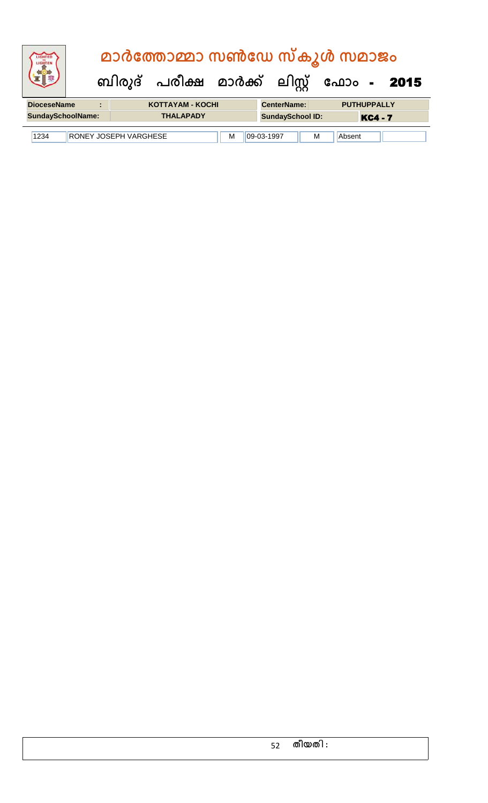|                          |   |                              | മാർത്തോമ്മാ സൺഡേ സ്കൂൾ സമാജം              |   |                         |   |                    |                |  |
|--------------------------|---|------------------------------|-------------------------------------------|---|-------------------------|---|--------------------|----------------|--|
|                          |   |                              | ബിരുദ് പരീക്ഷ മാർക്ക് ലിസ്റ്റ് ഫോം - 2015 |   |                         |   |                    |                |  |
| <b>DioceseName</b>       | ÷ |                              | <b>KOTTAYAM - KOCHI</b>                   |   | <b>CenterName:</b>      |   | <b>PUTHUPPALLY</b> |                |  |
| <b>SundaySchoolName:</b> |   |                              | <b>THALAPADY</b>                          |   | <b>SundaySchool ID:</b> |   |                    | <b>KC4 - 7</b> |  |
| 1234                     |   | <b>RONEY JOSEPH VARGHESE</b> |                                           | М | 09-03-1997              | M | Absent             |                |  |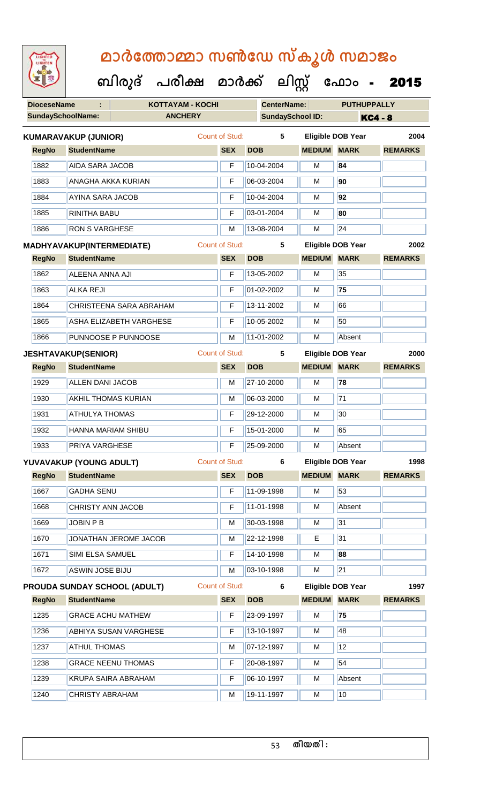| <b>IGHTED</b> |  |
|---------------|--|
|               |  |
|               |  |
|               |  |
|               |  |

 **ബിരുദ് പരീക്ഷ മാര്ക് ക ലിസ്റ്റ ക ഫ ാോം** - 2015

| <b>SundaySchoolName:</b><br><b>ANCHERY</b><br><b>SundaySchool ID:</b><br><b>KC4 - 8</b><br><b>Count of Stud:</b><br>5<br><b>KUMARAVAKUP (JUNIOR)</b><br><b>Eligible DOB Year</b><br><b>RegNo</b><br><b>StudentName</b><br><b>SEX</b><br><b>DOB</b><br><b>MEDIUM MARK</b><br>1882<br><b>AIDA SARA JACOB</b><br>10-04-2004<br>84<br>F<br>М | 2004<br><b>REMARKS</b> |
|------------------------------------------------------------------------------------------------------------------------------------------------------------------------------------------------------------------------------------------------------------------------------------------------------------------------------------------|------------------------|
|                                                                                                                                                                                                                                                                                                                                          |                        |
|                                                                                                                                                                                                                                                                                                                                          |                        |
|                                                                                                                                                                                                                                                                                                                                          |                        |
|                                                                                                                                                                                                                                                                                                                                          |                        |
| 1883<br>06-03-2004<br>90<br><b>ANAGHA AKKA KURIAN</b><br>F<br>M                                                                                                                                                                                                                                                                          |                        |
| 10-04-2004<br>92<br>1884<br>AYINA SARA JACOB<br>F<br>м                                                                                                                                                                                                                                                                                   |                        |
| 03-01-2004<br>80<br>1885<br><b>RINITHA BABU</b><br>F<br>М                                                                                                                                                                                                                                                                                |                        |
| $\overline{24}$<br>1886<br>13-08-2004<br><b>RON S VARGHESE</b><br>M<br>M                                                                                                                                                                                                                                                                 |                        |
| <b>Count of Stud:</b><br>5<br><b>Eligible DOB Year</b><br>MADHYAVAKUP(INTERMEDIATE)                                                                                                                                                                                                                                                      | 2002                   |
| <b>MEDIUM MARK</b><br><b>SEX</b><br><b>DOB</b><br><b>RegNo</b><br><b>StudentName</b>                                                                                                                                                                                                                                                     | <b>REMARKS</b>         |
| 1862<br>13-05-2002<br>35<br><b>ALEENA ANNA AJI</b><br>F<br>M                                                                                                                                                                                                                                                                             |                        |
| $\overline{75}$<br>1863<br>01-02-2002<br><b>ALKA REJI</b><br>F<br>М                                                                                                                                                                                                                                                                      |                        |
| 13-11-2002<br>66<br>1864<br>CHRISTEENA SARA ABRAHAM<br>F<br>M                                                                                                                                                                                                                                                                            |                        |
| 50<br>1865<br>F<br>10-05-2002<br><b>ASHA ELIZABETH VARGHESE</b><br>м                                                                                                                                                                                                                                                                     |                        |
| 11-01-2002<br>Absent<br>1866<br>PUNNOOSE P PUNNOOSE<br>M<br>M                                                                                                                                                                                                                                                                            |                        |
| <b>Count of Stud:</b><br>5<br>Eligible DOB Year<br><b>JESHTAVAKUP(SENIOR)</b>                                                                                                                                                                                                                                                            | 2000                   |
| <b>DOB</b><br><b>MEDIUM</b><br><b>MARK</b><br><b>RegNo</b><br><b>StudentName</b><br><b>SEX</b>                                                                                                                                                                                                                                           | <b>REMARKS</b>         |
| $\overline{78}$<br>1929<br><b>ALLEN DANI JACOB</b><br>27-10-2000<br>M<br>M                                                                                                                                                                                                                                                               |                        |
| $\overline{71}$<br>1930<br><b>AKHIL THOMAS KURIAN</b><br>06-03-2000<br>M<br>M                                                                                                                                                                                                                                                            |                        |
| 30<br><b>ATHULYA THOMAS</b><br>29-12-2000<br>1931<br>F<br>М                                                                                                                                                                                                                                                                              |                        |
| 65<br><b>HANNA MARIAM SHIBU</b><br>$\mathsf F$<br>15-01-2000<br>1932<br>M                                                                                                                                                                                                                                                                |                        |
| 1933<br>25-09-2000<br>Absent<br><b>PRIYA VARGHESE</b><br>F<br>M                                                                                                                                                                                                                                                                          |                        |
| Count of Stud:<br><b>Eligible DOB Year</b><br>6<br>YUVAVAKUP (YOUNG ADULT)                                                                                                                                                                                                                                                               | 1998                   |
| <b>SEX</b><br><b>RegNo</b><br><b>MEDIUM MARK</b><br><b>StudentName</b><br><b>DOB</b>                                                                                                                                                                                                                                                     | <b>REMARKS</b>         |
| 1667<br>11-09-1998<br>53<br><b>GADHA SENU</b><br>F<br>M                                                                                                                                                                                                                                                                                  |                        |
| 1668<br>11-01-1998<br><b>CHRISTY ANN JACOB</b><br>Absent<br>F<br>м                                                                                                                                                                                                                                                                       |                        |
| 31<br>1669<br>30-03-1998<br>JOBIN P B<br>М<br>M                                                                                                                                                                                                                                                                                          |                        |
| 1670<br>31<br>JONATHAN JEROME JACOB<br>22-12-1998<br>Е<br>M                                                                                                                                                                                                                                                                              |                        |
| 1671<br>14-10-1998<br>88<br>SIMI ELSA SAMUEL<br>F<br>M                                                                                                                                                                                                                                                                                   |                        |
| $\overline{21}$<br>03-10-1998<br>1672<br><b>ASWIN JOSE BIJU</b><br>M<br>M                                                                                                                                                                                                                                                                |                        |
| <b>Count of Stud:</b><br><b>Eligible DOB Year</b><br>PROUDA SUNDAY SCHOOL (ADULT)<br>6                                                                                                                                                                                                                                                   | 1997                   |
| <b>SEX</b><br><b>MEDIUM MARK</b><br><b>RegNo</b><br><b>StudentName</b><br><b>DOB</b>                                                                                                                                                                                                                                                     | <b>REMARKS</b>         |
| 75<br>1235<br>F<br>23-09-1997<br><b>GRACE ACHU MATHEW</b><br>М                                                                                                                                                                                                                                                                           |                        |
| $1236$<br>48<br><b>ABHIYA SUSAN VARGHESE</b><br>13-10-1997<br>F<br>м                                                                                                                                                                                                                                                                     |                        |
| 12<br>1237<br><b>ATHUL THOMAS</b><br>07-12-1997<br>M<br>М                                                                                                                                                                                                                                                                                |                        |
| 54<br>1238<br>F<br>20-08-1997<br><b>GRACE NEENU THOMAS</b><br>М                                                                                                                                                                                                                                                                          |                        |
| 06-10-1997<br>1239<br><b>KRUPA SAIRA ABRAHAM</b><br>Absent<br>F<br>М                                                                                                                                                                                                                                                                     |                        |
| 10<br>1240<br>19-11-1997<br><b>CHRISTY ABRAHAM</b><br>M<br>М                                                                                                                                                                                                                                                                             |                        |

**തീയതി :**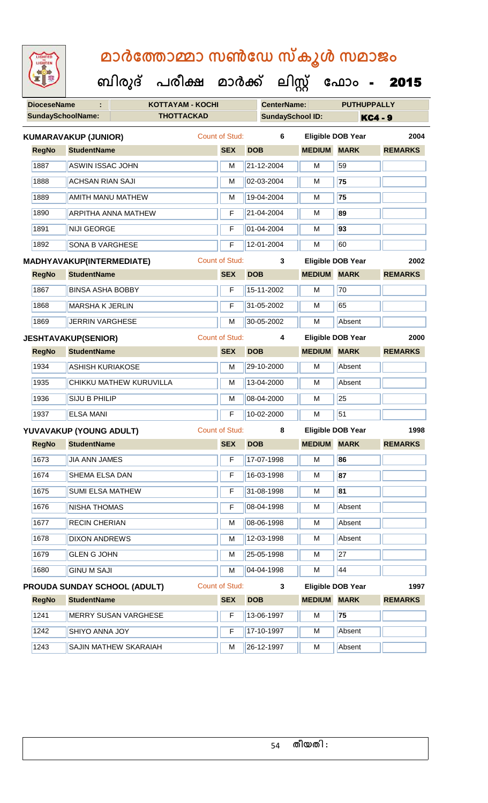### **DioceseName : KOTTAYAM - KOCHI CenterName: PUTHUPPALLY SundaySchoolName: THOTTACKAD SundaySchool ID: KC4 - 9 ബിരുദ് പരീക്ഷ മാര്ക് ക ലിസ്റ്റ ക ഫ ാോം** - 2015  **മാര്കഫതാമ്മാ സണ്ഫേ സ്കൂള് സമാജോം RegNo StudentName SEX DOB MEDIUM MARK REMARKS KUMARAVAKUP (JUNIOR)** Count of Stud: **6 Eligible DOB Year 2004** 1887 **ASWIN ISSAC JOHN M** 21-12-2004 M 59 1888 ACHSAN RIAN SAJI M 02-03-2004 M **75** 1889 AMITH MANU MATHEW M 19-04-2004 M **75** 1890 ARPITHA ANNA MATHEW F 21-04-2004 M **89** 1891 NIJI GEORGE F 01-04-2004 M **93** 1892 SONA B VARGHESE F 12-01-2004 M 60 **RegNo StudentName SEX DOB MEDIUM MARK REMARKS MADHYAVAKUP(INTERMEDIATE)** Count of Stud: **3 Eligible DOB Year 2002** 1867 BINSA ASHA BOBBY F 15-11-2002 M 70 1868 MARSHA K JERLIN F 31-05-2002 M 65 1869 JERRIN VARGHESE M 30-05-2002 M Absent **RegNo StudentName SEX DOB MEDIUM MARK REMARKS JESHTAVAKUP(SENIOR)** Count of Stud: **4 Eligible DOB Year 2000** 1934 | ASHISH KURIAKOSE | M | 29-10-2000 | M | Absent 1935 CHIKKU MATHEW KURUVILLA M 13-04-2000 M Absent 1936 SIJU B PHILIP M M 08-04-2000 M 25 1937 ELSA MANI F 10-02-2000 M 51 **RegNo StudentName SEX DOB MEDIUM MARK REMARKS YUVAVAKUP (YOUNG ADULT)** Count of Stud: **8 Eligible DOB Year 1998** 1673 JIA ANN JAMES F 17-07-1998 M **86** 1674 SHEMA ELSA DAN **F** 16-03-1998 M **M** 87 1675 SUMI ELSA MATHEW **F** 31-08-1998 M **161** 1676 NISHA THOMAS F 08-04-1998 M Absent 1677 RECIN CHERIAN M M 08-06-1998 M Absent 1678 DIXON ANDREWS M 12-03-1998 M Absent

| 1680         | <b>GINU M SAJI</b>           | M                                   | 04-04-1998 | M              | 44          |                          |
|--------------|------------------------------|-------------------------------------|------------|----------------|-------------|--------------------------|
|              |                              |                                     | 3          |                |             | 1997                     |
| <b>RegNo</b> | <b>StudentName</b>           | <b>SEX</b>                          | <b>DOB</b> | <b>MEDIUM</b>  | <b>MARK</b> | <b>REMARKS</b>           |
| 1241         | MERRY SUSAN VARGHESE         | F                                   | 13-06-1997 | м              | 75          |                          |
| 1242         | <b>SHIYO ANNA JOY</b>        | F                                   | 17-10-1997 | M              | Absent      |                          |
| 1243         | <b>SAJIN MATHEW SKARAIAH</b> | M                                   | 26-12-1997 | M              | Absent      |                          |
|              |                              | <b>PROUDA SUNDAY SCHOOL (ADULT)</b> |            | Count of Stud: |             | <b>Eligible DOB Year</b> |

1679 GLEN G JOHN M 25-05-1998 M 27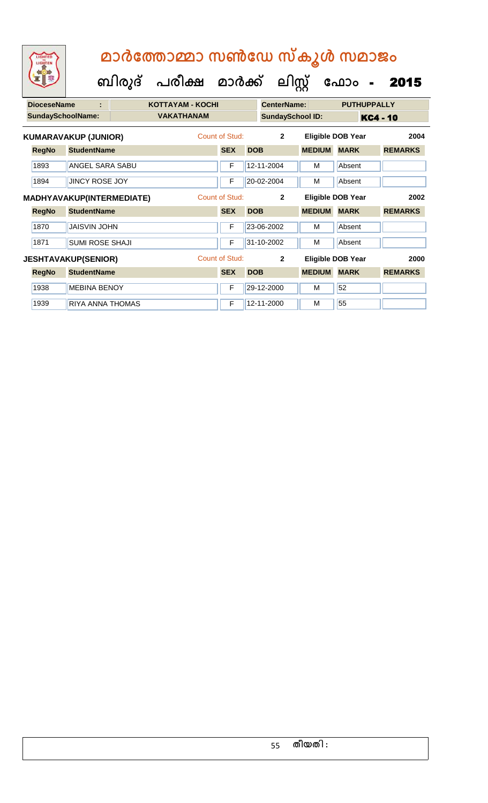**DioceseName : KOTTAYAM - KOCHI CenterName: PUTHUPPALLY ബിരുദ് പരീക്ഷ മാര്ക് ക ലിസ്റ്റ ക ഫ ാോം** - 2015

|              | <b>SundaySchoolName:</b>         | <b>VAKATHANAM</b> |                |            | <b>SundaySchool ID:</b> |               |                          | <b>KC4 - 10</b> |
|--------------|----------------------------------|-------------------|----------------|------------|-------------------------|---------------|--------------------------|-----------------|
|              | <b>KUMARAVAKUP (JUNIOR)</b>      |                   | Count of Stud: |            | $\mathbf{2}$            |               | <b>Eligible DOB Year</b> | 2004            |
| <b>RegNo</b> | <b>StudentName</b>               |                   | <b>SEX</b>     | <b>DOB</b> |                         | <b>MEDIUM</b> | <b>MARK</b>              | <b>REMARKS</b>  |
| 1893         | <b>ANGEL SARA SABU</b>           |                   | F              |            | 12-11-2004              | м             | Absent                   |                 |
| 1894         | <b>JINCY ROSE JOY</b>            |                   | F              |            | 20-02-2004              | M             | Absent                   |                 |
|              | <b>MADHYAVAKUP(INTERMEDIATE)</b> |                   | Count of Stud: |            | $\mathbf{2}$            |               | <b>Eligible DOB Year</b> | 2002            |
| <b>RegNo</b> | <b>StudentName</b>               |                   | <b>SEX</b>     | <b>DOB</b> |                         | <b>MEDIUM</b> | <b>MARK</b>              | <b>REMARKS</b>  |
| 1870         | <b>JAISVIN JOHN</b>              |                   | F              |            | 23-06-2002              | м             | Absent                   |                 |
| 1871         | <b>SUMI ROSE SHAJI</b>           |                   | F              |            | 31-10-2002              | м             | Absent                   |                 |
|              | <b>JESHTAVAKUP(SENIOR)</b>       |                   | Count of Stud: |            | $\overline{2}$          |               | <b>Eligible DOB Year</b> | 2000            |
| <b>RegNo</b> | <b>StudentName</b>               |                   | <b>SEX</b>     | <b>DOB</b> |                         | <b>MEDIUM</b> | <b>MARK</b>              | <b>REMARKS</b>  |
| 1938         | <b>MEBINA BENOY</b>              |                   | F              |            | 29-12-2000              | м             | 52                       |                 |
| 1939         | RIYA ANNA THOMAS                 |                   | F              |            | 12-11-2000              | м             | 55                       |                 |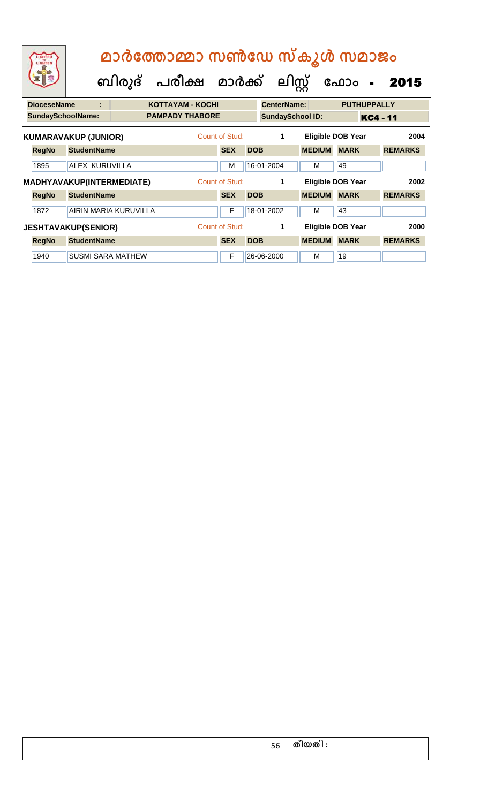| LIGHTED<br>LIGHTEN |                             | മാർത്തോമ്മാ സൺഡേ സ്കൂൾ സമാജം<br>ബിരുദ് പരീക്ഷ മാർക്ക് |                |            | ലിസ്റ്റ്                |               | ഫോം<br>$\blacksquare$    | 2015            |
|--------------------|-----------------------------|-------------------------------------------------------|----------------|------------|-------------------------|---------------|--------------------------|-----------------|
| <b>DioceseName</b> | ÷                           | <b>KOTTAYAM - KOCHI</b>                               |                |            | <b>CenterName:</b>      |               | <b>PUTHUPPALLY</b>       |                 |
|                    | <b>SundaySchoolName:</b>    | <b>PAMPADY THABORE</b>                                |                |            | <b>SundaySchool ID:</b> |               |                          | <b>KC4 - 11</b> |
|                    | <b>KUMARAVAKUP (JUNIOR)</b> |                                                       | Count of Stud: |            | 1                       |               | <b>Eligible DOB Year</b> | 2004            |
| <b>RegNo</b>       | <b>StudentName</b>          |                                                       | <b>SEX</b>     | <b>DOB</b> |                         | <b>MEDIUM</b> | <b>MARK</b>              | <b>REMARKS</b>  |
| 1895               | <b>ALEX KURUVILLA</b>       |                                                       | м              |            | 16-01-2004              | M             | 49                       |                 |
|                    | MADHYAVAKUP(INTERMEDIATE)   |                                                       | Count of Stud: |            | 1                       |               | Eligible DOB Year        | 2002            |
| <b>RegNo</b>       | <b>StudentName</b>          |                                                       | <b>SEX</b>     | <b>DOB</b> |                         | <b>MEDIUM</b> | <b>MARK</b>              | <b>REMARKS</b>  |
| 1872               | AIRIN MARIA KURUVILLA       |                                                       | F              |            | 18-01-2002              | M             | 43                       |                 |
|                    | <b>JESHTAVAKUP(SENIOR)</b>  |                                                       | Count of Stud: |            | 1                       |               | <b>Eligible DOB Year</b> | 2000            |
| <b>RegNo</b>       | <b>StudentName</b>          |                                                       | <b>SEX</b>     | <b>DOB</b> |                         | <b>MEDIUM</b> | <b>MARK</b>              | <b>REMARKS</b>  |
| 1940               | SUSMI SARA MATHEW           |                                                       | F              |            | 26-06-2000              | M             | 19                       |                 |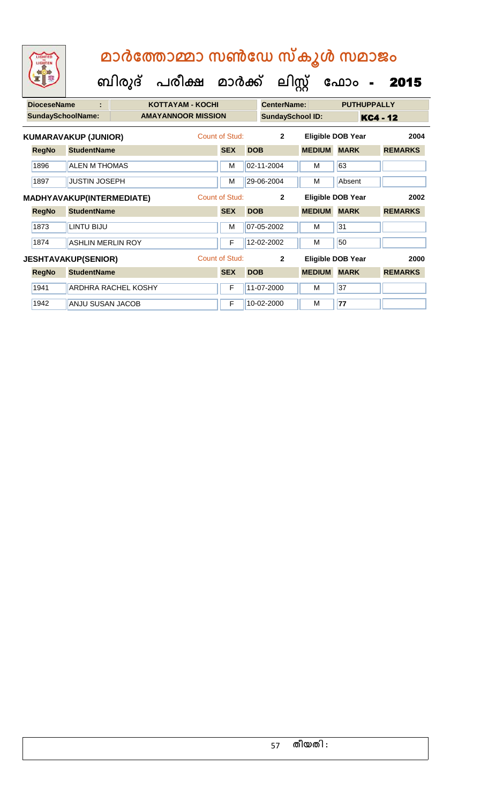| <b>DioceseName</b>       | ÷                                |                            | <b>KOTTAYAM - KOCHI</b>   |                |            | <b>CenterName:</b>      |               | <b>PUTHUPPALLY</b>       |                 |
|--------------------------|----------------------------------|----------------------------|---------------------------|----------------|------------|-------------------------|---------------|--------------------------|-----------------|
| <b>SundaySchoolName:</b> |                                  |                            | <b>AMAYANNOOR MISSION</b> |                |            | <b>SundaySchool ID:</b> |               |                          | <b>KC4 - 12</b> |
|                          | <b>KUMARAVAKUP (JUNIOR)</b>      |                            |                           | Count of Stud: |            | $\overline{2}$          |               | <b>Eligible DOB Year</b> | 2004            |
| <b>RegNo</b>             | <b>StudentName</b>               |                            |                           | <b>SEX</b>     | <b>DOB</b> |                         | <b>MEDIUM</b> | <b>MARK</b>              | <b>REMARKS</b>  |
| 1896                     | <b>ALEN M THOMAS</b>             |                            |                           | м              |            | 02-11-2004              | M             | 63                       |                 |
| 1897                     | <b>JUSTIN JOSEPH</b>             |                            |                           | м              |            | 29-06-2004              | M             | Absent                   |                 |
|                          | <b>MADHYAVAKUP(INTERMEDIATE)</b> |                            |                           | Count of Stud: |            | $\mathbf{2}$            |               | <b>Eligible DOB Year</b> | 2002            |
| <b>RegNo</b>             | <b>StudentName</b>               |                            |                           | <b>SEX</b>     | <b>DOB</b> |                         | <b>MEDIUM</b> | <b>MARK</b>              | <b>REMARKS</b>  |
| 1873                     | LINTU BIJU                       |                            |                           | M              |            | 07-05-2002              | м             | 31                       |                 |
| 1874                     | <b>ASHLIN MERLIN ROY</b>         |                            |                           | F              |            | 12-02-2002              | M             | 50                       |                 |
|                          | <b>JESHTAVAKUP(SENIOR)</b>       |                            |                           | Count of Stud: |            | $\mathbf{2}$            |               | <b>Eligible DOB Year</b> | 2000            |
| <b>RegNo</b>             | <b>StudentName</b>               |                            |                           | <b>SEX</b>     | <b>DOB</b> |                         | <b>MEDIUM</b> | <b>MARK</b>              | <b>REMARKS</b>  |
| 1941                     |                                  | <b>ARDHRA RACHEL KOSHY</b> |                           | F              |            | 11-07-2000              | M             | 37                       |                 |
| 1942                     | ANJU SUSAN JACOB                 |                            |                           | F              |            | 10-02-2000              | M             | 77                       |                 |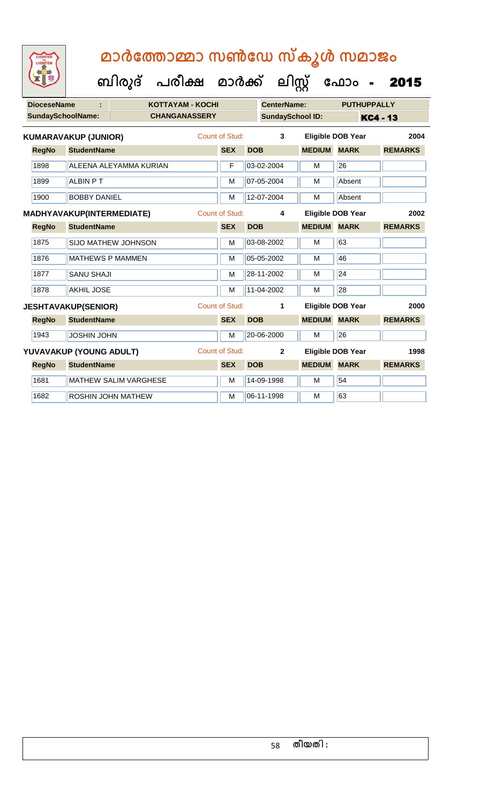| <b>IGHTED</b> |
|---------------|
|               |
|               |
|               |

| <b>DioceseName</b> |                             | <b>KOTTAYAM - KOCHI</b>      |  |                       | <b>CenterName:</b> |                         |               | <b>PUTHUPPALLY</b>               |                 |
|--------------------|-----------------------------|------------------------------|--|-----------------------|--------------------|-------------------------|---------------|----------------------------------|-----------------|
|                    | <b>SundaySchoolName:</b>    | <b>CHANGANASSERY</b>         |  |                       |                    | <b>SundaySchool ID:</b> |               |                                  | <b>KC4 - 13</b> |
|                    | <b>KUMARAVAKUP (JUNIOR)</b> |                              |  | Count of Stud:        |                    | 3                       |               | <b>Eligible DOB Year</b>         | 2004            |
| <b>RegNo</b>       | <b>StudentName</b>          |                              |  | <b>SEX</b>            | <b>DOB</b>         |                         | <b>MEDIUM</b> | <b>MARK</b>                      | <b>REMARKS</b>  |
| 1898               |                             | ALEENA ALEYAMMA KURIAN       |  | F                     |                    | 03-02-2004              | M             | 26                               |                 |
| 1899               | <b>ALBIN PT</b>             |                              |  | M                     |                    | 07-05-2004              | M             | Absent                           |                 |
| 1900               | <b>BOBBY DANIEL</b>         |                              |  | M                     |                    | 12-07-2004              | M             | Absent                           |                 |
|                    | MADHYAVAKUP(INTERMEDIATE)   |                              |  | <b>Count of Stud:</b> |                    | 4                       |               | <b>Eligible DOB Year</b><br>2002 |                 |
| <b>RegNo</b>       | <b>StudentName</b>          |                              |  | <b>SEX</b>            | <b>DOB</b>         |                         | <b>MEDIUM</b> | <b>MARK</b>                      | <b>REMARKS</b>  |
| 1875               |                             | SIJO MATHEW JOHNSON          |  | М                     |                    | 03-08-2002              | м             | 63                               |                 |
| 1876               | <b>MATHEWS P MAMMEN</b>     |                              |  | M                     |                    | 05-05-2002              | M             | 46                               |                 |
| 1877               | <b>SANU SHAJI</b>           |                              |  | M                     |                    | 28-11-2002              | м             | 24                               |                 |
| 1878               | <b>AKHIL JOSE</b>           |                              |  | M                     |                    | 11-04-2002              | M             | 28                               |                 |
|                    | <b>JESHTAVAKUP(SENIOR)</b>  |                              |  | <b>Count of Stud:</b> |                    | 1                       |               | <b>Eligible DOB Year</b>         | 2000            |
| <b>RegNo</b>       | <b>StudentName</b>          |                              |  | <b>SEX</b>            | <b>DOB</b>         |                         | <b>MEDIUM</b> | <b>MARK</b>                      | <b>REMARKS</b>  |
| 1943               | <b>JOSHIN JOHN</b>          |                              |  | M                     |                    | 20-06-2000              | M             | 26                               |                 |
|                    | YUVAVAKUP (YOUNG ADULT)     |                              |  | <b>Count of Stud:</b> |                    | $\mathbf{2}$            |               | <b>Eligible DOB Year</b>         | 1998            |
| <b>RegNo</b>       | <b>StudentName</b>          |                              |  | <b>SEX</b>            | <b>DOB</b>         |                         | <b>MEDIUM</b> | <b>MARK</b>                      | <b>REMARKS</b>  |
| 1681               |                             | <b>MATHEW SALIM VARGHESE</b> |  | M                     |                    | 14-09-1998              | M             | 54                               |                 |
| 1682               |                             | ROSHIN JOHN MATHEW           |  | M                     |                    | 06-11-1998              | M             | 63                               |                 |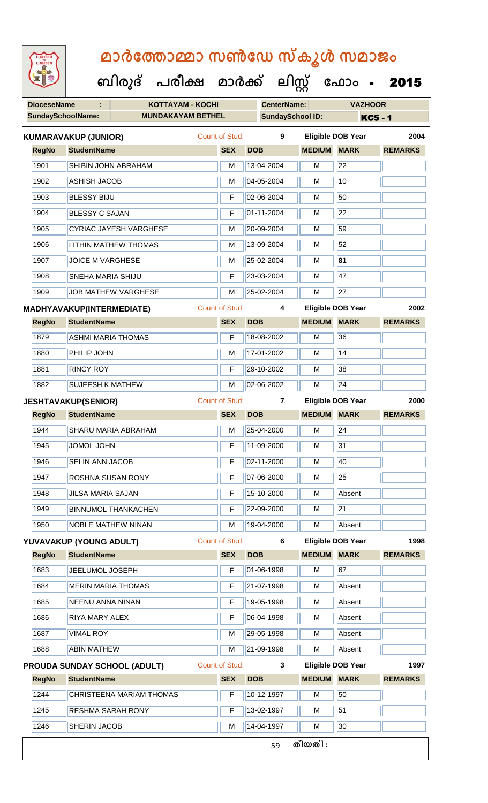**ബിരുദ് പരീക്ഷ മാര്ക് ക ലിസ്റ്റ ക ഫ ാോം** - 2015

**DioceseName : KOTTAYAM - KOCHI CenterName: VAZHOOR**

| <b>SundaySchoolName:</b> | <b>MUNDAKAYAM BETHEL</b>                                     |  |                       | <b>SundaySchool ID:</b> |               | <b>KC5 - 1</b>           |                |
|--------------------------|--------------------------------------------------------------|--|-----------------------|-------------------------|---------------|--------------------------|----------------|
|                          | <b>KUMARAVAKUP (JUNIOR)</b>                                  |  | <b>Count of Stud:</b> | 9                       |               | <b>Eligible DOB Year</b> | 2004           |
| <b>RegNo</b>             | <b>StudentName</b>                                           |  | <b>SEX</b>            | <b>DOB</b>              | <b>MEDIUM</b> | <b>MARK</b>              | <b>REMARKS</b> |
| 1901                     | SHIBIN JOHN ABRAHAM                                          |  | M                     | 13-04-2004              | М             | 22                       |                |
| 1902                     | <b>ASHISH JACOB</b>                                          |  | M                     | 04-05-2004              | M             | 10                       |                |
| 1903                     | <b>BLESSY BIJU</b>                                           |  | F                     | 02-06-2004              | M             | 50                       |                |
| 1904                     | <b>BLESSY C SAJAN</b>                                        |  | F                     | 01-11-2004              | M             | 22                       |                |
| 1905                     | <b>CYRIAC JAYESH VARGHESE</b>                                |  | M                     | 20-09-2004              | M             | 59                       |                |
| 1906                     | <b>LITHIN MATHEW THOMAS</b>                                  |  | M                     | 13-09-2004              | M             | 52                       |                |
| 1907                     | <b>JOICE M VARGHESE</b>                                      |  | M                     | 25-02-2004              | М             | 81                       |                |
| 1908                     | SNEHA MARIA SHIJU                                            |  | F                     | 23-03-2004              | М             | 47                       |                |
| 1909                     | <b>JOB MATHEW VARGHESE</b>                                   |  | M                     | 25-02-2004              | M             | $\overline{27}$          |                |
|                          | <b>MADHYAVAKUP(INTERMEDIATE)</b>                             |  | <b>Count of Stud:</b> | 4                       |               | Eligible DOB Year        | 2002           |
| <b>RegNo</b>             | <b>StudentName</b>                                           |  | <b>SEX</b>            | <b>DOB</b>              | <b>MEDIUM</b> | <b>MARK</b>              | <b>REMARKS</b> |
| 1879                     | <b>ASHMI MARIA THOMAS</b>                                    |  | F                     | 18-08-2002              | M             | 36                       |                |
| 1880                     | PHILIP JOHN                                                  |  | M                     | 17-01-2002              | M             | $\overline{14}$          |                |
| 1881                     | <b>RINCY ROY</b>                                             |  | F                     | 29-10-2002              | M             | 38                       |                |
| 1882                     | <b>SUJEESH K MATHEW</b>                                      |  | M                     | 02-06-2002              | M             | $\overline{24}$          |                |
|                          | <b>JESHTAVAKUP(SENIOR)</b>                                   |  | <b>Count of Stud:</b> | $\overline{7}$          |               | <b>Eligible DOB Year</b> | 2000           |
| <b>RegNo</b>             | <b>StudentName</b>                                           |  | <b>SEX</b>            | <b>DOB</b>              | <b>MEDIUM</b> | <b>MARK</b>              | <b>REMARKS</b> |
| 1944                     | SHARU MARIA ABRAHAM                                          |  | М                     | 25-04-2000              | М             | 24                       |                |
| 1945                     | <b>JOMOL JOHN</b>                                            |  | F                     | 11-09-2000              | M             | 31                       |                |
| 1946                     | <b>SELIN ANN JACOB</b>                                       |  | F                     | 02-11-2000              | М             | 40                       |                |
| 1947                     | ROSHNA SUSAN RONY                                            |  | F                     | 07-06-2000              | M             | 25                       |                |
| 1948                     | <b>JILSA MARIA SAJAN</b>                                     |  | F                     | 15-10-2000              | М             | Absent                   |                |
| 1949                     | <b>BINNUMOL THANKACHEN</b>                                   |  | F                     | 22-09-2000              | M             | $\overline{21}$          |                |
| 1950                     | <b>NOBLE MATHEW NINAN</b>                                    |  | M                     | 19-04-2000              | М             | Absent                   |                |
|                          | YUVAVAKUP (YOUNG ADULT)                                      |  | <b>Count of Stud:</b> | 6                       |               | <b>Eligible DOB Year</b> | 1998           |
| <b>RegNo</b>             | <b>StudentName</b>                                           |  | <b>SEX</b>            | <b>DOB</b>              | <b>MEDIUM</b> | <b>MARK</b>              | <b>REMARKS</b> |
| 1683                     | JEELUMOL JOSEPH                                              |  | F                     | 01-06-1998              | M             | 67                       |                |
| 1684                     | <b>MERIN MARIA THOMAS</b>                                    |  | F                     | 21-07-1998              | М             | Absent                   |                |
| 1685                     | <b>NEENU ANNA NINAN</b>                                      |  | F                     | 19-05-1998              | M             | Absent                   |                |
| 1686                     | RIYA MARY ALEX                                               |  | F                     | 06-04-1998              | М             | Absent                   |                |
| 1687                     | <b>VIMAL ROY</b>                                             |  | М                     | 29-05-1998              | M             | Absent                   |                |
| 1688                     | <b>ABIN MATHEW</b>                                           |  | M                     | 21-09-1998              | M             | Absent                   |                |
|                          | <b>Count of Stud:</b><br><b>PROUDA SUNDAY SCHOOL (ADULT)</b> |  |                       | 3                       |               | <b>Eligible DOB Year</b> | 1997           |
| <b>RegNo</b>             | <b>StudentName</b>                                           |  |                       | <b>DOB</b>              | <b>MEDIUM</b> | <b>MARK</b>              | <b>REMARKS</b> |
| 1244                     | CHRISTEENA MARIAM THOMAS                                     |  | F                     | 10-12-1997              | М             | 50                       |                |
| 1245                     | <b>RESHMA SARAH RONY</b>                                     |  | F                     | 13-02-1997              | М             | 51                       |                |
| 1246                     | SHERIN JACOB                                                 |  | м                     | 14-04-1997              | M             | 30                       |                |
|                          |                                                              |  |                       | 59                      | തീയതി :       |                          |                |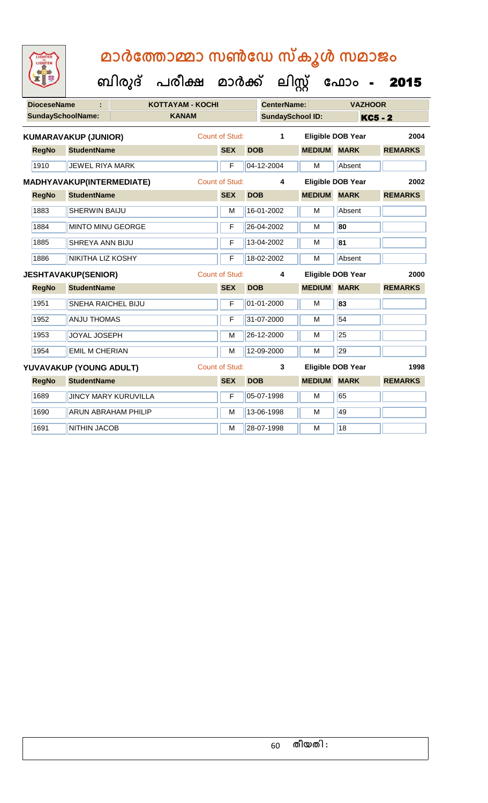| <b>DioceseName</b><br>ċ |              | <b>KOTTAYAM - KOCHI</b>     |                             |                       | <b>CenterName:</b>    |            | <b>VAZHOOR</b>          |                    |                          |                |
|-------------------------|--------------|-----------------------------|-----------------------------|-----------------------|-----------------------|------------|-------------------------|--------------------|--------------------------|----------------|
|                         |              | <b>SundaySchoolName:</b>    |                             | <b>KANAM</b>          |                       |            | <b>SundaySchool ID:</b> |                    | <b>KC5 - 2</b>           |                |
|                         |              | <b>KUMARAVAKUP (JUNIOR)</b> |                             |                       | Count of Stud:        |            | 1                       |                    | <b>Eligible DOB Year</b> | 2004           |
|                         | <b>RegNo</b> | <b>StudentName</b>          |                             |                       | <b>SEX</b>            | <b>DOB</b> |                         | <b>MEDIUM MARK</b> |                          | <b>REMARKS</b> |
|                         | 1910         | JEWEL RIYA MARK             |                             |                       | F                     |            | 04-12-2004              | M                  | Absent                   |                |
|                         |              | MADHYAVAKUP(INTERMEDIATE)   |                             |                       | <b>Count of Stud:</b> |            | 4                       |                    | <b>Eligible DOB Year</b> | 2002           |
|                         | <b>RegNo</b> | <b>StudentName</b>          |                             |                       | <b>SEX</b>            | <b>DOB</b> |                         | <b>MEDIUM MARK</b> |                          | <b>REMARKS</b> |
|                         | 1883         | <b>SHERWIN BAIJU</b>        |                             |                       | M                     |            | 16-01-2002              | M                  | Absent                   |                |
|                         | 1884         | <b>MINTO MINU GEORGE</b>    |                             |                       | F                     |            | 26-04-2002              | M                  | 80                       |                |
|                         | 1885         | <b>SHREYA ANN BIJU</b>      |                             |                       | F                     |            | 13-04-2002              | M                  | 81                       |                |
|                         | 1886         | NIKITHA LIZ KOSHY           |                             |                       | F                     |            | 18-02-2002              | M                  | Absent                   |                |
|                         |              | <b>JESHTAVAKUP(SENIOR)</b>  |                             | <b>Count of Stud:</b> |                       |            | 4                       |                    | Eligible DOB Year        | 2000           |
|                         | <b>RegNo</b> | <b>StudentName</b>          |                             |                       | <b>SEX</b>            | <b>DOB</b> |                         | <b>MEDIUM</b>      | <b>MARK</b>              | <b>REMARKS</b> |
|                         | 1951         | <b>SNEHA RAICHEL BIJU</b>   |                             |                       | $\mathsf F$           |            | 01-01-2000              | $\overline{M}$     | 83                       |                |
|                         | 1952         | <b>ANJU THOMAS</b>          |                             |                       |                       |            |                         |                    |                          |                |
|                         |              |                             |                             |                       | F                     |            | 31-07-2000              | M                  | 54                       |                |
|                         | 1953         | <b>JOYAL JOSEPH</b>         |                             |                       | M                     |            | 26-12-2000              | М                  | $\overline{25}$          |                |
|                         | 1954         | <b>EMIL M CHERIAN</b>       |                             |                       | M                     |            | 12-09-2000              | M                  | 29                       |                |
|                         |              | YUVAVAKUP (YOUNG ADULT)     |                             |                       | <b>Count of Stud:</b> |            | 3                       |                    | Eligible DOB Year        | 1998           |
|                         | <b>RegNo</b> | <b>StudentName</b>          |                             |                       | <b>SEX</b>            | <b>DOB</b> |                         | <b>MEDIUM</b>      | <b>MARK</b>              | <b>REMARKS</b> |
|                         | 1689         |                             | <b>JINCY MARY KURUVILLA</b> |                       | F                     |            | 05-07-1998              | M                  | 65                       |                |
|                         | 1690         |                             | <b>ARUN ABRAHAM PHILIP</b>  |                       | M                     |            | 13-06-1998              | M                  | 49                       |                |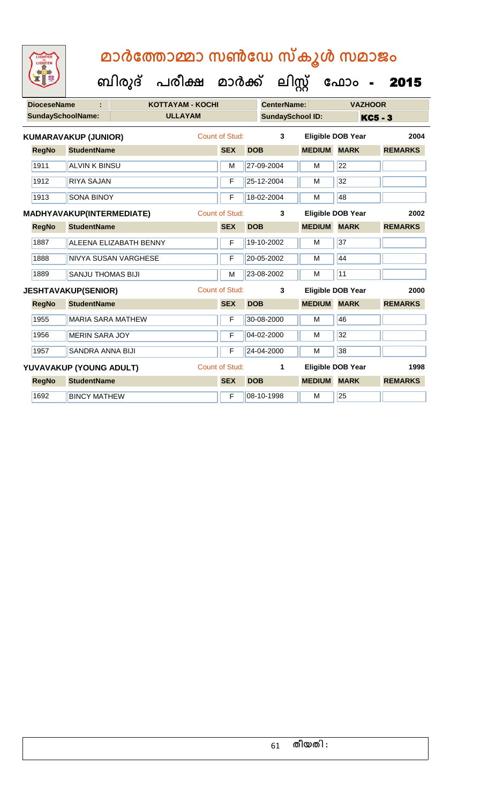| <b>DioceseName</b><br>÷ |                          |                             | <b>KOTTAYAM - KOCHI</b> |                       | <b>CenterName:</b> |                         |               | <b>VAZHOOR</b>                   |                |  |
|-------------------------|--------------------------|-----------------------------|-------------------------|-----------------------|--------------------|-------------------------|---------------|----------------------------------|----------------|--|
|                         | <b>SundaySchoolName:</b> |                             | <b>ULLAYAM</b>          |                       |                    | <b>SundaySchool ID:</b> |               |                                  | <b>KC5 - 3</b> |  |
|                         |                          | <b>KUMARAVAKUP (JUNIOR)</b> |                         | Count of Stud:        | 3                  |                         |               | 2004<br><b>Eligible DOB Year</b> |                |  |
|                         | <b>RegNo</b>             | <b>StudentName</b>          |                         | <b>SEX</b>            | <b>DOB</b>         |                         | <b>MEDIUM</b> | <b>MARK</b>                      | <b>REMARKS</b> |  |
|                         | 1911                     | <b>ALVIN K BINSU</b>        |                         | M                     |                    | 27-09-2004              | M             | $\overline{22}$                  |                |  |
|                         | 1912                     | <b>RIYA SAJAN</b>           |                         | F                     |                    | 25-12-2004              | M             | 32                               |                |  |
|                         | 1913                     | <b>SONA BINOY</b>           |                         | F                     |                    | 18-02-2004              | M             | 48                               |                |  |
|                         |                          | MADHYAVAKUP(INTERMEDIATE)   |                         | Count of Stud:        |                    | 3                       |               | <b>Eligible DOB Year</b><br>2002 |                |  |
|                         | <b>RegNo</b>             | <b>StudentName</b>          |                         | <b>SEX</b>            | <b>DOB</b>         |                         | <b>MEDIUM</b> | <b>MARK</b>                      | <b>REMARKS</b> |  |
|                         | 1887                     |                             | ALEENA ELIZABATH BENNY  | F                     |                    | 19-10-2002              | M             | 37                               |                |  |
|                         | 1888                     |                             | NIVYA SUSAN VARGHESE    | F                     |                    | 20-05-2002              | M             | 44                               |                |  |
|                         | 1889                     | SANJU THOMAS BIJI           |                         | M                     |                    | 23-08-2002              | M             | $\overline{11}$                  |                |  |
|                         |                          | <b>JESHTAVAKUP(SENIOR)</b>  |                         | Count of Stud:        |                    | 3                       |               | <b>Eligible DOB Year</b>         | 2000           |  |
|                         | <b>RegNo</b>             | <b>StudentName</b>          |                         | <b>SEX</b>            | <b>DOB</b>         |                         | <b>MEDIUM</b> | <b>MARK</b>                      | <b>REMARKS</b> |  |
|                         | 1955                     | <b>MARIA SARA MATHEW</b>    |                         | F                     |                    | 30-08-2000              | M             | 46                               |                |  |
|                         | 1956                     | <b>MERIN SARA JOY</b>       |                         | F                     |                    | 04-02-2000              | M             | 32                               |                |  |
|                         | 1957                     | <b>SANDRA ANNA BIJI</b>     |                         | F                     |                    | 24-04-2000              | M             | 38                               |                |  |
|                         |                          | YUVAVAKUP (YOUNG ADULT)     |                         | <b>Count of Stud:</b> |                    | 1                       |               | <b>Eligible DOB Year</b>         | 1998           |  |
|                         | <b>RegNo</b>             | <b>StudentName</b>          |                         | <b>SEX</b>            | <b>DOB</b>         |                         | <b>MEDIUM</b> | <b>MARK</b>                      | <b>REMARKS</b> |  |
|                         | 1692                     | <b>BINCY MATHEW</b>         |                         | F                     |                    | 08-10-1998              | M             | 25                               |                |  |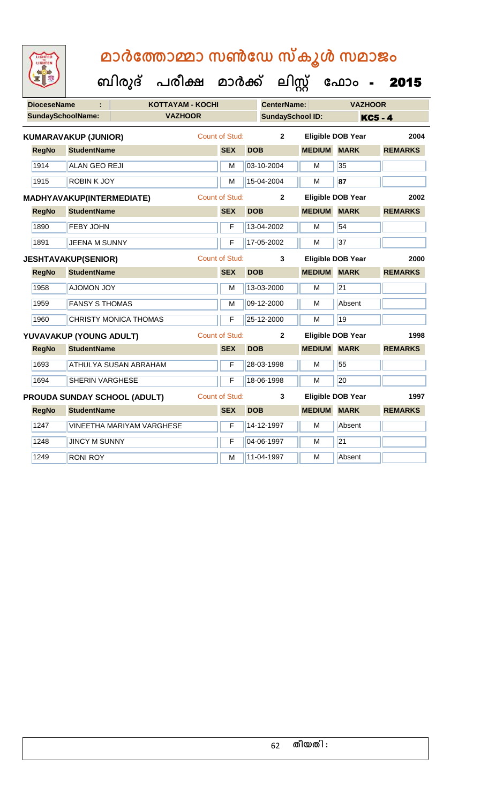| <b>DioceseName</b> | <b>KOTTAYAM - KOCHI</b><br>÷               |                       | <b>CenterName:</b>      |               | <b>VAZHOOR</b>           |                |
|--------------------|--------------------------------------------|-----------------------|-------------------------|---------------|--------------------------|----------------|
|                    | <b>SundaySchoolName:</b><br><b>VAZHOOR</b> |                       | <b>SundaySchool ID:</b> |               |                          | <b>KC5 - 4</b> |
|                    | <b>KUMARAVAKUP (JUNIOR)</b>                | Count of Stud:        | $\overline{2}$          |               | <b>Eligible DOB Year</b> | 2004           |
| <b>RegNo</b>       | <b>StudentName</b>                         | <b>SEX</b>            | <b>DOB</b>              | <b>MEDIUM</b> | <b>MARK</b>              | <b>REMARKS</b> |
| 1914               | <b>ALAN GEO REJI</b>                       | M                     | 03-10-2004              | M             | 35                       |                |
| 1915               | <b>ROBIN K JOY</b>                         | M                     | 15-04-2004              | M             | 87                       |                |
|                    | MADHYAVAKUP(INTERMEDIATE)                  | <b>Count of Stud:</b> | $\overline{2}$          |               | <b>Eligible DOB Year</b> | 2002           |
| <b>RegNo</b>       | <b>StudentName</b>                         | <b>SEX</b>            | <b>DOB</b>              | <b>MEDIUM</b> | <b>MARK</b>              | <b>REMARKS</b> |
| 1890               | <b>FEBY JOHN</b>                           | F                     | 13-04-2002              | м             | 54                       |                |
| 1891               | <b>JEENA M SUNNY</b>                       | F                     | 17-05-2002              | M             | 37                       |                |
|                    | <b>JESHTAVAKUP(SENIOR)</b>                 | <b>Count of Stud:</b> | 3                       |               | <b>Eligible DOB Year</b> | 2000           |
| <b>RegNo</b>       | <b>StudentName</b>                         | <b>SEX</b>            | <b>DOB</b>              | <b>MEDIUM</b> | <b>MARK</b>              | <b>REMARKS</b> |
| 1958               | <b>AJOMON JOY</b>                          | М                     | 13-03-2000              | м             | $\overline{21}$          |                |
| 1959               | <b>FANSY S THOMAS</b>                      | M                     | 09-12-2000              | M             | Absent                   |                |
| 1960               | <b>CHRISTY MONICA THOMAS</b>               | F                     | 25-12-2000              | M             | 19                       |                |
|                    | YUVAVAKUP (YOUNG ADULT)                    | <b>Count of Stud:</b> | $\mathbf{2}$            |               | <b>Eligible DOB Year</b> | 1998           |
| <b>RegNo</b>       | <b>StudentName</b>                         | <b>SEX</b>            | <b>DOB</b>              | <b>MEDIUM</b> | <b>MARK</b>              | <b>REMARKS</b> |
| 1693               | <b>ATHULYA SUSAN ABRAHAM</b>               | F                     | 28-03-1998              | м             | 55                       |                |
| 1694               | <b>SHERIN VARGHESE</b>                     | F                     | 18-06-1998              | M             | 20                       |                |
|                    | PROUDA SUNDAY SCHOOL (ADULT)               | <b>Count of Stud:</b> | 3                       |               | <b>Eligible DOB Year</b> | 1997           |
| <b>RegNo</b>       | <b>StudentName</b>                         | <b>SEX</b>            | <b>DOB</b>              | <b>MEDIUM</b> | <b>MARK</b>              | <b>REMARKS</b> |
| 1247               | <b>VINEETHA MARIYAM VARGHESE</b>           | F                     | 14-12-1997              | M             | Absent                   |                |
| 1248               | <b>JINCY M SUNNY</b>                       | F                     | 04-06-1997              | M             | $\overline{21}$          |                |
| 1249               | <b>RONI ROY</b>                            | М                     | 11-04-1997              | м             | Absent                   |                |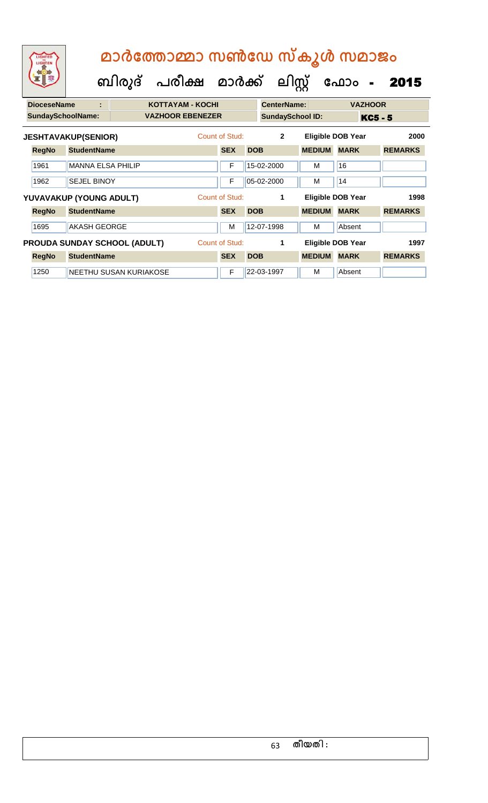|                          | LIGHTED<br>LIGHTEN         |                          |                         | മാർത്തോമ്മാ സൺഡേ സ്കൂൾ സമാജം<br>ബിരുദ് പരീക്ഷ മാർക്ക് ലിസ്റ്റ് |                |                         |                    |               | ഫോം<br>$\sim$            | 2015           |
|--------------------------|----------------------------|--------------------------|-------------------------|----------------------------------------------------------------|----------------|-------------------------|--------------------|---------------|--------------------------|----------------|
|                          | <b>DioceseName</b>         | ÷                        |                         | <b>KOTTAYAM - KOCHI</b>                                        |                |                         | <b>CenterName:</b> |               | <b>VAZHOOR</b>           |                |
| <b>SundaySchoolName:</b> |                            |                          | <b>VAZHOOR EBENEZER</b> |                                                                |                | <b>SundaySchool ID:</b> |                    | KC5 - 5       |                          |                |
|                          | <b>JESHTAVAKUP(SENIOR)</b> |                          |                         | Count of Stud:                                                 |                |                         | $\overline{2}$     |               | <b>Eligible DOB Year</b> | 2000           |
|                          | <b>RegNo</b>               | <b>StudentName</b>       |                         |                                                                | <b>SEX</b>     | <b>DOB</b>              |                    | <b>MEDIUM</b> | <b>MARK</b>              | <b>REMARKS</b> |
|                          | 1961                       | <b>MANNA ELSA PHILIP</b> |                         |                                                                | F              |                         | 15-02-2000         | м             | 16                       |                |
|                          | 1962                       | <b>SEJEL BINOY</b>       |                         |                                                                | F              |                         | 05-02-2000         | м             | 14                       |                |
|                          | YUVAVAKUP (YOUNG ADULT)    |                          |                         |                                                                | Count of Stud: |                         | 1                  |               | <b>Eligible DOB Year</b> | 1998           |
|                          | <b>RegNo</b>               | <b>StudentName</b>       |                         |                                                                | <b>SEX</b>     | <b>DOB</b>              |                    | <b>MEDIUM</b> | <b>MARK</b>              | <b>REMARKS</b> |
|                          | 1695                       | <b>AKASH GEORGE</b>      |                         |                                                                | м              |                         | 12-07-1998         | м             | Absent                   |                |

**RegNo StudentName SEX DOB MEDIUM MARK REMARKS PROUDA SUNDAY SCHOOL (ADULT)** Count of Stud: **1 Leading Eligible DOB Year 1997** 

1250 NEETHU SUSAN KURIAKOSE F 22-03-1997 M Absent

| തീയതി : |
|---------|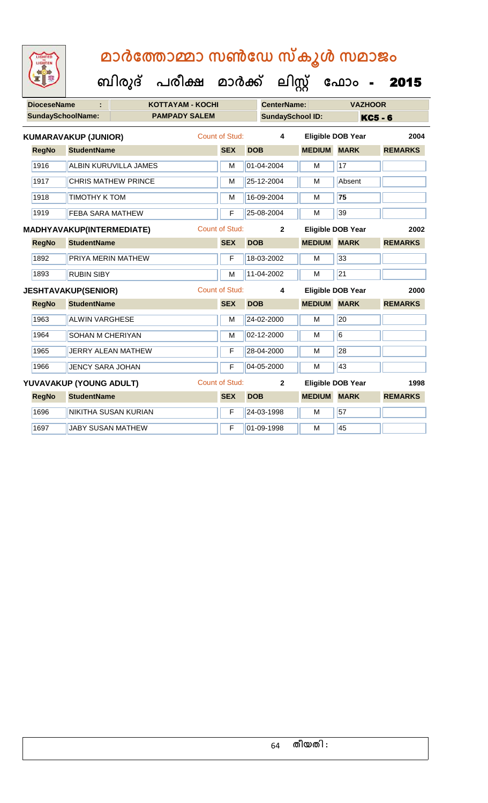| <b>IGHTED</b> |  |
|---------------|--|
|               |  |
|               |  |
|               |  |
|               |  |

| <b>DioceseName</b>                 |                             | KOTTAYAM - KOCHI          |  | <b>CenterName:</b>    |            | <b>VAZHOOR</b>          |                    |                          |                |
|------------------------------------|-----------------------------|---------------------------|--|-----------------------|------------|-------------------------|--------------------|--------------------------|----------------|
|                                    | SundaySchoolName:           | <b>PAMPADY SALEM</b>      |  |                       |            | <b>SundaySchool ID:</b> |                    |                          | <b>KC5 - 6</b> |
|                                    | <b>KUMARAVAKUP (JUNIOR)</b> |                           |  | <b>Count of Stud:</b> |            | $\overline{\mathbf{4}}$ |                    | <b>Eligible DOB Year</b> | 2004           |
| <b>RegNo</b>                       | <b>StudentName</b>          |                           |  | <b>SEX</b>            | <b>DOB</b> |                         | <b>MEDIUM</b>      | <b>MARK</b>              | <b>REMARKS</b> |
| 1916                               |                             | ALBIN KURUVILLA JAMES     |  | M                     |            | 01-04-2004              | M                  | 17                       |                |
| 1917<br><b>CHRIS MATHEW PRINCE</b> |                             |                           |  | M                     |            | 25-12-2004              | M                  | Absent                   |                |
| 1918                               | <b>TIMOTHY K TOM</b>        |                           |  | M                     |            | 16-09-2004              | M                  | 75                       |                |
| 1919                               | <b>FEBA SARA MATHEW</b>     |                           |  | F                     |            | 25-08-2004              | M                  | 39                       |                |
|                                    | MADHYAVAKUP(INTERMEDIATE)   |                           |  | <b>Count of Stud:</b> |            | $\overline{2}$          |                    | <b>Eligible DOB Year</b> | 2002           |
| <b>RegNo</b>                       | <b>StudentName</b>          |                           |  | <b>SEX</b>            | <b>DOB</b> |                         | <b>MEDIUM</b>      | <b>MARK</b>              | <b>REMARKS</b> |
| 1892                               | PRIYA MERIN MATHEW          |                           |  | F                     |            | 18-03-2002              | M                  | 33                       |                |
| 1893                               | <b>RUBIN SIBY</b>           |                           |  | $\overline{M}$        |            | 11-04-2002              | M                  | $\overline{21}$          |                |
|                                    | <b>JESHTAVAKUP(SENIOR)</b>  |                           |  | <b>Count of Stud:</b> | 4          |                         |                    | <b>Eligible DOB Year</b> | 2000           |
| <b>RegNo</b>                       | <b>StudentName</b>          |                           |  | <b>SEX</b>            | <b>DOB</b> |                         | <b>MEDIUM MARK</b> |                          | <b>REMARKS</b> |
| 1963                               | <b>ALWIN VARGHESE</b>       |                           |  | M                     |            | 24-02-2000              | M                  | 20                       |                |
| 1964                               | <b>SOHAN M CHERIYAN</b>     |                           |  | M                     |            | 02-12-2000              | M                  | 6                        |                |
| 1965                               |                             | <b>JERRY ALEAN MATHEW</b> |  | F                     |            | 28-04-2000              | M                  | 28                       |                |
| 1966                               | <b>JENCY SARA JOHAN</b>     |                           |  | $\overline{F}$        |            | 04-05-2000              | M                  | 43                       |                |
|                                    | YUVAVAKUP (YOUNG ADULT)     |                           |  | <b>Count of Stud:</b> |            | $\overline{2}$          |                    | Eligible DOB Year        | 1998           |
| <b>RegNo</b>                       | <b>StudentName</b>          |                           |  | <b>SEX</b>            | <b>DOB</b> |                         | <b>MEDIUM</b>      | <b>MARK</b>              | <b>REMARKS</b> |
| 1696                               |                             | NIKITHA SUSAN KURIAN      |  | F                     |            | 24-03-1998              | M                  | 57                       |                |
| 1697                               | <b>JABY SUSAN MATHEW</b>    |                           |  | F                     |            | 01-09-1998              | M                  | 45                       |                |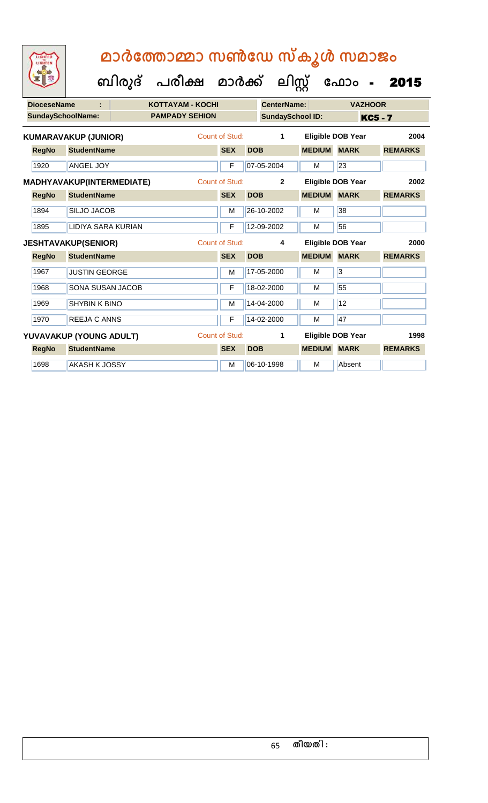| 工业                 |                                  | ബിരുദ് പരീക്ഷ മാർക്ക്   |                |            | ലിസ്                    |               | ഫോം                      | 2015           |
|--------------------|----------------------------------|-------------------------|----------------|------------|-------------------------|---------------|--------------------------|----------------|
| <b>DioceseName</b> | ٠                                | <b>KOTTAYAM - KOCHI</b> |                |            | <b>CenterName:</b>      |               | <b>VAZHOOR</b>           |                |
|                    | <b>SundaySchoolName:</b>         | <b>PAMPADY SEHION</b>   |                |            | <b>SundaySchool ID:</b> |               |                          | <b>KC5 - 7</b> |
|                    | <b>KUMARAVAKUP (JUNIOR)</b>      |                         | Count of Stud: |            | 1                       |               | <b>Eligible DOB Year</b> | 2004           |
| <b>RegNo</b>       | <b>StudentName</b>               |                         | <b>SEX</b>     | <b>DOB</b> |                         | <b>MEDIUM</b> | <b>MARK</b>              | <b>REMARKS</b> |
| 1920               | <b>ANGEL JOY</b>                 |                         | F              |            | 07-05-2004              | м             | 23                       |                |
|                    | <b>MADHYAVAKUP(INTERMEDIATE)</b> |                         | Count of Stud: |            | $\overline{2}$          |               | Eligible DOB Year        | 2002           |
| <b>RegNo</b>       | <b>StudentName</b>               |                         | <b>SEX</b>     | <b>DOB</b> |                         | <b>MEDIUM</b> | <b>MARK</b>              | <b>REMARKS</b> |
| 1894               | <b>SILJO JACOB</b>               |                         | M              |            | 26-10-2002              | M             | 38                       |                |
| 1895               | LIDIYA SARA KURIAN               |                         | F              |            | 12-09-2002              | M             | 56                       |                |
|                    | <b>JESHTAVAKUP(SENIOR)</b>       |                         | Count of Stud: |            | 4                       |               | <b>Eligible DOB Year</b> | 2000           |
| <b>RegNo</b>       | <b>StudentName</b>               |                         | <b>SEX</b>     | <b>DOB</b> |                         | <b>MEDIUM</b> | <b>MARK</b>              | <b>REMARKS</b> |
| 1967               | <b>JUSTIN GEORGE</b>             |                         | M              |            | 17-05-2000              | M             | 3                        |                |
| 1968               | <b>SONA SUSAN JACOB</b>          |                         | F              |            | 18-02-2000              | M             | 55                       |                |
| 1969               | <b>SHYBIN K BINO</b>             |                         | M              |            | 14-04-2000              | м             | 12                       |                |
| 1970               | <b>REEJA C ANNS</b>              |                         | F              |            | 14-02-2000              | M             | 47                       |                |
|                    | YUVAVAKUP (YOUNG ADULT)          |                         | Count of Stud: |            | 1                       |               | <b>Eligible DOB Year</b> | 1998           |
| <b>RegNo</b>       | <b>StudentName</b>               |                         | <b>SEX</b>     | <b>DOB</b> |                         | <b>MEDIUM</b> | <b>MARK</b>              | <b>REMARKS</b> |
|                    |                                  |                         |                |            |                         |               |                          |                |

LIGHTER

1698 AKASH K JOSSY M M 06-10-1998 M Absent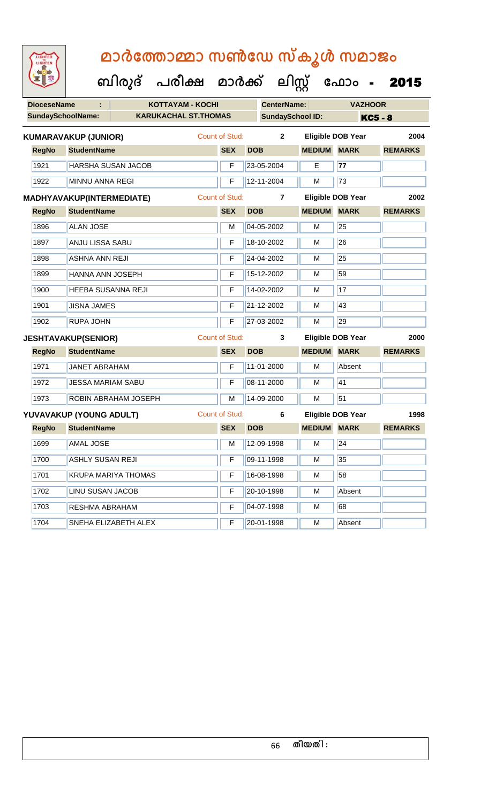| <b>DioceseName</b> |                                  | <b>KOTTAYAM - KOCHI</b>     |                       |            | <b>CenterName:</b>      |                    | <b>VAZHOOR</b>           |                |
|--------------------|----------------------------------|-----------------------------|-----------------------|------------|-------------------------|--------------------|--------------------------|----------------|
|                    | <b>SundaySchoolName:</b>         | <b>KARUKACHAL ST.THOMAS</b> |                       |            | <b>SundaySchool ID:</b> |                    |                          | <b>KC5 - 8</b> |
|                    | <b>KUMARAVAKUP (JUNIOR)</b>      |                             | <b>Count of Stud:</b> |            | $\overline{2}$          |                    | <b>Eligible DOB Year</b> | 2004           |
| <b>RegNo</b>       | <b>StudentName</b>               |                             | <b>SEX</b>            | <b>DOB</b> |                         | <b>MEDIUM MARK</b> |                          | <b>REMARKS</b> |
| 1921               |                                  | HARSHA SUSAN JACOB          | F                     |            | 23-05-2004              | Е                  | 77                       |                |
| 1922               | <b>MINNU ANNA REGI</b>           |                             | F                     |            | 12-11-2004              | M                  | 73                       |                |
|                    | <b>MADHYAVAKUP(INTERMEDIATE)</b> |                             | <b>Count of Stud:</b> |            | $\overline{7}$          |                    | <b>Eligible DOB Year</b> | 2002           |
| <b>RegNo</b>       | <b>StudentName</b>               |                             | <b>SEX</b>            | <b>DOB</b> |                         | <b>MEDIUM MARK</b> |                          | <b>REMARKS</b> |
| 1896               | <b>ALAN JOSE</b>                 |                             | M                     |            | 04-05-2002              | M                  | 25                       |                |
| 1897               | <b>ANJU LISSA SABU</b>           |                             | F                     |            | 18-10-2002              | M                  | 26                       |                |
| 1898               |                                  | <b>ASHNA ANN REJI</b>       |                       |            | 24-04-2002              | М                  | 25                       |                |
| 1899               |                                  | HANNA ANN JOSEPH            |                       |            | 15-12-2002              | M                  | 59                       |                |
| 1900               |                                  | <b>HEEBA SUSANNA REJI</b>   |                       |            | 14-02-2002              | M                  | 17                       |                |
| 1901               | <b>JISNA JAMES</b>               |                             | F                     |            | 21-12-2002              | M                  | 43                       |                |
| 1902               | <b>RUPA JOHN</b>                 |                             | F                     |            | 27-03-2002              | M                  | 29                       |                |
|                    | <b>JESHTAVAKUP(SENIOR)</b>       |                             | <b>Count of Stud:</b> |            | 3                       |                    | <b>Eligible DOB Year</b> | 2000           |
| <b>RegNo</b>       | <b>StudentName</b>               |                             | <b>SEX</b>            | <b>DOB</b> |                         | <b>MEDIUM</b>      | <b>MARK</b>              | <b>REMARKS</b> |
| 1971               | <b>JANET ABRAHAM</b>             |                             | F                     |            | 11-01-2000              | м                  | Absent                   |                |
| 1972               | <b>JESSA MARIAM SABU</b>         |                             | F                     |            | 08-11-2000              | м                  | 41                       |                |
| 1973               |                                  | ROBIN ABRAHAM JOSEPH        | M                     |            | 14-09-2000              | M                  | 51                       |                |
|                    | YUVAVAKUP (YOUNG ADULT)          |                             | <b>Count of Stud:</b> |            | 6                       |                    | <b>Eligible DOB Year</b> | 1998           |
| <b>RegNo</b>       | <b>StudentName</b>               |                             | <b>SEX</b>            | <b>DOB</b> |                         | <b>MEDIUM</b>      | <b>MARK</b>              | <b>REMARKS</b> |
| 1699               | <b>AMAL JOSE</b>                 |                             | M                     |            | 12-09-1998              | м                  | 24                       |                |
| 1700               | <b>ASHLY SUSAN REJI</b>          |                             |                       |            | $F$ 09-11-1998          | $\overline{M}$     | 35                       |                |
| 1701               |                                  | <b>KRUPA MARIYA THOMAS</b>  | F                     |            | 16-08-1998              | м                  | 58                       |                |
| 1702               | LINU SUSAN JACOB                 |                             | F                     |            | 20-10-1998              | м                  | Absent                   |                |
| 1703               | RESHMA ABRAHAM                   |                             | F                     |            | 04-07-1998              | M                  | 68                       |                |
| 1704               |                                  | SNEHA ELIZABETH ALEX        | F                     |            | 20-01-1998              | M                  | Absent                   |                |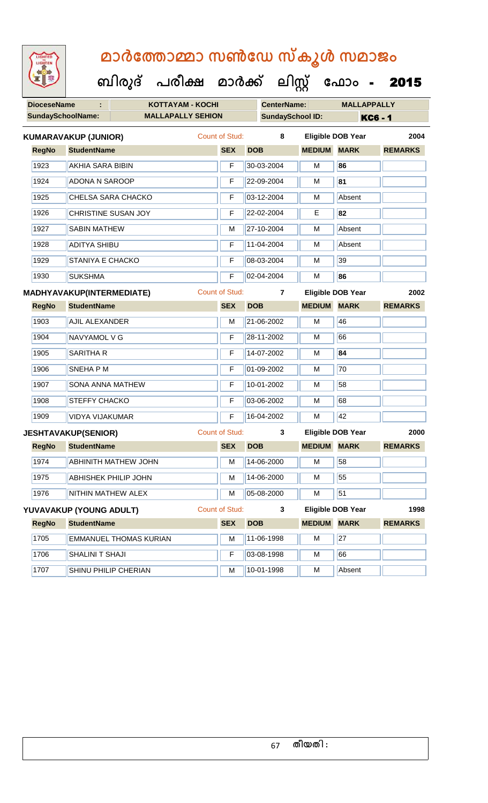| 92                 | ബിരുദ്                           | പരീക്ഷ                   | മാർക്ക്               |            | பிழ                     | ഫോം -                    | 2015           |
|--------------------|----------------------------------|--------------------------|-----------------------|------------|-------------------------|--------------------------|----------------|
| <b>DioceseName</b> | ÷                                | <b>KOTTAYAM - KOCHI</b>  |                       |            | <b>CenterName:</b>      | <b>MALLAPPALLY</b>       |                |
|                    | <b>SundaySchoolName:</b>         | <b>MALLAPALLY SEHION</b> |                       |            | <b>SundaySchool ID:</b> |                          | <b>KC6 - 1</b> |
|                    | <b>KUMARAVAKUP (JUNIOR)</b>      |                          | <b>Count of Stud:</b> |            | 8                       | <b>Eligible DOB Year</b> | 2004           |
| <b>RegNo</b>       | <b>StudentName</b>               |                          | <b>SEX</b>            | <b>DOB</b> | <b>MEDIUM MARK</b>      |                          | <b>REMARKS</b> |
| 1923               | <b>AKHIA SARA BIBIN</b>          |                          | F                     | 30-03-2004 | М                       | 86                       |                |
| 1924               | <b>ADONA N SAROOP</b>            |                          | F                     | 22-09-2004 | M                       | 81                       |                |
| 1925               | <b>CHELSA SARA CHACKO</b>        |                          | F                     | 03-12-2004 | M                       | Absent                   |                |
| 1926               | CHRISTINE SUSAN JOY              |                          | F                     | 22-02-2004 | Е                       | 82                       |                |
| 1927               | <b>SABIN MATHEW</b>              |                          | M                     | 27-10-2004 | M                       | Absent                   |                |
| 1928               | <b>ADITYA SHIBU</b>              |                          | F                     | 11-04-2004 | м                       | Absent                   |                |
| 1929               | STANIYA E CHACKO                 |                          | F                     | 08-03-2004 | м                       | 39                       |                |
| 1930               | <b>SUKSHMA</b>                   |                          | F                     | 02-04-2004 | М                       | 86                       |                |
|                    | <b>MADHYAVAKUP(INTERMEDIATE)</b> |                          | <b>Count of Stud:</b> |            | $\overline{7}$          | Eligible DOB Year        | 2002           |
| <b>RegNo</b>       | <b>StudentName</b>               |                          | <b>SEX</b>            | <b>DOB</b> | <b>MEDIUM</b>           | <b>MARK</b>              | <b>REMARKS</b> |
| 1903               | <b>AJIL ALEXANDER</b>            |                          | М                     | 21-06-2002 | M                       | 46                       |                |
| 1904               | NAVYAMOL V G                     |                          | F                     | 28-11-2002 | М                       | 66                       |                |
| 1905               | <b>SARITHA R</b>                 |                          | F                     | 14-07-2002 | M                       | 84                       |                |
| 1906               | SNEHA P M                        |                          | F                     | 01-09-2002 | м                       | 70                       |                |
| 1907               | SONA ANNA MATHEW                 |                          | F                     | 10-01-2002 | м                       | 58                       |                |
| 1908               | STEFFY CHACKO                    |                          | F                     | 03-06-2002 | M                       | 68                       |                |
| 1909               | VIDYA VIJAKUMAR                  |                          | F                     | 16-04-2002 | M                       | 42                       |                |
|                    | <b>JESHTAVAKUP(SENIOR)</b>       |                          | Count of Stud:        |            | 3                       | <b>Eligible DOB Year</b> | 2000           |
| <b>RegNo</b>       | <b>StudentName</b>               |                          | <b>SEX</b>            | <b>DOB</b> |                         | <b>MEDIUM MARK</b>       | <b>REMARKS</b> |
| 1974               | <b>ABHINITH MATHEW JOHN</b>      |                          | M                     | 14-06-2000 | М                       | 58                       |                |
| 1975               | ABHISHEK PHILIP JOHN             |                          | M                     | 14-06-2000 | M                       | 55                       |                |
| 1976               | NITHIN MATHEW ALEX               |                          | M                     | 05-08-2000 | M                       | 51                       |                |
|                    | YUVAVAKUP (YOUNG ADULT)          |                          | Count of Stud:        |            | 3                       | <b>Eligible DOB Year</b> | 1998           |
| <b>RegNo</b>       | <b>StudentName</b>               |                          | <b>SEX</b>            | <b>DOB</b> | <b>MEDIUM MARK</b>      |                          | <b>REMARKS</b> |
| 1705               | <b>EMMANUEL THOMAS KURIAN</b>    |                          | M                     | 11-06-1998 | М                       | 27                       |                |
| 1706               | SHALINI T SHAJI                  |                          | F                     | 03-08-1998 | M                       | 66                       |                |
| 1707               | SHINU PHILIP CHERIAN             |                          | M                     | 10-01-1998 | M                       | Absent                   |                |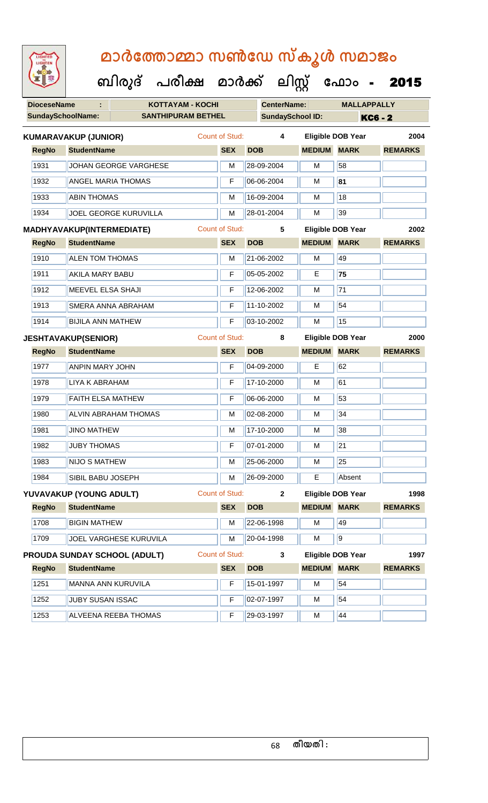| LIGHTED<br>LIGHTEN |                                              |                                                |                                                                                                                                                                                                                                                                                                                                                              |                                                                                                                                                                      |            |                                                      |                                                           |                                                                                                                                                                                                                |                                               |                                                                                                                                                                                                                       |
|--------------------|----------------------------------------------|------------------------------------------------|--------------------------------------------------------------------------------------------------------------------------------------------------------------------------------------------------------------------------------------------------------------------------------------------------------------------------------------------------------------|----------------------------------------------------------------------------------------------------------------------------------------------------------------------|------------|------------------------------------------------------|-----------------------------------------------------------|----------------------------------------------------------------------------------------------------------------------------------------------------------------------------------------------------------------|-----------------------------------------------|-----------------------------------------------------------------------------------------------------------------------------------------------------------------------------------------------------------------------|
|                    |                                              |                                                |                                                                                                                                                                                                                                                                                                                                                              |                                                                                                                                                                      |            |                                                      |                                                           |                                                                                                                                                                                                                |                                               |                                                                                                                                                                                                                       |
|                    |                                              |                                                |                                                                                                                                                                                                                                                                                                                                                              |                                                                                                                                                                      |            |                                                      |                                                           |                                                                                                                                                                                                                |                                               |                                                                                                                                                                                                                       |
|                    |                                              |                                                |                                                                                                                                                                                                                                                                                                                                                              |                                                                                                                                                                      |            |                                                      |                                                           |                                                                                                                                                                                                                |                                               | <b>KC6 - 2</b>                                                                                                                                                                                                        |
|                    |                                              |                                                |                                                                                                                                                                                                                                                                                                                                                              |                                                                                                                                                                      |            |                                                      | 4                                                         |                                                                                                                                                                                                                |                                               | 2004                                                                                                                                                                                                                  |
|                    |                                              |                                                |                                                                                                                                                                                                                                                                                                                                                              |                                                                                                                                                                      | <b>SEX</b> | <b>DOB</b>                                           |                                                           |                                                                                                                                                                                                                | <b>MARK</b>                                   | <b>REMARKS</b>                                                                                                                                                                                                        |
| 1931               |                                              |                                                |                                                                                                                                                                                                                                                                                                                                                              |                                                                                                                                                                      | м          |                                                      |                                                           | м                                                                                                                                                                                                              | 58                                            |                                                                                                                                                                                                                       |
| 1932               |                                              |                                                |                                                                                                                                                                                                                                                                                                                                                              |                                                                                                                                                                      | F          |                                                      |                                                           | м                                                                                                                                                                                                              | 81                                            |                                                                                                                                                                                                                       |
| 1933               |                                              |                                                |                                                                                                                                                                                                                                                                                                                                                              |                                                                                                                                                                      | м          |                                                      |                                                           | м                                                                                                                                                                                                              | 18                                            |                                                                                                                                                                                                                       |
| 1934               |                                              |                                                |                                                                                                                                                                                                                                                                                                                                                              |                                                                                                                                                                      | м          |                                                      |                                                           | м                                                                                                                                                                                                              | 39                                            |                                                                                                                                                                                                                       |
|                    |                                              |                                                |                                                                                                                                                                                                                                                                                                                                                              |                                                                                                                                                                      |            |                                                      | 5                                                         |                                                                                                                                                                                                                |                                               | 2002                                                                                                                                                                                                                  |
|                    |                                              |                                                |                                                                                                                                                                                                                                                                                                                                                              |                                                                                                                                                                      | <b>SEX</b> | <b>DOB</b>                                           |                                                           | <b>MEDIUM</b>                                                                                                                                                                                                  | <b>MARK</b>                                   | <b>REMARKS</b>                                                                                                                                                                                                        |
| 1910               |                                              |                                                |                                                                                                                                                                                                                                                                                                                                                              |                                                                                                                                                                      | M          |                                                      |                                                           | м                                                                                                                                                                                                              | 49                                            |                                                                                                                                                                                                                       |
| 1911               |                                              |                                                |                                                                                                                                                                                                                                                                                                                                                              |                                                                                                                                                                      | F          |                                                      |                                                           | Е                                                                                                                                                                                                              | 75                                            |                                                                                                                                                                                                                       |
| 1912               |                                              |                                                |                                                                                                                                                                                                                                                                                                                                                              |                                                                                                                                                                      | F          |                                                      |                                                           | м                                                                                                                                                                                                              | 71                                            |                                                                                                                                                                                                                       |
| 1913               |                                              |                                                |                                                                                                                                                                                                                                                                                                                                                              |                                                                                                                                                                      | F          |                                                      |                                                           | м                                                                                                                                                                                                              | 54                                            |                                                                                                                                                                                                                       |
| 1914               |                                              |                                                |                                                                                                                                                                                                                                                                                                                                                              |                                                                                                                                                                      | F          |                                                      |                                                           | м                                                                                                                                                                                                              | 15                                            |                                                                                                                                                                                                                       |
|                    |                                              |                                                |                                                                                                                                                                                                                                                                                                                                                              |                                                                                                                                                                      |            |                                                      | 8                                                         |                                                                                                                                                                                                                |                                               | 2000                                                                                                                                                                                                                  |
|                    |                                              |                                                |                                                                                                                                                                                                                                                                                                                                                              |                                                                                                                                                                      | <b>SEX</b> | <b>DOB</b>                                           |                                                           |                                                                                                                                                                                                                | <b>MARK</b>                                   | <b>REMARKS</b>                                                                                                                                                                                                        |
| 1977               |                                              |                                                |                                                                                                                                                                                                                                                                                                                                                              |                                                                                                                                                                      | F          |                                                      |                                                           | Е                                                                                                                                                                                                              | 62                                            |                                                                                                                                                                                                                       |
| 1978               |                                              |                                                |                                                                                                                                                                                                                                                                                                                                                              |                                                                                                                                                                      | F          |                                                      |                                                           | м                                                                                                                                                                                                              | 61                                            |                                                                                                                                                                                                                       |
| 1979               |                                              |                                                |                                                                                                                                                                                                                                                                                                                                                              |                                                                                                                                                                      | F          |                                                      |                                                           | м                                                                                                                                                                                                              | 53                                            |                                                                                                                                                                                                                       |
| 1980               |                                              |                                                |                                                                                                                                                                                                                                                                                                                                                              |                                                                                                                                                                      | м          |                                                      |                                                           | м                                                                                                                                                                                                              | 34                                            |                                                                                                                                                                                                                       |
| 1981               |                                              |                                                |                                                                                                                                                                                                                                                                                                                                                              |                                                                                                                                                                      | м          |                                                      |                                                           | м                                                                                                                                                                                                              | 38                                            |                                                                                                                                                                                                                       |
| 1982               |                                              |                                                |                                                                                                                                                                                                                                                                                                                                                              |                                                                                                                                                                      | F          |                                                      |                                                           | м                                                                                                                                                                                                              | 21                                            |                                                                                                                                                                                                                       |
|                    | <b>RegNo</b><br><b>RegNo</b><br><b>RegNo</b> | <b>DioceseName</b><br><b>SundaySchoolName:</b> | <b>KUMARAVAKUP (JUNIOR)</b><br><b>StudentName</b><br><b>ABIN THOMAS</b><br><b>StudentName</b><br><b>ALEN TOM THOMAS</b><br>AKILA MARY BABU<br>MEEVEL ELSA SHAJI<br><b>BIJILA ANN MATHEW</b><br><b>JESHTAVAKUP(SENIOR)</b><br><b>StudentName</b><br>ANPIN MARY JOHN<br><b>LIYA K ABRAHAM</b><br><b>FAITH ELSA MATHEW</b><br><b>JINO MATHEW</b><br>JUBY THOMAS | JOHAN GEORGE VARGHESE<br><b>ANGEL MARIA THOMAS</b><br><b>JOEL GEORGE KURUVILLA</b><br>MADHYAVAKUP(INTERMEDIATE)<br>SMERA ANNA ABRAHAM<br><b>ALVIN ABRAHAM THOMAS</b> |            | <b>KOTTAYAM - KOCHI</b><br><b>SANTHIPURAM BETHEL</b> | Count of Stud:<br>Count of Stud:<br><b>Count of Stud:</b> | 28-09-2004<br>06-06-2004<br>16-09-2004<br>28-01-2004<br>21-06-2002<br>05-05-2002<br>12-06-2002<br>11-10-2002<br>03-10-2002<br>04-09-2000<br>17-10-2000<br>06-06-2000<br>02-08-2000<br>17-10-2000<br>07-01-2000 | <b>CenterName:</b><br><b>SundaySchool ID:</b> | മാർത്തോമ്മാ സൺഡേ സ്കൂൾ സമാജം<br>ബിരുദ് പരീക്ഷ മാർക്ക് ലിസ്റ്റ് ഫോം - 2015<br><b>MALLAPPALLY</b><br><b>Eligible DOB Year</b><br><b>MEDIUM</b><br><b>Eligible DOB Year</b><br><b>Eligible DOB Year</b><br><b>MEDIUM</b> |

| 1984         | <b>SIBIL BABU JOSEPH</b>            | м              | 26-09-2000   | Е             | Absent                   |                |
|--------------|-------------------------------------|----------------|--------------|---------------|--------------------------|----------------|
|              | YUVAVAKUP (YOUNG ADULT)             | Count of Stud: | $\mathbf{2}$ |               | <b>Eligible DOB Year</b> | 1998           |
| <b>RegNo</b> | <b>StudentName</b>                  | <b>SEX</b>     | <b>DOB</b>   | <b>MEDIUM</b> | <b>MARK</b>              | <b>REMARKS</b> |
| 1708         | <b>BIGIN MATHEW</b>                 | м              | 22-06-1998   | м             | 49                       |                |
| 1709         | <b>JOEL VARGHESE KURUVILA</b>       | м              | 20-04-1998   | м             | <b>9</b>                 |                |
|              |                                     |                |              |               |                          |                |
|              | <b>PROUDA SUNDAY SCHOOL (ADULT)</b> | Count of Stud: | 3            |               | <b>Eligible DOB Year</b> | 1997           |
| <b>RegNo</b> | <b>StudentName</b>                  | <b>SEX</b>     | <b>DOB</b>   | <b>MEDIUM</b> | <b>MARK</b>              | <b>REMARKS</b> |
| 1251         | MANNA ANN KURUVILA                  | F              | 15-01-1997   | м             | 54                       |                |
| 1252         | <b>JUBY SUSAN ISSAC</b>             | F              | 02-07-1997   | м             | 54                       |                |

1983 NIJO S MATHEW M 25-06-2000 M 25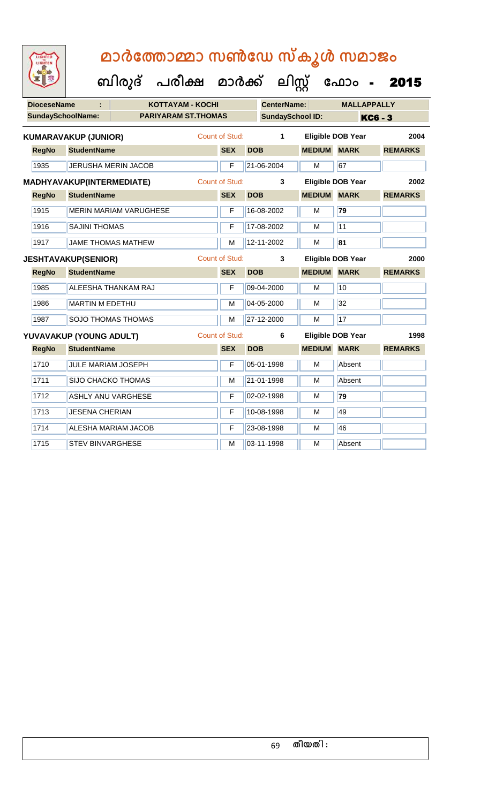|                    |                                  |                              |                       |            |                         | ັ             |                          |                |
|--------------------|----------------------------------|------------------------------|-----------------------|------------|-------------------------|---------------|--------------------------|----------------|
|                    |                                  | ബിരുദ് പരീക്ഷ മാർക്ക് ലിസ്റ് |                       |            |                         |               | ഫോം -                    | 2015           |
| <b>DioceseName</b> | ÷.                               | <b>KOTTAYAM - KOCHI</b>      |                       |            | <b>CenterName:</b>      |               | <b>MALLAPPALLY</b>       |                |
|                    | <b>SundaySchoolName:</b>         | <b>PARIYARAM ST.THOMAS</b>   |                       |            | <b>SundaySchool ID:</b> |               |                          | <b>KC6 - 3</b> |
|                    | <b>KUMARAVAKUP (JUNIOR)</b>      |                              | Count of Stud:        |            | 1                       |               | <b>Eligible DOB Year</b> | 2004           |
| <b>RegNo</b>       | <b>StudentName</b>               |                              | <b>SEX</b>            | <b>DOB</b> |                         | <b>MEDIUM</b> | <b>MARK</b>              | <b>REMARKS</b> |
| 1935               | <b>JERUSHA MERIN JACOB</b>       |                              | F                     |            | 21-06-2004              | M             | 67                       |                |
|                    | <b>MADHYAVAKUP(INTERMEDIATE)</b> |                              | Count of Stud:        |            | 3                       |               | <b>Eligible DOB Year</b> | 2002           |
| <b>RegNo</b>       | <b>StudentName</b>               |                              | <b>SEX</b>            | <b>DOB</b> |                         | <b>MEDIUM</b> | <b>MARK</b>              | <b>REMARKS</b> |
| 1915               | <b>MERIN MARIAM VARUGHESE</b>    |                              | F                     |            | 16-08-2002              | M             | 79                       |                |
| 1916               | <b>SAJINI THOMAS</b>             |                              | F                     |            | 17-08-2002              | м             | $\overline{11}$          |                |
| 1917               | <b>JAME THOMAS MATHEW</b>        |                              | M                     |            | 12-11-2002              | M             | 81                       |                |
|                    | <b>JESHTAVAKUP(SENIOR)</b>       |                              | Count of Stud:        |            | 3                       |               | <b>Eligible DOB Year</b> | 2000           |
| <b>RegNo</b>       | <b>StudentName</b>               |                              | <b>SEX</b>            | <b>DOB</b> |                         | <b>MEDIUM</b> | <b>MARK</b>              | <b>REMARKS</b> |
| 1985               | <b>ALEESHA THANKAM RAJ</b>       |                              | F                     |            | 09-04-2000              | M             | 10                       |                |
| 1986               | <b>MARTIN M EDETHU</b>           |                              | M                     |            | 04-05-2000              | м             | 32                       |                |
| 1987               | <b>SOJO THOMAS THOMAS</b>        |                              | M                     |            | 27-12-2000              | M             | 17                       |                |
|                    | YUVAVAKUP (YOUNG ADULT)          |                              | <b>Count of Stud:</b> |            | 6                       |               | Eligible DOB Year        | 1998           |
| <b>RegNo</b>       | <b>StudentName</b>               |                              | <b>SEX</b>            | <b>DOB</b> |                         | <b>MEDIUM</b> | <b>MARK</b>              | <b>REMARKS</b> |
| 1710               | <b>JULE MARIAM JOSEPH</b>        |                              | F                     |            | 05-01-1998              | M             | Absent                   |                |
| 1711               | <b>SIJO CHACKO THOMAS</b>        |                              | м                     |            | 21-01-1998              | м             | Absent                   |                |
| 1712               | <b>ASHLY ANU VARGHESE</b>        |                              | F                     |            | 02-02-1998              | м             | 79                       |                |
| 1713               | <b>JESENA CHERIAN</b>            |                              | F                     |            | 10-08-1998              | M             | 49                       |                |

LIGHTED

1714 ALESHA MARIAM JACOB F 23-08-1998 M 46

1715 STEV BINVARGHESE MARIA 1998 MARIA Absent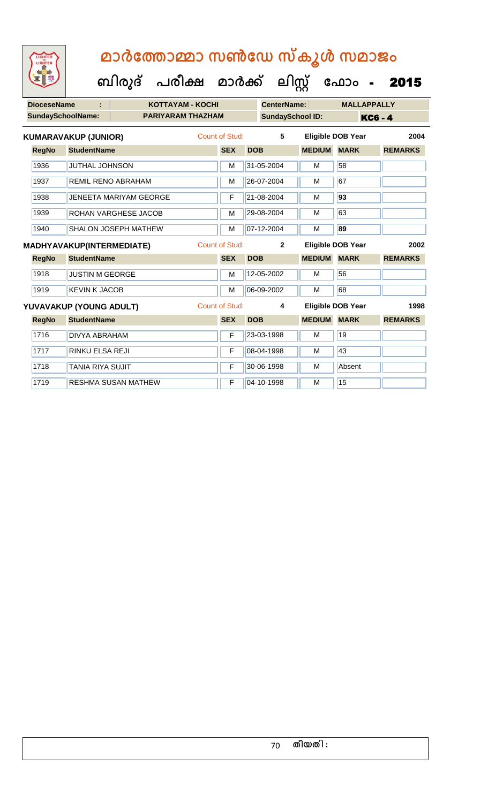| <b>DioceseName</b>       | ÷                           |                            | <b>KOTTAYAM - KOCHI</b>  |                       |            | <b>CenterName:</b>      |               | <b>MALLAPPALLY</b>       |                |      |
|--------------------------|-----------------------------|----------------------------|--------------------------|-----------------------|------------|-------------------------|---------------|--------------------------|----------------|------|
| <b>SundaySchoolName:</b> |                             |                            | <b>PARIYARAM THAZHAM</b> |                       |            | <b>SundaySchool ID:</b> |               |                          | <b>KC6 - 4</b> |      |
|                          | <b>KUMARAVAKUP (JUNIOR)</b> |                            |                          | Count of Stud:        |            | 5                       |               | <b>Eligible DOB Year</b> |                | 2004 |
| <b>RegNo</b>             | <b>StudentName</b>          |                            |                          | <b>SEX</b>            | <b>DOB</b> |                         | <b>MEDIUM</b> | <b>MARK</b>              | <b>REMARKS</b> |      |
| 1936                     | <b>JUTHAL JOHNSON</b>       |                            |                          | M                     |            | 31-05-2004              | M             | 58                       |                |      |
| 1937                     |                             | <b>REMIL RENO ABRAHAM</b>  |                          | м                     |            | 26-07-2004              | м             | 67                       |                |      |
| 1938                     |                             | JENEETA MARIYAM GEORGE     |                          | F                     |            | 21-08-2004              | М             | 93                       |                |      |
| 1939                     |                             | ROHAN VARGHESE JACOB       |                          | M                     |            | 29-08-2004              | M             | 63                       |                |      |
| 1940                     |                             | SHALON JOSEPH MATHEW       |                          | M                     |            | 07-12-2004              | M             | 89                       |                |      |
|                          | MADHYAVAKUP(INTERMEDIATE)   |                            |                          | Count of Stud:        |            | $\overline{2}$          |               | <b>Eligible DOB Year</b> |                | 2002 |
| <b>RegNo</b>             | <b>StudentName</b>          |                            |                          | <b>SEX</b>            | <b>DOB</b> |                         | <b>MEDIUM</b> | <b>MARK</b>              | <b>REMARKS</b> |      |
| 1918                     | <b>JUSTIN M GEORGE</b>      |                            |                          | M                     |            | 12-05-2002              | M             | 56                       |                |      |
| 1919                     | <b>KEVIN K JACOB</b>        |                            |                          | M                     |            | 06-09-2002              | м             | 68                       |                |      |
|                          | YUVAVAKUP (YOUNG ADULT)     |                            |                          | <b>Count of Stud:</b> |            | 4                       |               | <b>Eligible DOB Year</b> |                | 1998 |
| <b>RegNo</b>             | <b>StudentName</b>          |                            |                          | <b>SEX</b>            | <b>DOB</b> |                         | <b>MEDIUM</b> | <b>MARK</b>              | <b>REMARKS</b> |      |
| 1716                     | <b>DIVYA ABRAHAM</b>        |                            |                          | F                     |            | 23-03-1998              | M             | 19                       |                |      |
| 1717                     | <b>RINKU ELSA REJI</b>      |                            |                          | F                     |            | 08-04-1998              | м             | 43                       |                |      |
| 1718                     | TANIA RIYA SUJIT            |                            |                          | F                     |            | 30-06-1998              | M             | Absent                   |                |      |
| 1719                     |                             | <b>RESHMA SUSAN MATHEW</b> |                          | F                     |            | 04-10-1998              | M             | 15                       |                |      |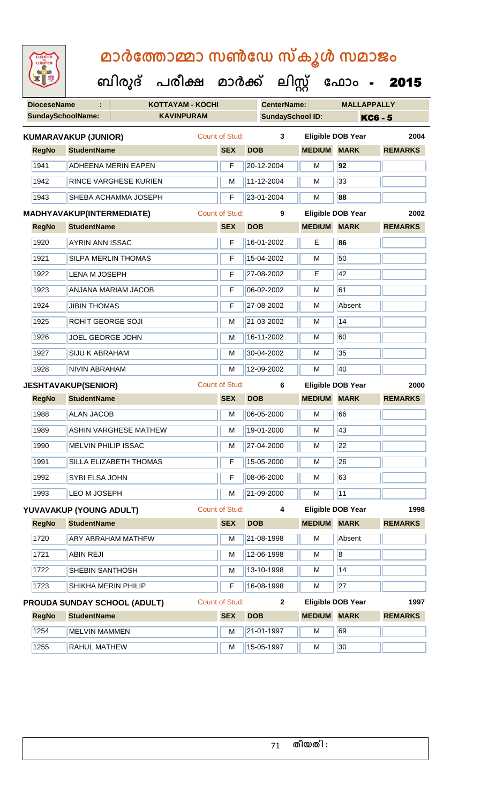| <b>IGHTED</b> |
|---------------|
|               |
|               |
|               |
|               |

| <b>DioceseName</b> |                                  | <b>KOTTAYAM - KOCHI</b>             |                       |            | <b>CenterName:</b>      |                          |                          | <b>MALLAPPALLY</b> |  |  |
|--------------------|----------------------------------|-------------------------------------|-----------------------|------------|-------------------------|--------------------------|--------------------------|--------------------|--|--|
|                    | SundaySchoolName:                | <b>KAVINPURAM</b>                   |                       |            | <b>SundaySchool ID:</b> |                          |                          | <b>KC6 - 5</b>     |  |  |
|                    | <b>KUMARAVAKUP (JUNIOR)</b>      |                                     | Count of Stud:        |            | $\mathbf{3}$            |                          | <b>Eligible DOB Year</b> | 2004               |  |  |
| <b>RegNo</b>       | <b>StudentName</b>               |                                     |                       | <b>SEX</b> | <b>DOB</b>              | <b>MEDIUM</b>            | <b>MARK</b>              | <b>REMARKS</b>     |  |  |
| 1941               |                                  | <b>ADHEENA MERIN EAPEN</b>          |                       | F          | 20-12-2004              | M                        | 92                       |                    |  |  |
| 1942               |                                  | <b>RINCE VARGHESE KURIEN</b>        |                       | M          | 11-12-2004              | M                        | 33                       |                    |  |  |
| 1943               |                                  | SHEBA ACHAMMA JOSEPH                |                       | F          | 23-01-2004              | M                        | 88                       |                    |  |  |
|                    | <b>MADHYAVAKUP(INTERMEDIATE)</b> |                                     | <b>Count of Stud:</b> |            | 9                       |                          | <b>Eligible DOB Year</b> | 2002               |  |  |
| <b>RegNo</b>       | <b>StudentName</b>               |                                     |                       | <b>SEX</b> | <b>DOB</b>              | <b>MEDIUM</b>            | <b>MARK</b>              | <b>REMARKS</b>     |  |  |
| 1920               | <b>AYRIN ANN ISSAC</b>           |                                     |                       | F          | 16-01-2002              | E                        | 86                       |                    |  |  |
| 1921               |                                  | <b>SILPA MERLIN THOMAS</b>          |                       | F          | 15-04-2002              | M                        | 50                       |                    |  |  |
| 1922               | <b>LENA M JOSEPH</b>             |                                     |                       | F          | 27-08-2002              | Е                        | 42                       |                    |  |  |
| 1923               |                                  | ANJANA MARIAM JACOB                 |                       | F          | 06-02-2002              | М                        | 61                       |                    |  |  |
| 1924               | <b>JIBIN THOMAS</b>              |                                     |                       | F          | 27-08-2002              | M                        | Absent                   |                    |  |  |
| 1925               | ROHIT GEORGE SOJI                |                                     |                       | M          | 21-03-2002              | M                        | 14                       |                    |  |  |
| 1926               | JOEL GEORGE JOHN                 |                                     |                       | M          | 16-11-2002              | м                        | 60                       |                    |  |  |
| 1927               | <b>SIJU K ABRAHAM</b>            |                                     |                       | M          | 30-04-2002              | M                        | 35                       |                    |  |  |
| 1928               | <b>NIVIN ABRAHAM</b>             |                                     |                       | M          | 12-09-2002              | M                        | 40                       |                    |  |  |
|                    | <b>JESHTAVAKUP(SENIOR)</b>       |                                     | <b>Count of Stud:</b> |            | 6                       | <b>Eligible DOB Year</b> |                          | 2000               |  |  |
| <b>RegNo</b>       | <b>StudentName</b>               |                                     |                       | <b>SEX</b> | <b>DOB</b>              | <b>MEDIUM</b>            | <b>MARK</b>              | <b>REMARKS</b>     |  |  |
| 1988               | <b>ALAN JACOB</b>                |                                     |                       | M          | 06-05-2000              | M                        | 66                       |                    |  |  |
| 1989               |                                  | <b>ASHIN VARGHESE MATHEW</b>        |                       | M          | 19-01-2000              | м                        | 43                       |                    |  |  |
| 1990               | <b>MELVIN PHILIP ISSAC</b>       |                                     |                       | M          | 27-04-2000              | M                        | 22                       |                    |  |  |
| 1991               |                                  | SILLA ELIZABETH THOMAS              |                       | F          | 15-05-2000              | M                        | 26                       |                    |  |  |
| 1992               | SYBI ELSA JOHN                   |                                     |                       | F          | 08-06-2000              | M                        | 63                       |                    |  |  |
| 1993               | LEO M JOSEPH                     |                                     |                       | M          | 21-09-2000              | м                        | 11                       |                    |  |  |
|                    | YUVAVAKUP (YOUNG ADULT)          |                                     | Count of Stud:        |            | 4                       |                          | <b>Eligible DOB Year</b> | 1998               |  |  |
| <b>RegNo</b>       | <b>StudentName</b>               |                                     |                       | <b>SEX</b> | <b>DOB</b>              | <b>MEDIUM MARK</b>       |                          | <b>REMARKS</b>     |  |  |
| 1720               |                                  | <b>ABY ABRAHAM MATHEW</b>           |                       | M          | 21-08-1998              | М                        | Absent                   |                    |  |  |
| 1721               | <b>ABIN REJI</b>                 |                                     |                       | M          | 12-06-1998              | M                        | $\overline{8}$           |                    |  |  |
| 1722               | SHEBIN SANTHOSH                  |                                     |                       | M          | $13 - 10 - 1998$        | M                        | 14                       |                    |  |  |
| 1723               | SHIKHA MERIN PHILIP              |                                     |                       | F          | 16-08-1998              | М                        | 27                       |                    |  |  |
|                    |                                  | <b>PROUDA SUNDAY SCHOOL (ADULT)</b> | <b>Count of Stud:</b> |            | $\mathbf{2}$            |                          | <b>Eligible DOB Year</b> | 1997               |  |  |
| <b>RegNo</b>       | <b>StudentName</b>               |                                     |                       | <b>SEX</b> | <b>DOB</b>              | <b>MEDIUM</b>            | <b>MARK</b>              | <b>REMARKS</b>     |  |  |
| 1254               | <b>MELVIN MAMMEN</b>             |                                     |                       | M          | 21-01-1997              | M                        | 69                       |                    |  |  |
| 1255               | RAHUL MATHEW                     |                                     |                       | M          | 15-05-1997              | М                        | 30                       |                    |  |  |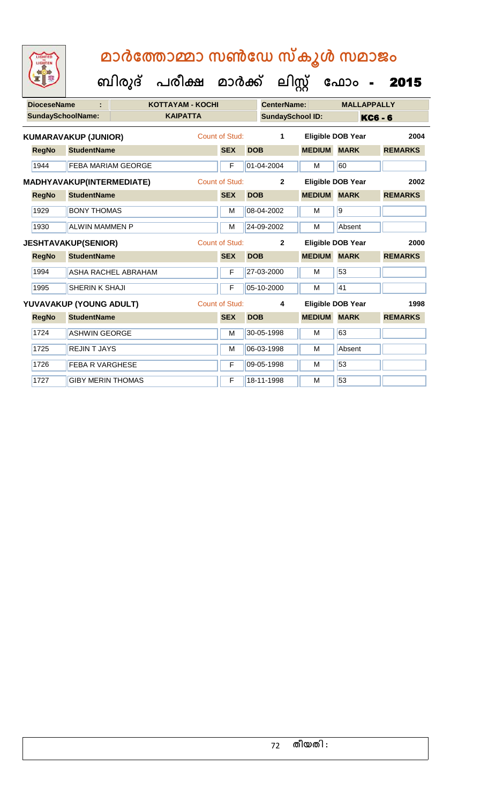| <b>DioceseName</b>       |                             |                     | <b>KOTTAYAM - KOCHI</b> |                       |            | <b>CenterName:</b>      |               | <b>MALLAPPALLY</b>       |                |  |
|--------------------------|-----------------------------|---------------------|-------------------------|-----------------------|------------|-------------------------|---------------|--------------------------|----------------|--|
| <b>SundaySchoolName:</b> |                             |                     | <b>KAIPATTA</b>         |                       |            | <b>SundaySchool ID:</b> |               |                          | <b>KC6 - 6</b> |  |
|                          | <b>KUMARAVAKUP (JUNIOR)</b> |                     |                         | Count of Stud:        |            | 1                       |               | Eligible DOB Year        | 2004           |  |
| <b>RegNo</b>             | <b>StudentName</b>          |                     |                         | <b>SEX</b>            | <b>DOB</b> |                         | <b>MEDIUM</b> | <b>MARK</b>              | <b>REMARKS</b> |  |
| 1944                     | <b>FEBA MARIAM GEORGE</b>   |                     |                         | F                     |            | 01-04-2004              | М             | 60                       |                |  |
|                          | MADHYAVAKUP(INTERMEDIATE)   |                     |                         | Count of Stud:        |            | $\overline{2}$          |               | <b>Eligible DOB Year</b> | 2002           |  |
| <b>RegNo</b>             | <b>StudentName</b>          |                     |                         | <b>SEX</b>            | <b>DOB</b> |                         | <b>MEDIUM</b> | <b>MARK</b>              | <b>REMARKS</b> |  |
| 1929                     | <b>BONY THOMAS</b>          |                     |                         | M                     |            | 08-04-2002              | м             | 9                        |                |  |
| 1930                     | <b>ALWIN MAMMEN P</b>       |                     |                         | M                     |            | 24-09-2002              | М             | Absent                   |                |  |
|                          | <b>JESHTAVAKUP(SENIOR)</b>  |                     |                         | <b>Count of Stud:</b> |            | $\mathbf{2}$            |               | <b>Eligible DOB Year</b> | 2000           |  |
| <b>RegNo</b>             | <b>StudentName</b>          |                     |                         | <b>SEX</b>            | <b>DOB</b> |                         | <b>MEDIUM</b> | <b>MARK</b>              | <b>REMARKS</b> |  |
| 1994                     |                             | ASHA RACHEL ABRAHAM |                         | F                     |            | 27-03-2000              | м             | 53                       |                |  |
| 1995                     | <b>SHERIN K SHAJI</b>       |                     |                         | F                     |            | 05-10-2000              | М             | 41                       |                |  |
|                          | YUVAVAKUP (YOUNG ADULT)     |                     |                         | Count of Stud:        |            | 4                       |               | <b>Eligible DOB Year</b> | 1998           |  |
| <b>RegNo</b>             | <b>StudentName</b>          |                     |                         | <b>SEX</b>            | <b>DOB</b> |                         | <b>MEDIUM</b> | <b>MARK</b>              | <b>REMARKS</b> |  |
| 1724                     | <b>ASHWIN GEORGE</b>        |                     |                         | M                     |            | 30-05-1998              | м             | 63                       |                |  |
| 1725                     | <b>REJINT JAYS</b>          |                     |                         | M                     |            | 06-03-1998              | м             | Absent                   |                |  |
| 1726                     | <b>FEBA R VARGHESE</b>      |                     |                         | F                     |            | 09-05-1998              | M             | 53                       |                |  |
| 1727                     | <b>GIBY MERIN THOMAS</b>    |                     |                         | F                     |            | 18-11-1998              | М             | 53                       |                |  |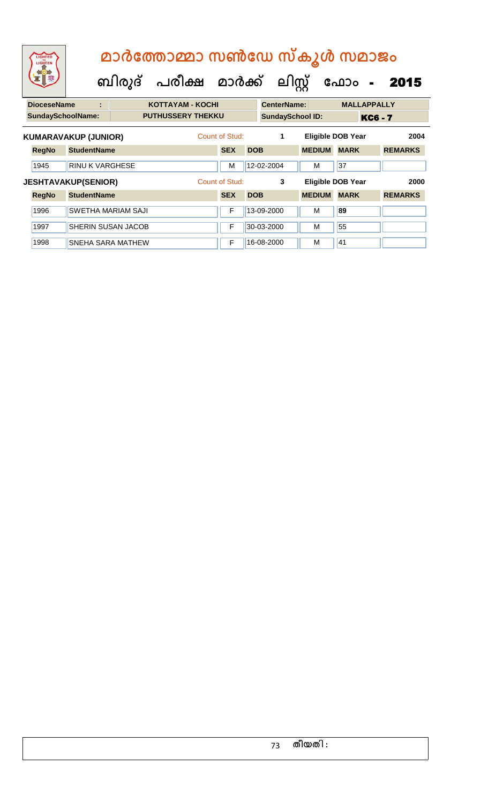| LIGHTED<br>LIGHTEN       |                             |                           | മാർത്തോമ്മാ സൺഡേ സ്കൂൾ സമാജം<br>ബിരുദ് പരീക്ഷ മാർക്ക് ലിസ്റ്റ് |                |            |                         |               | ഫോം                      | $\sim$ $\sim$  | 2015           |
|--------------------------|-----------------------------|---------------------------|----------------------------------------------------------------|----------------|------------|-------------------------|---------------|--------------------------|----------------|----------------|
| <b>DioceseName</b>       | ÷                           |                           | <b>KOTTAYAM - KOCHI</b>                                        |                |            | <b>CenterName:</b>      |               | <b>MALLAPPALLY</b>       |                |                |
| <b>SundaySchoolName:</b> |                             |                           | <b>PUTHUSSERY THEKKU</b>                                       |                |            | <b>SundaySchool ID:</b> |               |                          | <b>KC6 - 7</b> |                |
|                          | <b>KUMARAVAKUP (JUNIOR)</b> |                           |                                                                | Count of Stud: |            | 1                       |               | <b>Eligible DOB Year</b> |                | 2004           |
| <b>RegNo</b>             | <b>StudentName</b>          |                           |                                                                | <b>SEX</b>     | <b>DOB</b> |                         | <b>MEDIUM</b> | <b>MARK</b>              |                | <b>REMARKS</b> |
| 1945                     | <b>RINU K VARGHESE</b>      |                           |                                                                | M              |            | 12-02-2004              | м             | 37                       |                |                |
|                          | <b>JESHTAVAKUP(SENIOR)</b>  |                           |                                                                | Count of Stud: |            | 3                       |               | <b>Eligible DOB Year</b> |                | 2000           |
| <b>RegNo</b>             | <b>StudentName</b>          |                           |                                                                | <b>SEX</b>     | <b>DOB</b> |                         | <b>MEDIUM</b> | <b>MARK</b>              |                | <b>REMARKS</b> |
| 1996                     |                             | <b>SWETHA MARIAM SAJI</b> |                                                                | F              |            | 13-09-2000              | м             | 89                       |                |                |
| 1997                     |                             | SHERIN SUSAN JACOB        |                                                                | F              |            | 30-03-2000              | м             | 55                       |                |                |

1998 SNEHA SARA MATHEW **F** 16-08-2000 M 41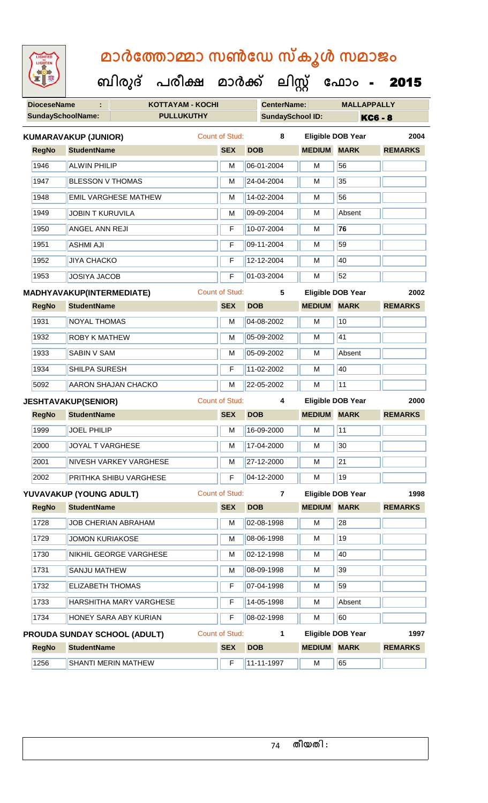**DioceseName : KOTTAYAM - KOCHI CenterName: MALLAPPALLY SundaySchoolName: PULLUKUTHY SundaySchool ID: KC6 - 8 ബിരുദ് പരീക്ഷ മാര്ക് ക ലിസ്റ്റ ക ഫ ാോം** - 2015 **RegNo StudentName SEX DOB MEDIUM MARK REMARKS KUMARAVAKUP (JUNIOR)** Count of Stud: **8 Eligible DOB Year 2004** 1946 ALWIN PHILIP M 06-01-2004 M 56 1947 BLESSON V THOMAS M 24-04-2004 M 35 |1948 ||EMIL VARGHESE MATHEW || M || 14-02-2004 || M || 56 1949 JOBIN T KURUVILA M M 09-09-2004 M Absent 1950 ANGEL ANN REJI F 10-07-2004 M **76** 1951 ASHMI AJI F 09-11-2004 M 59 1952 JJIYA CHACKO **F 12-12-2004** M 40 1953 JOSIYA JACOB **F 01-03-2004 M 52 RegNo StudentName SEX DOB MEDIUM MARK REMARKS MADHYAVAKUP(INTERMEDIATE)** Count of Stud: **5 Eligible DOB Year 2002** 1931 NOYAL THOMAS M N 04-08-2002 M 10 1932 ROBY K MATHEW M M 05-09-2002 M 41 1933 SABIN V SAM M 05-09-2002 M Absent 1934 SHILPA SURESH F 11-02-2002 M 40 5092 AARON SHAJAN CHACKO M 22-05-2002 M 11 **RegNo StudentName SEX DOB MEDIUM MARK REMARKS JESHTAVAKUP(SENIOR)** Count of Stud: **4 Eligible DOB Year 2000** 1999 JOEL PHILIP M M 16-09-2000 M 11 2000 JOYAL T VARGHESE M M 17-04-2000 M 30 2001 NIVESH VARKEY VARGHESE M M 27-12-2000 M 21 2002 PRITHKA SHIBU VARGHESE **F 104-12-2000** M 19 **RegNo StudentName SEX DOB MEDIUM MARK REMARKS YUVAVAKUP (YOUNG ADULT)** Count of Stud: **7 Eligible DOB Year 1998** 1728 JOB CHERIAN ABRAHAM M M 02-08-1998 M 28 1729 JOMON KURIAKOSE M M 08-06-1998 M 19 1730 NIKHIL GEORGE VARGHESE M M 02-12-1998 M 40 1731 SANJU MATHEW M M 08-09-1998 M 39 1732 ELIZABETH THOMAS F F 07-04-1998 M 59 1733 HARSHITHA MARY VARGHESE | F 14-05-1998 M Absent 1734 HONEY SARA ABY KURIAN F 08-02-1998 M 60 **RegNo StudentName SEX DOB MEDIUM MARK REMARKS PROUDA SUNDAY SCHOOL (ADULT)** Count of Stud: **1 Eligible DOB Year 1997** 1256 SHANTI MERIN MATHEW **F** 11-11-1997 M 65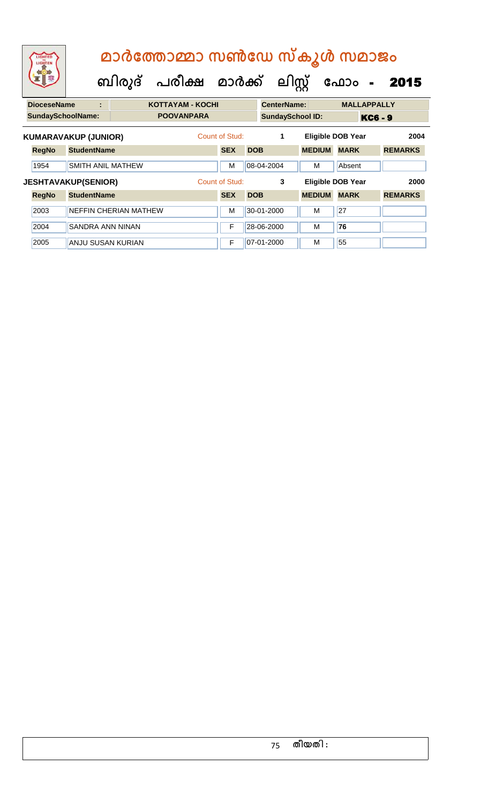| LIGHTED<br>LIGHTEN       |                              | ബിരുദ് | മാർത്തോമ്മാ സൺഡേ സ്കൂൾ സമാജം<br>പരീക്ഷ മാർക്ക് ലിസ്റ്റ് |                |            |                         |               | ഫോം<br>$\blacksquare$    | 2015           |
|--------------------------|------------------------------|--------|---------------------------------------------------------|----------------|------------|-------------------------|---------------|--------------------------|----------------|
| <b>DioceseName</b>       | Ë                            |        | <b>KOTTAYAM - KOCHI</b>                                 |                |            | <b>CenterName:</b>      |               | <b>MALLAPPALLY</b>       |                |
| <b>SundaySchoolName:</b> |                              |        | <b>POOVANPARA</b>                                       |                |            | <b>SundaySchool ID:</b> |               |                          | <b>KC6 - 9</b> |
|                          | <b>KUMARAVAKUP (JUNIOR)</b>  |        |                                                         | Count of Stud: |            | 1                       |               | <b>Eligible DOB Year</b> | 2004           |
| <b>RegNo</b>             | <b>StudentName</b>           |        |                                                         | <b>SEX</b>     | <b>DOB</b> |                         | <b>MEDIUM</b> | <b>MARK</b>              | <b>REMARKS</b> |
| 1954                     | SMITH ANIL MATHEW            |        |                                                         | м              |            | 08-04-2004              | м             | Absent                   |                |
|                          | <b>JESHTAVAKUP(SENIOR)</b>   |        |                                                         | Count of Stud: |            | 3                       |               | <b>Eligible DOB Year</b> | 2000           |
| <b>RegNo</b>             | <b>StudentName</b>           |        |                                                         | <b>SEX</b>     | <b>DOB</b> |                         | <b>MEDIUM</b> | <b>MARK</b>              | <b>REMARKS</b> |
| 2003                     | <b>NEFFIN CHERIAN MATHEW</b> |        |                                                         | М              |            | 30-01-2000              | м             | 27                       |                |
| 2004                     | <b>SANDRA ANN NINAN</b>      |        |                                                         | F              |            | 28-06-2000              | M             | 76                       |                |
| 2005                     | <b>ANJU SUSAN KURIAN</b>     |        |                                                         | F              |            | 07-01-2000              | м             | 55                       |                |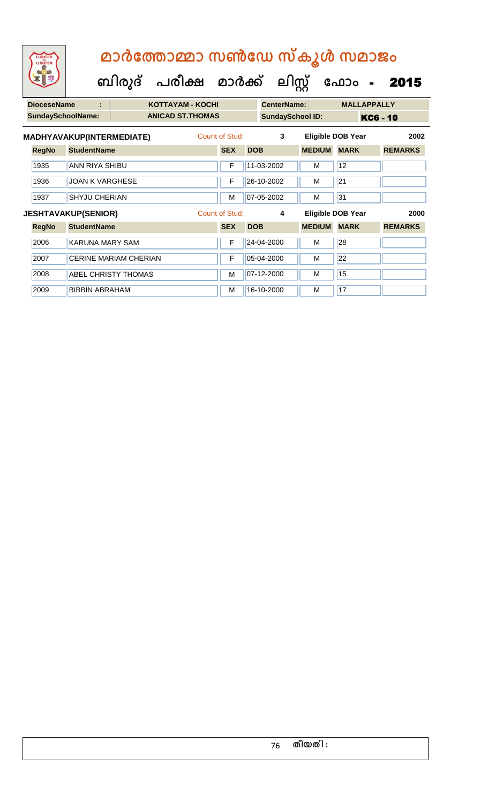| <b>DioceseName</b>       | t                                |                              | <b>KOTTAYAM - KOCHI</b>  |                |            | <b>CenterName:</b>      |               | <b>MALLAPPALLY</b>       |                |
|--------------------------|----------------------------------|------------------------------|--------------------------|----------------|------------|-------------------------|---------------|--------------------------|----------------|
| <b>SundaySchoolName:</b> |                                  |                              | <b>ANICAD ST. THOMAS</b> |                |            | <b>SundaySchool ID:</b> |               |                          | KC6 - 10       |
|                          | <b>MADHYAVAKUP(INTERMEDIATE)</b> |                              |                          | Count of Stud: |            | 3                       |               | <b>Eligible DOB Year</b> | 2002           |
| <b>RegNo</b>             | <b>StudentName</b>               |                              |                          | <b>SEX</b>     | <b>DOB</b> |                         | <b>MEDIUM</b> | <b>MARK</b>              | <b>REMARKS</b> |
| 1935                     | <b>ANN RIYA SHIBU</b>            |                              |                          | F              |            | 11-03-2002              | м             | 12                       |                |
| 1936                     | <b>JOAN K VARGHESE</b>           |                              |                          | F              |            | 26-10-2002              | м             | 21                       |                |
| 1937                     | <b>SHYJU CHERIAN</b>             |                              |                          | M              |            | 07-05-2002              | M             | 31                       |                |
|                          | <b>JESHTAVAKUP(SENIOR)</b>       |                              |                          | Count of Stud: |            | 4                       |               | <b>Eligible DOB Year</b> | 2000           |
| <b>RegNo</b>             | <b>StudentName</b>               |                              |                          | <b>SEX</b>     | <b>DOB</b> |                         | <b>MEDIUM</b> | <b>MARK</b>              | <b>REMARKS</b> |
| 2006                     | <b>KARUNA MARY SAM</b>           |                              |                          | F              |            | 24-04-2000              | м             | 28                       |                |
| 2007                     |                                  | <b>CERINE MARIAM CHERIAN</b> |                          | F              |            | 05-04-2000              | м             | 22                       |                |
| 2008                     |                                  | <b>ABEL CHRISTY THOMAS</b>   |                          | M              |            | 07-12-2000              | м             | 15                       |                |
| 2009                     | <b>BIBBIN ABRAHAM</b>            |                              |                          | M              |            | 16-10-2000              | м             | 17                       |                |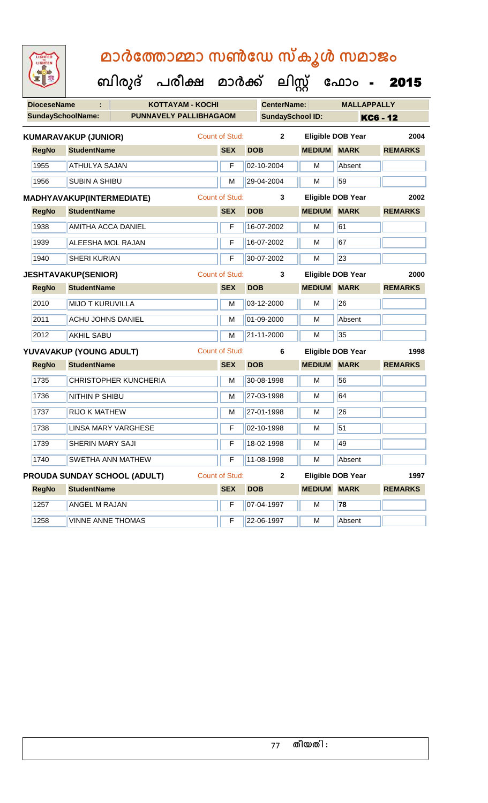| <b>DioceseName</b>          |                           | <b>KOTTAYAM - KOCHI</b>      |                       |              | <b>CenterName:</b>      |                         | <b>MALLAPPALLY</b>       |                 |
|-----------------------------|---------------------------|------------------------------|-----------------------|--------------|-------------------------|-------------------------|--------------------------|-----------------|
| <b>SundaySchoolName:</b>    |                           | PUNNAVELY PALLIBHAGAOM       |                       |              | <b>SundaySchool ID:</b> |                         |                          | <b>KC6 - 12</b> |
| <b>KUMARAVAKUP (JUNIOR)</b> |                           |                              | <b>Count of Stud:</b> |              | $\mathbf{2}$            |                         | <b>Eligible DOB Year</b> | 2004            |
| <b>RegNo</b>                | <b>StudentName</b>        |                              | <b>SEX</b>            |              | <b>DOB</b>              | <b>MEDIUM MARK</b>      |                          | <b>REMARKS</b>  |
| 1955                        | <b>ATHULYA SAJAN</b>      |                              |                       | $\mathsf{F}$ | 02-10-2004              | M                       | Absent                   |                 |
| 1956                        | <b>SUBIN A SHIBU</b>      |                              |                       | M            | 29-04-2004              | M                       | 59                       |                 |
| MADHYAVAKUP(INTERMEDIATE)   |                           |                              | <b>Count of Stud:</b> |              | 3                       |                         | <b>Eligible DOB Year</b> | 2002            |
| <b>RegNo</b>                | <b>StudentName</b>        |                              | <b>SEX</b>            |              | <b>DOB</b>              | <b>MEDIUM MARK</b>      |                          | <b>REMARKS</b>  |
| 1938                        | <b>AMITHA ACCA DANIEL</b> |                              |                       | F            | 16-07-2002              | M                       | 61                       |                 |
| 1939                        | <b>ALEESHA MOL RAJAN</b>  |                              |                       | F            | 16-07-2002              | м                       | 67                       |                 |
| 1940                        | <b>SHERI KURIAN</b>       |                              |                       | F            | 30-07-2002              | M                       | 23                       |                 |
| <b>JESHTAVAKUP(SENIOR)</b>  |                           |                              | <b>Count of Stud:</b> |              | 3                       |                         | <b>Eligible DOB Year</b> | 2000            |
| <b>RegNo</b>                | <b>StudentName</b>        |                              | <b>SEX</b>            |              | <b>DOB</b>              | <b>MEDIUM MARK</b>      |                          | <b>REMARKS</b>  |
| 2010                        | <b>MIJO T KURUVILLA</b>   |                              |                       | M            | 03-12-2000              | м                       | 26                       |                 |
| 2011                        | <b>ACHU JOHNS DANIEL</b>  |                              |                       | M            | 01-09-2000              | M                       | Absent                   |                 |
| 2012                        | <b>AKHIL SABU</b>         |                              |                       | M            | 21-11-2000              | M                       | 35                       |                 |
| YUVAVAKUP (YOUNG ADULT)     |                           |                              | <b>Count of Stud:</b> |              | 6                       |                         | <b>Eligible DOB Year</b> | 1998            |
| <b>RegNo</b>                | <b>StudentName</b>        |                              | <b>SEX</b>            |              | <b>DOB</b>              | <b>MEDIUM MARK</b>      |                          | <b>REMARKS</b>  |
| 1735                        |                           | <b>CHRISTOPHER KUNCHERIA</b> |                       | M            | 30-08-1998              | M                       | 56                       |                 |
| 1736                        | NITHIN P SHIBU            |                              |                       | M            | 27-03-1998              | M                       | 64                       |                 |
| 1737                        | <b>RIJO K MATHEW</b>      |                              |                       | M            | 27-01-1998              | M                       | 26                       |                 |
| 1738                        |                           | <b>LINSA MARY VARGHESE</b>   |                       | $\mathsf F$  | 02-10-1998              | M                       | 51                       |                 |
| 1739                        | <b>SHERIN MARY SAJI</b>   |                              |                       | $\mathsf{F}$ | 18-02-1998              | M                       | 49                       |                 |
| 1740                        | <b>ISWETHA ANN MATHEW</b> |                              |                       |              | $F$ 11-08-1998          | $\overline{\mathsf{M}}$ | Absent                   |                 |
|                             |                           | PROUDA SUNDAY SCHOOL (ADULT) | <b>Count of Stud:</b> |              | $\mathbf{2}$            |                         | <b>Eligible DOB Year</b> | 1997            |
| <b>RegNo</b>                | <b>StudentName</b>        |                              | <b>SEX</b>            |              | <b>DOB</b>              | <b>MEDIUM</b>           | <b>MARK</b>              | <b>REMARKS</b>  |
| 1257                        | <b>ANGEL M RAJAN</b>      |                              |                       | $\mathsf F$  | 07-04-1997              | M                       | 78                       |                 |
| 1258                        | <b>VINNE ANNE THOMAS</b>  |                              |                       | F            | 22-06-1997              | M                       | Absent                   |                 |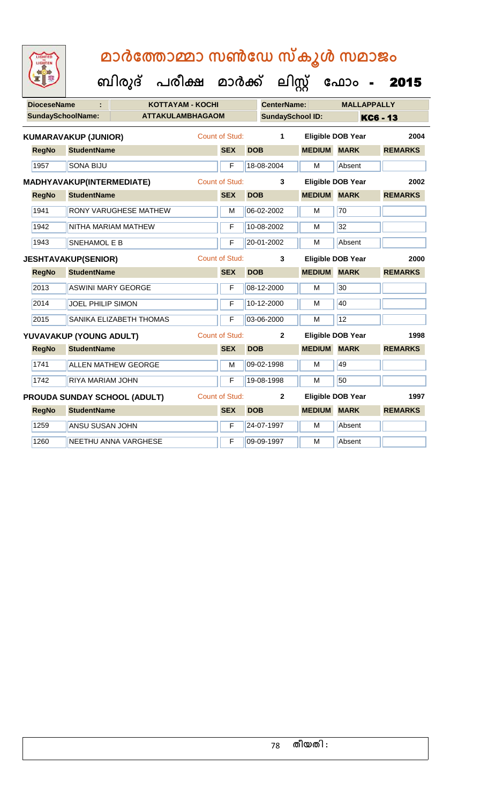**ക ഫ ാോം** - 2015

 **ബിരുദ് പരീക്ഷ മാര്ക്**

**DioceseName : KOTTAYAM - KOCHI CenterName: MALLAPPALLY SundaySchoolName: ATTAKULAMBHAGAOM SundaySchool ID: KC6 - 13 ക ലിസ്റ്റ RegNo StudentName SEX DOB MEDIUM MARK REMARKS KUMARAVAKUP (JUNIOR)** Count of Stud: **1 Eligible DOB Year 2004** 1957 SONA BIJU F 18-08-2004 M Absent **RegNo StudentName SEX DOB MEDIUM MARK REMARKS MADHYAVAKUP(INTERMEDIATE)** Count of Stud: **3 Eligible DOB Year 2002** 1941 RONY VARUGHESE MATHEW M 06-02-2002 M 70 1942 NITHA MARIAM MATHEW **F** 10-08-2002 M 32 1943 SNEHAMOL E B **F** 20-01-2002 M Absent **RegNo StudentName SEX DOB MEDIUM MARK REMARKS JESHTAVAKUP(SENIOR)** Count of Stud: **3 Eligible DOB Year 2000** 2013 ASWINI MARY GEORGE F 08-12-2000 M 30 2014 JOEL PHILIP SIMON F 10-12-2000 M 40 2015 SANIKA ELIZABETH THOMAS **F 03-06-2000** M 12 **RegNo StudentName SEX DOB MEDIUM MARK REMARKS YUVAVAKUP (YOUNG ADULT)** Count of Stud: **2 Eligible DOB Year 1998** 1741 ALLEN MATHEW GEORGE M M 09-02-1998 M 1742 RIYA MARIAM JOHN F 19-08-1998 M 50 **RegNo StudentName SEX DOB MEDIUM MARK REMARKS PROUDA SUNDAY SCHOOL (ADULT)** Count of Stud: **2 Eligible DOB Year 1997** 1259 ANSU SUSAN JOHN F 24-07-1997 M Absent 1260 NEETHU ANNA VARGHESE **F** 09-09-1997 M Absent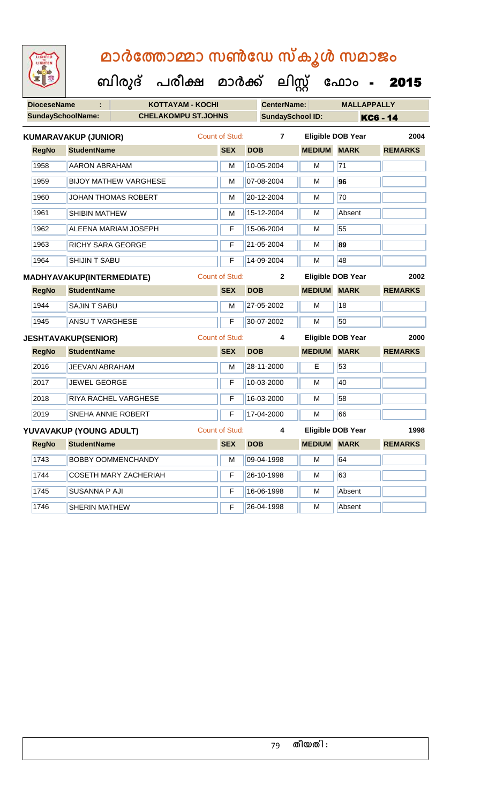| LIGHTED<br>LIGHTEN       | മാർത്തോമ്മാ സൺഡേ സ്കൂൾ സമാജം         |                       |                         |                    |                          |                |
|--------------------------|--------------------------------------|-----------------------|-------------------------|--------------------|--------------------------|----------------|
|                          | ബിരുദ് പരീക്ഷ മാർക്ക് ലിസ്റ്റ് ഫോം - |                       |                         |                    |                          | 2015           |
| <b>DioceseName</b>       | <b>KOTTAYAM - KOCHI</b>              |                       | <b>CenterName:</b>      |                    | <b>MALLAPPALLY</b>       |                |
| <b>SundaySchoolName:</b> | <b>CHELAKOMPU ST.JOHNS</b>           |                       | <b>SundaySchool ID:</b> |                    |                          | KC6 - 14       |
|                          | <b>KUMARAVAKUP (JUNIOR)</b>          | Count of Stud:        | $\overline{7}$          |                    | <b>Eligible DOB Year</b> | 2004           |
| <b>RegNo</b>             | <b>StudentName</b>                   | <b>SEX</b>            | <b>DOB</b>              | <b>MEDIUM</b>      | <b>MARK</b>              | <b>REMARKS</b> |
| 1958                     | <b>AARON ABRAHAM</b>                 | M                     | 10-05-2004              | м                  | 71                       |                |
| 1959                     | <b>BIJOY MATHEW VARGHESE</b>         | M                     | 07-08-2004              | М                  | 96                       |                |
| 1960                     | <b>JOHAN THOMAS ROBERT</b>           | M                     | 20-12-2004              | М                  | 70                       |                |
| 1961                     | <b>SHIBIN MATHEW</b>                 | м                     | 15-12-2004              | м                  | Absent                   |                |
| 1962                     | <b>ALEENA MARIAM JOSEPH</b>          | F                     | 15-06-2004              | M                  | 55                       |                |
| 1963                     | <b>RICHY SARA GEORGE</b>             | F                     | 21-05-2004              | м                  | 89                       |                |
| 1964                     | <b>SHIJIN T SABU</b>                 | F                     | 14-09-2004              | м                  | 48                       |                |
|                          | MADHYAVAKUP(INTERMEDIATE)            | <b>Count of Stud:</b> | $\mathbf{2}$            |                    | <b>Eligible DOB Year</b> | 2002           |
| <b>RegNo</b>             | <b>StudentName</b>                   | <b>SEX</b>            | <b>DOB</b>              | <b>MEDIUM</b>      | <b>MARK</b>              | <b>REMARKS</b> |
| 1944                     | <b>SAJIN T SABU</b>                  | M                     | 27-05-2002              | М                  | 18                       |                |
| 1945                     | <b>ANSU T VARGHESE</b>               | F                     | 30-07-2002              | м                  | 50                       |                |
|                          | <b>JESHTAVAKUP(SENIOR)</b>           | <b>Count of Stud:</b> | 4                       |                    | <b>Eligible DOB Year</b> | 2000           |
| <b>RegNo</b>             | <b>StudentName</b>                   | <b>SEX</b>            | <b>DOB</b>              | <b>MEDIUM MARK</b> |                          | <b>REMARKS</b> |
| 2016                     | <b>JEEVAN ABRAHAM</b>                | M                     | 28-11-2000              | E                  | 53                       |                |
| 2017                     | <b>JEWEL GEORGE</b>                  | F                     | 10-03-2000              | м                  | 40                       |                |
| 2018                     | <b>RIYA RACHEL VARGHESE</b>          | F                     | 16-03-2000              | М                  | 58                       |                |
| 2019                     | <b>SNEHA ANNIE ROBERT</b>            | F                     | 17-04-2000              | М                  | 66                       |                |
|                          | YUVAVAKUP (YOUNG ADULT)              | <b>Count of Stud:</b> | 4                       |                    | <b>Eligible DOB Year</b> | 1998           |
| <b>RegNo</b>             | <b>StudentName</b>                   | <b>SEX</b>            | <b>DOB</b>              | <b>MEDIUM</b>      | <b>MARK</b>              | <b>REMARKS</b> |
| 1743                     | <b>BOBBY OOMMENCHANDY</b>            | M                     | 09-04-1998              | М                  | 64                       |                |
| 1744                     | <b>COSETH MARY ZACHERIAH</b>         | F                     | 26-10-1998              | М                  | 63                       |                |

1745 SUSANNA P AJI **F** 16-06-1998 M Absent

1746 SHERIN MATHEW **F** 26-04-1998 M Absent

### 79 **തീയതി :**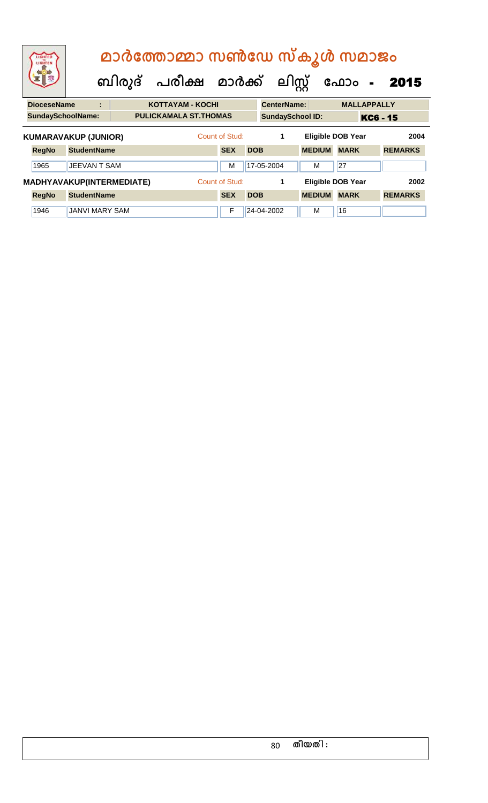| LIGHTED<br>LIGHTEN          |                       | മാർത്തോമ്മാ സൺഡേ സ്കൂൾ സമാജം<br>ബിരുദ് പരീക്ഷ മാർക്ക് |                |            | ലിസ്റ്റ്                |               | ഫോം<br>$\blacksquare$    | 2015           |
|-----------------------------|-----------------------|-------------------------------------------------------|----------------|------------|-------------------------|---------------|--------------------------|----------------|
| <b>DioceseName</b>          | ÷                     | <b>KOTTAYAM - KOCHI</b>                               |                |            | <b>CenterName:</b>      |               | <b>MALLAPPALLY</b>       |                |
| <b>SundaySchoolName:</b>    |                       | <b>PULICKAMALA ST.THOMAS</b>                          |                |            | <b>SundaySchool ID:</b> |               |                          | KC6 - 15       |
| <b>KUMARAVAKUP (JUNIOR)</b> |                       |                                                       | Count of Stud: |            | 1                       |               | <b>Eligible DOB Year</b> | 2004           |
| <b>RegNo</b>                | <b>StudentName</b>    |                                                       | <b>SEX</b>     | <b>DOB</b> |                         | <b>MEDIUM</b> | <b>MARK</b>              | <b>REMARKS</b> |
| 1965                        | <b>JEEVAN T SAM</b>   |                                                       | M              |            | 17-05-2004              | M             | 27                       |                |
| MADHYAVAKUP(INTERMEDIATE)   |                       |                                                       | Count of Stud: |            | 1                       |               | <b>Eligible DOB Year</b> | 2002           |
| <b>RegNo</b>                | <b>StudentName</b>    |                                                       | <b>SEX</b>     | <b>DOB</b> |                         | <b>MEDIUM</b> | <b>MARK</b>              | <b>REMARKS</b> |
| 1946                        | <b>JANVI MARY SAM</b> |                                                       | F              |            | 24-04-2002              | м             | 16                       |                |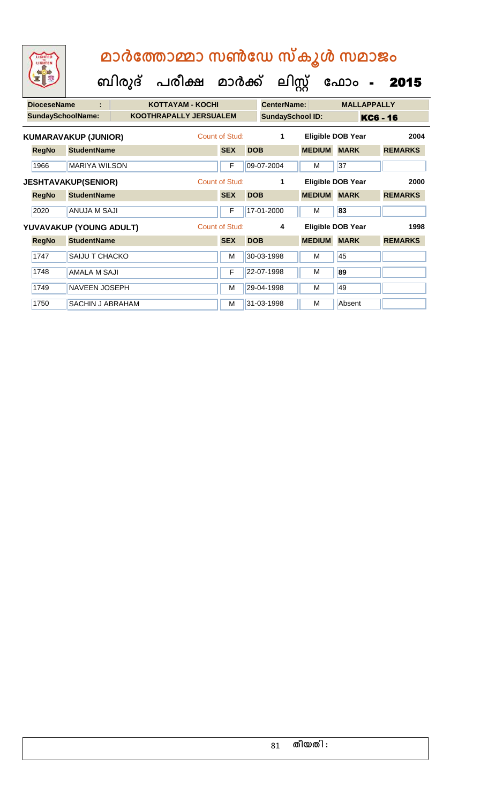**ക ലിസ്റ്റ**

**ക ഫ ാോം** - 2015

 **ബിരുദ് പരീക്ഷ മാര്ക്**

**DioceseName : KOTTAYAM - KOCHI CenterName: MALLAPPALLY** SundaySchoolName: **KOOTHRAPALLY JERSUALEM** SundaySchool ID: **KC6 - 16 RegNo StudentName SEX DOB MEDIUM MARK REMARKS KUMARAVAKUP (JUNIOR)** Count of Stud: **1 Eligible DOB Year 2004** 1966 MARIYA WILSON F 09-07-2004 M 37 **RegNo StudentName SEX DOB MEDIUM MARK REMARKS JESHTAVAKUP(SENIOR)** Count of Stud: **1 Eligible DOB Year 2000** 2020 ANUJA M SAJI F 17-01-2000 M **83 RegNo StudentName SEX DOB MEDIUM MARK REMARKS YUVAVAKUP (YOUNG ADULT)** Count of Stud: **4 Eligible DOB Year 1998** 1747 SAIJU T CHACKO M 30-03-1998 M 30-03-1998 M 1748 AMALA M SAJI **F 22-07-1998** M 89 1749 NAVEEN JOSEPH M 29-04-1998 M 49 1750 SACHIN J ABRAHAM M 31-03-1998 M Absent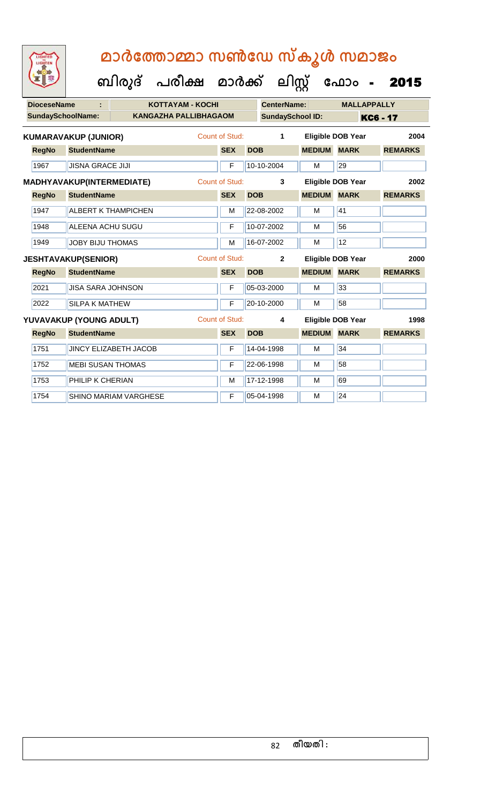| <b>DioceseName</b> |                             |                              | <b>KOTTAYAM - KOCHI</b>      |                       | <b>CenterName:</b>      |               | <b>MALLAPPALLY</b>       |                |
|--------------------|-----------------------------|------------------------------|------------------------------|-----------------------|-------------------------|---------------|--------------------------|----------------|
|                    | <b>SundaySchoolName:</b>    |                              | <b>KANGAZHA PALLIBHAGAOM</b> |                       | <b>SundaySchool ID:</b> |               |                          | KC6 - 17       |
|                    | <b>KUMARAVAKUP (JUNIOR)</b> |                              |                              | Count of Stud:        | 1                       |               | Eligible DOB Year        | 2004           |
| <b>RegNo</b>       | <b>StudentName</b>          |                              |                              | <b>SEX</b>            | <b>DOB</b>              | <b>MEDIUM</b> | <b>MARK</b>              | <b>REMARKS</b> |
| 1967               | <b>JISNA GRACE JIJI</b>     |                              |                              | F                     | 10-10-2004              | M             | 29                       |                |
|                    | MADHYAVAKUP(INTERMEDIATE)   |                              |                              | <b>Count of Stud:</b> | 3                       |               | <b>Eligible DOB Year</b> | 2002           |
| <b>RegNo</b>       | <b>StudentName</b>          |                              |                              | <b>SEX</b>            | <b>DOB</b>              | <b>MEDIUM</b> | <b>MARK</b>              | <b>REMARKS</b> |
| 1947               |                             | <b>ALBERT K THAMPICHEN</b>   |                              | M                     | 22-08-2002              | M             | 41                       |                |
| 1948               | <b>ALEENA ACHU SUGU</b>     |                              |                              | F                     | 10-07-2002              | M             | 56                       |                |
| 1949               | <b>JOBY BIJU THOMAS</b>     |                              |                              | M                     | 16-07-2002              | M             | 12                       |                |
|                    | <b>JESHTAVAKUP(SENIOR)</b>  |                              |                              | Count of Stud:        | $\overline{2}$          |               | <b>Eligible DOB Year</b> | 2000           |
| <b>RegNo</b>       | <b>StudentName</b>          |                              |                              | <b>SEX</b>            | <b>DOB</b>              | <b>MEDIUM</b> | <b>MARK</b>              | <b>REMARKS</b> |
| 2021               | <b>JISA SARA JOHNSON</b>    |                              |                              | F                     | 05-03-2000              | M             | 33                       |                |
| 2022               |                             |                              |                              |                       |                         |               |                          |                |
|                    | <b>SILPA K MATHEW</b>       |                              |                              | F                     | 20-10-2000              | M             | 58                       |                |
|                    | YUVAVAKUP (YOUNG ADULT)     |                              |                              | <b>Count of Stud:</b> | 4                       |               | <b>Eligible DOB Year</b> | 1998           |
| <b>RegNo</b>       | <b>StudentName</b>          |                              |                              | <b>SEX</b>            | <b>DOB</b>              | <b>MEDIUM</b> | <b>MARK</b>              | <b>REMARKS</b> |
| 1751               |                             | <b>JINCY ELIZABETH JACOB</b> |                              | F                     | 14-04-1998              | M             | 34                       |                |
| 1752               | <b>MEBI SUSAN THOMAS</b>    |                              |                              | F                     | 22-06-1998              | M             | 58                       |                |
| 1753               | PHILIP K CHERIAN            |                              |                              | M                     | 17-12-1998              | M             | 69                       |                |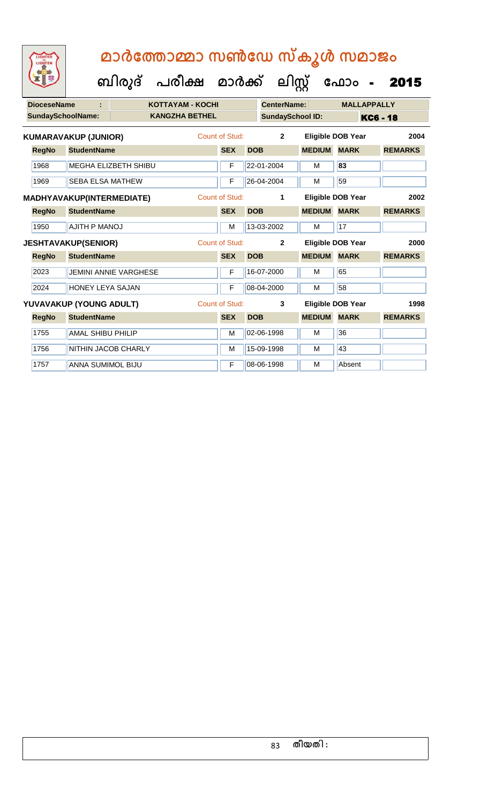| <b>DioceseName</b> |                                  |                            | <b>KOTTAYAM - KOCHI</b> |                       |            | <b>CenterName:</b>      |               | <b>MALLAPPALLY</b>       |                 |
|--------------------|----------------------------------|----------------------------|-------------------------|-----------------------|------------|-------------------------|---------------|--------------------------|-----------------|
|                    | <b>SundaySchoolName:</b>         |                            | <b>KANGZHA BETHEL</b>   |                       |            | <b>SundaySchool ID:</b> |               |                          | <b>KC6 - 18</b> |
|                    | <b>KUMARAVAKUP (JUNIOR)</b>      |                            |                         | <b>Count of Stud:</b> |            | $\overline{2}$          |               | <b>Eligible DOB Year</b> | 2004            |
| <b>RegNo</b>       | <b>StudentName</b>               |                            |                         | <b>SEX</b>            | <b>DOB</b> |                         | <b>MEDIUM</b> | <b>MARK</b>              | <b>REMARKS</b>  |
| 1968               |                                  | MEGHA ELIZBETH SHIBU       |                         | F                     |            | 22-01-2004              | M             | 83                       |                 |
| 1969               | <b>SEBA ELSA MATHEW</b>          |                            |                         | F                     |            | 26-04-2004              | M             | 59                       |                 |
|                    | <b>MADHYAVAKUP(INTERMEDIATE)</b> |                            |                         | Count of Stud:        |            | 1                       |               | <b>Eligible DOB Year</b> | 2002            |
| <b>RegNo</b>       | <b>StudentName</b>               |                            |                         | <b>SEX</b>            | <b>DOB</b> |                         | <b>MEDIUM</b> | <b>MARK</b>              | <b>REMARKS</b>  |
| 1950               | <b>AJITH P MANOJ</b>             |                            |                         | M                     |            | 13-03-2002              | M             | 17                       |                 |
|                    | <b>JESHTAVAKUP(SENIOR)</b>       |                            |                         | Count of Stud:        |            | $\mathbf{2}$            |               | <b>Eligible DOB Year</b> | 2000            |
| <b>RegNo</b>       | <b>StudentName</b>               |                            |                         | <b>SEX</b>            | <b>DOB</b> |                         | <b>MEDIUM</b> | <b>MARK</b>              | <b>REMARKS</b>  |
| 2023               |                                  | JEMINI ANNIE VARGHESE      |                         | F                     |            | 16-07-2000              | M             | 65                       |                 |
| 2024               | <b>HONEY LEYA SAJAN</b>          |                            |                         | F                     |            | 08-04-2000              | M             | 58                       |                 |
|                    | YUVAVAKUP (YOUNG ADULT)          |                            |                         | <b>Count of Stud:</b> |            | 3                       |               | Eligible DOB Year        | 1998            |
| <b>RegNo</b>       | <b>StudentName</b>               |                            |                         | <b>SEX</b>            | <b>DOB</b> |                         | <b>MEDIUM</b> | <b>MARK</b>              | <b>REMARKS</b>  |
| 1755               | <b>AMAL SHIBU PHILIP</b>         |                            |                         | M                     |            | 02-06-1998              | M             | 36                       |                 |
| 1756               |                                  | <b>NITHIN JACOB CHARLY</b> |                         | M                     |            | 15-09-1998              | M             | 43                       |                 |
| 1757               | <b>ANNA SUMIMOL BIJU</b>         |                            |                         | F                     |            | 08-06-1998              | M             | Absent                   |                 |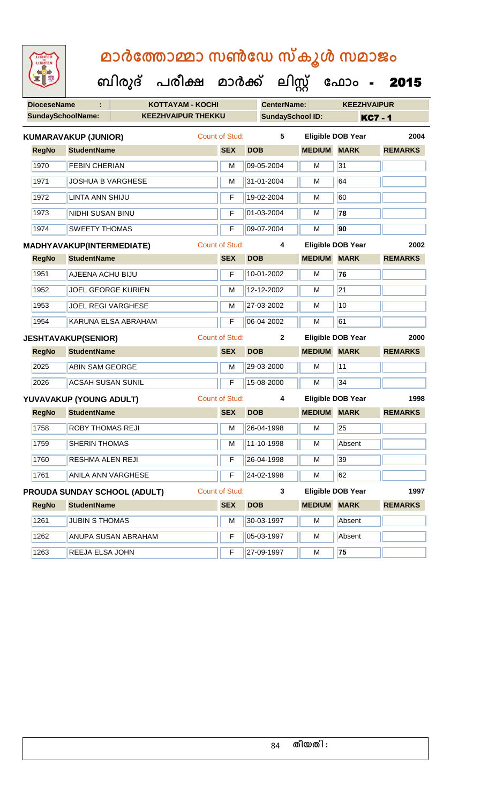| <b>IGHTED</b> |
|---------------|
|               |
|               |
|               |

 **ബിരുദ് പരീക്ഷ മാര്ക്**

**DioceseName : KOTTAYAM - KOCHI CenterName: KEEZHVAIPUR** SundaySchoolName: **KEEZHVAIPUR THEKKU** SundaySchool ID: **KC7 - 1 ക ലിസ്റ്റ ക ഫ ാോം** - 2015 **RegNo StudentName SEX DOB MEDIUM MARK REMARKS KUMARAVAKUP (JUNIOR)** Count of Stud: **5 Eligible DOB Year 2004** 1970 FEBIN CHERIAN M M 09-05-2004 M 31 1971 **JOSHUA B VARGHESE** M **M** 31-01-2004 M 64 1972 LINTA ANN SHIJU **F 19-02-2004 M** 60 1973 NIDHI SUSAN BINU F 01-03-2004 M **78** 1974 SWEETY THOMAS F 09-07-2004 M **90 RegNo StudentName SEX DOB MEDIUM MARK REMARKS MADHYAVAKUP(INTERMEDIATE)** Count of Stud: **4 Eligible DOB Year 2002** 1951 AJEENA ACHU BIJU F 10-01-2002 M **76** 1952 JOEL GEORGE KURIEN M 12-12-2002 M 21 1953 JOEL REGI VARGHESE M M 27-03-2002 M 10 1954 KARUNA ELSA ABRAHAM F 06-04-2002 M 61 **RegNo StudentName SEX DOB MEDIUM MARK REMARKS JESHTAVAKUP(SENIOR)** Count of Stud: **2 Eligible DOB Year 2000** 2025 **ABIN SAM GEORGE M 29-03-2000 M** 11 2026 ACSAH SUSAN SUNIL F 15-08-2000 M 34 **RegNo StudentName SEX DOB MEDIUM MARK REMARKS YUVAVAKUP (YOUNG ADULT)** Count of Stud: **4 Eligible DOB Year 1998** 1758 ROBY THOMAS REJI M 26-04-1998 M 25 1759 SHERIN THOMAS M 11-10-1998 M Absent 1760 RESHMA ALEN REJI F 26-04-1998 M 39 1761 | ANILA ANN VARGHESE **F 24-02-1998** | M 62 **RegNo StudentName SEX DOB MEDIUM MARK REMARKS PROUDA SUNDAY SCHOOL (ADULT)** Count of Stud: **3 Eligible DOB Year 1997** 1261 JUBIN S THOMAS METHOMAS METHOD M 30-03-1997 M Absent 1262 ANUPA SUSAN ABRAHAM F 05-03-1997 M Absent

1263 REEJA ELSA JOHN F 27-09-1997 M **75**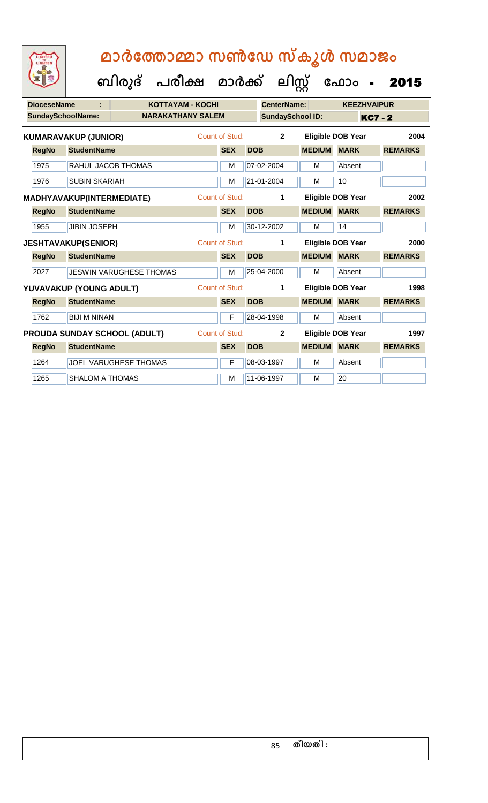**ബിരുദ് പരീക്ഷ മാര്ക്**

**ക ലിസ്റ്റ**

**DioceseName : KOTTAYAM - KOCHI CenterName: KEEZHVAIPUR** SundaySchoolName: **NARAKATHANY SALEM SundaySchool ID:** KC7 - 2 **ക ഫ ാോം** - 2015 **RegNo StudentName SEX DOB MEDIUM MARK REMARKS KUMARAVAKUP (JUNIOR)** Count of Stud: **2 Eligible DOB Year 2004** 1975 RAHUL JACOB THOMAS M 107-02-2004 M Absent 1976 SUBIN SKARIAH M 21-01-2004 M 10 **RegNo StudentName SEX DOB MEDIUM MARK REMARKS MADHYAVAKUP(INTERMEDIATE)** Count of Stud: **1 Eligible DOB Year 2002** 1955 JJIBIN JOSEPH M 30-12-2002 M 14 **RegNo StudentName SEX DOB MEDIUM MARK REMARKS JESHTAVAKUP(SENIOR)** Count of Stud: **1 Eligible DOB Year 2000** 2027 JESWIN VARUGHESE THOMAS M 25-04-2000 M Absent

**RegNo StudentName SEX DOB MEDIUM MARK REMARKS YUVAVAKUP (YOUNG ADULT)** Count of Stud: **1 Eligible DOB Year 1998**

**RegNo StudentName SEX DOB MEDIUM MARK REMARKS PROUDA SUNDAY SCHOOL (ADULT)** Count of Stud: **2 Eligible DOB Year 1997**

1762 BIJI M NINAN F 28-04-1998 M Absent

1264 JJOEL VARUGHESE THOMAS F 08-03-1997 M Absent

1265 SHALOM A THOMAS M 11-06-1997 M 11-06-1997 M

| 85 | തീയതി : |  |
|----|---------|--|
|    |         |  |

|  | തീയതി : |
|--|---------|
|  |         |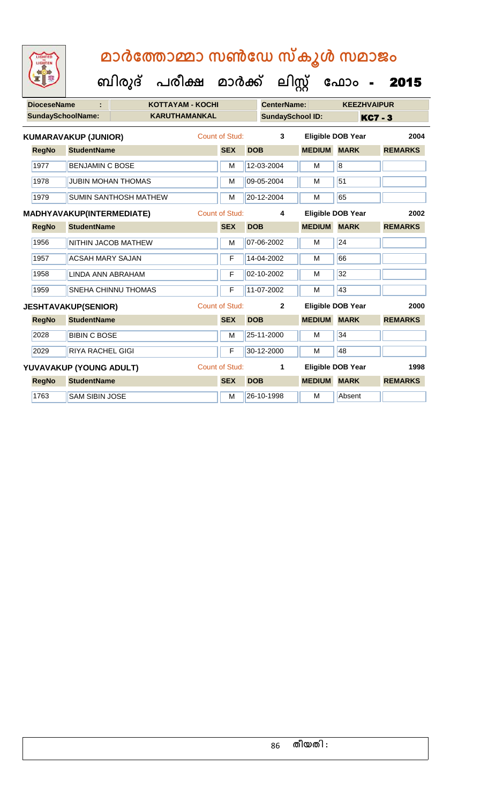|  | <b>IGHTED</b> |  |
|--|---------------|--|
|  |               |  |
|  |               |  |
|  |               |  |
|  |               |  |
|  |               |  |

**ക ലിസ്റ്റ**

**ക ഫ ാോം** - 2015

 **ബിരുദ് പരീക്ഷ മാര്ക്**

**DioceseName : KOTTAYAM - KOCHI CenterName: KEEZHVAIPUR** SundaySchoolName: **KARUTHAMANKAL SundaySchool ID:** KC7 - 3 **RegNo StudentName SEX DOB MEDIUM MARK REMARKS KUMARAVAKUP (JUNIOR)** Count of Stud: **3 Eligible DOB Year 2004** 1977 BENJAMIN C BOSE M 12-03-2004 M 8 1978 JUBIN MOHAN THOMAS M M 09-05-2004 M 51 1979 SUMIN SANTHOSH MATHEW M 20-12-2004 M 65 **RegNo StudentName SEX DOB MEDIUM MARK REMARKS MADHYAVAKUP(INTERMEDIATE)** Count of Stud: **4 Eligible DOB Year 2002** 1956 NITHIN JACOB MATHEW M M 07-06-2002 M 24 1957 | ACSAH MARY SAJAN | F | 14-04-2002 | M | 66 1958 LINDA ANN ABRAHAM F 02-10-2002 M 32 1959 SNEHA CHINNU THOMAS F 11-07-2002 M 43 **RegNo StudentName SEX DOB MEDIUM MARK REMARKS JESHTAVAKUP(SENIOR)** Count of Stud: **2 Eligible DOB Year 2000** 2028 BIBIN C BOSE M M 25-11-2000 M 34 2029 RIYA RACHEL GIGI F 30-12-2000 M 48 **RegNo StudentName SEX DOB MEDIUM MARK REMARKS YUVAVAKUP (YOUNG ADULT)** Count of Stud: **1 Eligible DOB Year 1998** 1763 SAM SIBIN JOSE M M 26-10-1998 M Absent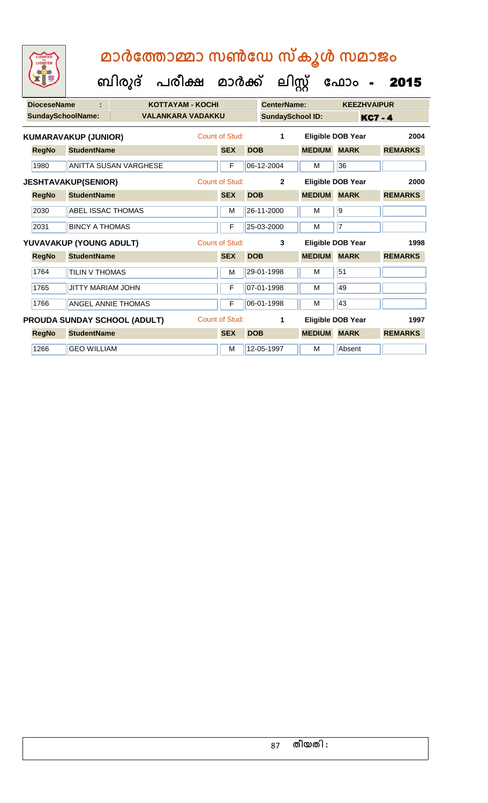**ക ലിസ്റ്റ**

**ക ഫ ാോം** - 2015

 **ബിരുദ് പരീക്ഷ മാര്ക്**

**DioceseName : KOTTAYAM - KOCHI CenterName: KEEZHVAIPUR SundaySchoolName: VALANKARA VADAKKU SundaySchool ID:** KC7 - 4 **RegNo StudentName SEX DOB MEDIUM MARK REMARKS KUMARAVAKUP (JUNIOR)** Count of Stud: **1 Eligible DOB Year 2004** 1980 ANITTA SUSAN VARGHESE F 66-12-2004 M 36 **RegNo StudentName SEX DOB MEDIUM MARK REMARKS JESHTAVAKUP(SENIOR)** Count of Stud: **2 Eligible DOB Year 2000** 2030 ABEL ISSAC THOMAS M M 26-11-2000 M 9 2031 BINCY A THOMAS F 25-03-2000 M 7 **RegNo StudentName SEX DOB MEDIUM MARK REMARKS YUVAVAKUP (YOUNG ADULT)** Count of Stud: **3 Eligible DOB Year 1998** 1764 TILIN V THOMAS MARIA 29-01-1998 M 1765 JUTTY MARIAM JOHN F 07-01-1998 M 49 1766 ANGEL ANNIE THOMAS F 06-01-1998 M 43 **RegNo StudentName SEX DOB MEDIUM MARK REMARKS PROUDA SUNDAY SCHOOL (ADULT)** Count of Stud: **1 Eligible DOB Year 1997** 1266 GEO WILLIAM M 12-05-1997 M Absent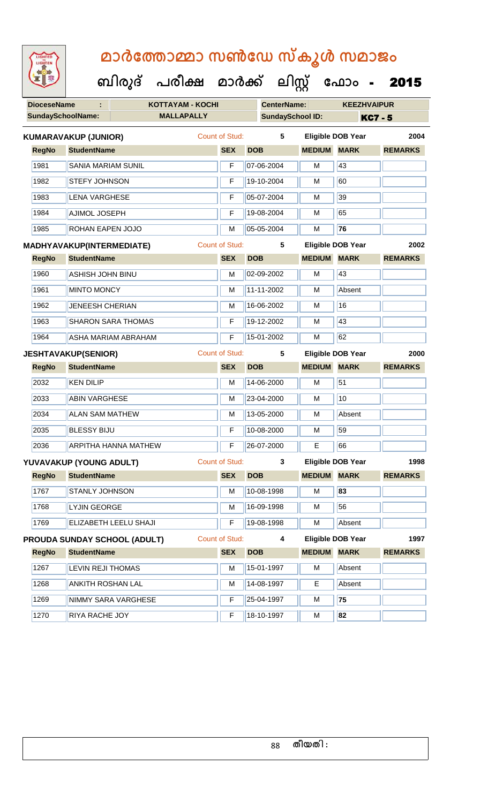### **DioceseName : KOTTAYAM - KOCHI CenterName: KEEZHVAIPUR SundaySchoolName: MALLAPALLY SundaySchool ID: KC7 - 5 ബിരുദ് പരീക്ഷ മാര്ക് ക ലിസ്റ്റ ക ഫ ാോം** - 2015  **മാര്കഫതാമ്മാ സണ്ഫേ സ്കൂള് സമാജോം RegNo StudentName SEX DOB MEDIUM MARK REMARKS KUMARAVAKUP (JUNIOR)** Count of Stud: **5 Eligible DOB Year 2004** 1981 SANIA MARIAM SUNIL F 07-06-2004 M 43 1982 STEFY JOHNSON **F** 19-10-2004 M 60 1983 LENA VARGHESE F 05-07-2004 M 39 1984 AJIMOL JOSEPH F 19-08-2004 M 65 1985 ROHAN EAPEN JOJO M 05-05-2004 M **76 RegNo StudentName SEX DOB MEDIUM MARK REMARKS MADHYAVAKUP(INTERMEDIATE)** Count of Stud: **5 Eligible DOB Year 2002** 1960 ASHISH JOHN BINU M 02-09-2002 M 43 1961 MINTO MONCY M 11-11-2002 M Absent 1962 JENEESH CHERIAN M M 16-06-2002 M 16 1963 SHARON SARA THOMAS F 19-12-2002 M 43 1964 ASHA MARIAM ABRAHAM F 15-01-2002 M 62 **RegNo StudentName SEX DOB MEDIUM MARK REMARKS JESHTAVAKUP(SENIOR)** Count of Stud: **5 Eligible DOB Year 2000** 2032 KEN DILIP M M 14-06-2000 M 51 2033 **ABIN VARGHESE** M **M** 23-04-2000 **M** 10 2034 **ALAN SAM MATHEW M 13-05-2000 M Absent** 2035 BLESSY BIJU F 10-08-2000 M 59 2036 ARPITHA HANNA MATHEW F 26-07-2000 E 66 **RegNo StudentName SEX DOB MEDIUM MARK REMARKS YUVAVAKUP (YOUNG ADULT)** Count of Stud: **3 Eligible DOB Year 1998** 1767 STANLY JOHNSON M 10-08-1998 M **83** 1768 LYJIN GEORGE M 16-09-1998 M 56 1769 ELIZABETH LEELU SHAJI F 19-08-1998 M Absent **PROUDA SUNDAY SCHOOL (ADULT)** Count of Stud: **4 Eligible DOB Year 1997**

|              | PROUDA SUNDAY SCHOOL (ADULT) | Count of Stud: | 4          |               | Eligible DOB Year | 1997           |
|--------------|------------------------------|----------------|------------|---------------|-------------------|----------------|
| <b>RegNo</b> | <b>StudentName</b>           | <b>SEX</b>     | <b>DOB</b> | <b>MEDIUM</b> | <b>MARK</b>       | <b>REMARKS</b> |
| 1267         | <b>LEVIN REJI THOMAS</b>     | M              | 15-01-1997 | M             | Absent            |                |
| 1268         | <b>ANKITH ROSHAN LAL</b>     | M              | 14-08-1997 | Е             | Absent            |                |
| 1269         | NIMMY SARA VARGHESE          | F              | 25-04-1997 | M             | 75                |                |
| 1270         | <b>RIYA RACHE JOY</b>        | F              | 18-10-1997 | M             | 82                |                |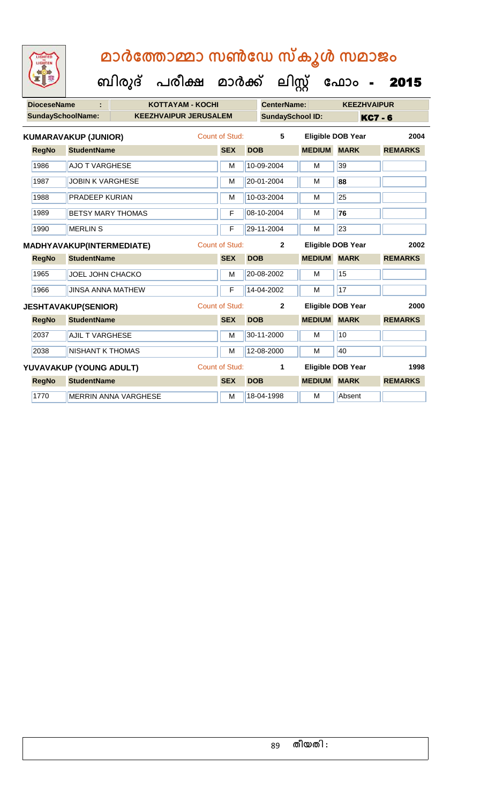| <b>IGHTED</b><br>w |
|--------------------|
|                    |
|                    |
|                    |

| <b>DioceseName</b>       |                             | <b>KOTTAYAM - KOCHI</b>      |                       |            | <b>CenterName:</b>      |               | <b>KEEZHVAIPUR</b>       |                |
|--------------------------|-----------------------------|------------------------------|-----------------------|------------|-------------------------|---------------|--------------------------|----------------|
| <b>SundaySchoolName:</b> |                             | <b>KEEZHVAIPUR JERUSALEM</b> |                       |            | <b>SundaySchool ID:</b> |               |                          | <b>KC7 - 6</b> |
|                          | <b>KUMARAVAKUP (JUNIOR)</b> |                              | Count of Stud:        |            | 5                       |               | <b>Eligible DOB Year</b> | 2004           |
| <b>RegNo</b>             | <b>StudentName</b>          |                              | <b>SEX</b>            | <b>DOB</b> |                         | <b>MEDIUM</b> | <b>MARK</b>              | <b>REMARKS</b> |
| 1986                     | <b>AJO T VARGHESE</b>       |                              | M                     |            | 10-09-2004              | M             | 39                       |                |
| 1987                     | <b>JOBIN K VARGHESE</b>     |                              | M                     |            | 20-01-2004              | M             | 88                       |                |
| 1988                     | <b>PRADEEP KURIAN</b>       |                              | M                     |            | 10-03-2004              | M             | 25                       |                |
| 1989                     | <b>BETSY MARY THOMAS</b>    |                              | F                     |            | 08-10-2004              | M             | 76                       |                |
| 1990                     | <b>MERLIN S</b>             |                              | F                     |            | 29-11-2004              | M             | 23                       |                |
|                          | MADHYAVAKUP(INTERMEDIATE)   |                              | <b>Count of Stud:</b> |            | $\mathbf{2}$            |               | <b>Eligible DOB Year</b> | 2002           |
| <b>RegNo</b>             | <b>StudentName</b>          |                              | <b>SEX</b>            | <b>DOB</b> |                         | <b>MEDIUM</b> | <b>MARK</b>              | <b>REMARKS</b> |
| 1965                     | <b>JOEL JOHN CHACKO</b>     |                              | M                     |            | 20-08-2002              | M             | 15                       |                |
| 1966                     | <b>JINSA ANNA MATHEW</b>    |                              | F                     |            | 14-04-2002              | M             | 17                       |                |
|                          | <b>JESHTAVAKUP(SENIOR)</b>  |                              | <b>Count of Stud:</b> |            | $\mathbf{2}$            |               | <b>Eligible DOB Year</b> | 2000           |
| <b>RegNo</b>             | <b>StudentName</b>          |                              | <b>SEX</b>            | <b>DOB</b> |                         | <b>MEDIUM</b> | <b>MARK</b>              | <b>REMARKS</b> |
| 2037                     | <b>AJIL T VARGHESE</b>      |                              | M                     |            | 30-11-2000              | M             | 10                       |                |
| 2038                     | <b>NISHANT K THOMAS</b>     |                              | M                     |            | 12-08-2000              | M             | 40                       |                |
|                          | YUVAVAKUP (YOUNG ADULT)     |                              | <b>Count of Stud:</b> |            | 1                       |               | <b>Eligible DOB Year</b> | 1998           |
| <b>RegNo</b>             | <b>StudentName</b>          |                              | <b>SEX</b>            | <b>DOB</b> |                         | <b>MEDIUM</b> | <b>MARK</b>              | <b>REMARKS</b> |
| 1770                     |                             | <b>MERRIN ANNA VARGHESE</b>  | м                     |            | 18-04-1998              | M             | Absent                   |                |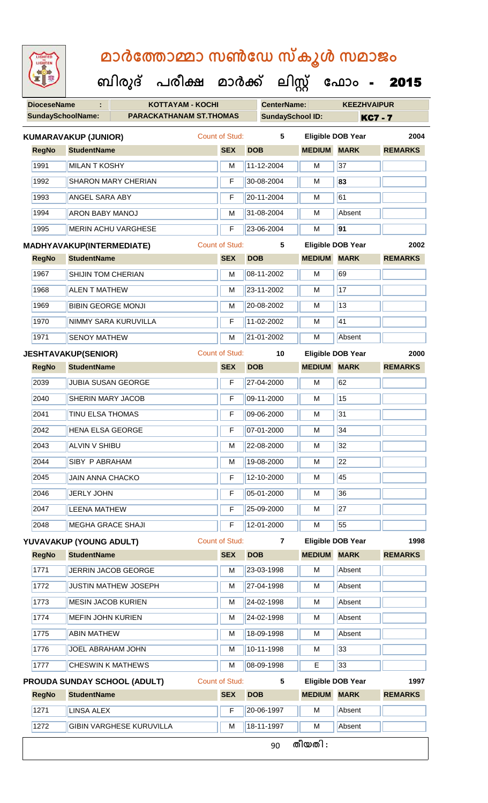| LIGHTED<br>LIGHTEN       |                                                     |   |                       | മാർത്തോമ്മാ സൺഡേ സ്കൂൾ സമാജം<br>ബിരുദ് പരീക്ഷ മാർക്ക് ലിസ്സ് ഫോം - |                    |                          |                |  |  |  |  |  |  |  |  |
|--------------------------|-----------------------------------------------------|---|-----------------------|--------------------------------------------------------------------|--------------------|--------------------------|----------------|--|--|--|--|--|--|--|--|
|                          |                                                     |   |                       |                                                                    |                    |                          | 2015           |  |  |  |  |  |  |  |  |
| <b>DioceseName</b>       | <b>KOTTAYAM - KOCHI</b><br>÷                        |   |                       | <b>CenterName:</b>                                                 |                    | <b>KEEZHVAIPUR</b>       |                |  |  |  |  |  |  |  |  |
| <b>SundaySchoolName:</b> | <b>PARACKATHANAM ST.THOMAS</b>                      |   |                       | <b>SundaySchool ID:</b>                                            |                    | <b>KC7-7</b>             |                |  |  |  |  |  |  |  |  |
|                          | <b>KUMARAVAKUP (JUNIOR)</b>                         |   | <b>Count of Stud:</b> | 5                                                                  |                    | <b>Eligible DOB Year</b> | 2004           |  |  |  |  |  |  |  |  |
| <b>RegNo</b>             | <b>StudentName</b>                                  |   | <b>SEX</b>            | <b>DOB</b>                                                         | <b>MEDIUM</b>      | <b>MARK</b>              | <b>REMARKS</b> |  |  |  |  |  |  |  |  |
| 1991                     | <b>MILAN T KOSHY</b>                                |   | м                     | 11-12-2004                                                         | м                  | 37                       |                |  |  |  |  |  |  |  |  |
| 1992                     | <b>SHARON MARY CHERIAN</b>                          |   | F                     | 30-08-2004                                                         | м                  | 83                       |                |  |  |  |  |  |  |  |  |
| 1993                     | <b>ANGEL SARA ABY</b>                               |   | F                     | 20-11-2004                                                         | м                  | 61                       |                |  |  |  |  |  |  |  |  |
| 1994                     | ARON BABY MANOJ                                     |   | м                     | 31-08-2004                                                         | м                  | Absent                   |                |  |  |  |  |  |  |  |  |
| 1995                     | <b>MERIN ACHU VARGHESE</b>                          |   | F                     | 23-06-2004                                                         | м                  | 91                       |                |  |  |  |  |  |  |  |  |
|                          | MADHYAVAKUP(INTERMEDIATE)                           |   | <b>Count of Stud:</b> | 5                                                                  |                    | <b>Eligible DOB Year</b> | 2002           |  |  |  |  |  |  |  |  |
| <b>RegNo</b>             | <b>StudentName</b>                                  |   | <b>SEX</b>            | <b>DOB</b>                                                         | <b>MEDIUM</b>      | <b>MARK</b>              | <b>REMARKS</b> |  |  |  |  |  |  |  |  |
| 1967                     | <b>SHIJIN TOM CHERIAN</b>                           |   | м                     | 08-11-2002                                                         | м                  | 69                       |                |  |  |  |  |  |  |  |  |
| 1968                     | <b>ALEN T MATHEW</b>                                |   | м                     | 23-11-2002                                                         | м                  | 17                       |                |  |  |  |  |  |  |  |  |
| 1969                     | <b>BIBIN GEORGE MONJI</b>                           |   | м                     | 20-08-2002                                                         | м                  | 13                       |                |  |  |  |  |  |  |  |  |
| 1970                     | NIMMY SARA KURUVILLA                                |   | F                     | 11-02-2002                                                         | м                  | 41                       |                |  |  |  |  |  |  |  |  |
| 1971                     | <b>SENOY MATHEW</b>                                 | м | 21-01-2002            | м                                                                  | Absent             |                          |                |  |  |  |  |  |  |  |  |
|                          | <b>Count of Stud:</b><br><b>JESHTAVAKUP(SENIOR)</b> |   |                       | 10                                                                 |                    | <b>Eligible DOB Year</b> | 2000           |  |  |  |  |  |  |  |  |
| <b>RegNo</b>             | <b>StudentName</b>                                  |   | <b>SEX</b>            | <b>DOB</b>                                                         | <b>MEDIUM</b>      | <b>MARK</b>              | <b>REMARKS</b> |  |  |  |  |  |  |  |  |
| 2039                     | JUBIA SUSAN GEORGE                                  |   | F                     | 27-04-2000                                                         | м                  | 62                       |                |  |  |  |  |  |  |  |  |
| 2040                     | SHERIN MARY JACOB                                   |   | F                     | 09-11-2000                                                         | M                  | 15                       |                |  |  |  |  |  |  |  |  |
| 2041                     | <b>TINU ELSA THOMAS</b>                             |   | F                     | 09-06-2000                                                         | M                  | 31                       |                |  |  |  |  |  |  |  |  |
| 2042                     | <b>HENA ELSA GEORGE</b>                             |   | F                     | 07-01-2000                                                         | м                  | 34                       |                |  |  |  |  |  |  |  |  |
| 2043                     | <b>ALVIN V SHIBU</b>                                |   | м                     | 22-08-2000                                                         | м                  | 32                       |                |  |  |  |  |  |  |  |  |
| 2044                     | SIBY P ABRAHAM                                      |   | M                     | 19-08-2000                                                         | M                  | 22                       |                |  |  |  |  |  |  |  |  |
| 2045                     | <b>JAIN ANNA CHACKO</b>                             |   | F                     | 12-10-2000                                                         | M                  | 45                       |                |  |  |  |  |  |  |  |  |
| 2046                     | <b>JERLY JOHN</b>                                   |   | F                     | 05-01-2000                                                         | M                  | 36                       |                |  |  |  |  |  |  |  |  |
| 2047                     | <b>LEENA MATHEW</b>                                 |   | F                     | 25-09-2000                                                         | M                  | 27                       |                |  |  |  |  |  |  |  |  |
| 2048                     | <b>MEGHA GRACE SHAJI</b>                            |   | F                     | 12-01-2000                                                         | м                  | 55                       |                |  |  |  |  |  |  |  |  |
|                          | YUVAVAKUP (YOUNG ADULT)                             |   | Count of Stud:        | $\overline{7}$                                                     |                    | <b>Eligible DOB Year</b> | 1998           |  |  |  |  |  |  |  |  |
| <b>RegNo</b>             | <b>StudentName</b>                                  |   | <b>SEX</b>            | <b>DOB</b>                                                         | <b>MEDIUM MARK</b> |                          | <b>REMARKS</b> |  |  |  |  |  |  |  |  |
| 1771                     | JERRIN JACOB GEORGE                                 |   | м                     | 23-03-1998                                                         | M                  | Absent                   |                |  |  |  |  |  |  |  |  |
| 1772                     | <b>JUSTIN MATHEW JOSEPH</b>                         |   | M                     | 27-04-1998                                                         | M                  | Absent                   |                |  |  |  |  |  |  |  |  |
| 1773                     | <b>MESIN JACOB KURIEN</b>                           |   | м                     | 24-02-1998                                                         | M                  | Absent                   |                |  |  |  |  |  |  |  |  |
| 1774                     | <b>MEFIN JOHN KURIEN</b>                            |   | м                     | 24-02-1998                                                         | м                  | Absent                   |                |  |  |  |  |  |  |  |  |
| 1775                     | <b>ABIN MATHEW</b>                                  |   | M                     | 18-09-1998                                                         | M                  | Absent                   |                |  |  |  |  |  |  |  |  |
| 1776                     | JOEL ABRAHAM JOHN                                   | м | 10-11-1998            | м                                                                  | 33                 |                          |                |  |  |  |  |  |  |  |  |
| 1777                     | <b>CHESWIN K MATHEWS</b>                            |   | M                     | 08-09-1998                                                         | E                  | 33                       |                |  |  |  |  |  |  |  |  |
|                          | <b>PROUDA SUNDAY SCHOOL (ADULT)</b>                 |   | Count of Stud:        | 5                                                                  |                    | <b>Eligible DOB Year</b> | 1997           |  |  |  |  |  |  |  |  |
| <b>RegNo</b>             | <b>StudentName</b>                                  |   | <b>SEX</b>            | <b>DOB</b>                                                         | <b>MEDIUM</b>      | <b>MARK</b>              | <b>REMARKS</b> |  |  |  |  |  |  |  |  |
| 1271                     | <b>LINSA ALEX</b>                                   |   | F                     | 20-06-1997                                                         | M                  | Absent                   |                |  |  |  |  |  |  |  |  |

1272 GIBIN VARGHESE KURUVILLA M 18-11-1997 M Absent

90 **തീയതി :**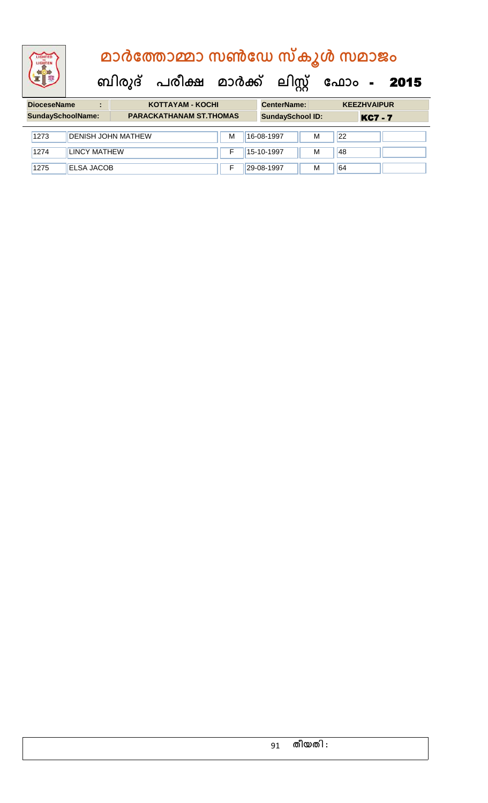**ബിരുദ് പരീക്ഷ മാര്ക്**

**ക ലിസ്റ്റ ക ഫ ാോം** - 2015

**DioceseName : KOTTAYAM - KOCHI CenterName: KEEZHVAIPUR** SundaySchoolName: **PARACKATHANAM ST.THOMAS** SundaySchool ID: **KC7 - 7** 1273 **DENISH JOHN MATHEW M 16-08-1997** M 22 1274 | LINCY MATHEW **F 15-10-1997** M 48 1275 ELSA JACOB F 29-08-1997 M 64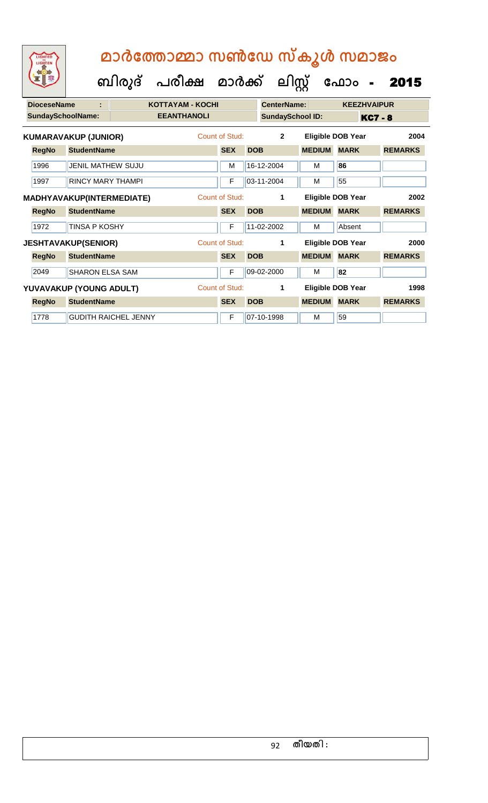| <b>DioceseName</b> | ÷                           |                             | <b>KOTTAYAM - KOCHI</b> |                |            | <b>CenterName:</b>      |               | <b>KEEZHVAIPUR</b>       |                |
|--------------------|-----------------------------|-----------------------------|-------------------------|----------------|------------|-------------------------|---------------|--------------------------|----------------|
|                    | <b>SundaySchoolName:</b>    |                             | <b>EEANTHANOLI</b>      |                |            | <b>SundaySchool ID:</b> |               |                          | <b>KC7 - 8</b> |
|                    | <b>KUMARAVAKUP (JUNIOR)</b> |                             |                         | Count of Stud: |            | $\overline{2}$          |               | <b>Eligible DOB Year</b> | 2004           |
| <b>RegNo</b>       | <b>StudentName</b>          |                             |                         | <b>SEX</b>     | <b>DOB</b> |                         | <b>MEDIUM</b> | <b>MARK</b>              | <b>REMARKS</b> |
| 1996               | <b>JENIL MATHEW SUJU</b>    |                             |                         | M              |            | 16-12-2004              | м             | 86                       |                |
| 1997               | <b>RINCY MARY THAMPL</b>    |                             |                         | F              |            | 03-11-2004              | м             | 55                       |                |
|                    | MADHYAVAKUP(INTERMEDIATE)   |                             |                         | Count of Stud: |            | 1                       |               | Eligible DOB Year        | 2002           |
| <b>RegNo</b>       | <b>StudentName</b>          |                             |                         | <b>SEX</b>     | <b>DOB</b> |                         | <b>MEDIUM</b> | <b>MARK</b>              | <b>REMARKS</b> |
| 1972               | <b>TINSA P KOSHY</b>        |                             |                         | F              |            | 11-02-2002              | м             | Absent                   |                |
|                    | <b>JESHTAVAKUP(SENIOR)</b>  |                             |                         | Count of Stud: |            | 1                       |               | <b>Eligible DOB Year</b> | 2000           |
| <b>RegNo</b>       | <b>StudentName</b>          |                             |                         | <b>SEX</b>     | <b>DOB</b> |                         | <b>MEDIUM</b> | <b>MARK</b>              | <b>REMARKS</b> |
| 2049               | <b>SHARON ELSA SAM</b>      |                             |                         | F              |            | 09-02-2000              | м             | 82                       |                |
|                    | YUVAVAKUP (YOUNG ADULT)     |                             |                         | Count of Stud: |            | 1                       |               | Eligible DOB Year        | 1998           |
| <b>RegNo</b>       | <b>StudentName</b>          |                             |                         | <b>SEX</b>     | <b>DOB</b> |                         | <b>MEDIUM</b> | <b>MARK</b>              | <b>REMARKS</b> |
| 1778               |                             | <b>GUDITH RAICHEL JENNY</b> |                         | F              |            | 07-10-1998              | м             | 59                       |                |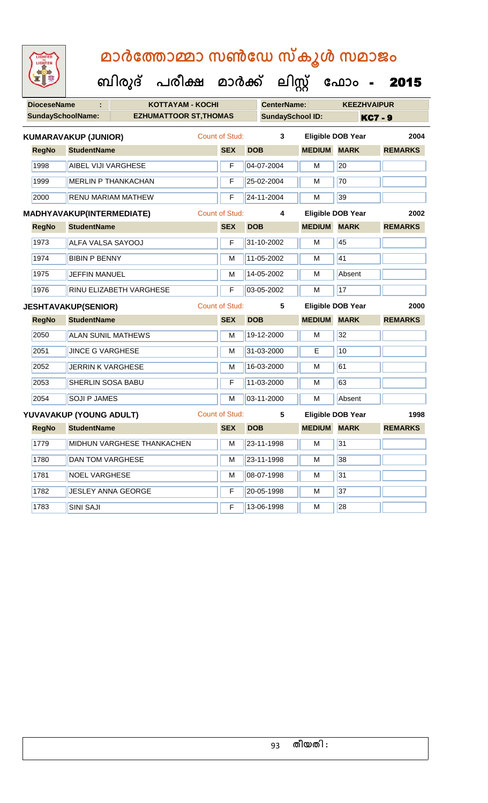**ബിരുദ് പരീക്ഷ മാര്ക്**

**DioceseName : KOTTAYAM - KOCHI CenterName: KEEZHVAIPUR** SundaySchoolName: **EZHUMATTOOR ST,THOMAS** SundaySchool ID: **KC7 - 9 ക ലിസ്റ്റ ക ഫ ാോം** - 2015 **RegNo StudentName SEX DOB MEDIUM MARK REMARKS KUMARAVAKUP (JUNIOR)** Count of Stud: **3 Eligible DOB Year 2004** 1998 AIBEL VIJI VARGHESE **F** 04-07-2004 M 20 1999 MERLIN P THANKACHAN F 25-02-2004 M 70 2000 RENU MARIAM MATHEW F 24-11-2004 M 39 **RegNo StudentName SEX DOB MEDIUM MARK REMARKS MADHYAVAKUP(INTERMEDIATE)** Count of Stud: **4 Eligible DOB Year 2002** 1973 ALFA VALSA SAYOOJ F 31-10-2002 M 45 1974 BIBIN P BENNY M 11-05-2002 M 11-05-2002 M 1975 JEFFIN MANUEL M M 14-05-2002 M Absent 1976 RINU ELIZABETH VARGHESE **F 103-05-2002** M 17 **RegNo StudentName SEX DOB MEDIUM MARK REMARKS JESHTAVAKUP(SENIOR)** Count of Stud: **5 Eligible DOB Year 2000** 2050 ALAN SUNIL MATHEWS M 19-12-2000 M 32 2051 JINCE G VARGHESE M M 31-03-2000 E 10 2052 JERRIN K VARGHESE M M 16-03-2000 M 61 2053 SHERLIN SOSA BABU F 11-03-2000 M 63 2054 SOJI P JAMES M 103-11-2000 M Absent **RegNo StudentName SEX DOB MEDIUM MARK REMARKS YUVAVAKUP (YOUNG ADULT)** Count of Stud: **5 Eligible DOB Year 1998** 1779 MIDHUN VARGHESE THANKACHEN M 23-11-1998 M 31 1780 DAN TOM VARGHESE M M 23-11-1998 M 38 1781 NOEL VARGHESE M 108-07-1998 M 1782 JESLEY ANNA GEORGE F 20-05-1998 M 37 1783 SINI SAJI **F 13-06-1998** M 28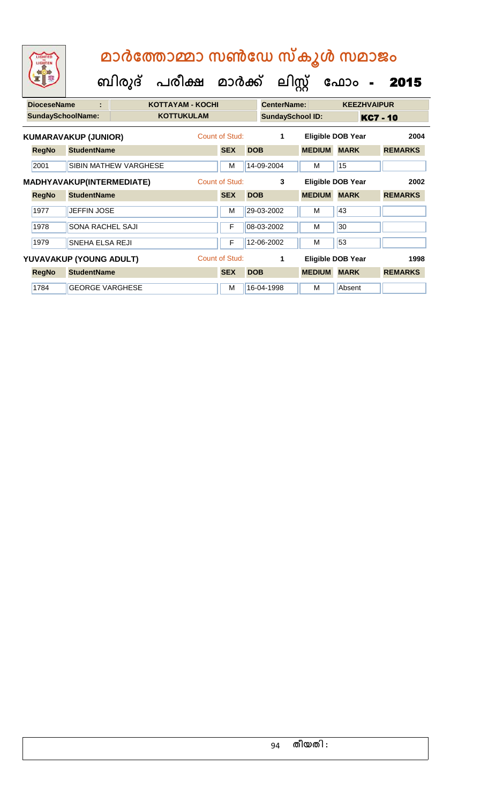|                          | LIGHTED<br>LIGHTEN |                                  | ബിരുദ്            | മാർത്തോമ്മാ സൺഡേ സ്കൂൾ സമാജം<br>പരീക്ഷ മാർക്ക് |                |                         | ലിസ്റ്റ്           |                 | ഫോം                      | $\frac{1}{2}$  | 2015 |
|--------------------------|--------------------|----------------------------------|-------------------|------------------------------------------------|----------------|-------------------------|--------------------|-----------------|--------------------------|----------------|------|
|                          | <b>DioceseName</b> | ÷                                |                   | <b>KOTTAYAM - KOCHI</b>                        |                |                         | <b>CenterName:</b> |                 | <b>KEEZHVAIPUR</b>       |                |      |
| <b>SundaySchoolName:</b> |                    |                                  | <b>KOTTUKULAM</b> |                                                |                | <b>SundaySchool ID:</b> |                    | <b>KC7 - 10</b> |                          |                |      |
|                          |                    | <b>KUMARAVAKUP (JUNIOR)</b>      |                   |                                                | Count of Stud: |                         | 1                  |                 | Eligible DOB Year        |                | 2004 |
|                          | <b>RegNo</b>       | <b>StudentName</b>               |                   |                                                | <b>SEX</b>     | <b>DOB</b>              |                    | <b>MEDIUM</b>   | <b>MARK</b>              | <b>REMARKS</b> |      |
|                          | 2001               | <b>SIBIN MATHEW VARGHESE</b>     |                   |                                                | м              |                         | 14-09-2004         | M               | 15                       |                |      |
|                          |                    | <b>MADHYAVAKUP(INTERMEDIATE)</b> |                   |                                                | Count of Stud: |                         | 3                  |                 | <b>Eligible DOB Year</b> |                | 2002 |
|                          | <b>RegNo</b>       | <b>StudentName</b>               |                   |                                                | <b>SEX</b>     | <b>DOB</b>              |                    | <b>MEDIUM</b>   | <b>MARK</b>              | <b>REMARKS</b> |      |
|                          | 1977               | <b>JEFFIN JOSE</b>               |                   |                                                | M              |                         | 29-03-2002         | M               | 43                       |                |      |
|                          | 1978               | <b>SONA RACHEL SAJI</b>          |                   |                                                | F              |                         | 08-03-2002         | м               | 30                       |                |      |
|                          | 1979               | <b>SNEHA ELSA REJI</b>           |                   |                                                | F              |                         | 12-06-2002         | м               | 53                       |                |      |
|                          |                    | YUVAVAKUP (YOUNG ADULT)          |                   |                                                | Count of Stud: |                         | 1                  |                 | <b>Eligible DOB Year</b> |                | 1998 |
|                          | <b>RegNo</b>       | <b>StudentName</b>               |                   |                                                | <b>SEX</b>     | <b>DOB</b>              |                    | <b>MEDIUM</b>   | <b>MARK</b>              | <b>REMARKS</b> |      |
|                          | 1784               | <b>GEORGE VARGHESE</b>           |                   |                                                | м              |                         | 16-04-1998         | м               | Absent                   |                |      |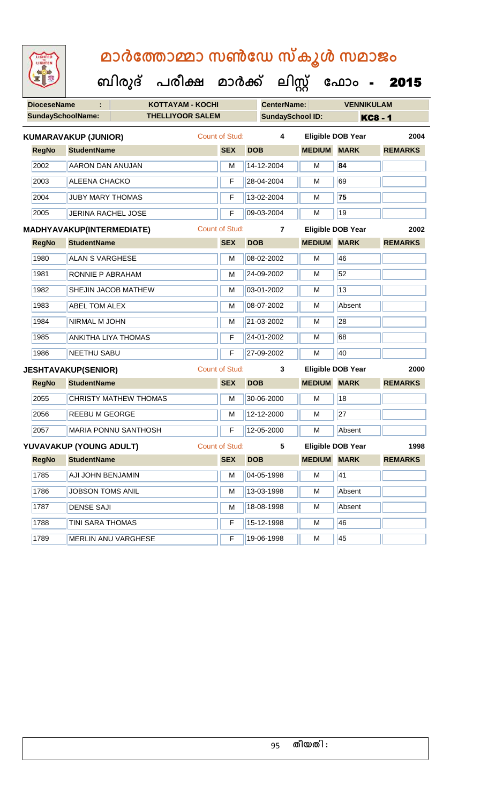| LIGHTED<br>LIGHTEN               |                              |  | മാർത്തോമ്മാ സൺഡേ സ്കൂൾ സമാജം<br>ബിരുദ് പരീക്ഷ മാർക്ക് ലിസ്റ്റ് ഫോം - |                       |                    |                         |                          | 2015           |
|----------------------------------|------------------------------|--|----------------------------------------------------------------------|-----------------------|--------------------|-------------------------|--------------------------|----------------|
| <b>DioceseName</b>               |                              |  | <b>KOTTAYAM - KOCHI</b>                                              |                       | <b>CenterName:</b> |                         | <b>VENNIKULAM</b>        |                |
|                                  | <b>SundaySchoolName:</b>     |  | <b>THELLIYOOR SALEM</b>                                              |                       |                    | <b>SundaySchool ID:</b> |                          | <b>KC8-1</b>   |
|                                  | <b>KUMARAVAKUP (JUNIOR)</b>  |  |                                                                      | Count of Stud:        | 4                  |                         | <b>Eligible DOB Year</b> | 2004           |
| <b>RegNo</b>                     | <b>StudentName</b>           |  |                                                                      | <b>SEX</b>            | <b>DOB</b>         | <b>MEDIUM</b>           | <b>MARK</b>              | <b>REMARKS</b> |
| 2002                             | <b>AARON DAN ANUJAN</b>      |  |                                                                      | М                     | 14-12-2004         | M                       | 84                       |                |
| 2003                             | <b>ALEENA CHACKO</b>         |  |                                                                      | F                     | 28-04-2004         | м                       | 69                       |                |
| 2004                             | <b>JUBY MARY THOMAS</b>      |  |                                                                      | F                     | 13-02-2004         | м                       | 75                       |                |
| 2005                             | <b>JERINA RACHEL JOSE</b>    |  |                                                                      | F                     | 09-03-2004         | м                       | 19                       |                |
| <b>MADHYAVAKUP(INTERMEDIATE)</b> |                              |  |                                                                      | <b>Count of Stud:</b> | $\overline{7}$     |                         | <b>Eligible DOB Year</b> | 2002           |
| <b>RegNo</b>                     | <b>StudentName</b>           |  |                                                                      | <b>SEX</b>            | <b>DOB</b>         | <b>MEDIUM</b>           | <b>MARK</b>              | <b>REMARKS</b> |
| 1980                             | <b>ALAN S VARGHESE</b>       |  |                                                                      | M                     | 08-02-2002         | м                       | 46                       |                |
| 1981                             | <b>RONNIE P ABRAHAM</b>      |  |                                                                      | М                     | 24-09-2002         | м                       | 52                       |                |
| 1982                             | SHEJIN JACOB MATHEW          |  |                                                                      | М                     | 03-01-2002         | м                       | 13                       |                |
| 1983                             | <b>ABEL TOM ALEX</b>         |  |                                                                      | M                     | 08-07-2002         | м                       | Absent                   |                |
| 1984                             | <b>NIRMAL M JOHN</b>         |  |                                                                      | м                     | 21-03-2002         | м                       | 28                       |                |
| 1985                             | <b>ANKITHA LIYA THOMAS</b>   |  |                                                                      | F                     | 24-01-2002         | м                       | 68                       |                |
| 1986                             | <b>NEETHU SABU</b>           |  |                                                                      | F                     | 27-09-2002         | м                       | 40                       |                |
|                                  | <b>JESHTAVAKUP(SENIOR)</b>   |  |                                                                      | Count of Stud:        | 3                  |                         | Eligible DOB Year        | 2000           |
| <b>RegNo</b>                     | <b>StudentName</b>           |  |                                                                      | <b>SEX</b>            | <b>DOB</b>         | <b>MEDIUM</b>           | <b>MARK</b>              | <b>REMARKS</b> |
| 2055                             | <b>CHRISTY MATHEW THOMAS</b> |  |                                                                      | М                     | 30-06-2000         | м                       | 18                       |                |
| 2056                             | REEBU M GEORGE               |  |                                                                      | M                     | 12-12-2000         | M                       | 27                       |                |
| 2057                             | <b>MARIA PONNU SANTHOSH</b>  |  |                                                                      | F                     | 12-05-2000         | М                       | Absent                   |                |
|                                  | YUVAVAKUP (YOUNG ADULT)      |  |                                                                      | Count of Stud:        | $5\phantom{.0}$    |                         | <b>Eligible DOB Year</b> | 1998           |
| <b>RegNo</b>                     | <b>StudentName</b>           |  |                                                                      | <b>SEX</b>            | <b>DOB</b>         | <b>MEDIUM</b>           | <b>MARK</b>              | <b>REMARKS</b> |
| 1785                             | <b>AJI JOHN BENJAMIN</b>     |  |                                                                      | M                     | 04-05-1998         | M                       | 41                       |                |
| 1786                             | <b>JOBSON TOMS ANIL</b>      |  |                                                                      | M                     | 13-03-1998         | M                       | Absent                   |                |
| 1787                             | <b>DENSE SAJI</b>            |  |                                                                      | M                     | 18-08-1998         | М                       | Absent                   |                |
| 1788                             | TINI SARA THOMAS             |  |                                                                      | F                     | 15-12-1998         | М                       | 46                       |                |
| 1789                             | MERLIN ANU VARGHESE          |  |                                                                      | F                     | 19-06-1998         | M                       | 45                       |                |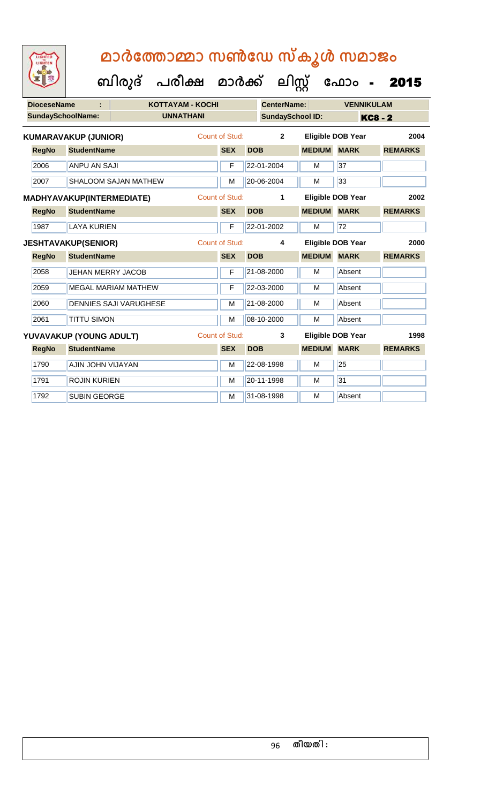**DioceseName : KOTTAYAM - KOCHI CenterName: VENNIKULAM SundaySchoolName: UNNATHANI SundaySchool ID: KC8 - 2 ബിരുദ് പരീക്ഷ മാര്ക് ക ലിസ്റ്റ ക ഫ ാോം** - 2015 **RegNo StudentName SEX DOB MEDIUM MARK REMARKS KUMARAVAKUP (JUNIOR)** Count of Stud: **2 Eligible DOB Year 2004** 2006 ANPU AN SAJI F 22-01-2004 M 37 2007 SHALOOM SAJAN MATHEW M 20-06-2004 M 33 **RegNo StudentName SEX DOB MEDIUM MARK REMARKS MADHYAVAKUP(INTERMEDIATE)** Count of Stud: **1 Eligible DOB Year 2002** 1987 LAYA KURIEN F 22-01-2002 M 72 **RegNo StudentName SEX DOB MEDIUM MARK REMARKS JESHTAVAKUP(SENIOR)** Count of Stud: **4 Eligible DOB Year 2000** 2058 JEHAN MERRY JACOB F 21-08-2000 M Absent 2059 MEGAL MARIAM MATHEW F 22-03-2000 M Absent 2060 DENNIES SAJI VARUGHESE M M 21-08-2000 M Absent 2061 | TITTU SIMON M | M | 08-10-2000 | M | Absent **RegNo StudentName SEX DOB MEDIUM MARK REMARKS YUVAVAKUP (YOUNG ADULT)** Count of Stud: **3 Eligible DOB Year 1998** 1790 AJIN JOHN VIJAYAN M 22-08-1998 M 22-08-1998 M 1791 ROJIN KURIEN M 20-11-1998 M 31 1792 SUBIN GEORGE M 31-08-1998 M Absent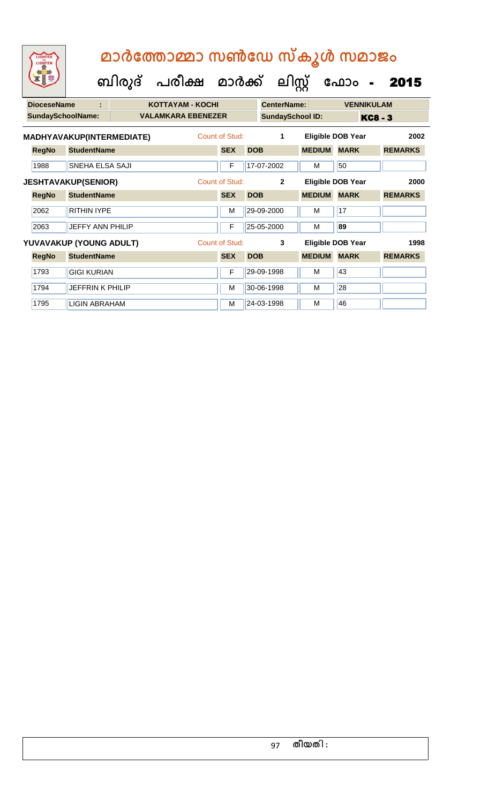| <b>DioceseName</b> | ÷                          |  | <b>KOTTAYAM - KOCHI</b>   |                |            | <b>CenterName:</b>      |                   | <b>VENNIKULAM</b>        |                |
|--------------------|----------------------------|--|---------------------------|----------------|------------|-------------------------|-------------------|--------------------------|----------------|
|                    | <b>SundaySchoolName:</b>   |  | <b>VALAMKARA EBENEZER</b> |                |            | <b>SundaySchool ID:</b> |                   |                          | <b>KC8 - 3</b> |
|                    | MADHYAVAKUP(INTERMEDIATE)  |  |                           | Count of Stud: |            | 1                       |                   | <b>Eligible DOB Year</b> | 2002           |
| <b>RegNo</b>       | <b>StudentName</b>         |  |                           | <b>SEX</b>     | <b>DOB</b> |                         | <b>MEDIUM</b>     | <b>MARK</b>              | <b>REMARKS</b> |
| 1988               | <b>SNEHA ELSA SAJI</b>     |  |                           | F              |            | 17-07-2002              | м                 | 50                       |                |
|                    | <b>JESHTAVAKUP(SENIOR)</b> |  |                           | Count of Stud: |            | $\mathbf{2}$            | Eligible DOB Year |                          | 2000           |
| <b>RegNo</b>       | <b>StudentName</b>         |  |                           | <b>SEX</b>     | <b>DOB</b> |                         | <b>MEDIUM</b>     | <b>MARK</b>              | <b>REMARKS</b> |
| 2062               | <b>RITHIN IYPE</b>         |  |                           | M              |            | 29-09-2000              | м                 | 17                       |                |
| 2063               | <b>JEFFY ANN PHILIP</b>    |  |                           | F              |            | 25-05-2000              | м                 | 89                       |                |
|                    | YUVAVAKUP (YOUNG ADULT)    |  |                           | Count of Stud: |            | 3                       |                   | Eligible DOB Year        | 1998           |
| <b>RegNo</b>       | <b>StudentName</b>         |  |                           | <b>SEX</b>     | <b>DOB</b> |                         | <b>MEDIUM</b>     | <b>MARK</b>              | <b>REMARKS</b> |
| 1793               | <b>GIGI KURIAN</b>         |  |                           | F              |            | 29-09-1998              | м                 | 43                       |                |
| 1794               | <b>JEFFRIN K PHILIP</b>    |  |                           | M              |            | 30-06-1998              | м                 | 28                       |                |
| 1795               | LIGIN ABRAHAM              |  |                           | м              |            | 24-03-1998              | м                 | 46                       |                |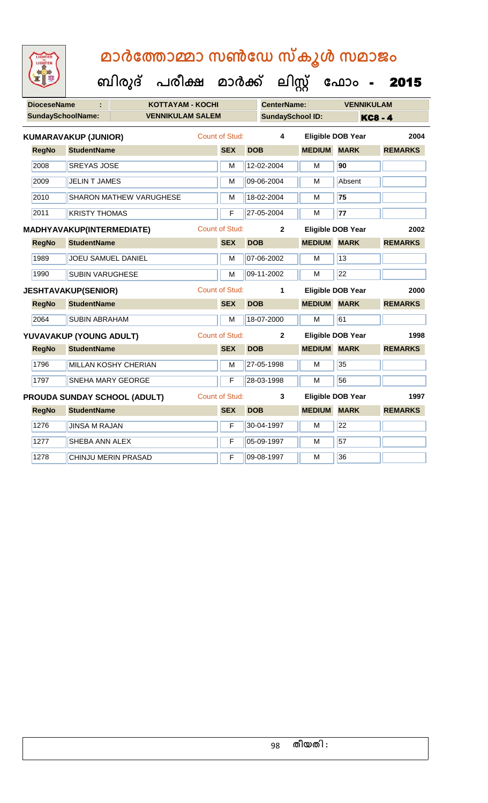| <b>IGHTED</b> |
|---------------|
|               |
|               |
|               |

| <b>DioceseName</b> | ÷                           | <b>KOTTAYAM - KOCHI</b>        |                       | <b>CenterName:</b> |                         | <b>VENNIKULAM</b>        |                |
|--------------------|-----------------------------|--------------------------------|-----------------------|--------------------|-------------------------|--------------------------|----------------|
|                    | <b>SundaySchoolName:</b>    | <b>VENNIKULAM SALEM</b>        |                       |                    | <b>SundaySchool ID:</b> |                          | <b>KC8 - 4</b> |
|                    | <b>KUMARAVAKUP (JUNIOR)</b> |                                | Count of Stud:        | 4                  |                         | <b>Eligible DOB Year</b> | 2004           |
| <b>RegNo</b>       | <b>StudentName</b>          |                                | <b>SEX</b>            | <b>DOB</b>         | <b>MEDIUM MARK</b>      |                          | <b>REMARKS</b> |
| 2008               | <b>SREYAS JOSE</b>          |                                | M                     | 12-02-2004         | М                       | 90                       |                |
| 2009               | <b>JELIN T JAMES</b>        |                                | M                     | 09-06-2004         | М                       | Absent                   |                |
| 2010               |                             | <b>SHARON MATHEW VARUGHESE</b> | M                     | 18-02-2004         | M                       | 75                       |                |
| 2011               | <b>KRISTY THOMAS</b>        |                                | F                     | 27-05-2004         | M                       | 77                       |                |
|                    | MADHYAVAKUP(INTERMEDIATE)   |                                | <b>Count of Stud:</b> | $\mathbf{2}$       |                         | <b>Eligible DOB Year</b> | 2002           |
| <b>RegNo</b>       | <b>StudentName</b>          |                                | <b>SEX</b>            | <b>DOB</b>         | <b>MEDIUM</b>           | <b>MARK</b>              | <b>REMARKS</b> |
| 1989               | JOEU SAMUEL DANIEL          |                                | м                     | 07-06-2002         | М                       | 13                       |                |
| 1990               | <b>SUBIN VARUGHESE</b>      |                                | M                     | 09-11-2002         | М                       | 22                       |                |
|                    | <b>JESHTAVAKUP(SENIOR)</b>  |                                | Count of Stud:        | 1                  |                         | <b>Eligible DOB Year</b> | 2000           |
| <b>RegNo</b>       | <b>StudentName</b>          |                                | <b>SEX</b>            | <b>DOB</b>         | <b>MEDIUM</b>           | <b>MARK</b>              | <b>REMARKS</b> |
| 2064               | <b>SUBIN ABRAHAM</b>        |                                | м                     | 18-07-2000         | м                       | 61                       |                |
|                    | YUVAVAKUP (YOUNG ADULT)     |                                | Count of Stud:        | $\overline{2}$     |                         | <b>Eligible DOB Year</b> | 1998           |
| <b>RegNo</b>       | <b>StudentName</b>          |                                | <b>SEX</b>            | <b>DOB</b>         | <b>MEDIUM</b>           | <b>MARK</b>              | <b>REMARKS</b> |
| 1796               |                             | MILLAN KOSHY CHERIAN           | M                     | 27-05-1998         | м                       | 35                       |                |
| 1797               | <b>SNEHA MARY GEORGE</b>    |                                | F                     | 28-03-1998         | М                       | 56                       |                |
|                    |                             | PROUDA SUNDAY SCHOOL (ADULT)   | <b>Count of Stud:</b> | $\mathbf{3}$       |                         | <b>Eligible DOB Year</b> | 1997           |
| <b>RegNo</b>       | <b>StudentName</b>          |                                | <b>SEX</b>            | <b>DOB</b>         | <b>MEDIUM</b>           | <b>MARK</b>              | <b>REMARKS</b> |
| 1276               | <b>JINSA M RAJAN</b>        |                                | F                     | 30-04-1997         | М                       | $\overline{22}$          |                |
| 1277               | SHEBA ANN ALEX              |                                | F                     | 05-09-1997         | м                       | 57                       |                |
| 1278               | CHINJU MERIN PRASAD         |                                | F                     | 09-08-1997         | М                       | 36                       |                |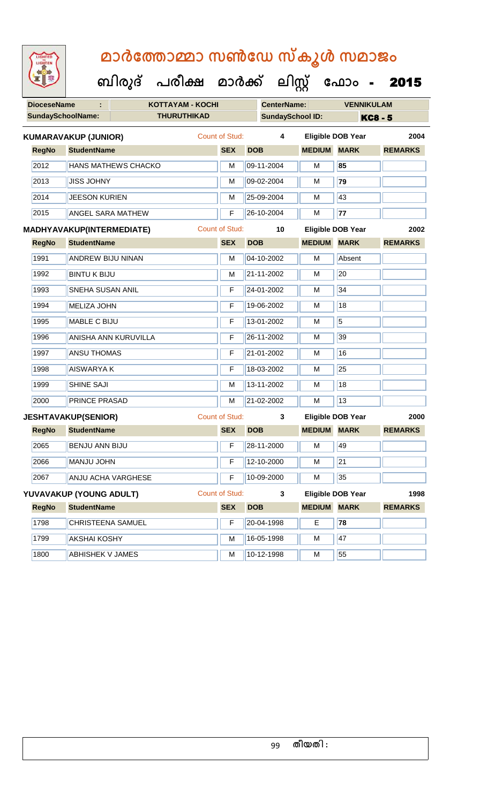| <b>IGHTED</b> |
|---------------|
|               |
|               |
|               |

| <b>DioceseName</b> |                             |                            | KOTTAYAM - KOCHI   |                       | <b>CenterName:</b> |                         | <b>VENNIKULAM</b>        |                |
|--------------------|-----------------------------|----------------------------|--------------------|-----------------------|--------------------|-------------------------|--------------------------|----------------|
|                    | <b>SundaySchoolName:</b>    |                            | <b>THURUTHIKAD</b> |                       |                    | <b>SundaySchool ID:</b> |                          | <b>KC8 - 5</b> |
|                    | <b>KUMARAVAKUP (JUNIOR)</b> |                            |                    | <b>Count of Stud:</b> | 4                  |                         | <b>Eligible DOB Year</b> | 2004           |
| <b>RegNo</b>       | <b>StudentName</b>          |                            |                    | <b>SEX</b>            | <b>DOB</b>         | <b>MEDIUM MARK</b>      |                          | <b>REMARKS</b> |
| 2012               |                             | <b>HANS MATHEWS CHACKO</b> |                    | M                     | 09-11-2004         | M                       | 85                       |                |
| 2013               | <b>JISS JOHNY</b>           |                            |                    | M                     | 09-02-2004         | M                       | 79                       |                |
| 2014               | <b>JEESON KURIEN</b>        |                            |                    | M                     | 25-09-2004         | M                       | 43                       |                |
| 2015               | <b>ANGEL SARA MATHEW</b>    |                            |                    | F                     | 26-10-2004         | M                       | 77                       |                |
|                    | MADHYAVAKUP(INTERMEDIATE)   |                            |                    | <b>Count of Stud:</b> | 10                 |                         | <b>Eligible DOB Year</b> | 2002           |
| <b>RegNo</b>       | <b>StudentName</b>          |                            |                    | <b>SEX</b>            | <b>DOB</b>         | <b>MEDIUM MARK</b>      |                          | <b>REMARKS</b> |
| 1991               | <b>ANDREW BIJU NINAN</b>    |                            |                    | M                     | 04-10-2002         | M                       | Absent                   |                |
| 1992               | <b>BINTU K BIJU</b>         |                            |                    | M                     | 21-11-2002         | м                       | 20                       |                |
| 1993               | SNEHA SUSAN ANIL            |                            |                    | F                     | 24-01-2002         | M                       | 34                       |                |
| 1994               | <b>MELIZA JOHN</b>          |                            |                    | F                     | 19-06-2002         | м                       | 18                       |                |
| 1995               | MABLE C BIJU                |                            |                    | F                     | 13-01-2002         | M                       | $\overline{5}$           |                |
| 1996               |                             | ANISHA ANN KURUVILLA       |                    | F                     | 26-11-2002         | M                       | 39                       |                |
| 1997               | <b>ANSU THOMAS</b>          |                            |                    | F                     | 21-01-2002         | M                       | 16                       |                |
| 1998               | <b>AISWARYAK</b>            |                            |                    | F                     | 18-03-2002         | M                       | 25                       |                |
| 1999               | SHINE SAJI                  |                            |                    | M                     | 13-11-2002         | M                       | 18                       |                |
| 2000               | PRINCE PRASAD               |                            |                    | M                     | 21-02-2002         | M                       | 13                       |                |
|                    | <b>JESHTAVAKUP(SENIOR)</b>  |                            |                    | <b>Count of Stud:</b> | $\mathbf{3}$       |                         | <b>Eligible DOB Year</b> | 2000           |
| <b>RegNo</b>       | <b>StudentName</b>          |                            |                    | <b>SEX</b>            | <b>DOB</b>         | <b>MEDIUM MARK</b>      |                          | <b>REMARKS</b> |
| 2065               | <b>BENJU ANN BIJU</b>       |                            |                    | F                     | 28-11-2000         | м                       | 49                       |                |
| 2066               | MANJU JOHN                  |                            |                    |                       | $F$ 12-10-2000     | M                       | $\overline{21}$          |                |
| 2067               |                             | ANJU ACHA VARGHESE         |                    | F                     | 10-09-2000         | M                       | 35                       |                |
|                    | YUVAVAKUP (YOUNG ADULT)     |                            |                    | <b>Count of Stud:</b> | $\mathbf{3}$       |                         | <b>Eligible DOB Year</b> | 1998           |
| <b>RegNo</b>       | <b>StudentName</b>          |                            |                    | <b>SEX</b>            | <b>DOB</b>         | <b>MEDIUM MARK</b>      |                          | <b>REMARKS</b> |
| 1798               | CHRISTEENA SAMUEL           |                            |                    | F                     | 20-04-1998         | E                       | 78                       |                |
| 1799               | <b>AKSHAI KOSHY</b>         |                            |                    | М                     | 16-05-1998         | M                       | 47                       |                |
| 1800               | ABHISHEK V JAMES            |                            |                    | M                     | 10-12-1998         | M                       | 55                       |                |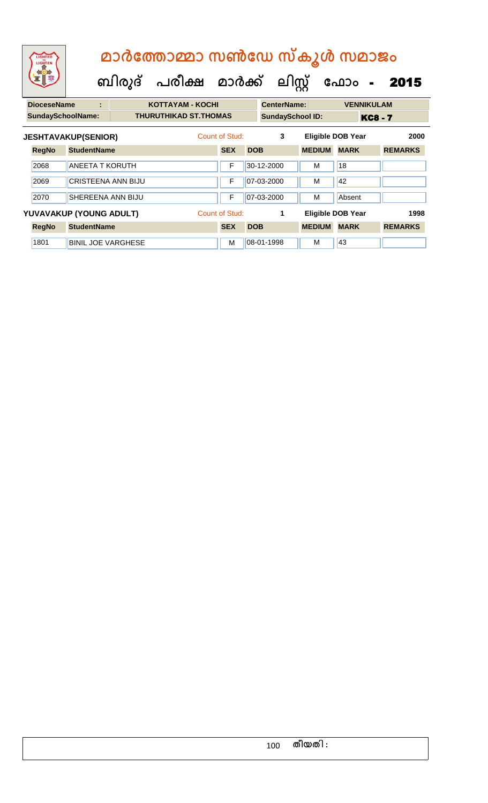|                                   | LIGHTED<br>LIGHTEN       |                            | മാർത്തോമ്മാ സൺഡേ സ്കൂൾ സമാജം |                                |                |            |                         |                   |                          |                |                |  |
|-----------------------------------|--------------------------|----------------------------|------------------------------|--------------------------------|----------------|------------|-------------------------|-------------------|--------------------------|----------------|----------------|--|
|                                   |                          |                            |                              | ബിരുദ് പരീക്ഷ മാർക്ക് ലിസ്റ്റ് |                |            |                         |                   | ഫോം                      | $\sim$ $\sim$  | 2015           |  |
| <b>DioceseName</b><br>÷           |                          |                            | <b>KOTTAYAM - KOCHI</b>      | <b>CenterName:</b>             |                |            |                         | <b>VENNIKULAM</b> |                          |                |                |  |
|                                   | <b>SundaySchoolName:</b> |                            |                              | <b>THURUTHIKAD ST.THOMAS</b>   |                |            | <b>SundaySchool ID:</b> |                   |                          | <b>KC8 - 7</b> |                |  |
|                                   |                          | <b>JESHTAVAKUP(SENIOR)</b> |                              |                                | Count of Stud: |            | 3                       |                   | <b>Eligible DOB Year</b> |                | 2000           |  |
|                                   | <b>RegNo</b>             | <b>StudentName</b>         |                              |                                | <b>SEX</b>     | <b>DOB</b> |                         | <b>MEDIUM</b>     | <b>MARK</b>              |                | <b>REMARKS</b> |  |
| 2068<br><b>ANEETA T KORUTH</b>    |                          | F                          |                              | 30-12-2000                     | М              | 18         |                         |                   |                          |                |                |  |
| 2069<br><b>CRISTEENA ANN BIJU</b> |                          |                            | F                            |                                | 07-03-2000     | М          | 42                      |                   |                          |                |                |  |

| 2070         | <b>SHEREENA ANN BIJU</b>  | ⊏              | $ 07-03-2000 $ | M             | <b>Absent</b>     |                |
|--------------|---------------------------|----------------|----------------|---------------|-------------------|----------------|
| <b>RegNo</b> | YUVAVAKUP (YOUNG ADULT)   | Count of Stud: |                |               | Eligible DOB Year | 1998           |
|              | <b>StudentName</b>        | <b>SEX</b>     | <b>DOB</b>     | <b>MEDIUM</b> | <b>MARK</b>       | <b>REMARKS</b> |
| 1801         | <b>BINIL JOE VARGHESE</b> | M              | $ 08-01-1998 $ | M             | 43                |                |

### 100 **തീയതി :**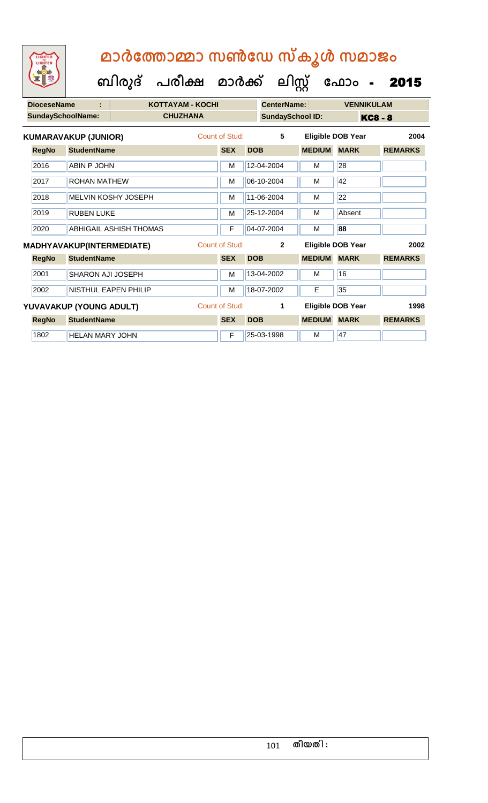| <b>DioceseName</b><br>÷ |                                  |                             | <b>KOTTAYAM - KOCHI</b> |                       |            | <b>CenterName:</b>      |               | <b>VENNIKULAM</b>        |                |  |
|-------------------------|----------------------------------|-----------------------------|-------------------------|-----------------------|------------|-------------------------|---------------|--------------------------|----------------|--|
|                         | <b>SundaySchoolName:</b>         |                             | <b>CHUZHANA</b>         |                       |            | <b>SundaySchool ID:</b> |               |                          | <b>KC8 - 8</b> |  |
|                         | <b>KUMARAVAKUP (JUNIOR)</b>      |                             |                         | Count of Stud:        |            | 5                       |               | <b>Eligible DOB Year</b> | 2004           |  |
| <b>RegNo</b>            | <b>StudentName</b>               |                             |                         | <b>SEX</b>            | <b>DOB</b> |                         | <b>MEDIUM</b> | <b>MARK</b>              | <b>REMARKS</b> |  |
| 2016                    | <b>ABIN P JOHN</b>               |                             |                         | M                     |            | 12-04-2004              | M             | 28                       |                |  |
| 2017                    | ROHAN MATHEW                     |                             |                         | М                     |            | 06-10-2004              | м             | 42                       |                |  |
| 2018                    |                                  | MELVIN KOSHY JOSEPH         |                         | M                     |            | 11-06-2004              | M             | 22                       |                |  |
| 2019                    | <b>RUBEN LUKE</b>                |                             |                         | M                     |            | 25-12-2004              | м             | Absent                   |                |  |
| 2020                    |                                  | ABHIGAIL ASHISH THOMAS      |                         | F                     |            | 04-07-2004              | м             | 88                       |                |  |
|                         | <b>MADHYAVAKUP(INTERMEDIATE)</b> |                             |                         | Count of Stud:        |            | $\overline{2}$          |               | Eligible DOB Year        | 2002           |  |
| <b>RegNo</b>            | <b>StudentName</b>               |                             |                         | <b>SEX</b>            | <b>DOB</b> |                         | <b>MEDIUM</b> | <b>MARK</b>              | <b>REMARKS</b> |  |
| 2001                    | SHARON AJI JOSEPH                |                             |                         | M                     |            | 13-04-2002              | м             | 16                       |                |  |
| 2002                    |                                  | <b>NISTHUL EAPEN PHILIP</b> |                         | M                     |            | 18-07-2002              | E             | 35                       |                |  |
|                         | YUVAVAKUP (YOUNG ADULT)          |                             |                         | <b>Count of Stud:</b> |            | 1                       |               | Eligible DOB Year        | 1998           |  |
| <b>RegNo</b>            | <b>StudentName</b>               |                             |                         | <b>SEX</b>            | <b>DOB</b> |                         | <b>MEDIUM</b> | <b>MARK</b>              | <b>REMARKS</b> |  |
| 1802                    | <b>HELAN MARY JOHN</b>           |                             |                         | F                     |            | 25-03-1998              | м             | 47                       |                |  |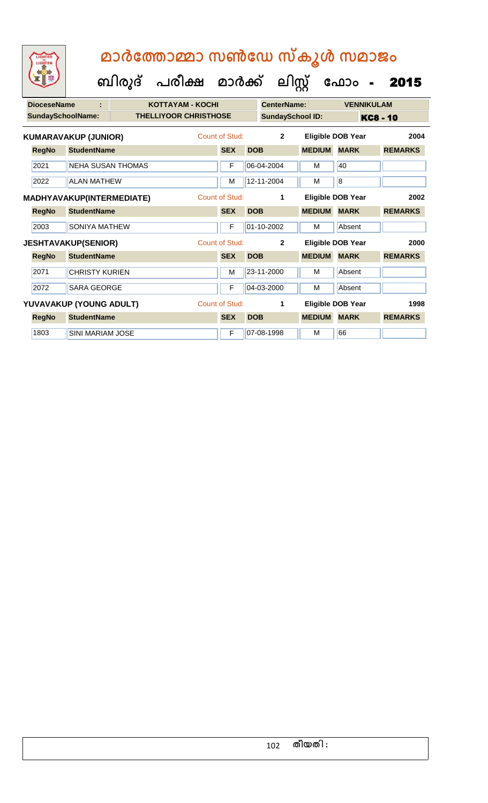**ക ഫ ാോം** - 2015

 **ബിരുദ് പരീക്ഷ മാര്ക്**

**ക ലിസ്റ്റ**

**DioceseName : KOTTAYAM - KOCHI CenterName: VENNIKULAM** SundaySchoolName: THELLIYOOR CHRISTHOSE SundaySchool ID: KC8 - 10 **RegNo StudentName SEX DOB MEDIUM MARK REMARKS KUMARAVAKUP (JUNIOR)** Count of Stud: **2 Eligible DOB Year 2004** 2021 NEHA SUSAN THOMAS F 66-04-2004 M 40 2022 ALAN MATHEW M 12-11-2004 M 8 **RegNo StudentName SEX DOB MEDIUM MARK REMARKS MADHYAVAKUP(INTERMEDIATE)** Count of Stud: **1 Eligible DOB Year 2002** 2003 SONIYA MATHEW F 01-10-2002 M Absent **RegNo StudentName SEX DOB MEDIUM MARK REMARKS JESHTAVAKUP(SENIOR)** Count of Stud: **2 Eligible DOB Year 2000** 2071 CHRISTY KURIEN M 23-11-2000 M Absent 2072 SARA GEORGE **F 04-03-2000** M Absent **RegNo StudentName SEX DOB MEDIUM MARK REMARKS YUVAVAKUP (YOUNG ADULT)** Count of Stud: **1 Eligible DOB Year 1998** 1803 SINI MARIAM JOSE **F** 07-08-1998 M 66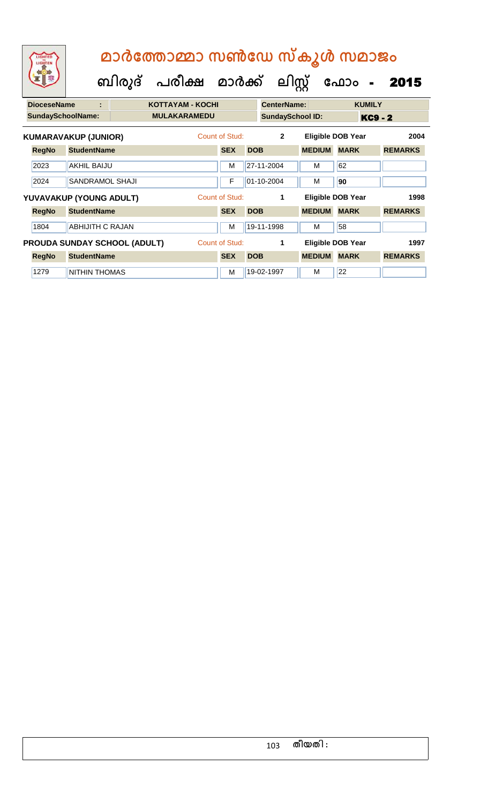| LIGHTED<br>LIGHTEN                  |                             |        | മാർത്തോമ്മാ സൺഡേ സ്കൂൾ സമാജം |                |            |                    |                         |                          |                |
|-------------------------------------|-----------------------------|--------|------------------------------|----------------|------------|--------------------|-------------------------|--------------------------|----------------|
|                                     |                             | ബിരുദ് | പരീക്ഷ മാർക്ക്               |                |            |                    | ലിസ്റ്റ്                | ഫോം<br>$\blacksquare$    | 2015           |
| <b>DioceseName</b>                  |                             |        | <b>KOTTAYAM - KOCHI</b>      |                |            | <b>CenterName:</b> |                         | <b>KUMILY</b>            |                |
| <b>SundaySchoolName:</b>            |                             |        | <b>MULAKARAMEDU</b>          |                |            |                    | <b>SundaySchool ID:</b> |                          | <b>KC9 - 2</b> |
|                                     | <b>KUMARAVAKUP (JUNIOR)</b> |        |                              | Count of Stud: |            | $\mathbf{2}$       |                         | <b>Eligible DOB Year</b> | 2004           |
| <b>RegNo</b>                        | <b>StudentName</b>          |        |                              | <b>SEX</b>     | <b>DOB</b> |                    | <b>MEDIUM</b>           | <b>MARK</b>              | <b>REMARKS</b> |
| 2023                                | <b>AKHIL BAIJU</b>          |        |                              | М              |            | 27-11-2004         | м                       | 62                       |                |
| 2024                                | <b>SANDRAMOL SHAJI</b>      |        |                              | F              |            | 01-10-2004         | м                       | 90                       |                |
|                                     | YUVAVAKUP (YOUNG ADULT)     |        |                              | Count of Stud: |            | 1                  |                         | Eligible DOB Year        | 1998           |
| <b>RegNo</b>                        | <b>StudentName</b>          |        |                              | <b>SEX</b>     | <b>DOB</b> |                    | <b>MEDIUM</b>           | <b>MARK</b>              | <b>REMARKS</b> |
| 1804                                | <b>ABHIJITH C RAJAN</b>     |        |                              | м              |            | 19-11-1998         | М                       | 58                       |                |
| <b>PROUDA SUNDAY SCHOOL (ADULT)</b> |                             |        |                              | Count of Stud: |            | 1                  |                         | Eligible DOB Year        | 1997           |
| <b>RegNo</b>                        | <b>StudentName</b>          |        |                              | <b>SEX</b>     | <b>DOB</b> |                    | <b>MEDIUM</b>           | <b>MARK</b>              | <b>REMARKS</b> |
| 1279                                | <b>NITHIN THOMAS</b>        |        |                              | м              |            | 19-02-1997         | м                       | 22                       |                |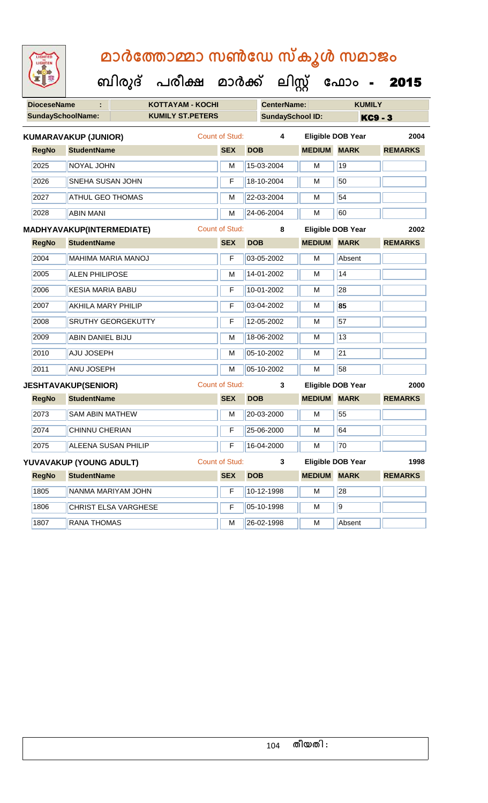| <b>IGHTED</b> |
|---------------|
|               |
|               |
|               |

| <b>DioceseName</b> | ÷.                               | <b>KOTTAYAM - KOCHI</b>   |                       |            | <b>CenterName:</b>      |                    | <b>KUMILY</b>            |                |  |
|--------------------|----------------------------------|---------------------------|-----------------------|------------|-------------------------|--------------------|--------------------------|----------------|--|
|                    | <b>SundaySchoolName:</b>         | <b>KUMILY ST.PETERS</b>   |                       |            | <b>SundaySchool ID:</b> |                    | <b>KC9 - 3</b>           |                |  |
|                    | <b>KUMARAVAKUP (JUNIOR)</b>      |                           | Count of Stud:        |            | 4                       |                    | <b>Eligible DOB Year</b> | 2004           |  |
| <b>RegNo</b>       | <b>StudentName</b>               |                           | <b>SEX</b>            | <b>DOB</b> |                         | <b>MEDIUM</b>      | <b>MARK</b>              | <b>REMARKS</b> |  |
| 2025               | NOYAL JOHN                       |                           | M                     |            | 15-03-2004              | M                  | 19                       |                |  |
| 2026               | SNEHA SUSAN JOHN                 |                           |                       |            | 18-10-2004              | M                  | 50                       |                |  |
| 2027               | <b>ATHUL GEO THOMAS</b>          |                           | M                     |            | 22-03-2004              | M                  | 54                       |                |  |
| 2028               | <b>ABIN MANI</b>                 |                           | M                     |            | 24-06-2004              | M                  | 60                       |                |  |
|                    | <b>MADHYAVAKUP(INTERMEDIATE)</b> |                           | <b>Count of Stud:</b> |            | 8                       |                    | <b>Eligible DOB Year</b> | 2002           |  |
| <b>RegNo</b>       | <b>StudentName</b>               |                           | <b>SEX</b>            | <b>DOB</b> |                         | <b>MEDIUM MARK</b> |                          | <b>REMARKS</b> |  |
| 2004               | <b>MAHIMA MARIA MANOJ</b>        |                           | $\overline{F}$        |            | 03-05-2002              | M                  | Absent                   |                |  |
| 2005               | <b>ALEN PHILIPOSE</b>            |                           | M                     |            | 14-01-2002              | M                  | 14                       |                |  |
| 2006               | <b>KESIA MARIA BABU</b>          |                           | F                     |            | 10-01-2002              | м                  | 28                       |                |  |
| 2007               | <b>AKHILA MARY PHILIP</b>        |                           | F                     |            | 03-04-2002              | M                  | 85                       |                |  |
| 2008               |                                  | <b>SRUTHY GEORGEKUTTY</b> | F                     |            | 12-05-2002              | м                  | 57                       |                |  |
| 2009               | <b>ABIN DANIEL BIJU</b>          |                           | M                     |            | 18-06-2002              | M                  | 13                       |                |  |
| 2010               | AJU JOSEPH                       |                           | M                     |            | 05-10-2002              | M                  | 21                       |                |  |
| 2011               | ANU JOSEPH                       |                           | M                     |            | 05-10-2002              | M                  | 58                       |                |  |
|                    | <b>JESHTAVAKUP(SENIOR)</b>       |                           | Count of Stud:        |            | 3                       |                    | <b>Eligible DOB Year</b> | 2000           |  |
| <b>RegNo</b>       | <b>StudentName</b>               |                           | <b>SEX</b>            | <b>DOB</b> |                         | <b>MEDIUM</b>      | <b>MARK</b>              | <b>REMARKS</b> |  |
| 2073               | <b>SAM ABIN MATHEW</b>           |                           | M                     |            | 20-03-2000              | М                  | 55                       |                |  |
| 2074               | CHINNU CHERIAN                   |                           | F                     |            | 25-06-2000              | M                  | 64                       |                |  |
| 2075               | <b>ALEENA SUSAN PHILIP</b>       |                           | F                     |            | 16-04-2000              | М                  | 70                       |                |  |
|                    | YUVAVAKUP (YOUNG ADULT)          |                           | Count of Stud:        |            | 3                       |                    | <b>Eligible DOB Year</b> | 1998           |  |
| <b>RegNo</b>       | <b>StudentName</b>               |                           | <b>SEX</b>            | <b>DOB</b> |                         | <b>MEDIUM</b>      | <b>MARK</b>              | <b>REMARKS</b> |  |
| 1805               |                                  | NANMA MARIYAM JOHN        | F                     |            | 10-12-1998              | М                  | 28                       |                |  |
| 1806               |                                  | CHRIST ELSA VARGHESE      | F                     |            | 05-10-1998              | М                  | $\overline{9}$           |                |  |
| 1807               | <b>RANA THOMAS</b>               |                           | M                     |            | 26-02-1998              | М                  | Absent                   |                |  |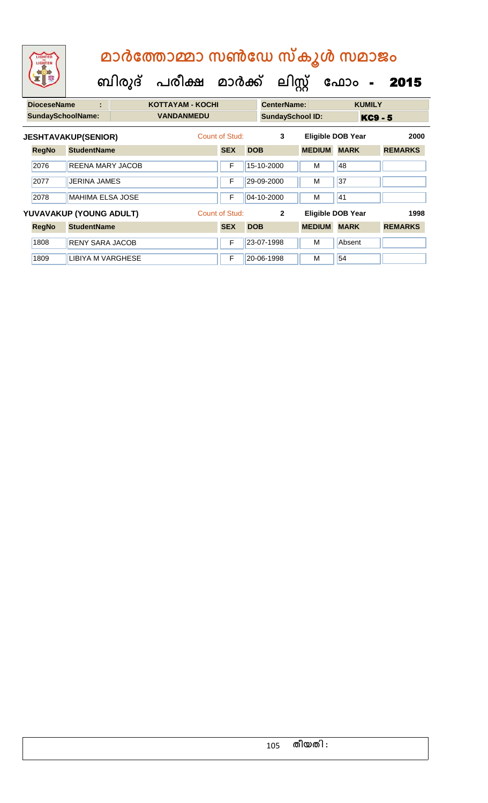## **ബിരുദ് പരീക്ഷ മാര്ക് ക ലിസ്റ്റ ക ഫ ാോം** - 2015  **മാര്കഫതാമ്മാ സണ്ഫേ സ്കൂള് സമാജോം**

| <b>DioceseName</b><br>÷<br><b>SundaySchoolName:</b> |                            | <b>KOTTAYAM - KOCHI</b><br><b><i>VANDANMEDU</i></b> |                |                |            | <b>CenterName:</b><br><b>SundaySchool ID:</b> |               | <b>KUMILY</b><br><b>KC9 - 5</b> |                |
|-----------------------------------------------------|----------------------------|-----------------------------------------------------|----------------|----------------|------------|-----------------------------------------------|---------------|---------------------------------|----------------|
|                                                     | <b>JESHTAVAKUP(SENIOR)</b> |                                                     | Count of Stud: |                |            | 3                                             |               | <b>Eligible DOB Year</b>        | 2000           |
| <b>RegNo</b>                                        | <b>StudentName</b>         |                                                     |                | <b>SEX</b>     | <b>DOB</b> |                                               | <b>MEDIUM</b> | <b>MARK</b>                     | <b>REMARKS</b> |
| 2076                                                | <b>REENA MARY JACOB</b>    |                                                     |                | F              |            | 15-10-2000                                    | м             | 48                              |                |
| 2077                                                | <b>JERINA JAMES</b>        |                                                     |                | F              |            | 29-09-2000                                    | м             | 37                              |                |
| 2078                                                | MAHIMA ELSA JOSE           |                                                     |                | F              |            | 04-10-2000                                    | м             | 41                              |                |
|                                                     | YUVAVAKUP (YOUNG ADULT)    |                                                     |                | Count of Stud: |            | $\mathbf{2}$                                  |               | <b>Eligible DOB Year</b>        | 1998           |
| <b>RegNo</b>                                        | <b>StudentName</b>         |                                                     |                | <b>SEX</b>     | <b>DOB</b> |                                               | <b>MEDIUM</b> | <b>MARK</b>                     | <b>REMARKS</b> |
| 1808                                                | <b>RENY SARA JACOB</b>     |                                                     |                | F              |            | 23-07-1998                                    | м             | Absent                          |                |
| 1809                                                | LIBIYA M VARGHESE          |                                                     |                | F              |            | 20-06-1998                                    | м             | 54                              |                |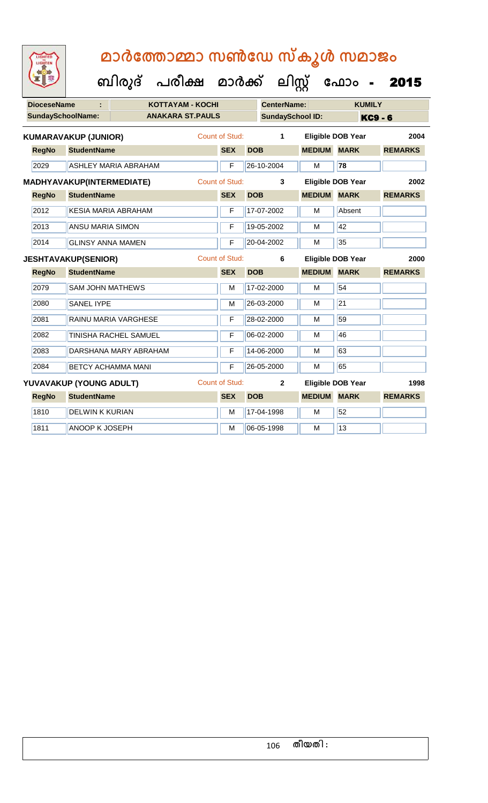|                           |                             |                             | ബിരുദ്                | പരീക്ഷ                  | മാർക്ക്        |                          | ലിസ്റ്റ്                |                    | ഫോം                      | 2015           |  |
|---------------------------|-----------------------------|-----------------------------|-----------------------|-------------------------|----------------|--------------------------|-------------------------|--------------------|--------------------------|----------------|--|
|                           | <b>DioceseName</b>          | ÷                           |                       | <b>KOTTAYAM - KOCHI</b> |                |                          | <b>CenterName:</b>      |                    | <b>KUMILY</b>            |                |  |
|                           | <b>SundaySchoolName:</b>    |                             |                       | <b>ANAKARA ST.PAULS</b> |                |                          | <b>SundaySchool ID:</b> |                    | <b>KC9 - 6</b>           |                |  |
|                           | <b>KUMARAVAKUP (JUNIOR)</b> |                             |                       |                         | Count of Stud: |                          | $\mathbf{1}$            |                    | <b>Eligible DOB Year</b> | 2004           |  |
|                           | <b>RegNo</b>                | <b>StudentName</b>          |                       |                         | <b>SEX</b>     | <b>DOB</b>               |                         | <b>MEDIUM MARK</b> |                          | <b>REMARKS</b> |  |
|                           | 2029                        | <b>ASHLEY MARIA ABRAHAM</b> |                       |                         | F              |                          | 26-10-2004              | M                  | 78                       |                |  |
| MADHYAVAKUP(INTERMEDIATE) |                             |                             | <b>Count of Stud:</b> |                         | $\mathbf{3}$   | Eligible DOB Year        |                         | 2002               |                          |                |  |
|                           | <b>RegNo</b>                | <b>StudentName</b>          |                       |                         | <b>SEX</b>     | <b>DOB</b>               |                         | <b>MEDIUM</b>      | <b>MARK</b>              | <b>REMARKS</b> |  |
|                           | 2012                        | <b>KESIA MARIA ABRAHAM</b>  |                       |                         | F              |                          | 17-07-2002              | M                  | Absent                   |                |  |
|                           | 2013                        | <b>ANSU MARIA SIMON</b>     |                       |                         | F              |                          | 19-05-2002              | M                  | 42                       |                |  |
|                           | 2014                        | <b>GLINSY ANNA MAMEN</b>    |                       |                         | F              |                          | 20-04-2002              | м                  | 35                       |                |  |
|                           |                             | <b>JESHTAVAKUP(SENIOR)</b>  |                       |                         | Count of Stud: |                          | 6                       |                    | <b>Eligible DOB Year</b> | 2000           |  |
|                           | <b>RegNo</b>                | <b>StudentName</b>          |                       |                         | <b>SEX</b>     | <b>DOB</b>               |                         | <b>MEDIUM</b>      | <b>MARK</b>              | <b>REMARKS</b> |  |
|                           | 2079                        | <b>SAM JOHN MATHEWS</b>     |                       |                         | M              |                          | 17-02-2000              | M                  | 54                       |                |  |
|                           | 2080                        | <b>SANEL IYPE</b>           |                       |                         | M              |                          | 26-03-2000              | M                  | $\overline{21}$          |                |  |
|                           | 2081                        | <b>RAINU MARIA VARGHESE</b> |                       |                         | F              |                          | 28-02-2000              | M                  | 59                       |                |  |
|                           | 2082                        | TINISHA RACHEL SAMUEL       |                       |                         | F              |                          | 06-02-2000              | M                  | 46                       |                |  |
|                           | 2083                        | DARSHANA MARY ABRAHAM       |                       |                         | F              |                          | 14-06-2000              | M                  | 63                       |                |  |
|                           | 2084                        | <b>BETCY ACHAMMA MANI</b>   |                       |                         | F              |                          | 26-05-2000              | м                  | 65                       |                |  |
| YUVAVAKUP (YOUNG ADULT)   |                             | Count of Stud:              |                       | $\mathbf{2}$            |                | <b>Eligible DOB Year</b> | 1998                    |                    |                          |                |  |
|                           | <b>RegNo</b>                | <b>StudentName</b>          |                       |                         | <b>SEX</b>     | <b>DOB</b>               |                         | <b>MEDIUM</b>      | <b>MARK</b>              | <b>REMARKS</b> |  |
|                           | 1810                        | <b>DELWIN K KURIAN</b>      |                       |                         | M              |                          | 17-04-1998              | M                  | 52                       |                |  |
|                           | 1811                        | ANOOP K JOSEPH              |                       |                         | M              |                          | 06-05-1998              | M                  | 13                       |                |  |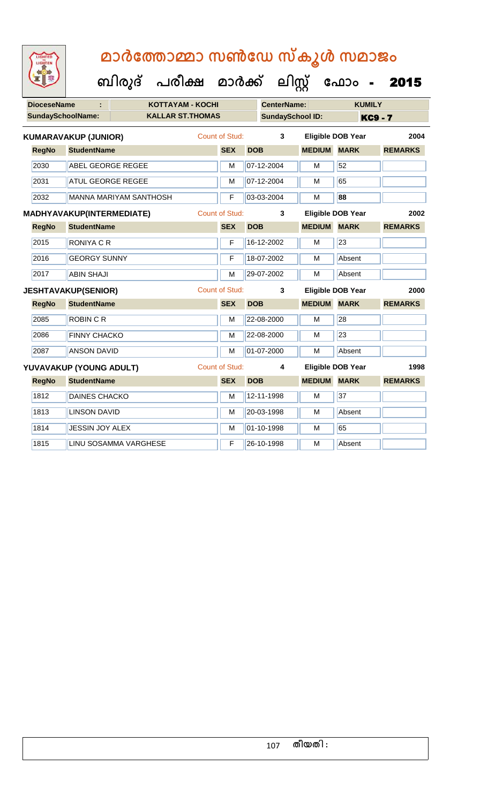|                          | <b>DioceseName</b>                    |                             | <b>KOTTAYAM - KOCHI</b> |                       |            | <b>CenterName:</b>      |                          | <b>KUMILY</b> |                |                |
|--------------------------|---------------------------------------|-----------------------------|-------------------------|-----------------------|------------|-------------------------|--------------------------|---------------|----------------|----------------|
| <b>SundaySchoolName:</b> |                                       |                             | <b>KALLAR ST.THOMAS</b> |                       |            | <b>SundaySchool ID:</b> |                          |               | <b>KC9 - 7</b> |                |
|                          |                                       | <b>KUMARAVAKUP (JUNIOR)</b> |                         | <b>Count of Stud:</b> |            | $\mathbf{3}$            | <b>Eligible DOB Year</b> |               |                | 2004           |
|                          | <b>RegNo</b>                          | <b>StudentName</b>          |                         | <b>SEX</b>            | <b>DOB</b> |                         | <b>MEDIUM</b>            | <b>MARK</b>   |                | <b>REMARKS</b> |
|                          | 2030                                  | <b>ABEL GEORGE REGEE</b>    |                         | M                     |            | 07-12-2004              | M                        | 52            |                |                |
|                          | 2031                                  | <b>ATUL GEORGE REGEE</b>    |                         | M                     |            | 07-12-2004              | M                        | 65            |                |                |
|                          | 2032<br><b>MANNA MARIYAM SANTHOSH</b> |                             |                         | F                     |            | 03-03-2004              | M                        | 88            |                |                |
|                          | MADHYAVAKUP(INTERMEDIATE)             |                             |                         | <b>Count of Stud:</b> |            | 3                       | <b>Eligible DOB Year</b> |               |                | 2002           |
|                          | <b>RegNo</b>                          | <b>StudentName</b>          |                         | <b>SEX</b>            | <b>DOB</b> |                         | <b>MEDIUM</b>            | <b>MARK</b>   |                | <b>REMARKS</b> |
|                          | 2015                                  | <b>RONIYA C R</b>           |                         | F                     |            | 16-12-2002              | M                        | 23            |                |                |
|                          | 2016                                  | <b>GEORGY SUNNY</b>         |                         | F                     |            | 18-07-2002              | M                        | Absent        |                |                |
|                          | 2017                                  | <b>ABIN SHAJI</b>           |                         | M                     |            | 29-07-2002              | M                        | Absent        |                |                |
|                          |                                       | <b>JESHTAVAKUP(SENIOR)</b>  |                         | <b>Count of Stud:</b> |            | 3                       | <b>Eligible DOB Year</b> |               |                | 2000           |
|                          | <b>RegNo</b>                          | <b>StudentName</b>          |                         | <b>SEX</b>            | <b>DOB</b> |                         | <b>MEDIUM MARK</b>       |               |                | <b>REMARKS</b> |
|                          | 2085                                  | <b>ROBIN C R</b>            |                         | M                     |            | 22-08-2000              | M                        | 28            |                |                |
|                          | 2086                                  | <b>FINNY CHACKO</b>         |                         | M                     |            | 22-08-2000              | M                        | 23            |                |                |
|                          | 2087                                  | <b>ANSON DAVID</b>          |                         | M                     |            | 01-07-2000              | M                        | Absent        |                |                |
|                          |                                       | YUVAVAKUP (YOUNG ADULT)     |                         | <b>Count of Stud:</b> |            | 4                       | <b>Eligible DOB Year</b> |               |                | 1998           |
|                          | <b>RegNo</b>                          | <b>StudentName</b>          |                         | <b>SEX</b>            | <b>DOB</b> |                         | <b>MEDIUM MARK</b>       |               |                | <b>REMARKS</b> |
|                          | 1812                                  | <b>DAINES CHACKO</b>        |                         | M                     |            | 12-11-1998              | M                        | 37            |                |                |
|                          | 1813                                  | <b>LINSON DAVID</b>         |                         | M                     |            | 20-03-1998              | M                        | Absent        |                |                |
|                          | 1814                                  | <b>JESSIN JOY ALEX</b>      |                         | M                     |            | 01-10-1998              | M                        | 65            |                |                |
|                          | 1815                                  |                             | LINU SOSAMMA VARGHESE   | F                     |            | 26-10-1998              | M                        | Absent        |                |                |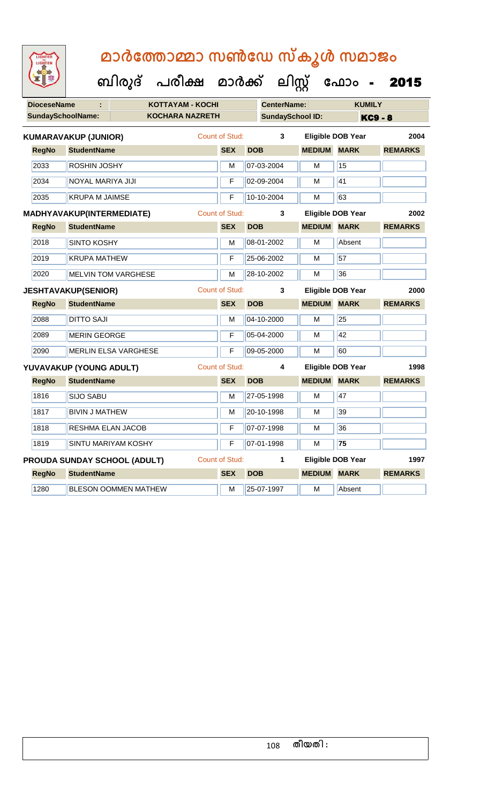| <b>IGHTED</b> |  |
|---------------|--|
|               |  |
|               |  |
|               |  |

| <b>DioceseName</b>                  |                                                    | <b>KOTTAYAM - KOCHI</b>     |  |                       | <b>CenterName:</b> |                         | <b>KUMILY</b>            |                |  |
|-------------------------------------|----------------------------------------------------|-----------------------------|--|-----------------------|--------------------|-------------------------|--------------------------|----------------|--|
|                                     | <b>SundaySchoolName:</b>                           | <b>KOCHARA NAZRETH</b>      |  |                       |                    | <b>SundaySchool ID:</b> |                          | <b>KC9 - 8</b> |  |
|                                     | <b>KUMARAVAKUP (JUNIOR)</b>                        |                             |  | <b>Count of Stud:</b> | 3                  |                         | <b>Eligible DOB Year</b> | 2004           |  |
| <b>RegNo</b>                        | <b>StudentName</b>                                 |                             |  | <b>SEX</b>            | <b>DOB</b>         | <b>MEDIUM</b>           | <b>MARK</b>              | <b>REMARKS</b> |  |
| 2033                                | <b>ROSHIN JOSHY</b>                                |                             |  | М                     | 07-03-2004         | М                       | 15                       |                |  |
| 2034                                | NOYAL MARIYA JIJI                                  |                             |  | F                     | 02-09-2004         | м                       | 41                       |                |  |
| 2035                                | <b>KRUPA M JAIMSE</b>                              |                             |  | F                     | 10-10-2004         | м                       | 63                       |                |  |
|                                     | <b>Count of Stud:</b><br>MADHYAVAKUP(INTERMEDIATE) |                             |  |                       | 3                  |                         | <b>Eligible DOB Year</b> | 2002           |  |
| <b>RegNo</b>                        | <b>StudentName</b>                                 |                             |  | <b>SEX</b>            | <b>DOB</b>         | <b>MEDIUM MARK</b>      |                          | <b>REMARKS</b> |  |
| 2018                                | <b>SINTO KOSHY</b>                                 |                             |  | M                     | 08-01-2002         | M                       | Absent                   |                |  |
| 2019                                | <b>KRUPA MATHEW</b>                                |                             |  | F                     | 25-06-2002         | M                       | 57                       |                |  |
| 2020                                |                                                    | <b>MELVIN TOM VARGHESE</b>  |  | М                     | 28-10-2002         | м                       | 36                       |                |  |
|                                     | <b>JESHTAVAKUP(SENIOR)</b>                         |                             |  | <b>Count of Stud:</b> | 3                  |                         | <b>Eligible DOB Year</b> | 2000           |  |
| <b>RegNo</b>                        | <b>StudentName</b>                                 |                             |  | <b>SEX</b>            | <b>DOB</b>         | <b>MEDIUM MARK</b>      |                          | <b>REMARKS</b> |  |
| 2088                                | <b>DITTO SAJI</b>                                  |                             |  | M                     | 04-10-2000         | М                       | 25                       |                |  |
| 2089                                | <b>MERIN GEORGE</b>                                |                             |  | F                     | 05-04-2000         | М                       | 42                       |                |  |
| 2090                                |                                                    | <b>MERLIN ELSA VARGHESE</b> |  | F                     | 09-05-2000         | M                       | 60                       |                |  |
|                                     | YUVAVAKUP (YOUNG ADULT)                            |                             |  | Count of Stud:        | 4                  |                         | <b>Eligible DOB Year</b> | 1998           |  |
| <b>RegNo</b>                        | <b>StudentName</b>                                 |                             |  | <b>SEX</b>            | <b>DOB</b>         | <b>MEDIUM</b>           | <b>MARK</b>              | <b>REMARKS</b> |  |
| 1816                                | <b>SIJO SABU</b>                                   |                             |  | М                     | 27-05-1998         | м                       | 47                       |                |  |
| 1817                                | <b>BIVIN J MATHEW</b>                              |                             |  | M                     | 20-10-1998         | М                       | 39                       |                |  |
| 1818                                | RESHMA ELAN JACOB                                  |                             |  | F                     | 07-07-1998         | М                       | 36                       |                |  |
| 1819                                |                                                    | <b>SINTU MARIYAM KOSHY</b>  |  | F                     | 07-01-1998         | M                       | 75                       |                |  |
| <b>PROUDA SUNDAY SCHOOL (ADULT)</b> |                                                    |                             |  | <b>Count of Stud:</b> | 1                  |                         | <b>Eligible DOB Year</b> | 1997           |  |
| <b>RegNo</b><br><b>StudentName</b>  |                                                    |                             |  | <b>SEX</b>            | <b>DOB</b>         | <b>MEDIUM</b>           | <b>MARK</b>              | <b>REMARKS</b> |  |
| 1280                                |                                                    | <b>BLESON OOMMEN MATHEW</b> |  | М                     | 25-07-1997         | м                       | Absent                   |                |  |
|                                     |                                                    |                             |  |                       |                    |                         |                          |                |  |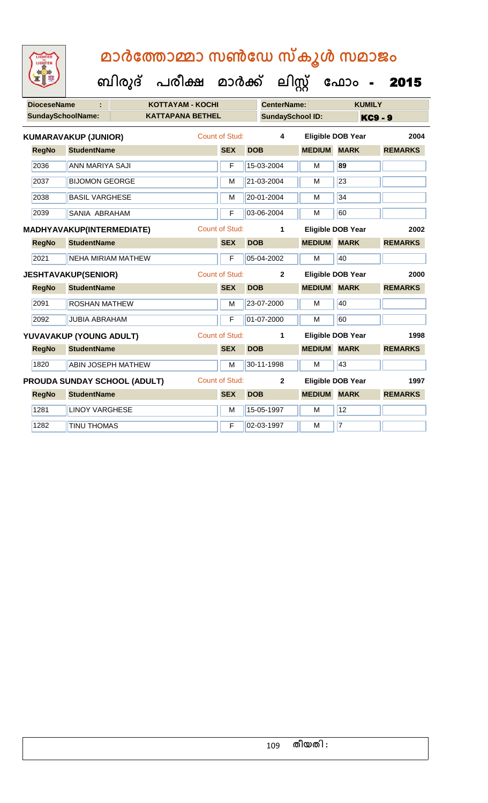| <b>IGHTED</b> |  |
|---------------|--|
|               |  |
|               |  |
|               |  |
|               |  |
|               |  |

| <b>DioceseName</b> |                             | KOTTAYAM - KOCHI             |                       |            | <b>CenterName:</b>      |                    | <b>KUMILY</b>            |                |
|--------------------|-----------------------------|------------------------------|-----------------------|------------|-------------------------|--------------------|--------------------------|----------------|
|                    | SundaySchoolName:           | <b>KATTAPANA BETHEL</b>      |                       |            | <b>SundaySchool ID:</b> |                    |                          | <b>KC9 - 9</b> |
|                    | <b>KUMARAVAKUP (JUNIOR)</b> |                              | <b>Count of Stud:</b> |            | 4                       |                    | <b>Eligible DOB Year</b> | 2004           |
| <b>RegNo</b>       | <b>StudentName</b>          |                              | <b>SEX</b>            | <b>DOB</b> |                         | <b>MEDIUM</b>      | <b>MARK</b>              | <b>REMARKS</b> |
| 2036               | ANN MARIYA SAJI             |                              | F                     |            | 15-03-2004              | M                  | 89                       |                |
| 2037               | <b>BIJOMON GEORGE</b>       |                              | M                     |            | 21-03-2004              | M                  | 23                       |                |
| 2038               | <b>BASIL VARGHESE</b>       |                              | M                     |            | 20-01-2004              | М                  | 34                       |                |
| 2039               | <b>SANIA ABRAHAM</b>        |                              | F                     |            | 03-06-2004              | M                  | 60                       |                |
|                    | MADHYAVAKUP(INTERMEDIATE)   |                              | <b>Count of Stud:</b> |            | 1                       |                    | <b>Eligible DOB Year</b> | 2002           |
| <b>RegNo</b>       | <b>StudentName</b>          |                              | <b>SEX</b>            | <b>DOB</b> |                         | <b>MEDIUM MARK</b> |                          | <b>REMARKS</b> |
| 2021               | <b>NEHA MIRIAM MATHEW</b>   |                              | F                     |            | 05-04-2002              | M                  | 40                       |                |
|                    | <b>JESHTAVAKUP(SENIOR)</b>  |                              | <b>Count of Stud:</b> |            | $\overline{2}$          |                    | <b>Eligible DOB Year</b> | 2000           |
| <b>RegNo</b>       | <b>StudentName</b>          |                              | <b>SEX</b>            | <b>DOB</b> |                         | <b>MEDIUM MARK</b> |                          | <b>REMARKS</b> |
| 2091               | <b>ROSHAN MATHEW</b>        |                              | M                     |            | 23-07-2000              | M                  | 40                       |                |
| 2092               | <b>JUBIA ABRAHAM</b>        |                              | F                     |            | 01-07-2000              | М                  | 60                       |                |
|                    | YUVAVAKUP (YOUNG ADULT)     |                              | <b>Count of Stud:</b> |            | 1                       |                    | <b>Eligible DOB Year</b> | 1998           |
| <b>RegNo</b>       | <b>StudentName</b>          |                              | <b>SEX</b>            | <b>DOB</b> |                         | <b>MEDIUM MARK</b> |                          | <b>REMARKS</b> |
| 1820               | <b>ABIN JOSEPH MATHEW</b>   |                              | M                     |            | 30-11-1998              | M                  | 43                       |                |
|                    |                             | PROUDA SUNDAY SCHOOL (ADULT) | <b>Count of Stud:</b> |            | $\overline{2}$          |                    | <b>Eligible DOB Year</b> | 1997           |
| <b>RegNo</b>       | <b>StudentName</b>          |                              | <b>SEX</b>            | <b>DOB</b> |                         | <b>MEDIUM MARK</b> |                          | <b>REMARKS</b> |
| 1281               | <b>LINOY VARGHESE</b>       |                              | M                     |            | 15-05-1997              | M                  | 12                       |                |
| 1282               | <b>TINU THOMAS</b>          |                              | F                     |            | 02-03-1997              | м                  | $\overline{7}$           |                |
|                    |                             |                              |                       |            |                         |                    |                          |                |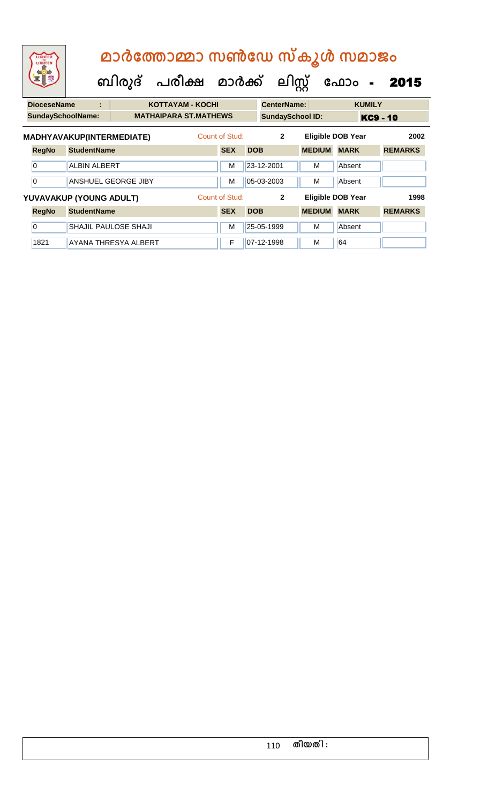|                                    | LIGHTED<br>LIGHTEN                                                                              |                         |                             | ബിരുദ് പരീക്ഷ മാർക്ക് ലിസ്റ്റ് |                |            |                         |               | മാർത്തോമ്മാ സൺഡേ സ്കൂൾ സമാജം<br>ഫോം -<br>2015 |                |  |
|------------------------------------|-------------------------------------------------------------------------------------------------|-------------------------|-----------------------------|--------------------------------|----------------|------------|-------------------------|---------------|-----------------------------------------------|----------------|--|
|                                    | <b>DioceseName</b>                                                                              | t.                      |                             | <b>KOTTAYAM - KOCHI</b>        |                |            | <b>CenterName:</b>      |               | <b>KUMILY</b>                                 |                |  |
|                                    | <b>SundaySchoolName:</b>                                                                        |                         |                             | <b>MATHAIPARA ST.MATHEWS</b>   |                |            | <b>SundaySchool ID:</b> |               | KC9 - 10                                      |                |  |
|                                    | Count of Stud:<br>MADHYAVAKUP(INTERMEDIATE)<br>$\mathbf{2}$<br><b>Eligible DOB Year</b><br>2002 |                         |                             |                                |                |            |                         |               |                                               |                |  |
|                                    | <b>RegNo</b>                                                                                    | <b>StudentName</b>      |                             |                                | <b>SEX</b>     | <b>DOB</b> |                         | <b>MEDIUM</b> | <b>MARK</b>                                   | <b>REMARKS</b> |  |
|                                    | $\overline{0}$                                                                                  | <b>ALBIN ALBERT</b>     |                             |                                | M              |            | 23-12-2001              | м             | Absent                                        |                |  |
|                                    | 0                                                                                               |                         | <b>ANSHUEL GEORGE JIBY</b>  |                                | M              |            | 05-03-2003              | м             | Absent                                        |                |  |
|                                    |                                                                                                 | YUVAVAKUP (YOUNG ADULT) |                             |                                | Count of Stud: |            | $\overline{2}$          |               | <b>Eligible DOB Year</b>                      | 1998           |  |
| <b>StudentName</b><br><b>RegNo</b> |                                                                                                 |                         |                             |                                | <b>SEX</b>     | <b>DOB</b> |                         | <b>MEDIUM</b> | <b>MARK</b>                                   | <b>REMARKS</b> |  |
|                                    | $\overline{0}$                                                                                  |                         | <b>SHAJIL PAULOSE SHAJI</b> |                                | M              |            | 25-05-1999              | м             | Absent                                        |                |  |
|                                    | 1821                                                                                            |                         | AYANA THRESYA ALBERT        |                                | F              |            | 07-12-1998              | м             | 64                                            |                |  |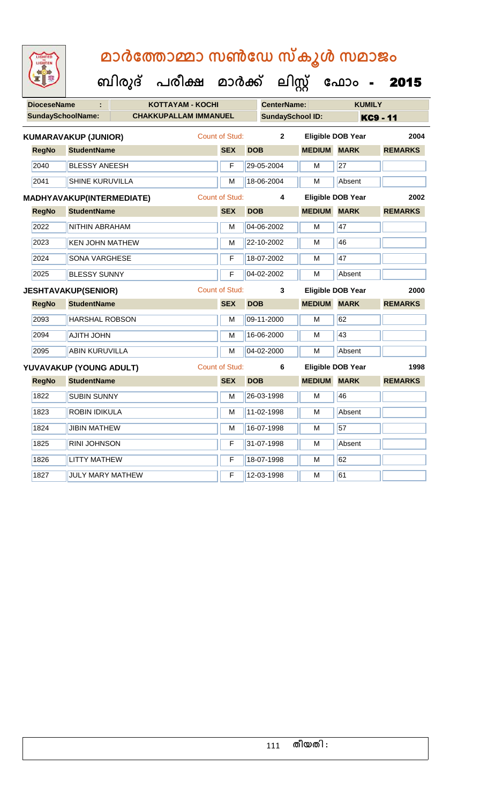| <b>DioceseName</b><br>÷ |                                  | <b>KOTTAYAM - KOCHI</b>      |                       |                         | <b>CenterName:</b>      | <b>KUMILY</b>            |                 |  |
|-------------------------|----------------------------------|------------------------------|-----------------------|-------------------------|-------------------------|--------------------------|-----------------|--|
|                         | <b>SundaySchoolName:</b>         | <b>CHAKKUPALLAM IMMANUEL</b> |                       |                         | <b>SundaySchool ID:</b> |                          | <b>KC9 - 11</b> |  |
|                         | <b>KUMARAVAKUP (JUNIOR)</b>      |                              | <b>Count of Stud:</b> | $\overline{\mathbf{2}}$ |                         | <b>Eligible DOB Year</b> | 2004            |  |
| <b>RegNo</b>            | <b>StudentName</b>               |                              | <b>SEX</b>            | <b>DOB</b>              | <b>MEDIUM MARK</b>      |                          | <b>REMARKS</b>  |  |
| 2040                    | <b>BLESSY ANEESH</b>             |                              | F                     | 29-05-2004              | M                       | 27                       |                 |  |
| 2041                    | <b>SHINE KURUVILLA</b>           |                              | М                     | 18-06-2004              | M                       | Absent                   |                 |  |
|                         | <b>MADHYAVAKUP(INTERMEDIATE)</b> |                              | <b>Count of Stud:</b> | 4                       |                         | <b>Eligible DOB Year</b> | 2002            |  |
| <b>RegNo</b>            | <b>StudentName</b>               |                              | <b>SEX</b>            | <b>DOB</b>              | <b>MEDIUM MARK</b>      |                          | <b>REMARKS</b>  |  |
| 2022                    | NITHIN ABRAHAM                   |                              | M                     | 04-06-2002              | M                       | 47                       |                 |  |
| 2023                    | <b>KEN JOHN MATHEW</b>           |                              | М                     | 22-10-2002              | M                       | 46                       |                 |  |
| 2024                    | <b>SONA VARGHESE</b>             |                              | F                     | 18-07-2002              | M                       | 47                       |                 |  |
| 2025                    | <b>BLESSY SUNNY</b>              |                              | F                     | 04-02-2002              | M                       | Absent                   |                 |  |
|                         | <b>JESHTAVAKUP(SENIOR)</b>       |                              | <b>Count of Stud:</b> | 3                       |                         | <b>Eligible DOB Year</b> | 2000            |  |
| <b>RegNo</b>            | <b>StudentName</b>               |                              | <b>SEX</b>            | <b>DOB</b>              | <b>MEDIUM MARK</b>      |                          | <b>REMARKS</b>  |  |
| 2093                    | <b>HARSHAL ROBSON</b>            |                              | м                     | 09-11-2000              | М                       | 62                       |                 |  |
| 2094                    | <b>AJITH JOHN</b>                |                              | M                     | 16-06-2000              | M                       | 43                       |                 |  |
| 2095                    | ABIN KURUVILLA                   |                              | М                     | 04-02-2000              | M                       | Absent                   |                 |  |
|                         | YUVAVAKUP (YOUNG ADULT)          |                              | Count of Stud:        | $\bf 6$                 |                         | <b>Eligible DOB Year</b> | 1998            |  |
| <b>RegNo</b>            | <b>StudentName</b>               |                              | <b>SEX</b>            | <b>DOB</b>              | <b>MEDIUM MARK</b>      |                          | <b>REMARKS</b>  |  |
| 1822                    | <b>SUBIN SUNNY</b>               |                              | М                     | 26-03-1998              | M                       | 46                       |                 |  |
| 1823                    | <b>ROBIN IDIKULA</b>             |                              | М                     | 11-02-1998              | M                       | Absent                   |                 |  |
| 1824                    | <b>JIBIN MATHEW</b>              |                              | м                     | 16-07-1998              | м                       | 57                       |                 |  |
| 1825                    | <b>RINI JOHNSON</b>              |                              | F                     | 31-07-1998              | м                       | Absent                   |                 |  |
| 1826                    | <b>LITTY MATHEW</b>              |                              | F                     | 18-07-1998              | M                       | 62                       |                 |  |
| 1827                    | <b>JULY MARY MATHEW</b>          |                              | F                     | 12-03-1998              | M                       | 61                       |                 |  |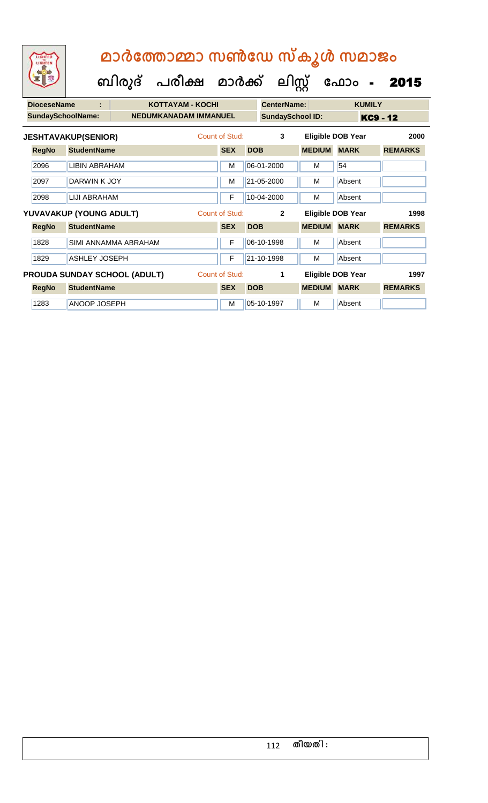| <b>DioceseName</b>       | ÷                          |                                     | <b>KOTTAYAM - KOCHI</b> |                |            | <b>CenterName:</b>      |               | <b>KUMILY</b>            |                |
|--------------------------|----------------------------|-------------------------------------|-------------------------|----------------|------------|-------------------------|---------------|--------------------------|----------------|
| <b>SundaySchoolName:</b> |                            | <b>NEDUMKANADAM IMMANUEL</b>        |                         |                |            | <b>SundaySchool ID:</b> |               |                          | KC9 - 12       |
|                          | <b>JESHTAVAKUP(SENIOR)</b> |                                     |                         | Count of Stud: |            | 3                       |               | Eligible DOB Year        | 2000           |
| <b>RegNo</b>             | <b>StudentName</b>         |                                     |                         | <b>SEX</b>     | <b>DOB</b> |                         | <b>MEDIUM</b> | <b>MARK</b>              | <b>REMARKS</b> |
| 2096                     | <b>LIBIN ABRAHAM</b>       |                                     |                         | M              |            | 06-01-2000              | м             | 54                       |                |
| 2097                     | DARWIN K JOY               |                                     |                         | M              |            | 21-05-2000              | м             | Absent                   |                |
| 2098                     | LIJI ABRAHAM               |                                     |                         | F              |            | 10-04-2000              | м             | Absent                   |                |
|                          | YUVAVAKUP (YOUNG ADULT)    |                                     |                         | Count of Stud: |            | $\mathbf{2}$            |               | <b>Eligible DOB Year</b> | 1998           |
| <b>RegNo</b>             | <b>StudentName</b>         |                                     |                         | <b>SEX</b>     | <b>DOB</b> |                         | <b>MEDIUM</b> | <b>MARK</b>              | <b>REMARKS</b> |
| 1828                     |                            | SIMI ANNAMMA ABRAHAM                |                         | $\mathsf{F}$   |            | 06-10-1998              | м             | Absent                   |                |
| 1829                     | <b>ASHLEY JOSEPH</b>       |                                     |                         | F              |            | 21-10-1998              | м             | Absent                   |                |
|                          |                            | <b>PROUDA SUNDAY SCHOOL (ADULT)</b> |                         | Count of Stud: |            | 1                       |               | Eligible DOB Year        | 1997           |
| <b>RegNo</b>             | <b>StudentName</b>         |                                     |                         | <b>SEX</b>     | <b>DOB</b> |                         | <b>MEDIUM</b> | <b>MARK</b>              | <b>REMARKS</b> |
| 1283                     | <b>ANOOP JOSEPH</b>        |                                     |                         | M              |            | 05-10-1997              | м             | Absent                   |                |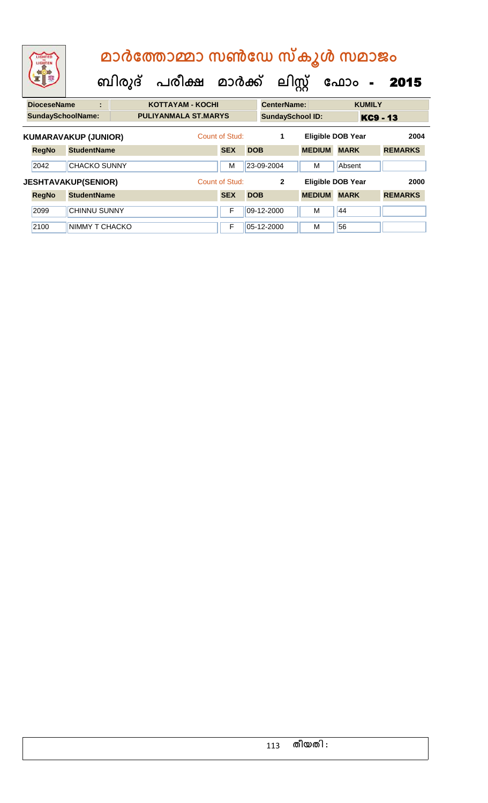| LIGHTED<br>LIGHTEN       | മാർത്തോമ്മാ സൺഡേ സ്കൂൾ സമാജം<br>ബിരുദ് പരീക്ഷ മാർക്ക്<br>ലിസ്റ്റ്<br>ഫോം<br>2015<br>$\blacksquare$ |  |                             |  |                |            |                         |               |                          |                 |
|--------------------------|----------------------------------------------------------------------------------------------------|--|-----------------------------|--|----------------|------------|-------------------------|---------------|--------------------------|-----------------|
| <b>DioceseName</b>       | ٠                                                                                                  |  | <b>KOTTAYAM - KOCHI</b>     |  |                |            | <b>CenterName:</b>      |               | <b>KUMILY</b>            |                 |
| <b>SundaySchoolName:</b> |                                                                                                    |  | <b>PULIYANMALA ST.MARYS</b> |  |                |            | <b>SundaySchool ID:</b> |               |                          | <b>KC9 - 13</b> |
|                          | <b>KUMARAVAKUP (JUNIOR)</b>                                                                        |  |                             |  | Count of Stud: |            | 1                       |               | <b>Eligible DOB Year</b> | 2004            |
| <b>RegNo</b>             | <b>StudentName</b>                                                                                 |  |                             |  | <b>SEX</b>     | <b>DOB</b> |                         | <b>MEDIUM</b> | <b>MARK</b>              | <b>REMARKS</b>  |
| 2042                     | <b>CHACKO SUNNY</b>                                                                                |  |                             |  | M              |            | 23-09-2004              | м             | Absent                   |                 |
|                          | <b>JESHTAVAKUP(SENIOR)</b>                                                                         |  |                             |  | Count of Stud: |            | $\overline{2}$          |               | <b>Eligible DOB Year</b> | 2000            |
| <b>RegNo</b>             | <b>StudentName</b>                                                                                 |  |                             |  | <b>SEX</b>     | <b>DOB</b> |                         | <b>MEDIUM</b> | <b>MARK</b>              | <b>REMARKS</b>  |
| 2099                     | <b>CHINNU SUNNY</b>                                                                                |  |                             |  | F              |            | 09-12-2000              | м             | 44                       |                 |
| 2100                     | NIMMY T CHACKO                                                                                     |  |                             |  | F              |            | 05-12-2000              | M             | 56                       |                 |

### 113 **തീയതി :**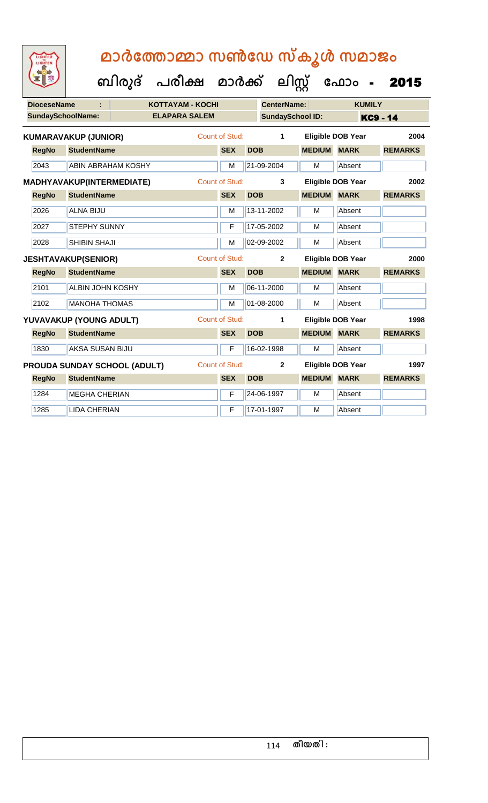| <b>DioceseName</b> |                                  |                                     | <b>KOTTAYAM - KOCHI</b> |                       |            | <b>CenterName:</b>      |               | <b>KUMILY</b>            |                 |
|--------------------|----------------------------------|-------------------------------------|-------------------------|-----------------------|------------|-------------------------|---------------|--------------------------|-----------------|
|                    | <b>SundaySchoolName:</b>         |                                     | <b>ELAPARA SALEM</b>    |                       |            | <b>SundaySchool ID:</b> |               |                          | <b>KC9 - 14</b> |
|                    | <b>KUMARAVAKUP (JUNIOR)</b>      |                                     |                         | Count of Stud:        |            | 1                       |               | <b>Eligible DOB Year</b> | 2004            |
| <b>RegNo</b>       | <b>StudentName</b>               |                                     |                         | <b>SEX</b>            | <b>DOB</b> |                         | <b>MEDIUM</b> | <b>MARK</b>              | <b>REMARKS</b>  |
| 2043               |                                  | ABIN ABRAHAM KOSHY                  |                         | M                     |            | 21-09-2004              | M             | Absent                   |                 |
|                    | <b>MADHYAVAKUP(INTERMEDIATE)</b> |                                     |                         | <b>Count of Stud:</b> |            | 3                       |               | <b>Eligible DOB Year</b> | 2002            |
| <b>RegNo</b>       | <b>StudentName</b>               |                                     |                         | <b>SEX</b>            | <b>DOB</b> |                         | <b>MEDIUM</b> | <b>MARK</b>              | <b>REMARKS</b>  |
| 2026               | <b>ALNA BIJU</b>                 |                                     |                         | M                     |            | 13-11-2002              | M             | Absent                   |                 |
| 2027               | <b>STEPHY SUNNY</b>              |                                     |                         | F                     |            | 17-05-2002              | M             | Absent                   |                 |
| 2028               | <b>SHIBIN SHAJI</b>              |                                     |                         | M                     |            | 02-09-2002              | M             | Absent                   |                 |
|                    | <b>JESHTAVAKUP(SENIOR)</b>       |                                     |                         | Count of Stud:        |            | $\overline{2}$          |               | <b>Eligible DOB Year</b> | 2000            |
| <b>RegNo</b>       | <b>StudentName</b>               |                                     |                         | <b>SEX</b>            | <b>DOB</b> |                         | <b>MEDIUM</b> | <b>MARK</b>              | <b>REMARKS</b>  |
| 2101               | <b>ALBIN JOHN KOSHY</b>          |                                     |                         | M                     |            | 06-11-2000              | M             | Absent                   |                 |
| 2102               | <b>MANOHA THOMAS</b>             |                                     |                         | M                     |            | 01-08-2000              | M             | Absent                   |                 |
|                    | YUVAVAKUP (YOUNG ADULT)          |                                     |                         | <b>Count of Stud:</b> |            | 1                       |               | <b>Eligible DOB Year</b> | 1998            |
| <b>RegNo</b>       | <b>StudentName</b>               |                                     |                         | <b>SEX</b>            | <b>DOB</b> |                         | <b>MEDIUM</b> | <b>MARK</b>              | <b>REMARKS</b>  |
| 1830               | AKSA SUSAN BIJU                  |                                     |                         | F                     |            | 16-02-1998              | M             | Absent                   |                 |
|                    |                                  | <b>PROUDA SUNDAY SCHOOL (ADULT)</b> |                         | Count of Stud:        |            | $\mathbf{2}$            |               | <b>Eligible DOB Year</b> | 1997            |
| <b>RegNo</b>       | <b>StudentName</b>               |                                     |                         | <b>SEX</b>            | <b>DOB</b> |                         | <b>MEDIUM</b> | <b>MARK</b>              | <b>REMARKS</b>  |
| 1284               | <b>MEGHA CHERIAN</b>             |                                     |                         | F                     |            | 24-06-1997              | M             | Absent                   |                 |
| 1285               | <b>LIDA CHERIAN</b>              |                                     |                         | $\mathsf F$           |            | 17-01-1997              | M             | Absent                   |                 |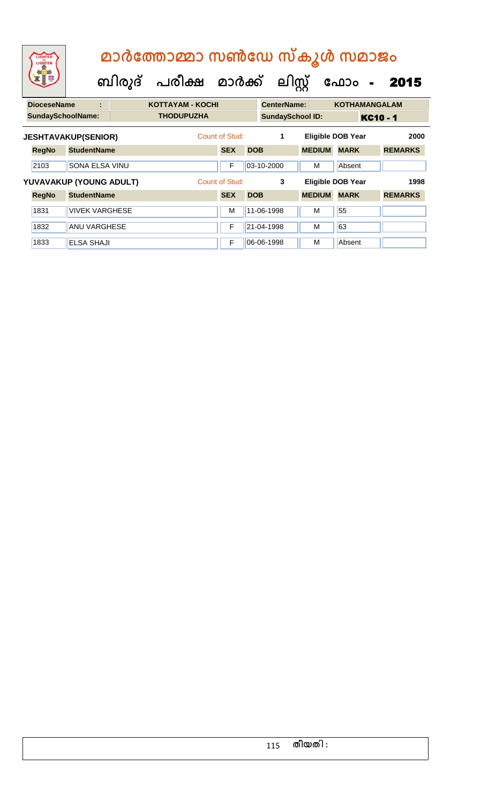| LIGHTED<br>LIGHTEN       |                            | മാർത്തോമ്മാ സൺഡേ സ്കൂൾ സമാജം |                         |  |                |            |                    |                         |               |                          |                 |                |
|--------------------------|----------------------------|------------------------------|-------------------------|--|----------------|------------|--------------------|-------------------------|---------------|--------------------------|-----------------|----------------|
|                          |                            | ബിരുദ്                       | പരീക്ഷ മാർക്ക്          |  |                | ലിസ്റ്റ്   |                    |                         |               | ഫോം                      | $\blacksquare$  | 2015           |
| <b>DioceseName</b>       | ÷                          |                              | <b>KOTTAYAM - KOCHI</b> |  |                |            | <b>CenterName:</b> |                         |               | <b>KOTHAMANGALAM</b>     |                 |                |
| <b>SundaySchoolName:</b> |                            |                              | <b>THODUPUZHA</b>       |  |                |            |                    | <b>SundaySchool ID:</b> |               |                          | <b>KC10 - 1</b> |                |
|                          | <b>JESHTAVAKUP(SENIOR)</b> |                              |                         |  | Count of Stud: |            | 1                  |                         |               | <b>Eligible DOB Year</b> |                 | 2000           |
| <b>RegNo</b>             | <b>StudentName</b>         |                              |                         |  | <b>SEX</b>     | <b>DOB</b> |                    |                         | <b>MEDIUM</b> | <b>MARK</b>              |                 | <b>REMARKS</b> |
| 2103                     | <b>SONA ELSA VINU</b>      |                              |                         |  | F              |            | 03-10-2000         | м                       |               | Absent                   |                 |                |
|                          | YUVAVAKUP (YOUNG ADULT)    |                              |                         |  | Count of Stud: |            | 3                  |                         |               | <b>Eligible DOB Year</b> |                 | 1998           |
| <b>RegNo</b>             | <b>StudentName</b>         |                              |                         |  | <b>SEX</b>     | <b>DOB</b> |                    |                         | <b>MEDIUM</b> | <b>MARK</b>              |                 | <b>REMARKS</b> |
| 1831                     | <b>VIVEK VARGHESE</b>      |                              |                         |  | м              |            | 11-06-1998         | M                       |               | 55                       |                 |                |
| 1832                     | <b>ANU VARGHESE</b>        |                              |                         |  | F              |            | 21-04-1998         | M                       |               | 63                       |                 |                |
| 1833                     | <b>ELSA SHAJI</b>          |                              |                         |  | F              |            | 06-06-1998         | M                       |               | Absent                   |                 |                |

### 115 **തീയതി :**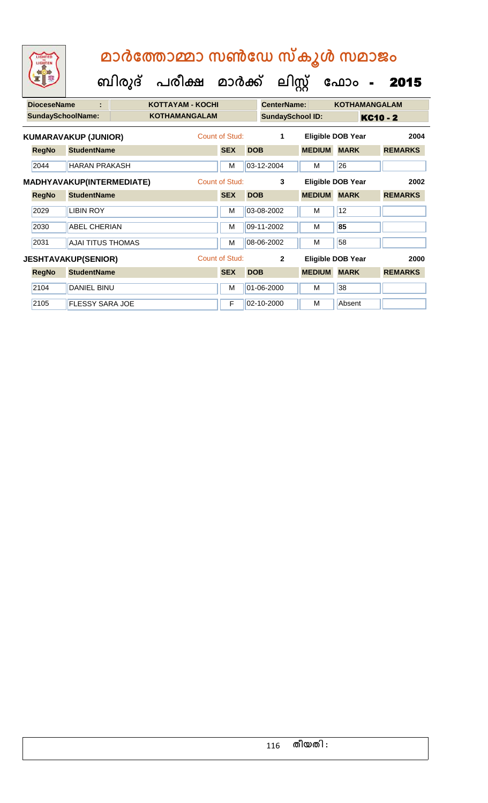| മാർത്തോമ്മാ സൺഡേ സ്കൂൾ സമാജം |  |  |
|------------------------------|--|--|
|                              |  |  |

 **ബിരുദ് പരീക്ഷ മാര്ക്**

**ക ലിസ്റ്റ**

**ക ഫ ാോം** - 2015

**DioceseName : KOTTAYAM - KOCHI CenterName: KOTHAMANGALAM** SundaySchoolName: **KOTHAMANGALAM SundaySchool ID: KC10 - 2 RegNo StudentName SEX DOB MEDIUM MARK REMARKS KUMARAVAKUP (JUNIOR)** Count of Stud: **1 Eligible DOB Year 2004** 2044 HARAN PRAKASH M M 03-12-2004 M 26 **RegNo StudentName SEX DOB MEDIUM MARK REMARKS MADHYAVAKUP(INTERMEDIATE)** Count of Stud: **3 Eligible DOB Year 2002** 2029 LIBIN ROY M 03-08-2002 M 12 2030 ABEL CHERIAN M 09-11-2002 M **85** 2031 AJAI TITUS THOMAS MEDICINE MILLION OB-06-2002 | M 58 **RegNo StudentName SEX DOB MEDIUM MARK REMARKS JESHTAVAKUP(SENIOR)** Count of Stud: **2 Eligible DOB Year 2000** 2104 DANIEL BINU M 01-06-2000 M 38 2105 FLESSY SARA JOE F 02-10-2000 M Absent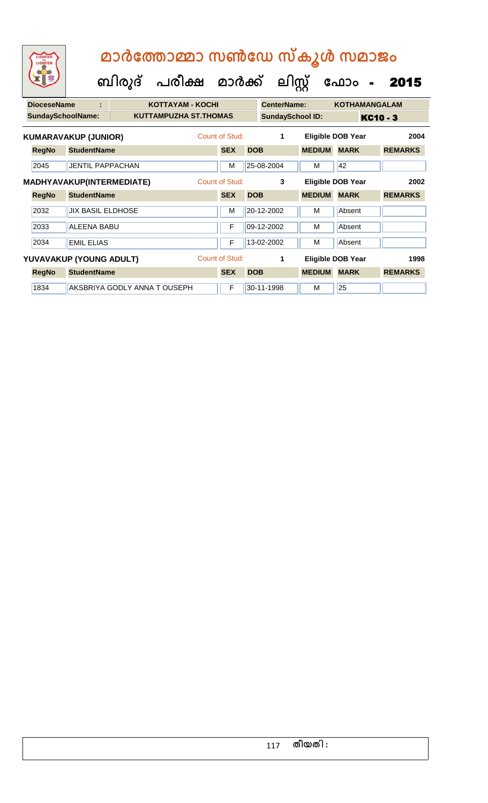| മാർത്തോമ്മാ സൺഡേ സ്കൂൾ സമാജം<br>LIGHTED<br>LIGHTEN<br>പരീക്ഷ മാർക്ക്<br>ബിരുദ് |                          |                             |  |                              |  |                       |            |                         | ലിസ്          | ഫോം<br>− a               | 2015           |  |
|--------------------------------------------------------------------------------|--------------------------|-----------------------------|--|------------------------------|--|-----------------------|------------|-------------------------|---------------|--------------------------|----------------|--|
|                                                                                | <b>DioceseName</b>       |                             |  | <b>KOTTAYAM - KOCHI</b>      |  |                       |            | <b>CenterName:</b>      |               | <b>KOTHAMANGALAM</b>     |                |  |
|                                                                                | <b>SundaySchoolName:</b> |                             |  | <b>KUTTAMPUZHA ST.THOMAS</b> |  |                       |            | <b>SundaySchool ID:</b> |               |                          | KC10 - 3       |  |
|                                                                                |                          | <b>KUMARAVAKUP (JUNIOR)</b> |  |                              |  | Count of Stud:        |            | 1                       |               | <b>Eligible DOB Year</b> | 2004           |  |
|                                                                                | <b>RegNo</b>             | <b>StudentName</b>          |  |                              |  | <b>SEX</b>            | <b>DOB</b> |                         | <b>MEDIUM</b> | <b>MARK</b>              | <b>REMARKS</b> |  |
|                                                                                | 2045                     | <b>JENTIL PAPPACHAN</b>     |  |                              |  | M                     |            | 25-08-2004              | М             | 42                       |                |  |
|                                                                                |                          | MADHYAVAKUP(INTERMEDIATE)   |  |                              |  | Count of Stud:        |            | 3                       |               | Eligible DOB Year        | 2002           |  |
|                                                                                | <b>RegNo</b>             | <b>StudentName</b>          |  |                              |  | <b>SEX</b>            | <b>DOB</b> |                         | <b>MEDIUM</b> | <b>MARK</b>              | <b>REMARKS</b> |  |
|                                                                                | 2032                     | <b>JIX BASIL ELDHOSE</b>    |  |                              |  | M                     |            | 20-12-2002              | м             | Absent                   |                |  |
|                                                                                | 2033                     | <b>ALEENA BABU</b>          |  |                              |  | F                     |            | 09-12-2002              | м             | Absent                   |                |  |
|                                                                                | 2034                     | <b>FMIL FLIAS</b>           |  |                              |  | F                     |            | 13-02-2002              | M             | Absent                   |                |  |
|                                                                                |                          | YUVAVAKUP (YOUNG ADULT)     |  |                              |  | <b>Count of Stud:</b> |            | 1                       |               | <b>Eligible DOB Year</b> | 1998           |  |
|                                                                                | <b>RegNo</b>             | <b>StudentName</b>          |  |                              |  | <b>SEX</b>            | <b>DOB</b> |                         | <b>MEDIUM</b> | <b>MARK</b>              | <b>REMARKS</b> |  |
|                                                                                | 1834                     |                             |  | AKSBRIYA GODLY ANNA TOUSEPH  |  | F                     |            | 30-11-1998              | м             | 25                       |                |  |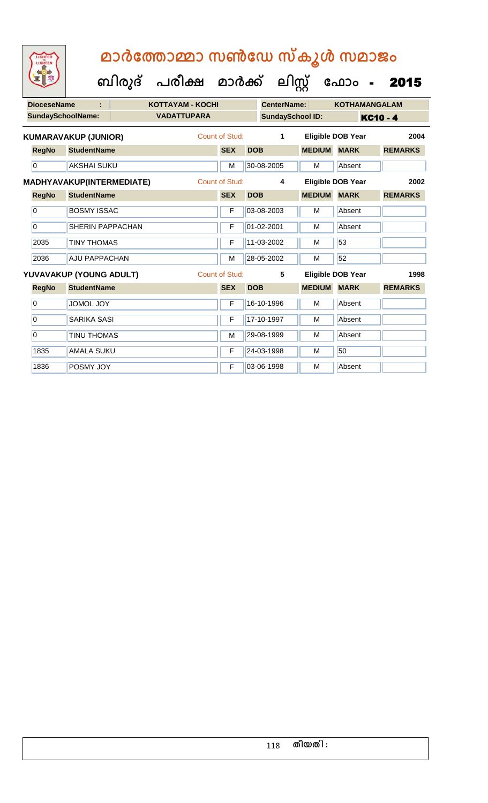**ക ഫ ാോം** - 2015

 **ബിരുദ് പരീക്ഷ മാര്ക്**

**ക ലിസ്റ്റ**

**DioceseName : KOTTAYAM - KOCHI CenterName: KOTHAMANGALAM SundaySchoolName: VADATTUPARA SundaySchool ID: KC10 - 4 RegNo StudentName SEX DOB MEDIUM MARK REMARKS KUMARAVAKUP (JUNIOR)** Count of Stud: **1 Eligible DOB Year 2004** 0 AKSHAI SUKU M 30-08-2005 M Absent **RegNo StudentName SEX DOB MEDIUM MARK REMARKS MADHYAVAKUP(INTERMEDIATE)** Count of Stud: **4 Eligible DOB Year 2002** 0 BOSMY ISSAC F 03-08-2003 M Absent 0 SHERIN PAPPACHAN F 01-02-2001 M Absent 2035 TINY THOMAS F 11-03-2002 M 53 2036 AJU PAPPACHAN M 28-05-2002 M 52 **RegNo StudentName SEX DOB MEDIUM MARK REMARKS YUVAVAKUP (YOUNG ADULT)** Count of Stud: **5 Eligible DOB Year 1998** 0 JOMOL JOY F 16-10-1996 M Absent 0 SARIKA SASI F 17-10-1997 M Absent 0 TINU THOMAS M 29-08-1999 M Absent 1835 AMALA SUKU F 24-03-1998 M 50 1836 POSMY JOY TEN 03-06-1998 M Absent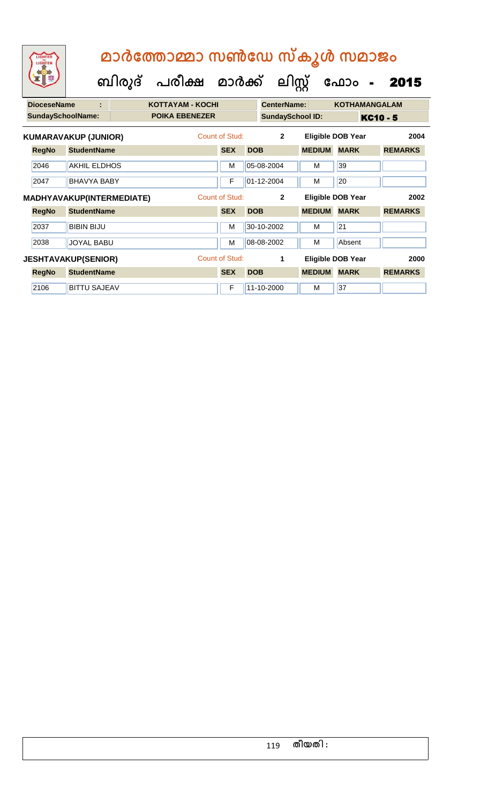**ബിരുദ് പരീക്ഷ മാര്ക്**

**ക ലിസ്റ്റ**

**ക ഫ ാോം** - 2015

**DioceseName : KOTTAYAM - KOCHI CenterName: KOTHAMANGALAM** SundaySchoolName: **POIKA EBENEZER SundaySchool ID:** KC10 - 5 **RegNo StudentName SEX DOB MEDIUM MARK REMARKS KUMARAVAKUP (JUNIOR)** Count of Stud: **2 Eligible DOB Year 2004** 2046 AKHIL ELDHOS M 05-08-2004 M 39 2047 BHAVYA BABY F 01-12-2004 M 20 **RegNo StudentName SEX DOB MEDIUM MARK REMARKS MADHYAVAKUP(INTERMEDIATE)** Count of Stud: **2 Eligible DOB Year 2002** 2037 BIBIN BIJU M 30-10-2002 M 21 2038 JOYAL BABU M 08-08-2002 M Absent **RegNo StudentName SEX DOB MEDIUM MARK REMARKS JESHTAVAKUP(SENIOR)** Count of Stud: **1 Eligible DOB Year 2000** 2106 BITTU SAJEAV F 11-10-2000 M 37

#### 119 **തീയതി :**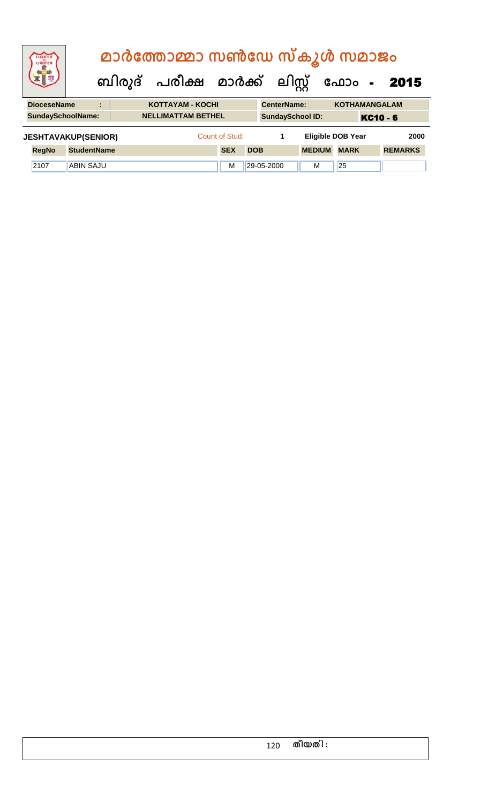| <b>IGHTED</b><br>LIGHTEN                                                                  |                    |  |  | മാർത്തോമ്മാ സൺഡേ സ്കൂൾ സമാജം              |  |                |            |                         |  |               |                          |                 |                |
|-------------------------------------------------------------------------------------------|--------------------|--|--|-------------------------------------------|--|----------------|------------|-------------------------|--|---------------|--------------------------|-----------------|----------------|
|                                                                                           |                    |  |  | ബിരുദ് പരീക്ഷ മാർക്ക് ലിസ്റ്റ് ഫോം - 2015 |  |                |            |                         |  |               |                          |                 |                |
| <b>DioceseName</b><br>CenterName:<br><b>KOTTAYAM - KOCHI</b><br><b>KOTHAMANGALAM</b><br>÷ |                    |  |  |                                           |  |                |            |                         |  |               |                          |                 |                |
| <b>SundaySchoolName:</b>                                                                  |                    |  |  | <b>NELLIMATTAM BETHEL</b>                 |  |                |            | <b>SundaySchool ID:</b> |  |               |                          | <b>KC10 - 6</b> |                |
| <b>JESHTAVAKUP(SENIOR)</b>                                                                |                    |  |  |                                           |  | Count of Stud: |            | 1                       |  |               | <b>Eligible DOB Year</b> |                 | 2000           |
| <b>RegNo</b>                                                                              | <b>StudentName</b> |  |  |                                           |  | <b>SEX</b>     | <b>DOB</b> |                         |  | <b>MEDIUM</b> | <b>MARK</b>              |                 | <b>REMARKS</b> |
| 2107                                                                                      | <b>ABIN SAJU</b>   |  |  |                                           |  | M              |            | 29-05-2000              |  | м             | 25                       |                 |                |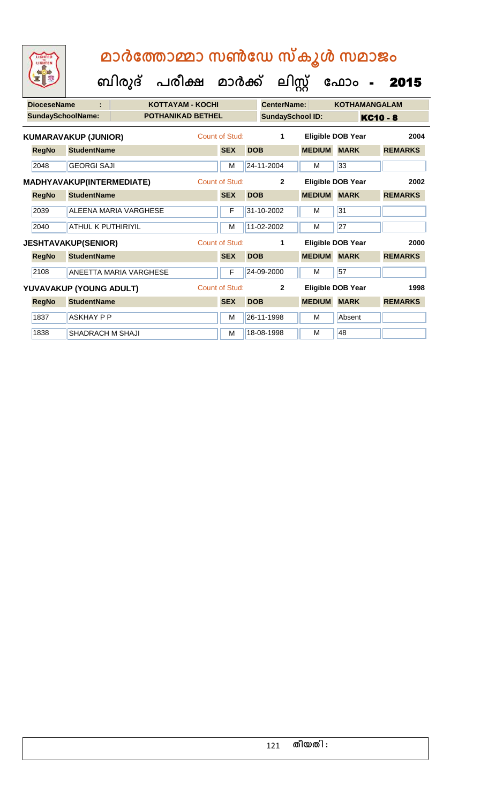| <b>DioceseName</b> |                                  | KOTTAYAM - KOCHI              |                       |            | <b>CenterName:</b>      |               | <b>KOTHAMANGALAM</b> |                |  |
|--------------------|----------------------------------|-------------------------------|-----------------------|------------|-------------------------|---------------|----------------------|----------------|--|
| SundaySchoolName:  |                                  | <b>POTHANIKAD BETHEL</b>      |                       |            | <b>SundaySchool ID:</b> |               | <b>KC10 - 8</b>      |                |  |
|                    | <b>KUMARAVAKUP (JUNIOR)</b>      |                               | <b>Count of Stud:</b> |            | 1                       |               | Eligible DOB Year    | 2004           |  |
| <b>RegNo</b>       | <b>StudentName</b>               |                               | <b>SEX</b>            | <b>DOB</b> |                         | <b>MEDIUM</b> | <b>MARK</b>          | <b>REMARKS</b> |  |
| 2048               | <b>GEORGI SAJI</b>               |                               | M                     |            | 24-11-2004              | М             | 33                   |                |  |
|                    | <b>MADHYAVAKUP(INTERMEDIATE)</b> |                               | <b>Count of Stud:</b> |            | $\mathbf{2}$            |               | Eligible DOB Year    | 2002           |  |
| <b>RegNo</b>       | <b>StudentName</b>               |                               | <b>SEX</b>            | <b>DOB</b> |                         | <b>MEDIUM</b> | <b>MARK</b>          | <b>REMARKS</b> |  |
| 2039               |                                  | <b>ALEENA MARIA VARGHESE</b>  | F                     |            | 31-10-2002              | М             | 31                   |                |  |
| 2040               | <b>ATHUL K PUTHIRIYIL</b>        |                               | M                     |            | 11-02-2002              | М             | 27                   |                |  |
|                    | <b>JESHTAVAKUP(SENIOR)</b>       |                               | <b>Count of Stud:</b> |            | 1                       |               | Eligible DOB Year    | 2000           |  |
| <b>RegNo</b>       | <b>StudentName</b>               |                               | <b>SEX</b>            | <b>DOB</b> |                         | <b>MEDIUM</b> | <b>MARK</b>          | <b>REMARKS</b> |  |
| 2108               |                                  | <b>ANEETTA MARIA VARGHESE</b> | F                     |            | 24-09-2000              | М             | 57                   |                |  |
|                    | YUVAVAKUP (YOUNG ADULT)          |                               | <b>Count of Stud:</b> |            | $\mathbf{2}$            |               | Eligible DOB Year    | 1998           |  |
| <b>RegNo</b>       | <b>StudentName</b>               |                               | <b>SEX</b>            | <b>DOB</b> |                         | <b>MEDIUM</b> | <b>MARK</b>          | <b>REMARKS</b> |  |
| 1837               | <b>ASKHAY P P</b>                |                               | M                     |            | 26-11-1998              | M             | Absent               |                |  |
| 1838               | SHADRACH M SHAJI                 |                               | M                     |            | 18-08-1998              | M             | 48                   |                |  |